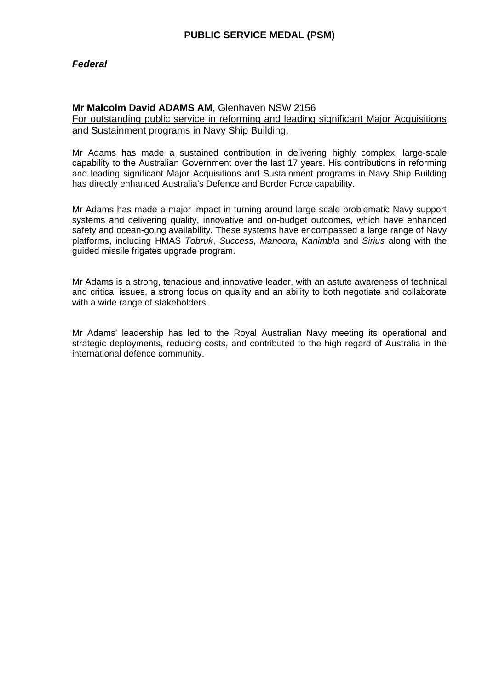### *Federal*

### **Mr Malcolm David ADAMS AM**, Glenhaven NSW 2156

For outstanding public service in reforming and leading significant Major Acquisitions and Sustainment programs in Navy Ship Building.

Mr Adams has made a sustained contribution in delivering highly complex, large-scale capability to the Australian Government over the last 17 years. His contributions in reforming and leading significant Major Acquisitions and Sustainment programs in Navy Ship Building has directly enhanced Australia's Defence and Border Force capability.

Mr Adams has made a major impact in turning around large scale problematic Navy support systems and delivering quality, innovative and on-budget outcomes, which have enhanced safety and ocean-going availability. These systems have encompassed a large range of Navy platforms, including HMAS *Tobruk*, *Success*, *Manoora*, *Kanimbla* and *Sirius* along with the guided missile frigates upgrade program.

Mr Adams is a strong, tenacious and innovative leader, with an astute awareness of technical and critical issues, a strong focus on quality and an ability to both negotiate and collaborate with a wide range of stakeholders.

Mr Adams' leadership has led to the Royal Australian Navy meeting its operational and strategic deployments, reducing costs, and contributed to the high regard of Australia in the international defence community.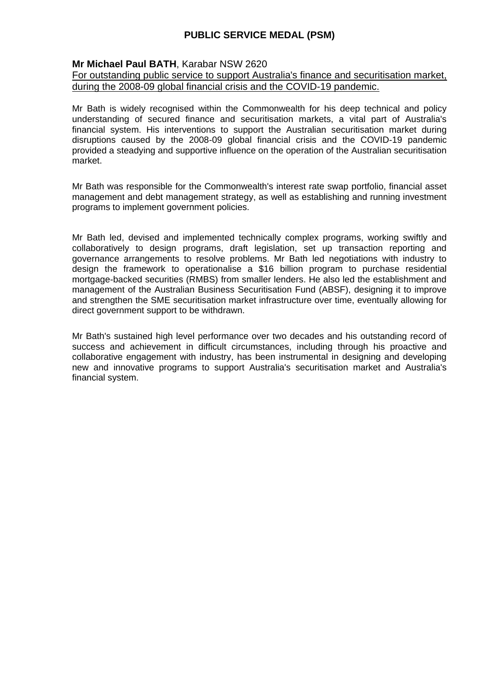### **Mr Michael Paul BATH**, Karabar NSW 2620

#### For outstanding public service to support Australia's finance and securitisation market, during the 2008-09 global financial crisis and the COVID-19 pandemic.

Mr Bath is widely recognised within the Commonwealth for his deep technical and policy understanding of secured finance and securitisation markets, a vital part of Australia's financial system. His interventions to support the Australian securitisation market during disruptions caused by the 2008-09 global financial crisis and the COVID-19 pandemic provided a steadying and supportive influence on the operation of the Australian securitisation market.

Mr Bath was responsible for the Commonwealth's interest rate swap portfolio, financial asset management and debt management strategy, as well as establishing and running investment programs to implement government policies.

Mr Bath led, devised and implemented technically complex programs, working swiftly and collaboratively to design programs, draft legislation, set up transaction reporting and governance arrangements to resolve problems. Mr Bath led negotiations with industry to design the framework to operationalise a \$16 billion program to purchase residential mortgage-backed securities (RMBS) from smaller lenders. He also led the establishment and management of the Australian Business Securitisation Fund (ABSF), designing it to improve and strengthen the SME securitisation market infrastructure over time, eventually allowing for direct government support to be withdrawn.

Mr Bath's sustained high level performance over two decades and his outstanding record of success and achievement in difficult circumstances, including through his proactive and collaborative engagement with industry, has been instrumental in designing and developing new and innovative programs to support Australia's securitisation market and Australia's financial system.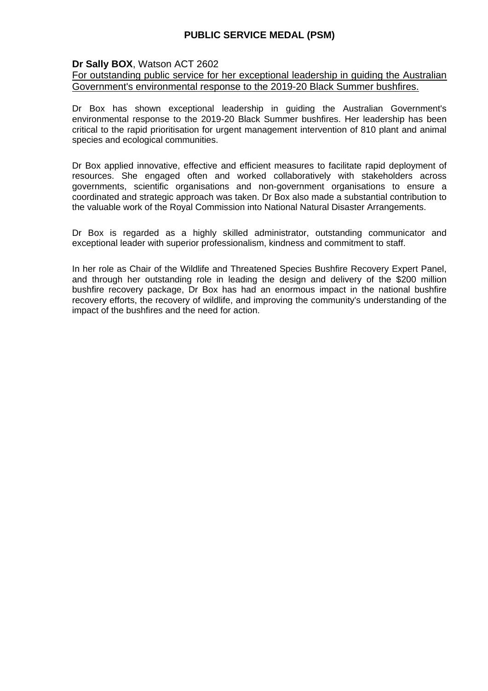### **Dr Sally BOX**, Watson ACT 2602

For outstanding public service for her exceptional leadership in guiding the Australian Government's environmental response to the 2019-20 Black Summer bushfires.

Dr Box has shown exceptional leadership in guiding the Australian Government's environmental response to the 2019-20 Black Summer bushfires. Her leadership has been critical to the rapid prioritisation for urgent management intervention of 810 plant and animal species and ecological communities.

Dr Box applied innovative, effective and efficient measures to facilitate rapid deployment of resources. She engaged often and worked collaboratively with stakeholders across governments, scientific organisations and non-government organisations to ensure a coordinated and strategic approach was taken. Dr Box also made a substantial contribution to the valuable work of the Royal Commission into National Natural Disaster Arrangements.

Dr Box is regarded as a highly skilled administrator, outstanding communicator and exceptional leader with superior professionalism, kindness and commitment to staff.

In her role as Chair of the Wildlife and Threatened Species Bushfire Recovery Expert Panel, and through her outstanding role in leading the design and delivery of the \$200 million bushfire recovery package, Dr Box has had an enormous impact in the national bushfire recovery efforts, the recovery of wildlife, and improving the community's understanding of the impact of the bushfires and the need for action.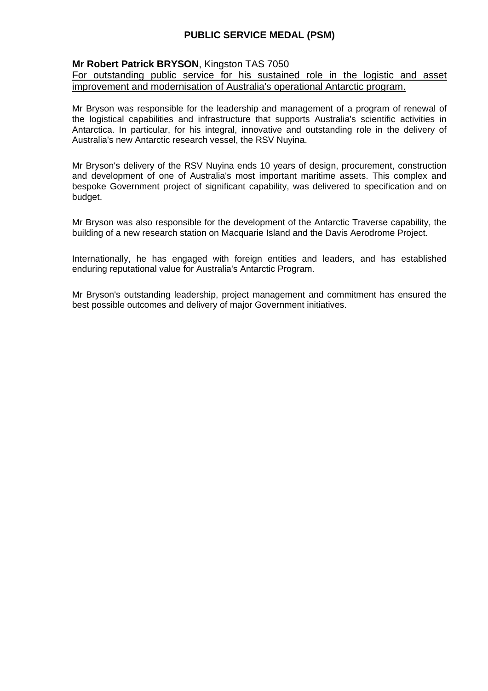### **Mr Robert Patrick BRYSON**, Kingston TAS 7050

For outstanding public service for his sustained role in the logistic and asset improvement and modernisation of Australia's operational Antarctic program.

Mr Bryson was responsible for the leadership and management of a program of renewal of the logistical capabilities and infrastructure that supports Australia's scientific activities in Antarctica. In particular, for his integral, innovative and outstanding role in the delivery of Australia's new Antarctic research vessel, the RSV Nuyina.

Mr Bryson's delivery of the RSV Nuyina ends 10 years of design, procurement, construction and development of one of Australia's most important maritime assets. This complex and bespoke Government project of significant capability, was delivered to specification and on budget.

Mr Bryson was also responsible for the development of the Antarctic Traverse capability, the building of a new research station on Macquarie Island and the Davis Aerodrome Project.

Internationally, he has engaged with foreign entities and leaders, and has established enduring reputational value for Australia's Antarctic Program.

Mr Bryson's outstanding leadership, project management and commitment has ensured the best possible outcomes and delivery of major Government initiatives.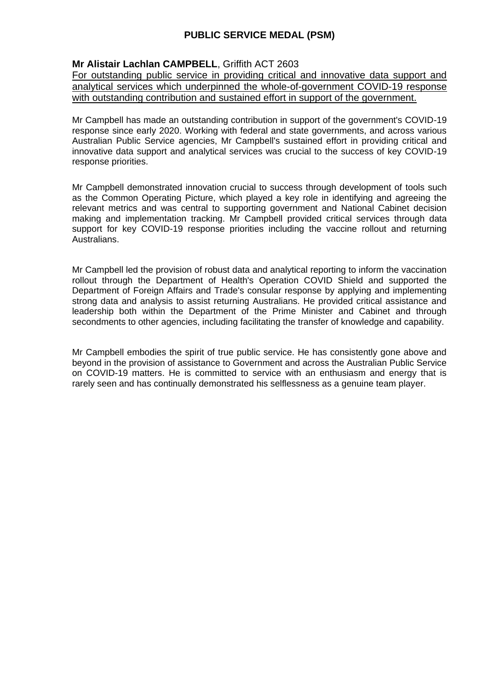## **Mr Alistair Lachlan CAMPBELL**, Griffith ACT 2603

For outstanding public service in providing critical and innovative data support and analytical services which underpinned the whole-of-government COVID-19 response with outstanding contribution and sustained effort in support of the government.

Mr Campbell has made an outstanding contribution in support of the government's COVID-19 response since early 2020. Working with federal and state governments, and across various Australian Public Service agencies, Mr Campbell's sustained effort in providing critical and innovative data support and analytical services was crucial to the success of key COVID-19 response priorities.

Mr Campbell demonstrated innovation crucial to success through development of tools such as the Common Operating Picture, which played a key role in identifying and agreeing the relevant metrics and was central to supporting government and National Cabinet decision making and implementation tracking. Mr Campbell provided critical services through data support for key COVID-19 response priorities including the vaccine rollout and returning Australians.

Mr Campbell led the provision of robust data and analytical reporting to inform the vaccination rollout through the Department of Health's Operation COVID Shield and supported the Department of Foreign Affairs and Trade's consular response by applying and implementing strong data and analysis to assist returning Australians. He provided critical assistance and leadership both within the Department of the Prime Minister and Cabinet and through secondments to other agencies, including facilitating the transfer of knowledge and capability.

Mr Campbell embodies the spirit of true public service. He has consistently gone above and beyond in the provision of assistance to Government and across the Australian Public Service on COVID-19 matters. He is committed to service with an enthusiasm and energy that is rarely seen and has continually demonstrated his selflessness as a genuine team player.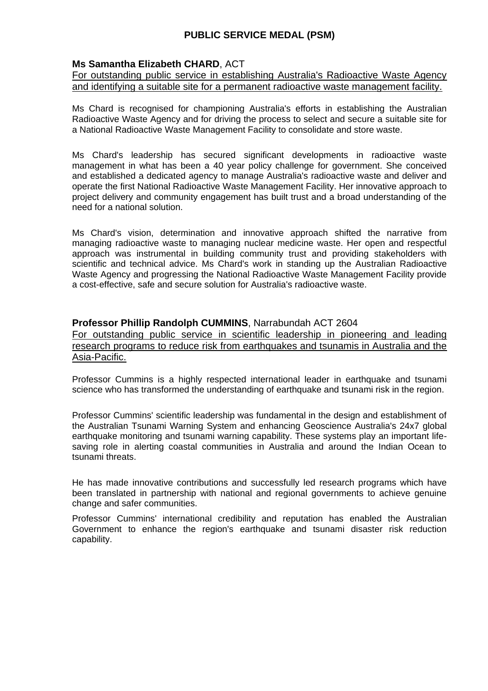### **Ms Samantha Elizabeth CHARD**, ACT

For outstanding public service in establishing Australia's Radioactive Waste Agency and identifying a suitable site for a permanent radioactive waste management facility.

Ms Chard is recognised for championing Australia's efforts in establishing the Australian Radioactive Waste Agency and for driving the process to select and secure a suitable site for a National Radioactive Waste Management Facility to consolidate and store waste.

Ms Chard's leadership has secured significant developments in radioactive waste management in what has been a 40 year policy challenge for government. She conceived and established a dedicated agency to manage Australia's radioactive waste and deliver and operate the first National Radioactive Waste Management Facility. Her innovative approach to project delivery and community engagement has built trust and a broad understanding of the need for a national solution.

Ms Chard's vision, determination and innovative approach shifted the narrative from managing radioactive waste to managing nuclear medicine waste. Her open and respectful approach was instrumental in building community trust and providing stakeholders with scientific and technical advice. Ms Chard's work in standing up the Australian Radioactive Waste Agency and progressing the National Radioactive Waste Management Facility provide a cost-effective, safe and secure solution for Australia's radioactive waste.

### **Professor Phillip Randolph CUMMINS**, Narrabundah ACT 2604

For outstanding public service in scientific leadership in pioneering and leading research programs to reduce risk from earthquakes and tsunamis in Australia and the Asia-Pacific.

Professor Cummins is a highly respected international leader in earthquake and tsunami science who has transformed the understanding of earthquake and tsunami risk in the region.

Professor Cummins' scientific leadership was fundamental in the design and establishment of the Australian Tsunami Warning System and enhancing Geoscience Australia's 24x7 global earthquake monitoring and tsunami warning capability. These systems play an important lifesaving role in alerting coastal communities in Australia and around the Indian Ocean to tsunami threats.

He has made innovative contributions and successfully led research programs which have been translated in partnership with national and regional governments to achieve genuine change and safer communities.

Professor Cummins' international credibility and reputation has enabled the Australian Government to enhance the region's earthquake and tsunami disaster risk reduction capability.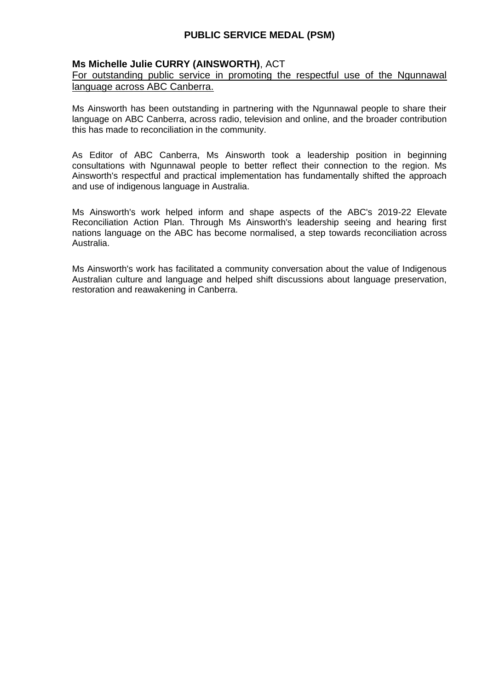### **Ms Michelle Julie CURRY (AINSWORTH)**, ACT

For outstanding public service in promoting the respectful use of the Ngunnawal language across ABC Canberra.

Ms Ainsworth has been outstanding in partnering with the Ngunnawal people to share their language on ABC Canberra, across radio, television and online, and the broader contribution this has made to reconciliation in the community.

As Editor of ABC Canberra, Ms Ainsworth took a leadership position in beginning consultations with Ngunnawal people to better reflect their connection to the region. Ms Ainsworth's respectful and practical implementation has fundamentally shifted the approach and use of indigenous language in Australia.

Ms Ainsworth's work helped inform and shape aspects of the ABC's 2019-22 Elevate Reconciliation Action Plan. Through Ms Ainsworth's leadership seeing and hearing first nations language on the ABC has become normalised, a step towards reconciliation across Australia.

Ms Ainsworth's work has facilitated a community conversation about the value of Indigenous Australian culture and language and helped shift discussions about language preservation, restoration and reawakening in Canberra.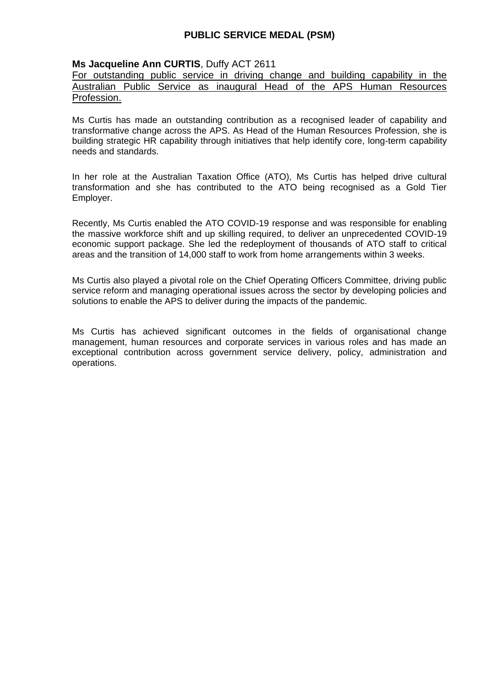### **Ms Jacqueline Ann CURTIS**, Duffy ACT 2611

For outstanding public service in driving change and building capability in the Australian Public Service as inaugural Head of the APS Human Resources Profession.

Ms Curtis has made an outstanding contribution as a recognised leader of capability and transformative change across the APS. As Head of the Human Resources Profession, she is building strategic HR capability through initiatives that help identify core, long-term capability needs and standards.

In her role at the Australian Taxation Office (ATO), Ms Curtis has helped drive cultural transformation and she has contributed to the ATO being recognised as a Gold Tier Employer.

Recently, Ms Curtis enabled the ATO COVID-19 response and was responsible for enabling the massive workforce shift and up skilling required, to deliver an unprecedented COVID-19 economic support package. She led the redeployment of thousands of ATO staff to critical areas and the transition of 14,000 staff to work from home arrangements within 3 weeks.

Ms Curtis also played a pivotal role on the Chief Operating Officers Committee, driving public service reform and managing operational issues across the sector by developing policies and solutions to enable the APS to deliver during the impacts of the pandemic.

Ms Curtis has achieved significant outcomes in the fields of organisational change management, human resources and corporate services in various roles and has made an exceptional contribution across government service delivery, policy, administration and operations.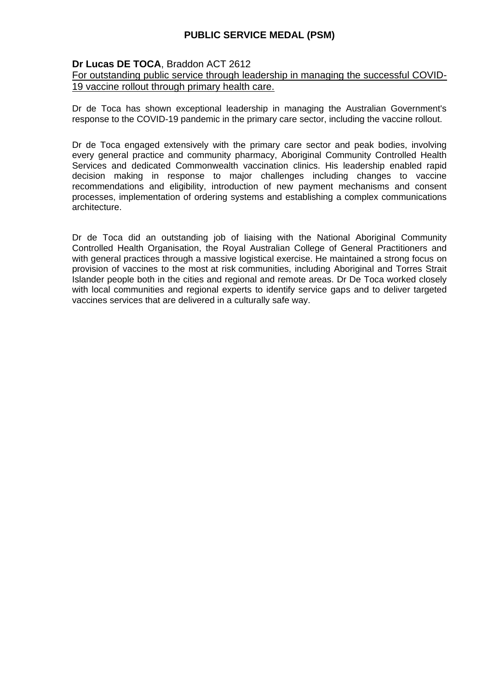### **Dr Lucas DE TOCA**, Braddon ACT 2612

#### For outstanding public service through leadership in managing the successful COVID-19 vaccine rollout through primary health care.

Dr de Toca has shown exceptional leadership in managing the Australian Government's response to the COVID-19 pandemic in the primary care sector, including the vaccine rollout.

Dr de Toca engaged extensively with the primary care sector and peak bodies, involving every general practice and community pharmacy, Aboriginal Community Controlled Health Services and dedicated Commonwealth vaccination clinics. His leadership enabled rapid decision making in response to major challenges including changes to vaccine recommendations and eligibility, introduction of new payment mechanisms and consent processes, implementation of ordering systems and establishing a complex communications architecture.

Dr de Toca did an outstanding job of liaising with the National Aboriginal Community Controlled Health Organisation, the Royal Australian College of General Practitioners and with general practices through a massive logistical exercise. He maintained a strong focus on provision of vaccines to the most at risk communities, including Aboriginal and Torres Strait Islander people both in the cities and regional and remote areas. Dr De Toca worked closely with local communities and regional experts to identify service gaps and to deliver targeted vaccines services that are delivered in a culturally safe way.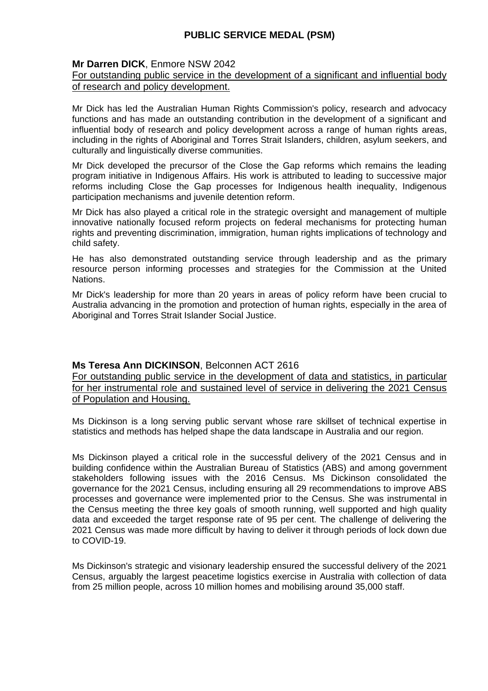### **Mr Darren DICK**, Enmore NSW 2042

### For outstanding public service in the development of a significant and influential body of research and policy development.

Mr Dick has led the Australian Human Rights Commission's policy, research and advocacy functions and has made an outstanding contribution in the development of a significant and influential body of research and policy development across a range of human rights areas, including in the rights of Aboriginal and Torres Strait Islanders, children, asylum seekers, and culturally and linguistically diverse communities.

Mr Dick developed the precursor of the Close the Gap reforms which remains the leading program initiative in Indigenous Affairs. His work is attributed to leading to successive major reforms including Close the Gap processes for Indigenous health inequality, Indigenous participation mechanisms and juvenile detention reform.

Mr Dick has also played a critical role in the strategic oversight and management of multiple innovative nationally focused reform projects on federal mechanisms for protecting human rights and preventing discrimination, immigration, human rights implications of technology and child safety.

He has also demonstrated outstanding service through leadership and as the primary resource person informing processes and strategies for the Commission at the United Nations.

Mr Dick's leadership for more than 20 years in areas of policy reform have been crucial to Australia advancing in the promotion and protection of human rights, especially in the area of Aboriginal and Torres Strait Islander Social Justice.

#### **Ms Teresa Ann DICKINSON**, Belconnen ACT 2616

For outstanding public service in the development of data and statistics, in particular for her instrumental role and sustained level of service in delivering the 2021 Census of Population and Housing.

Ms Dickinson is a long serving public servant whose rare skillset of technical expertise in statistics and methods has helped shape the data landscape in Australia and our region.

Ms Dickinson played a critical role in the successful delivery of the 2021 Census and in building confidence within the Australian Bureau of Statistics (ABS) and among government stakeholders following issues with the 2016 Census. Ms Dickinson consolidated the governance for the 2021 Census, including ensuring all 29 recommendations to improve ABS processes and governance were implemented prior to the Census. She was instrumental in the Census meeting the three key goals of smooth running, well supported and high quality data and exceeded the target response rate of 95 per cent. The challenge of delivering the 2021 Census was made more difficult by having to deliver it through periods of lock down due to COVID-19.

Ms Dickinson's strategic and visionary leadership ensured the successful delivery of the 2021 Census, arguably the largest peacetime logistics exercise in Australia with collection of data from 25 million people, across 10 million homes and mobilising around 35,000 staff.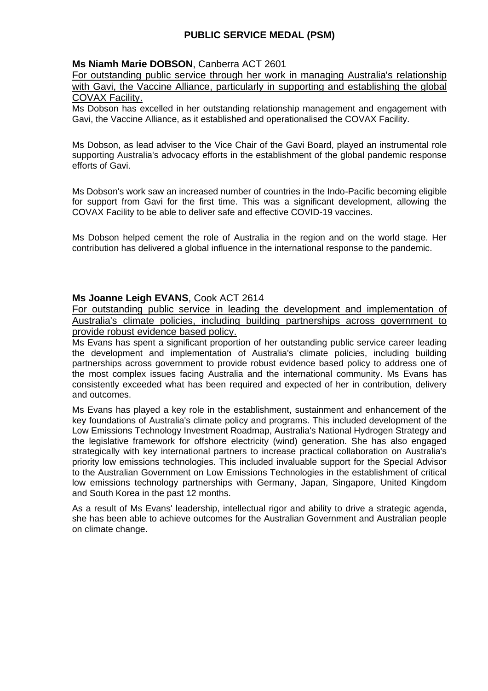### **Ms Niamh Marie DOBSON**, Canberra ACT 2601

For outstanding public service through her work in managing Australia's relationship with Gavi, the Vaccine Alliance, particularly in supporting and establishing the global COVAX Facility.

Ms Dobson has excelled in her outstanding relationship management and engagement with Gavi, the Vaccine Alliance, as it established and operationalised the COVAX Facility.

Ms Dobson, as lead adviser to the Vice Chair of the Gavi Board, played an instrumental role supporting Australia's advocacy efforts in the establishment of the global pandemic response efforts of Gavi.

Ms Dobson's work saw an increased number of countries in the Indo-Pacific becoming eligible for support from Gavi for the first time. This was a significant development, allowing the COVAX Facility to be able to deliver safe and effective COVID-19 vaccines.

Ms Dobson helped cement the role of Australia in the region and on the world stage. Her contribution has delivered a global influence in the international response to the pandemic.

#### **Ms Joanne Leigh EVANS**, Cook ACT 2614

For outstanding public service in leading the development and implementation of Australia's climate policies, including building partnerships across government to provide robust evidence based policy.

Ms Evans has spent a significant proportion of her outstanding public service career leading the development and implementation of Australia's climate policies, including building partnerships across government to provide robust evidence based policy to address one of the most complex issues facing Australia and the international community. Ms Evans has consistently exceeded what has been required and expected of her in contribution, delivery and outcomes.

Ms Evans has played a key role in the establishment, sustainment and enhancement of the key foundations of Australia's climate policy and programs. This included development of the Low Emissions Technology Investment Roadmap, Australia's National Hydrogen Strategy and the legislative framework for offshore electricity (wind) generation. She has also engaged strategically with key international partners to increase practical collaboration on Australia's priority low emissions technologies. This included invaluable support for the Special Advisor to the Australian Government on Low Emissions Technologies in the establishment of critical low emissions technology partnerships with Germany, Japan, Singapore, United Kingdom and South Korea in the past 12 months.

As a result of Ms Evans' leadership, intellectual rigor and ability to drive a strategic agenda, she has been able to achieve outcomes for the Australian Government and Australian people on climate change.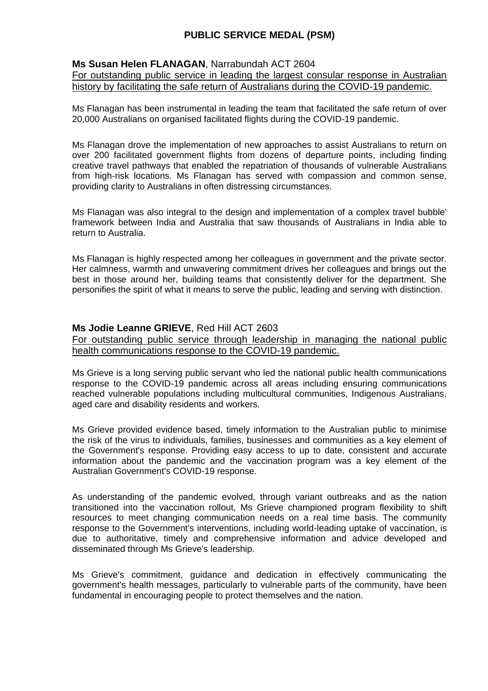### **Ms Susan Helen FLANAGAN**, Narrabundah ACT 2604

For outstanding public service in leading the largest consular response in Australian history by facilitating the safe return of Australians during the COVID-19 pandemic.

Ms Flanagan has been instrumental in leading the team that facilitated the safe return of over 20,000 Australians on organised facilitated flights during the COVID-19 pandemic.

Ms Flanagan drove the implementation of new approaches to assist Australians to return on over 200 facilitated government flights from dozens of departure points, including finding creative travel pathways that enabled the repatriation of thousands of vulnerable Australians from high-risk locations. Ms Flanagan has served with compassion and common sense, providing clarity to Australians in often distressing circumstances.

Ms Flanagan was also integral to the design and implementation of a complex travel bubble' framework between India and Australia that saw thousands of Australians in India able to return to Australia.

Ms Flanagan is highly respected among her colleagues in government and the private sector. Her calmness, warmth and unwavering commitment drives her colleagues and brings out the best in those around her, building teams that consistently deliver for the department. She personifies the spirit of what it means to serve the public, leading and serving with distinction.

### **Ms Jodie Leanne GRIEVE**, Red Hill ACT 2603

For outstanding public service through leadership in managing the national public health communications response to the COVID-19 pandemic.

Ms Grieve is a long serving public servant who led the national public health communications response to the COVID-19 pandemic across all areas including ensuring communications reached vulnerable populations including multicultural communities, Indigenous Australians, aged care and disability residents and workers.

Ms Grieve provided evidence based, timely information to the Australian public to minimise the risk of the virus to individuals, families, businesses and communities as a key element of the Government's response. Providing easy access to up to date, consistent and accurate information about the pandemic and the vaccination program was a key element of the Australian Government's COVID-19 response.

As understanding of the pandemic evolved, through variant outbreaks and as the nation transitioned into the vaccination rollout, Ms Grieve championed program flexibility to shift resources to meet changing communication needs on a real time basis. The community response to the Government's interventions, including world-leading uptake of vaccination, is due to authoritative, timely and comprehensive information and advice developed and disseminated through Ms Grieve's leadership.

Ms Grieve's commitment, guidance and dedication in effectively communicating the government's health messages, particularly to vulnerable parts of the community, have been fundamental in encouraging people to protect themselves and the nation.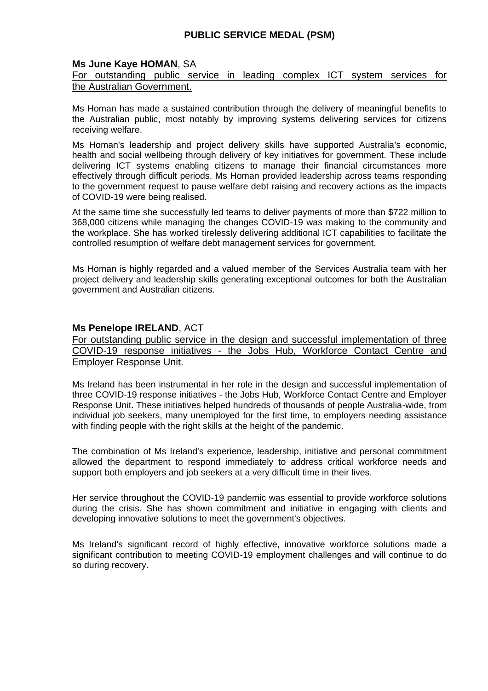#### **Ms June Kaye HOMAN**, SA

#### For outstanding public service in leading complex ICT system services for the Australian Government.

Ms Homan has made a sustained contribution through the delivery of meaningful benefits to the Australian public, most notably by improving systems delivering services for citizens receiving welfare.

Ms Homan's leadership and project delivery skills have supported Australia's economic, health and social wellbeing through delivery of key initiatives for government. These include delivering ICT systems enabling citizens to manage their financial circumstances more effectively through difficult periods. Ms Homan provided leadership across teams responding to the government request to pause welfare debt raising and recovery actions as the impacts of COVID-19 were being realised.

At the same time she successfully led teams to deliver payments of more than \$722 million to 368,000 citizens while managing the changes COVID-19 was making to the community and the workplace. She has worked tirelessly delivering additional ICT capabilities to facilitate the controlled resumption of welfare debt management services for government.

Ms Homan is highly regarded and a valued member of the Services Australia team with her project delivery and leadership skills generating exceptional outcomes for both the Australian government and Australian citizens.

### **Ms Penelope IRELAND**, ACT

For outstanding public service in the design and successful implementation of three COVID-19 response initiatives - the Jobs Hub, Workforce Contact Centre and Employer Response Unit.

Ms Ireland has been instrumental in her role in the design and successful implementation of three COVID-19 response initiatives - the Jobs Hub, Workforce Contact Centre and Employer Response Unit. These initiatives helped hundreds of thousands of people Australia-wide, from individual job seekers, many unemployed for the first time, to employers needing assistance with finding people with the right skills at the height of the pandemic.

The combination of Ms Ireland's experience, leadership, initiative and personal commitment allowed the department to respond immediately to address critical workforce needs and support both employers and job seekers at a very difficult time in their lives.

Her service throughout the COVID-19 pandemic was essential to provide workforce solutions during the crisis. She has shown commitment and initiative in engaging with clients and developing innovative solutions to meet the government's objectives.

Ms Ireland's significant record of highly effective, innovative workforce solutions made a significant contribution to meeting COVID-19 employment challenges and will continue to do so during recovery.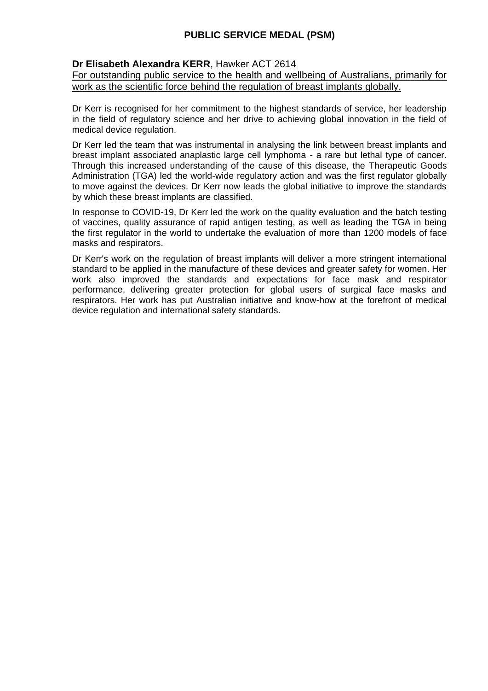### **Dr Elisabeth Alexandra KERR**, Hawker ACT 2614

For outstanding public service to the health and wellbeing of Australians, primarily for work as the scientific force behind the regulation of breast implants globally.

Dr Kerr is recognised for her commitment to the highest standards of service, her leadership in the field of regulatory science and her drive to achieving global innovation in the field of medical device regulation.

Dr Kerr led the team that was instrumental in analysing the link between breast implants and breast implant associated anaplastic large cell lymphoma - a rare but lethal type of cancer. Through this increased understanding of the cause of this disease, the Therapeutic Goods Administration (TGA) led the world-wide regulatory action and was the first regulator globally to move against the devices. Dr Kerr now leads the global initiative to improve the standards by which these breast implants are classified.

In response to COVID-19, Dr Kerr led the work on the quality evaluation and the batch testing of vaccines, quality assurance of rapid antigen testing, as well as leading the TGA in being the first regulator in the world to undertake the evaluation of more than 1200 models of face masks and respirators.

Dr Kerr's work on the regulation of breast implants will deliver a more stringent international standard to be applied in the manufacture of these devices and greater safety for women. Her work also improved the standards and expectations for face mask and respirator performance, delivering greater protection for global users of surgical face masks and respirators. Her work has put Australian initiative and know-how at the forefront of medical device regulation and international safety standards.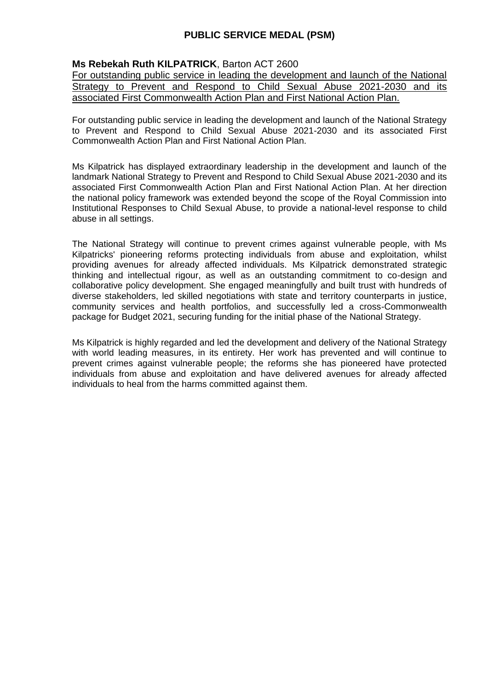### **Ms Rebekah Ruth KILPATRICK**, Barton ACT 2600

For outstanding public service in leading the development and launch of the National Strategy to Prevent and Respond to Child Sexual Abuse 2021-2030 and its associated First Commonwealth Action Plan and First National Action Plan.

For outstanding public service in leading the development and launch of the National Strategy to Prevent and Respond to Child Sexual Abuse 2021-2030 and its associated First Commonwealth Action Plan and First National Action Plan.

Ms Kilpatrick has displayed extraordinary leadership in the development and launch of the landmark National Strategy to Prevent and Respond to Child Sexual Abuse 2021-2030 and its associated First Commonwealth Action Plan and First National Action Plan. At her direction the national policy framework was extended beyond the scope of the Royal Commission into Institutional Responses to Child Sexual Abuse, to provide a national-level response to child abuse in all settings.

The National Strategy will continue to prevent crimes against vulnerable people, with Ms Kilpatricks' pioneering reforms protecting individuals from abuse and exploitation, whilst providing avenues for already affected individuals. Ms Kilpatrick demonstrated strategic thinking and intellectual rigour, as well as an outstanding commitment to co-design and collaborative policy development. She engaged meaningfully and built trust with hundreds of diverse stakeholders, led skilled negotiations with state and territory counterparts in justice, community services and health portfolios, and successfully led a cross-Commonwealth package for Budget 2021, securing funding for the initial phase of the National Strategy.

Ms Kilpatrick is highly regarded and led the development and delivery of the National Strategy with world leading measures, in its entirety. Her work has prevented and will continue to prevent crimes against vulnerable people; the reforms she has pioneered have protected individuals from abuse and exploitation and have delivered avenues for already affected individuals to heal from the harms committed against them.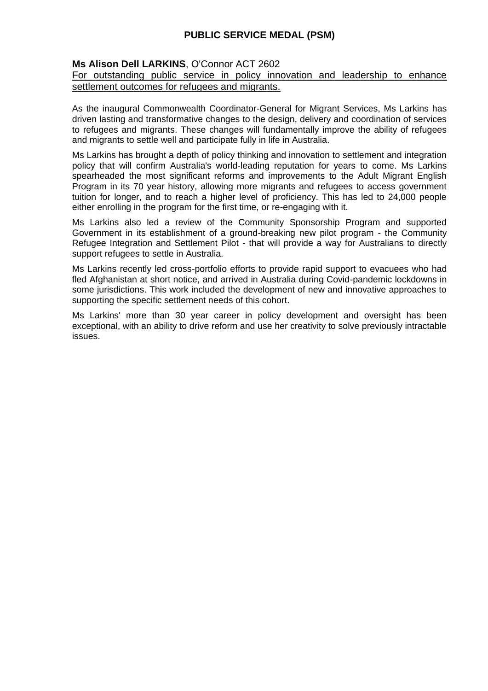### **Ms Alison Dell LARKINS**, O'Connor ACT 2602

#### For outstanding public service in policy innovation and leadership to enhance settlement outcomes for refugees and migrants.

As the inaugural Commonwealth Coordinator-General for Migrant Services, Ms Larkins has driven lasting and transformative changes to the design, delivery and coordination of services to refugees and migrants. These changes will fundamentally improve the ability of refugees and migrants to settle well and participate fully in life in Australia.

Ms Larkins has brought a depth of policy thinking and innovation to settlement and integration policy that will confirm Australia's world-leading reputation for years to come. Ms Larkins spearheaded the most significant reforms and improvements to the Adult Migrant English Program in its 70 year history, allowing more migrants and refugees to access government tuition for longer, and to reach a higher level of proficiency. This has led to 24,000 people either enrolling in the program for the first time, or re-engaging with it.

Ms Larkins also led a review of the Community Sponsorship Program and supported Government in its establishment of a ground-breaking new pilot program - the Community Refugee Integration and Settlement Pilot - that will provide a way for Australians to directly support refugees to settle in Australia.

Ms Larkins recently led cross-portfolio efforts to provide rapid support to evacuees who had fled Afghanistan at short notice, and arrived in Australia during Covid-pandemic lockdowns in some jurisdictions. This work included the development of new and innovative approaches to supporting the specific settlement needs of this cohort.

Ms Larkins' more than 30 year career in policy development and oversight has been exceptional, with an ability to drive reform and use her creativity to solve previously intractable issues.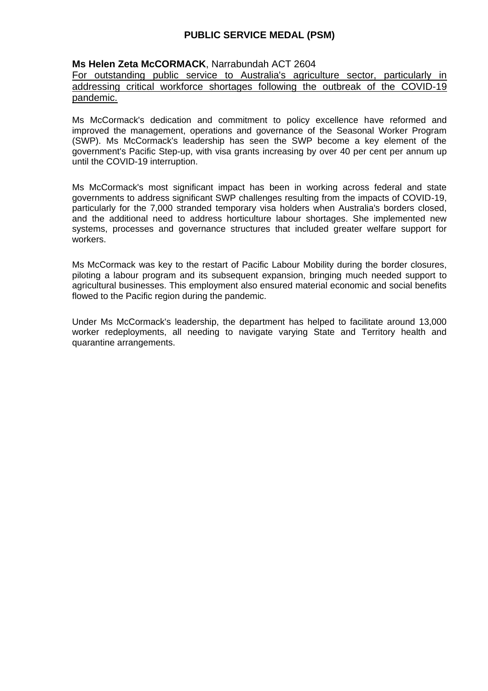#### **Ms Helen Zeta McCORMACK**, Narrabundah ACT 2604

For outstanding public service to Australia's agriculture sector, particularly in addressing critical workforce shortages following the outbreak of the COVID-19 pandemic.

Ms McCormack's dedication and commitment to policy excellence have reformed and improved the management, operations and governance of the Seasonal Worker Program (SWP). Ms McCormack's leadership has seen the SWP become a key element of the government's Pacific Step-up, with visa grants increasing by over 40 per cent per annum up until the COVID-19 interruption.

Ms McCormack's most significant impact has been in working across federal and state governments to address significant SWP challenges resulting from the impacts of COVID-19, particularly for the 7,000 stranded temporary visa holders when Australia's borders closed, and the additional need to address horticulture labour shortages. She implemented new systems, processes and governance structures that included greater welfare support for workers.

Ms McCormack was key to the restart of Pacific Labour Mobility during the border closures, piloting a labour program and its subsequent expansion, bringing much needed support to agricultural businesses. This employment also ensured material economic and social benefits flowed to the Pacific region during the pandemic.

Under Ms McCormack's leadership, the department has helped to facilitate around 13,000 worker redeployments, all needing to navigate varying State and Territory health and quarantine arrangements.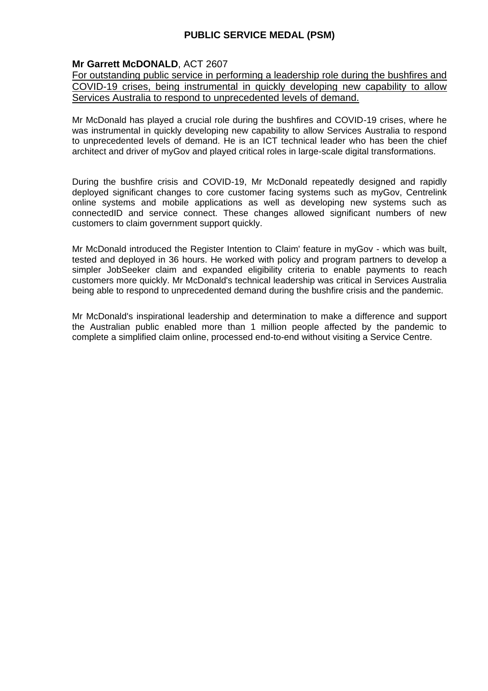### **Mr Garrett McDONALD**, ACT 2607

For outstanding public service in performing a leadership role during the bushfires and COVID-19 crises, being instrumental in quickly developing new capability to allow Services Australia to respond to unprecedented levels of demand.

Mr McDonald has played a crucial role during the bushfires and COVID-19 crises, where he was instrumental in quickly developing new capability to allow Services Australia to respond to unprecedented levels of demand. He is an ICT technical leader who has been the chief architect and driver of myGov and played critical roles in large-scale digital transformations.

During the bushfire crisis and COVID-19, Mr McDonald repeatedly designed and rapidly deployed significant changes to core customer facing systems such as myGov, Centrelink online systems and mobile applications as well as developing new systems such as connectedID and service connect. These changes allowed significant numbers of new customers to claim government support quickly.

Mr McDonald introduced the Register Intention to Claim' feature in myGov - which was built, tested and deployed in 36 hours. He worked with policy and program partners to develop a simpler JobSeeker claim and expanded eligibility criteria to enable payments to reach customers more quickly. Mr McDonald's technical leadership was critical in Services Australia being able to respond to unprecedented demand during the bushfire crisis and the pandemic.

Mr McDonald's inspirational leadership and determination to make a difference and support the Australian public enabled more than 1 million people affected by the pandemic to complete a simplified claim online, processed end-to-end without visiting a Service Centre.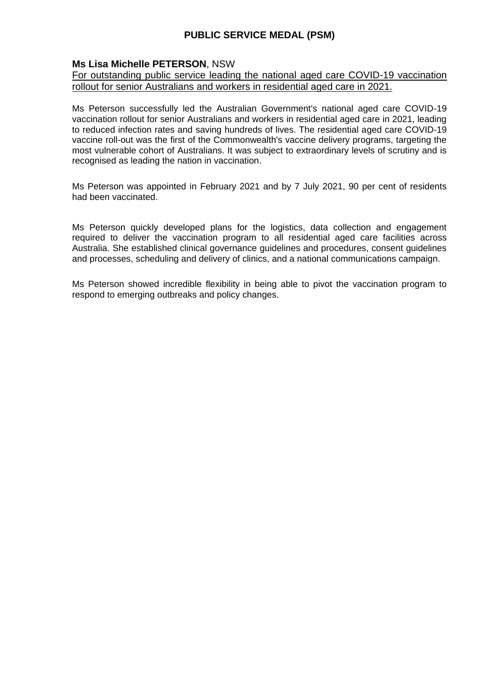### **Ms Lisa Michelle PETERSON**, NSW

#### For outstanding public service leading the national aged care COVID-19 vaccination rollout for senior Australians and workers in residential aged care in 2021.

Ms Peterson successfully led the Australian Government's national aged care COVID-19 vaccination rollout for senior Australians and workers in residential aged care in 2021, leading to reduced infection rates and saving hundreds of lives. The residential aged care COVID-19 vaccine roll-out was the first of the Commonwealth's vaccine delivery programs, targeting the most vulnerable cohort of Australians. It was subject to extraordinary levels of scrutiny and is recognised as leading the nation in vaccination.

Ms Peterson was appointed in February 2021 and by 7 July 2021, 90 per cent of residents had been vaccinated.

Ms Peterson quickly developed plans for the logistics, data collection and engagement required to deliver the vaccination program to all residential aged care facilities across Australia. She established clinical governance guidelines and procedures, consent guidelines and processes, scheduling and delivery of clinics, and a national communications campaign.

Ms Peterson showed incredible flexibility in being able to pivot the vaccination program to respond to emerging outbreaks and policy changes.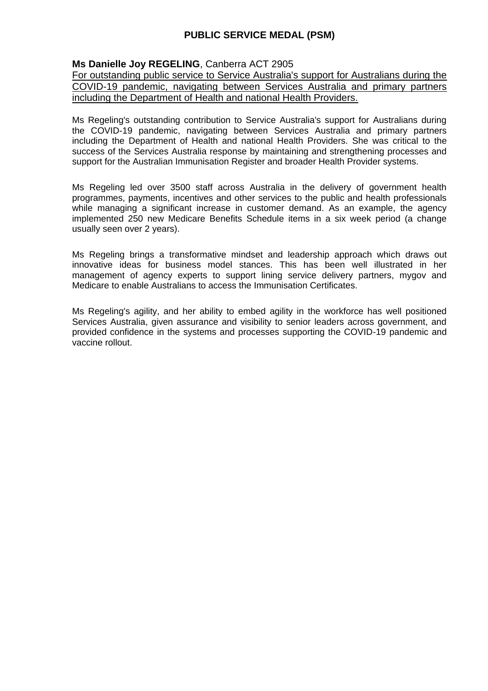### **Ms Danielle Joy REGELING**, Canberra ACT 2905

For outstanding public service to Service Australia's support for Australians during the COVID-19 pandemic, navigating between Services Australia and primary partners including the Department of Health and national Health Providers.

Ms Regeling's outstanding contribution to Service Australia's support for Australians during the COVID-19 pandemic, navigating between Services Australia and primary partners including the Department of Health and national Health Providers. She was critical to the success of the Services Australia response by maintaining and strengthening processes and support for the Australian Immunisation Register and broader Health Provider systems.

Ms Regeling led over 3500 staff across Australia in the delivery of government health programmes, payments, incentives and other services to the public and health professionals while managing a significant increase in customer demand. As an example, the agency implemented 250 new Medicare Benefits Schedule items in a six week period (a change usually seen over 2 years).

Ms Regeling brings a transformative mindset and leadership approach which draws out innovative ideas for business model stances. This has been well illustrated in her management of agency experts to support lining service delivery partners, mygov and Medicare to enable Australians to access the Immunisation Certificates.

Ms Regeling's agility, and her ability to embed agility in the workforce has well positioned Services Australia, given assurance and visibility to senior leaders across government, and provided confidence in the systems and processes supporting the COVID-19 pandemic and vaccine rollout.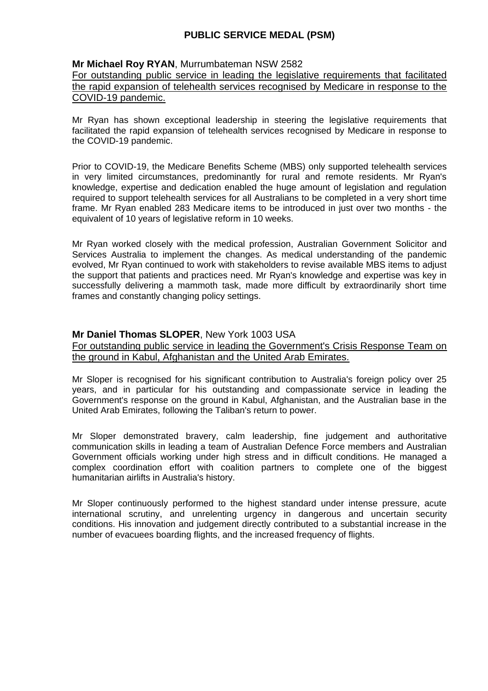#### **Mr Michael Roy RYAN**, Murrumbateman NSW 2582

For outstanding public service in leading the legislative requirements that facilitated the rapid expansion of telehealth services recognised by Medicare in response to the COVID-19 pandemic.

Mr Ryan has shown exceptional leadership in steering the legislative requirements that facilitated the rapid expansion of telehealth services recognised by Medicare in response to the COVID-19 pandemic.

Prior to COVID-19, the Medicare Benefits Scheme (MBS) only supported telehealth services in very limited circumstances, predominantly for rural and remote residents. Mr Ryan's knowledge, expertise and dedication enabled the huge amount of legislation and regulation required to support telehealth services for all Australians to be completed in a very short time frame. Mr Ryan enabled 283 Medicare items to be introduced in just over two months - the equivalent of 10 years of legislative reform in 10 weeks.

Mr Ryan worked closely with the medical profession, Australian Government Solicitor and Services Australia to implement the changes. As medical understanding of the pandemic evolved, Mr Ryan continued to work with stakeholders to revise available MBS items to adjust the support that patients and practices need. Mr Ryan's knowledge and expertise was key in successfully delivering a mammoth task, made more difficult by extraordinarily short time frames and constantly changing policy settings.

### **Mr Daniel Thomas SLOPER**, New York 1003 USA

For outstanding public service in leading the Government's Crisis Response Team on the ground in Kabul, Afghanistan and the United Arab Emirates.

Mr Sloper is recognised for his significant contribution to Australia's foreign policy over 25 years, and in particular for his outstanding and compassionate service in leading the Government's response on the ground in Kabul, Afghanistan, and the Australian base in the United Arab Emirates, following the Taliban's return to power.

Mr Sloper demonstrated bravery, calm leadership, fine judgement and authoritative communication skills in leading a team of Australian Defence Force members and Australian Government officials working under high stress and in difficult conditions. He managed a complex coordination effort with coalition partners to complete one of the biggest humanitarian airlifts in Australia's history.

Mr Sloper continuously performed to the highest standard under intense pressure, acute international scrutiny, and unrelenting urgency in dangerous and uncertain security conditions. His innovation and judgement directly contributed to a substantial increase in the number of evacuees boarding flights, and the increased frequency of flights.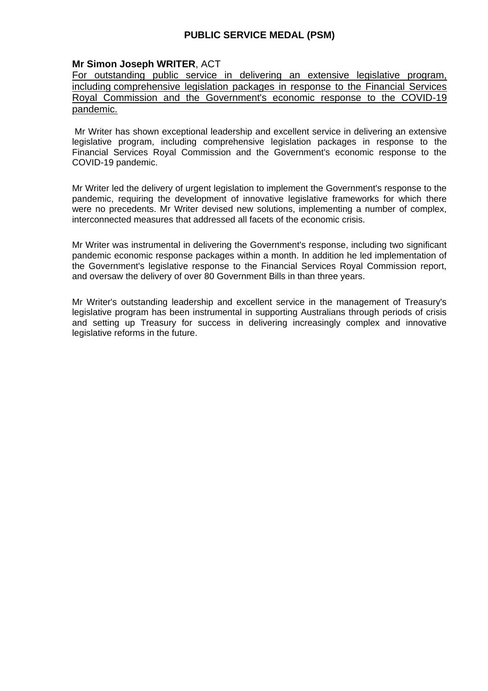### **Mr Simon Joseph WRITER**, ACT

For outstanding public service in delivering an extensive legislative program, including comprehensive legislation packages in response to the Financial Services Royal Commission and the Government's economic response to the COVID-19 pandemic.

Mr Writer has shown exceptional leadership and excellent service in delivering an extensive legislative program, including comprehensive legislation packages in response to the Financial Services Royal Commission and the Government's economic response to the COVID-19 pandemic.

Mr Writer led the delivery of urgent legislation to implement the Government's response to the pandemic, requiring the development of innovative legislative frameworks for which there were no precedents. Mr Writer devised new solutions, implementing a number of complex, interconnected measures that addressed all facets of the economic crisis.

Mr Writer was instrumental in delivering the Government's response, including two significant pandemic economic response packages within a month. In addition he led implementation of the Government's legislative response to the Financial Services Royal Commission report, and oversaw the delivery of over 80 Government Bills in than three years.

Mr Writer's outstanding leadership and excellent service in the management of Treasury's legislative program has been instrumental in supporting Australians through periods of crisis and setting up Treasury for success in delivering increasingly complex and innovative legislative reforms in the future.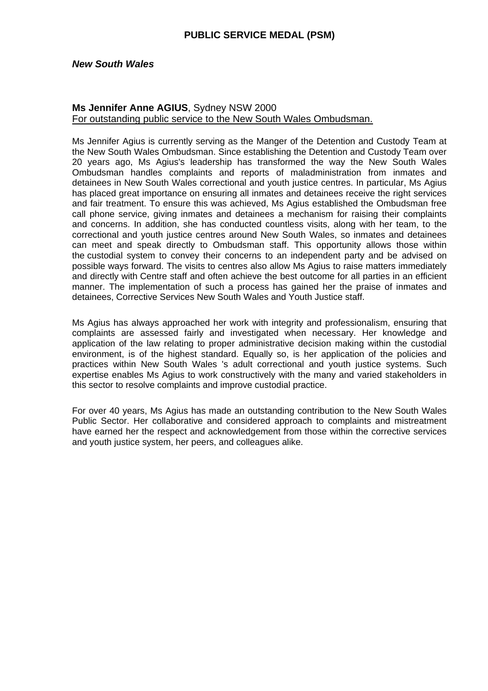#### *New South Wales*

### **Ms Jennifer Anne AGIUS**, Sydney NSW 2000 For outstanding public service to the New South Wales Ombudsman.

Ms Jennifer Agius is currently serving as the Manger of the Detention and Custody Team at the New South Wales Ombudsman. Since establishing the Detention and Custody Team over 20 years ago, Ms Agius's leadership has transformed the way the New South Wales Ombudsman handles complaints and reports of maladministration from inmates and detainees in New South Wales correctional and youth justice centres. In particular, Ms Agius has placed great importance on ensuring all inmates and detainees receive the right services and fair treatment. To ensure this was achieved, Ms Agius established the Ombudsman free call phone service, giving inmates and detainees a mechanism for raising their complaints and concerns. In addition, she has conducted countless visits, along with her team, to the correctional and youth justice centres around New South Wales, so inmates and detainees can meet and speak directly to Ombudsman staff. This opportunity allows those within the custodial system to convey their concerns to an independent party and be advised on possible ways forward. The visits to centres also allow Ms Agius to raise matters immediately and directly with Centre staff and often achieve the best outcome for all parties in an efficient manner. The implementation of such a process has gained her the praise of inmates and detainees, Corrective Services New South Wales and Youth Justice staff.

Ms Agius has always approached her work with integrity and professionalism, ensuring that complaints are assessed fairly and investigated when necessary. Her knowledge and application of the law relating to proper administrative decision making within the custodial environment, is of the highest standard. Equally so, is her application of the policies and practices within New South Wales 's adult correctional and youth justice systems. Such expertise enables Ms Agius to work constructively with the many and varied stakeholders in this sector to resolve complaints and improve custodial practice.

For over 40 years, Ms Agius has made an outstanding contribution to the New South Wales Public Sector. Her collaborative and considered approach to complaints and mistreatment have earned her the respect and acknowledgement from those within the corrective services and youth justice system, her peers, and colleagues alike.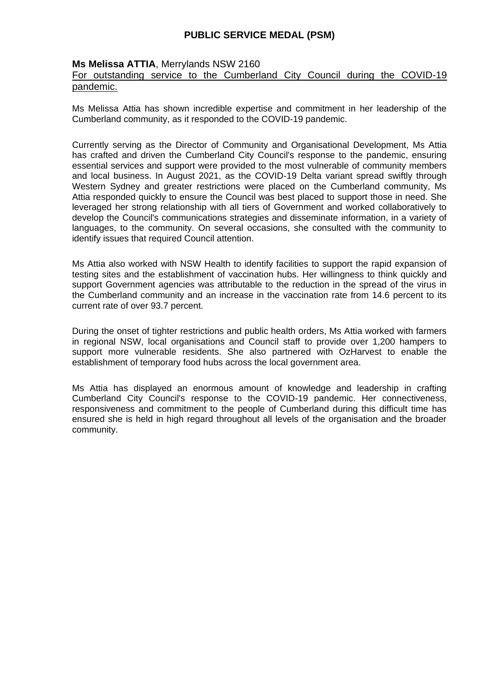### **Ms Melissa ATTIA**, Merrylands NSW 2160

### For outstanding service to the Cumberland City Council during the COVID-19 pandemic.

Ms Melissa Attia has shown incredible expertise and commitment in her leadership of the Cumberland community, as it responded to the COVID-19 pandemic.

Currently serving as the Director of Community and Organisational Development, Ms Attia has crafted and driven the Cumberland City Council's response to the pandemic, ensuring essential services and support were provided to the most vulnerable of community members and local business. In August 2021, as the COVID-19 Delta variant spread swiftly through Western Sydney and greater restrictions were placed on the Cumberland community, Ms Attia responded quickly to ensure the Council was best placed to support those in need. She leveraged her strong relationship with all tiers of Government and worked collaboratively to develop the Council's communications strategies and disseminate information, in a variety of languages, to the community. On several occasions, she consulted with the community to identify issues that required Council attention.

Ms Attia also worked with NSW Health to identify facilities to support the rapid expansion of testing sites and the establishment of vaccination hubs. Her willingness to think quickly and support Government agencies was attributable to the reduction in the spread of the virus in the Cumberland community and an increase in the vaccination rate from 14.6 percent to its current rate of over 93.7 percent.

During the onset of tighter restrictions and public health orders, Ms Attia worked with farmers in regional NSW, local organisations and Council staff to provide over 1,200 hampers to support more vulnerable residents. She also partnered with OzHarvest to enable the establishment of temporary food hubs across the local government area.

Ms Attia has displayed an enormous amount of knowledge and leadership in crafting Cumberland City Council's response to the COVID-19 pandemic. Her connectiveness, responsiveness and commitment to the people of Cumberland during this difficult time has ensured she is held in high regard throughout all levels of the organisation and the broader community.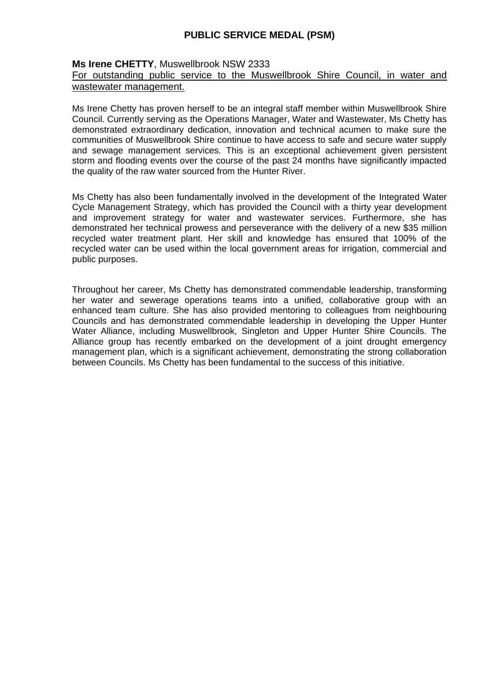### **Ms Irene CHETTY**, Muswellbrook NSW 2333

#### For outstanding public service to the Muswellbrook Shire Council, in water and wastewater management.

Ms Irene Chetty has proven herself to be an integral staff member within Muswellbrook Shire Council. Currently serving as the Operations Manager, Water and Wastewater, Ms Chetty has demonstrated extraordinary dedication, innovation and technical acumen to make sure the communities of Muswellbrook Shire continue to have access to safe and secure water supply and sewage management services. This is an exceptional achievement given persistent storm and flooding events over the course of the past 24 months have significantly impacted the quality of the raw water sourced from the Hunter River.

Ms Chetty has also been fundamentally involved in the development of the Integrated Water Cycle Management Strategy, which has provided the Council with a thirty year development and improvement strategy for water and wastewater services. Furthermore, she has demonstrated her technical prowess and perseverance with the delivery of a new \$35 million recycled water treatment plant. Her skill and knowledge has ensured that 100% of the recycled water can be used within the local government areas for irrigation, commercial and public purposes.

Throughout her career, Ms Chetty has demonstrated commendable leadership, transforming her water and sewerage operations teams into a unified, collaborative group with an enhanced team culture. She has also provided mentoring to colleagues from neighbouring Councils and has demonstrated commendable leadership in developing the Upper Hunter Water Alliance, including Muswellbrook, Singleton and Upper Hunter Shire Councils. The Alliance group has recently embarked on the development of a joint drought emergency management plan, which is a significant achievement, demonstrating the strong collaboration between Councils. Ms Chetty has been fundamental to the success of this initiative.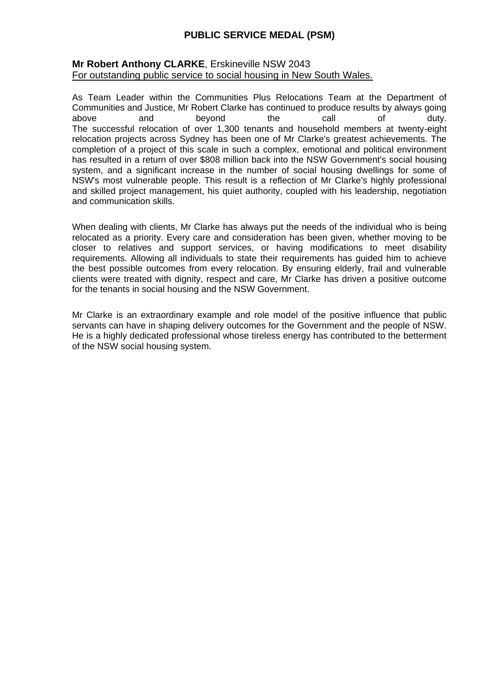#### **Mr Robert Anthony CLARKE**, Erskineville NSW 2043 For outstanding public service to social housing in New South Wales.

As Team Leader within the Communities Plus Relocations Team at the Department of Communities and Justice, Mr Robert Clarke has continued to produce results by always going above and beyond the call of duty. The successful relocation of over 1,300 tenants and household members at twenty-eight relocation projects across Sydney has been one of Mr Clarke's greatest achievements. The completion of a project of this scale in such a complex, emotional and political environment has resulted in a return of over \$808 million back into the NSW Government's social housing system, and a significant increase in the number of social housing dwellings for some of NSW's most vulnerable people. This result is a reflection of Mr Clarke's highly professional and skilled project management, his quiet authority, coupled with his leadership, negotiation and communication skills.

When dealing with clients, Mr Clarke has always put the needs of the individual who is being relocated as a priority. Every care and consideration has been given, whether moving to be closer to relatives and support services, or having modifications to meet disability requirements. Allowing all individuals to state their requirements has guided him to achieve the best possible outcomes from every relocation. By ensuring elderly, frail and vulnerable clients were treated with dignity, respect and care, Mr Clarke has driven a positive outcome for the tenants in social housing and the NSW Government.

Mr Clarke is an extraordinary example and role model of the positive influence that public servants can have in shaping delivery outcomes for the Government and the people of NSW. He is a highly dedicated professional whose tireless energy has contributed to the betterment of the NSW social housing system.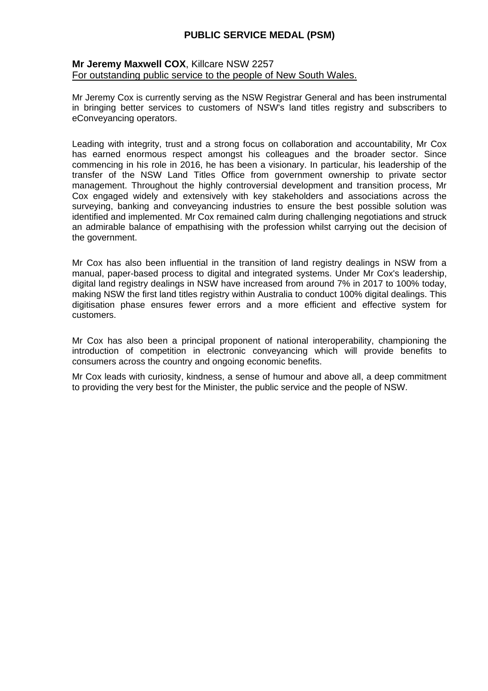#### **Mr Jeremy Maxwell COX**, Killcare NSW 2257 For outstanding public service to the people of New South Wales.

Mr Jeremy Cox is currently serving as the NSW Registrar General and has been instrumental in bringing better services to customers of NSW's land titles registry and subscribers to eConveyancing operators.

Leading with integrity, trust and a strong focus on collaboration and accountability, Mr Cox has earned enormous respect amongst his colleagues and the broader sector. Since commencing in his role in 2016, he has been a visionary. In particular, his leadership of the transfer of the NSW Land Titles Office from government ownership to private sector management. Throughout the highly controversial development and transition process, Mr Cox engaged widely and extensively with key stakeholders and associations across the surveying, banking and conveyancing industries to ensure the best possible solution was identified and implemented. Mr Cox remained calm during challenging negotiations and struck an admirable balance of empathising with the profession whilst carrying out the decision of the government.

Mr Cox has also been influential in the transition of land registry dealings in NSW from a manual, paper-based process to digital and integrated systems. Under Mr Cox's leadership, digital land registry dealings in NSW have increased from around 7% in 2017 to 100% today, making NSW the first land titles registry within Australia to conduct 100% digital dealings. This digitisation phase ensures fewer errors and a more efficient and effective system for customers.

Mr Cox has also been a principal proponent of national interoperability, championing the introduction of competition in electronic conveyancing which will provide benefits to consumers across the country and ongoing economic benefits.

Mr Cox leads with curiosity, kindness, a sense of humour and above all, a deep commitment to providing the very best for the Minister, the public service and the people of NSW.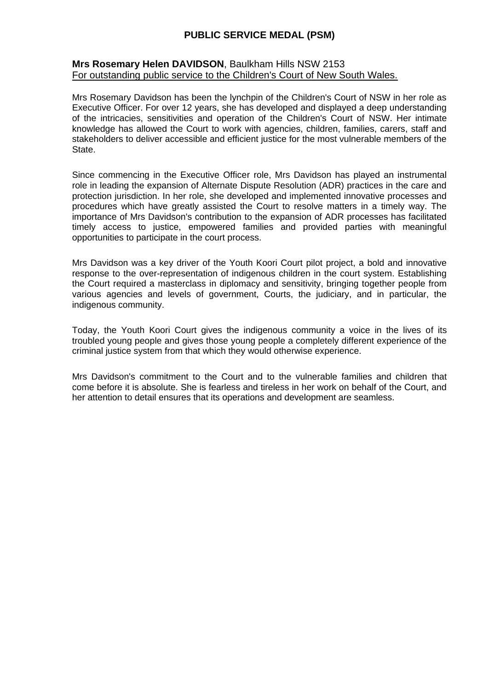#### **Mrs Rosemary Helen DAVIDSON**, Baulkham Hills NSW 2153 For outstanding public service to the Children's Court of New South Wales.

Mrs Rosemary Davidson has been the lynchpin of the Children's Court of NSW in her role as Executive Officer. For over 12 years, she has developed and displayed a deep understanding of the intricacies, sensitivities and operation of the Children's Court of NSW. Her intimate knowledge has allowed the Court to work with agencies, children, families, carers, staff and stakeholders to deliver accessible and efficient justice for the most vulnerable members of the State.

Since commencing in the Executive Officer role, Mrs Davidson has played an instrumental role in leading the expansion of Alternate Dispute Resolution (ADR) practices in the care and protection jurisdiction. In her role, she developed and implemented innovative processes and procedures which have greatly assisted the Court to resolve matters in a timely way. The importance of Mrs Davidson's contribution to the expansion of ADR processes has facilitated timely access to justice, empowered families and provided parties with meaningful opportunities to participate in the court process.

Mrs Davidson was a key driver of the Youth Koori Court pilot project, a bold and innovative response to the over-representation of indigenous children in the court system. Establishing the Court required a masterclass in diplomacy and sensitivity, bringing together people from various agencies and levels of government, Courts, the judiciary, and in particular, the indigenous community.

Today, the Youth Koori Court gives the indigenous community a voice in the lives of its troubled young people and gives those young people a completely different experience of the criminal justice system from that which they would otherwise experience.

Mrs Davidson's commitment to the Court and to the vulnerable families and children that come before it is absolute. She is fearless and tireless in her work on behalf of the Court, and her attention to detail ensures that its operations and development are seamless.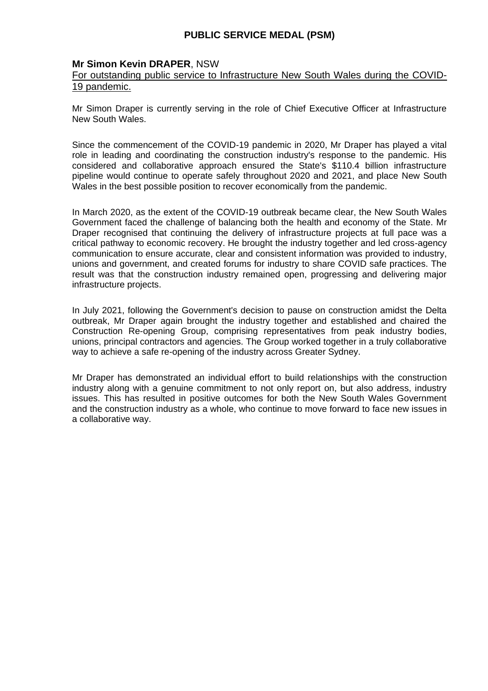### **Mr Simon Kevin DRAPER**, NSW

### For outstanding public service to Infrastructure New South Wales during the COVID-19 pandemic.

Mr Simon Draper is currently serving in the role of Chief Executive Officer at Infrastructure New South Wales.

Since the commencement of the COVID-19 pandemic in 2020, Mr Draper has played a vital role in leading and coordinating the construction industry's response to the pandemic. His considered and collaborative approach ensured the State's \$110.4 billion infrastructure pipeline would continue to operate safely throughout 2020 and 2021, and place New South Wales in the best possible position to recover economically from the pandemic.

In March 2020, as the extent of the COVID-19 outbreak became clear, the New South Wales Government faced the challenge of balancing both the health and economy of the State. Mr Draper recognised that continuing the delivery of infrastructure projects at full pace was a critical pathway to economic recovery. He brought the industry together and led cross-agency communication to ensure accurate, clear and consistent information was provided to industry, unions and government, and created forums for industry to share COVID safe practices. The result was that the construction industry remained open, progressing and delivering major infrastructure projects.

In July 2021, following the Government's decision to pause on construction amidst the Delta outbreak, Mr Draper again brought the industry together and established and chaired the Construction Re-opening Group, comprising representatives from peak industry bodies, unions, principal contractors and agencies. The Group worked together in a truly collaborative way to achieve a safe re-opening of the industry across Greater Sydney.

Mr Draper has demonstrated an individual effort to build relationships with the construction industry along with a genuine commitment to not only report on, but also address, industry issues. This has resulted in positive outcomes for both the New South Wales Government and the construction industry as a whole, who continue to move forward to face new issues in a collaborative way.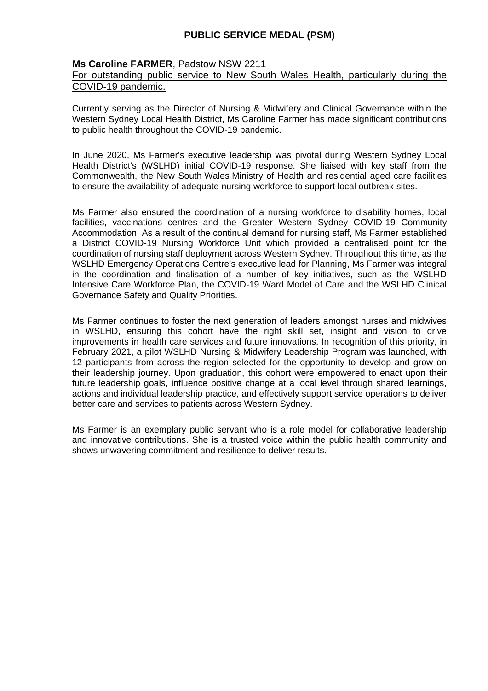#### **Ms Caroline FARMER**, Padstow NSW 2211

### For outstanding public service to New South Wales Health, particularly during the COVID-19 pandemic.

Currently serving as the Director of Nursing & Midwifery and Clinical Governance within the Western Sydney Local Health District, Ms Caroline Farmer has made significant contributions to public health throughout the COVID-19 pandemic.

In June 2020, Ms Farmer's executive leadership was pivotal during Western Sydney Local Health District's (WSLHD) initial COVID-19 response. She liaised with key staff from the Commonwealth, the New South Wales Ministry of Health and residential aged care facilities to ensure the availability of adequate nursing workforce to support local outbreak sites.

Ms Farmer also ensured the coordination of a nursing workforce to disability homes, local facilities, vaccinations centres and the Greater Western Sydney COVID-19 Community Accommodation. As a result of the continual demand for nursing staff, Ms Farmer established a District COVID-19 Nursing Workforce Unit which provided a centralised point for the coordination of nursing staff deployment across Western Sydney. Throughout this time, as the WSLHD Emergency Operations Centre's executive lead for Planning, Ms Farmer was integral in the coordination and finalisation of a number of key initiatives, such as the WSLHD Intensive Care Workforce Plan, the COVID-19 Ward Model of Care and the WSLHD Clinical Governance Safety and Quality Priorities.

Ms Farmer continues to foster the next generation of leaders amongst nurses and midwives in WSLHD, ensuring this cohort have the right skill set, insight and vision to drive improvements in health care services and future innovations. In recognition of this priority, in February 2021, a pilot WSLHD Nursing & Midwifery Leadership Program was launched, with 12 participants from across the region selected for the opportunity to develop and grow on their leadership journey. Upon graduation, this cohort were empowered to enact upon their future leadership goals, influence positive change at a local level through shared learnings, actions and individual leadership practice, and effectively support service operations to deliver better care and services to patients across Western Sydney.

Ms Farmer is an exemplary public servant who is a role model for collaborative leadership and innovative contributions. She is a trusted voice within the public health community and shows unwavering commitment and resilience to deliver results.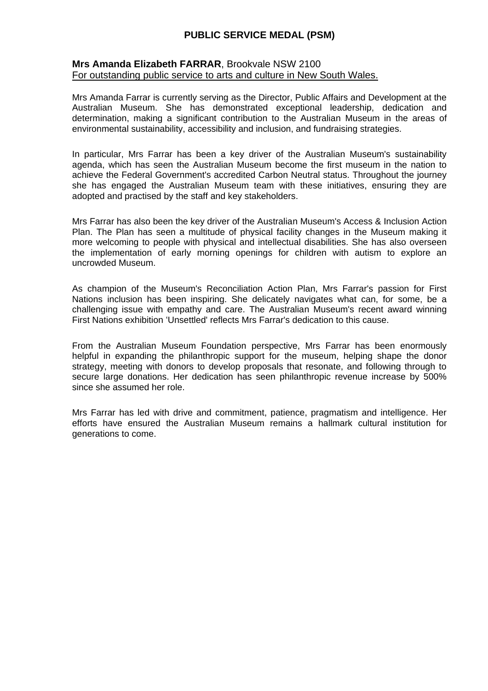#### **Mrs Amanda Elizabeth FARRAR**, Brookvale NSW 2100 For outstanding public service to arts and culture in New South Wales.

Mrs Amanda Farrar is currently serving as the Director, Public Affairs and Development at the Australian Museum. She has demonstrated exceptional leadership, dedication and determination, making a significant contribution to the Australian Museum in the areas of environmental sustainability, accessibility and inclusion, and fundraising strategies.

In particular, Mrs Farrar has been a key driver of the Australian Museum's sustainability agenda, which has seen the Australian Museum become the first museum in the nation to achieve the Federal Government's accredited Carbon Neutral status. Throughout the journey she has engaged the Australian Museum team with these initiatives, ensuring they are adopted and practised by the staff and key stakeholders.

Mrs Farrar has also been the key driver of the Australian Museum's Access & Inclusion Action Plan. The Plan has seen a multitude of physical facility changes in the Museum making it more welcoming to people with physical and intellectual disabilities. She has also overseen the implementation of early morning openings for children with autism to explore an uncrowded Museum.

As champion of the Museum's Reconciliation Action Plan, Mrs Farrar's passion for First Nations inclusion has been inspiring. She delicately navigates what can, for some, be a challenging issue with empathy and care. The Australian Museum's recent award winning First Nations exhibition 'Unsettled' reflects Mrs Farrar's dedication to this cause.

From the Australian Museum Foundation perspective, Mrs Farrar has been enormously helpful in expanding the philanthropic support for the museum, helping shape the donor strategy, meeting with donors to develop proposals that resonate, and following through to secure large donations. Her dedication has seen philanthropic revenue increase by 500% since she assumed her role.

Mrs Farrar has led with drive and commitment, patience, pragmatism and intelligence. Her efforts have ensured the Australian Museum remains a hallmark cultural institution for generations to come.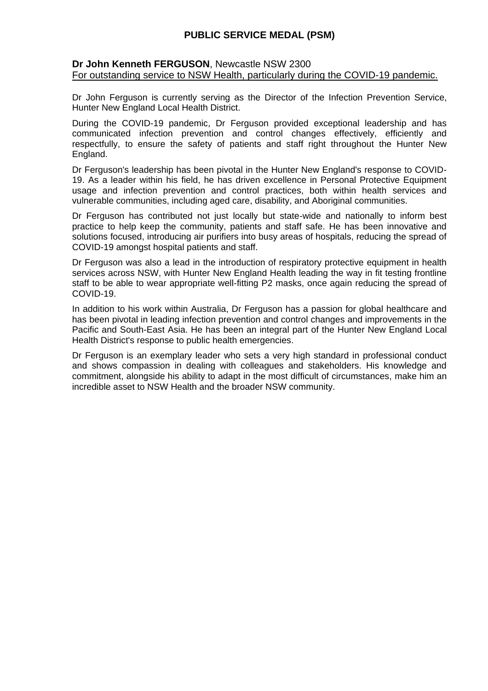#### **Dr John Kenneth FERGUSON**, Newcastle NSW 2300 For outstanding service to NSW Health, particularly during the COVID-19 pandemic.

Dr John Ferguson is currently serving as the Director of the Infection Prevention Service, Hunter New England Local Health District.

During the COVID-19 pandemic, Dr Ferguson provided exceptional leadership and has communicated infection prevention and control changes effectively, efficiently and respectfully, to ensure the safety of patients and staff right throughout the Hunter New England.

Dr Ferguson's leadership has been pivotal in the Hunter New England's response to COVID-19. As a leader within his field, he has driven excellence in Personal Protective Equipment usage and infection prevention and control practices, both within health services and vulnerable communities, including aged care, disability, and Aboriginal communities.

Dr Ferguson has contributed not just locally but state-wide and nationally to inform best practice to help keep the community, patients and staff safe. He has been innovative and solutions focused, introducing air purifiers into busy areas of hospitals, reducing the spread of COVID-19 amongst hospital patients and staff.

Dr Ferguson was also a lead in the introduction of respiratory protective equipment in health services across NSW, with Hunter New England Health leading the way in fit testing frontline staff to be able to wear appropriate well-fitting P2 masks, once again reducing the spread of COVID-19.

In addition to his work within Australia, Dr Ferguson has a passion for global healthcare and has been pivotal in leading infection prevention and control changes and improvements in the Pacific and South-East Asia. He has been an integral part of the Hunter New England Local Health District's response to public health emergencies.

Dr Ferguson is an exemplary leader who sets a very high standard in professional conduct and shows compassion in dealing with colleagues and stakeholders. His knowledge and commitment, alongside his ability to adapt in the most difficult of circumstances, make him an incredible asset to NSW Health and the broader NSW community.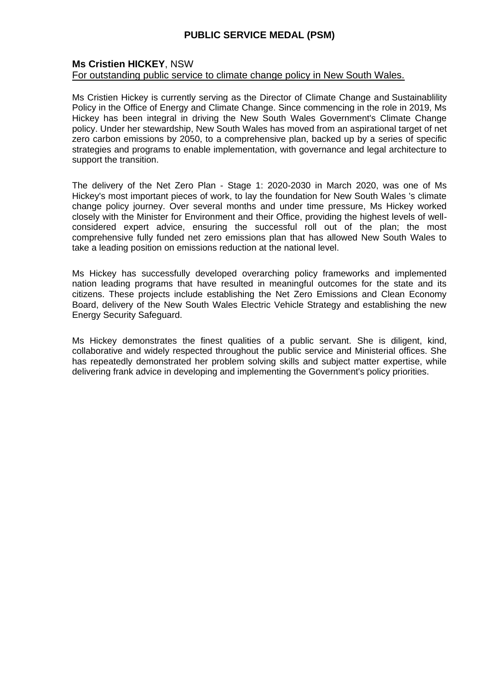### **Ms Cristien HICKEY**, NSW

### For outstanding public service to climate change policy in New South Wales.

Ms Cristien Hickey is currently serving as the Director of Climate Change and Sustainablility Policy in the Office of Energy and Climate Change. Since commencing in the role in 2019, Ms Hickey has been integral in driving the New South Wales Government's Climate Change policy. Under her stewardship, New South Wales has moved from an aspirational target of net zero carbon emissions by 2050, to a comprehensive plan, backed up by a series of specific strategies and programs to enable implementation, with governance and legal architecture to support the transition.

The delivery of the Net Zero Plan - Stage 1: 2020-2030 in March 2020, was one of Ms Hickey's most important pieces of work, to lay the foundation for New South Wales 's climate change policy journey. Over several months and under time pressure, Ms Hickey worked closely with the Minister for Environment and their Office, providing the highest levels of wellconsidered expert advice, ensuring the successful roll out of the plan; the most comprehensive fully funded net zero emissions plan that has allowed New South Wales to take a leading position on emissions reduction at the national level.

Ms Hickey has successfully developed overarching policy frameworks and implemented nation leading programs that have resulted in meaningful outcomes for the state and its citizens. These projects include establishing the Net Zero Emissions and Clean Economy Board, delivery of the New South Wales Electric Vehicle Strategy and establishing the new Energy Security Safeguard.

Ms Hickey demonstrates the finest qualities of a public servant. She is diligent, kind, collaborative and widely respected throughout the public service and Ministerial offices. She has repeatedly demonstrated her problem solving skills and subject matter expertise, while delivering frank advice in developing and implementing the Government's policy priorities.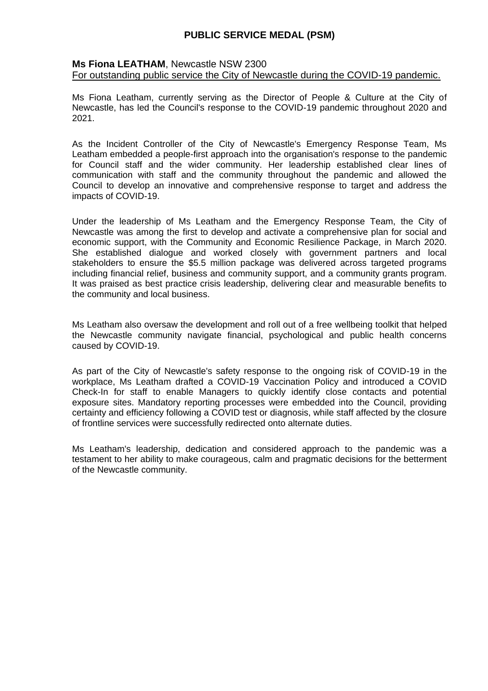#### **Ms Fiona LEATHAM**, Newcastle NSW 2300 For outstanding public service the City of Newcastle during the COVID-19 pandemic.

Ms Fiona Leatham, currently serving as the Director of People & Culture at the City of Newcastle, has led the Council's response to the COVID-19 pandemic throughout 2020 and 2021.

As the Incident Controller of the City of Newcastle's Emergency Response Team, Ms Leatham embedded a people-first approach into the organisation's response to the pandemic for Council staff and the wider community. Her leadership established clear lines of communication with staff and the community throughout the pandemic and allowed the Council to develop an innovative and comprehensive response to target and address the impacts of COVID-19.

Under the leadership of Ms Leatham and the Emergency Response Team, the City of Newcastle was among the first to develop and activate a comprehensive plan for social and economic support, with the Community and Economic Resilience Package, in March 2020. She established dialogue and worked closely with government partners and local stakeholders to ensure the \$5.5 million package was delivered across targeted programs including financial relief, business and community support, and a community grants program. It was praised as best practice crisis leadership, delivering clear and measurable benefits to the community and local business.

Ms Leatham also oversaw the development and roll out of a free wellbeing toolkit that helped the Newcastle community navigate financial, psychological and public health concerns caused by COVID-19.

As part of the City of Newcastle's safety response to the ongoing risk of COVID-19 in the workplace, Ms Leatham drafted a COVID-19 Vaccination Policy and introduced a COVID Check-In for staff to enable Managers to quickly identify close contacts and potential exposure sites. Mandatory reporting processes were embedded into the Council, providing certainty and efficiency following a COVID test or diagnosis, while staff affected by the closure of frontline services were successfully redirected onto alternate duties.

Ms Leatham's leadership, dedication and considered approach to the pandemic was a testament to her ability to make courageous, calm and pragmatic decisions for the betterment of the Newcastle community.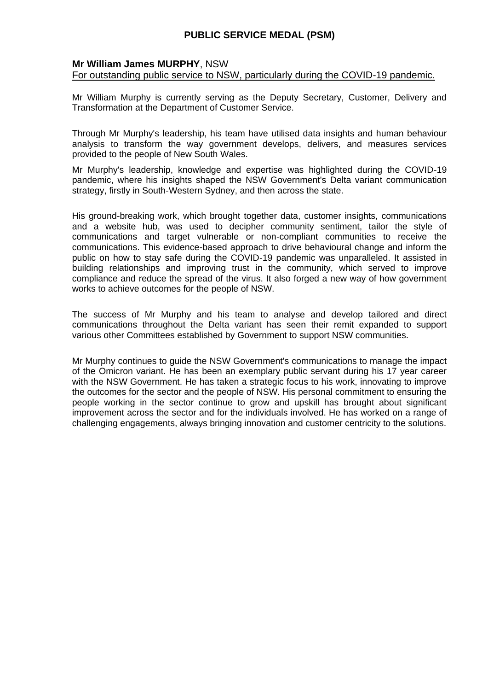#### **Mr William James MURPHY**, NSW

For outstanding public service to NSW, particularly during the COVID-19 pandemic.

Mr William Murphy is currently serving as the Deputy Secretary, Customer, Delivery and Transformation at the Department of Customer Service.

Through Mr Murphy's leadership, his team have utilised data insights and human behaviour analysis to transform the way government develops, delivers, and measures services provided to the people of New South Wales.

Mr Murphy's leadership, knowledge and expertise was highlighted during the COVID-19 pandemic, where his insights shaped the NSW Government's Delta variant communication strategy, firstly in South-Western Sydney, and then across the state.

His ground-breaking work, which brought together data, customer insights, communications and a website hub, was used to decipher community sentiment, tailor the style of communications and target vulnerable or non-compliant communities to receive the communications. This evidence-based approach to drive behavioural change and inform the public on how to stay safe during the COVID-19 pandemic was unparalleled. It assisted in building relationships and improving trust in the community, which served to improve compliance and reduce the spread of the virus. It also forged a new way of how government works to achieve outcomes for the people of NSW.

The success of Mr Murphy and his team to analyse and develop tailored and direct communications throughout the Delta variant has seen their remit expanded to support various other Committees established by Government to support NSW communities.

Mr Murphy continues to guide the NSW Government's communications to manage the impact of the Omicron variant. He has been an exemplary public servant during his 17 year career with the NSW Government. He has taken a strategic focus to his work, innovating to improve the outcomes for the sector and the people of NSW. His personal commitment to ensuring the people working in the sector continue to grow and upskill has brought about significant improvement across the sector and for the individuals involved. He has worked on a range of challenging engagements, always bringing innovation and customer centricity to the solutions.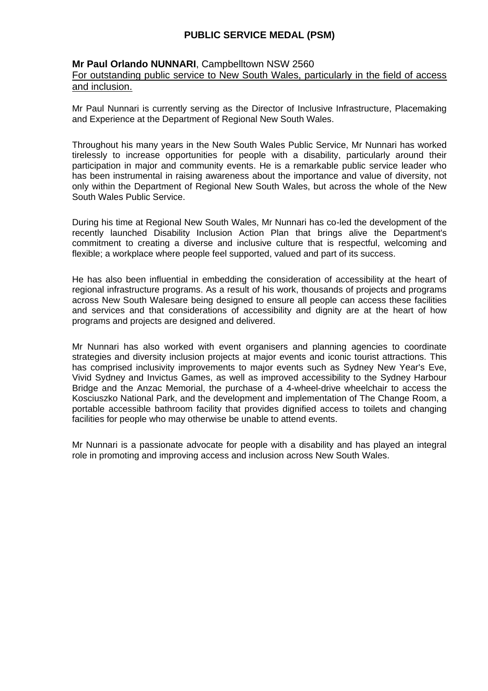#### **Mr Paul Orlando NUNNARI**, Campbelltown NSW 2560

### For outstanding public service to New South Wales, particularly in the field of access and inclusion.

Mr Paul Nunnari is currently serving as the Director of Inclusive Infrastructure, Placemaking and Experience at the Department of Regional New South Wales.

Throughout his many years in the New South Wales Public Service, Mr Nunnari has worked tirelessly to increase opportunities for people with a disability, particularly around their participation in major and community events. He is a remarkable public service leader who has been instrumental in raising awareness about the importance and value of diversity, not only within the Department of Regional New South Wales, but across the whole of the New South Wales Public Service.

During his time at Regional New South Wales, Mr Nunnari has co-led the development of the recently launched Disability Inclusion Action Plan that brings alive the Department's commitment to creating a diverse and inclusive culture that is respectful, welcoming and flexible; a workplace where people feel supported, valued and part of its success.

He has also been influential in embedding the consideration of accessibility at the heart of regional infrastructure programs. As a result of his work, thousands of projects and programs across New South Walesare being designed to ensure all people can access these facilities and services and that considerations of accessibility and dignity are at the heart of how programs and projects are designed and delivered.

Mr Nunnari has also worked with event organisers and planning agencies to coordinate strategies and diversity inclusion projects at major events and iconic tourist attractions. This has comprised inclusivity improvements to major events such as Sydney New Year's Eve, Vivid Sydney and Invictus Games, as well as improved accessibility to the Sydney Harbour Bridge and the Anzac Memorial, the purchase of a 4-wheel-drive wheelchair to access the Kosciuszko National Park, and the development and implementation of The Change Room, a portable accessible bathroom facility that provides dignified access to toilets and changing facilities for people who may otherwise be unable to attend events.

Mr Nunnari is a passionate advocate for people with a disability and has played an integral role in promoting and improving access and inclusion across New South Wales.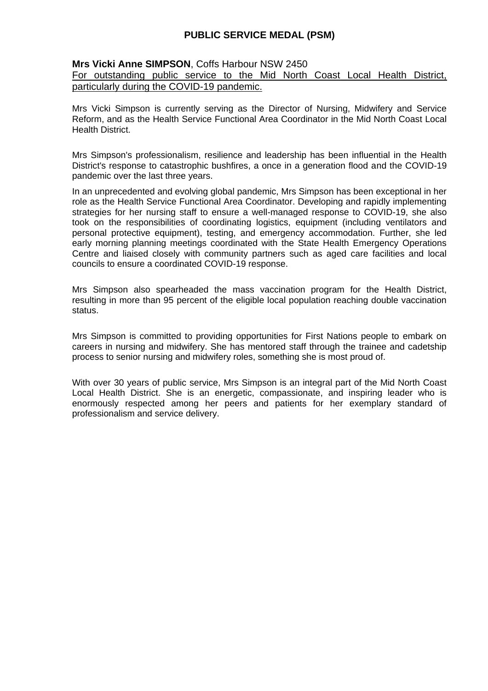#### **Mrs Vicki Anne SIMPSON**, Coffs Harbour NSW 2450

#### For outstanding public service to the Mid North Coast Local Health District, particularly during the COVID-19 pandemic.

Mrs Vicki Simpson is currently serving as the Director of Nursing, Midwifery and Service Reform, and as the Health Service Functional Area Coordinator in the Mid North Coast Local Health District.

Mrs Simpson's professionalism, resilience and leadership has been influential in the Health District's response to catastrophic bushfires, a once in a generation flood and the COVID-19 pandemic over the last three years.

In an unprecedented and evolving global pandemic, Mrs Simpson has been exceptional in her role as the Health Service Functional Area Coordinator. Developing and rapidly implementing strategies for her nursing staff to ensure a well-managed response to COVID-19, she also took on the responsibilities of coordinating logistics, equipment (including ventilators and personal protective equipment), testing, and emergency accommodation. Further, she led early morning planning meetings coordinated with the State Health Emergency Operations Centre and liaised closely with community partners such as aged care facilities and local councils to ensure a coordinated COVID-19 response.

Mrs Simpson also spearheaded the mass vaccination program for the Health District, resulting in more than 95 percent of the eligible local population reaching double vaccination status.

Mrs Simpson is committed to providing opportunities for First Nations people to embark on careers in nursing and midwifery. She has mentored staff through the trainee and cadetship process to senior nursing and midwifery roles, something she is most proud of.

With over 30 years of public service, Mrs Simpson is an integral part of the Mid North Coast Local Health District. She is an energetic, compassionate, and inspiring leader who is enormously respected among her peers and patients for her exemplary standard of professionalism and service delivery.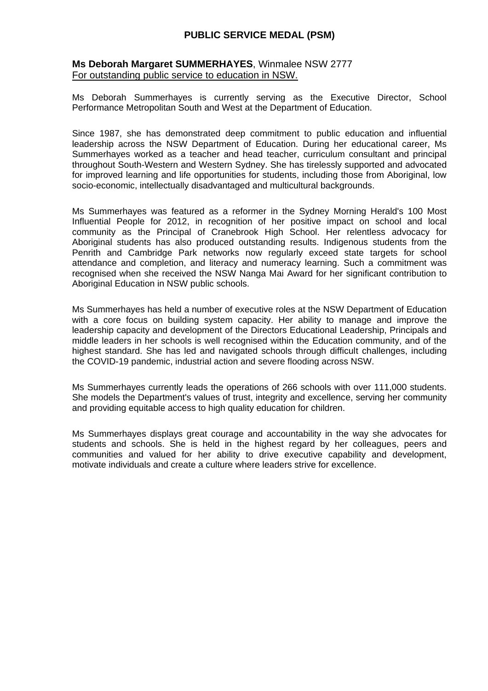### **Ms Deborah Margaret SUMMERHAYES**, Winmalee NSW 2777 For outstanding public service to education in NSW.

Ms Deborah Summerhayes is currently serving as the Executive Director, School Performance Metropolitan South and West at the Department of Education.

Since 1987, she has demonstrated deep commitment to public education and influential leadership across the NSW Department of Education. During her educational career, Ms Summerhayes worked as a teacher and head teacher, curriculum consultant and principal throughout South-Western and Western Sydney. She has tirelessly supported and advocated for improved learning and life opportunities for students, including those from Aboriginal, low socio-economic, intellectually disadvantaged and multicultural backgrounds.

Ms Summerhayes was featured as a reformer in the Sydney Morning Herald's 100 Most Influential People for 2012, in recognition of her positive impact on school and local community as the Principal of Cranebrook High School. Her relentless advocacy for Aboriginal students has also produced outstanding results. Indigenous students from the Penrith and Cambridge Park networks now regularly exceed state targets for school attendance and completion, and literacy and numeracy learning. Such a commitment was recognised when she received the NSW Nanga Mai Award for her significant contribution to Aboriginal Education in NSW public schools.

Ms Summerhayes has held a number of executive roles at the NSW Department of Education with a core focus on building system capacity. Her ability to manage and improve the leadership capacity and development of the Directors Educational Leadership, Principals and middle leaders in her schools is well recognised within the Education community, and of the highest standard. She has led and navigated schools through difficult challenges, including the COVID-19 pandemic, industrial action and severe flooding across NSW.

Ms Summerhayes currently leads the operations of 266 schools with over 111,000 students. She models the Department's values of trust, integrity and excellence, serving her community and providing equitable access to high quality education for children.

Ms Summerhayes displays great courage and accountability in the way she advocates for students and schools. She is held in the highest regard by her colleagues, peers and communities and valued for her ability to drive executive capability and development, motivate individuals and create a culture where leaders strive for excellence.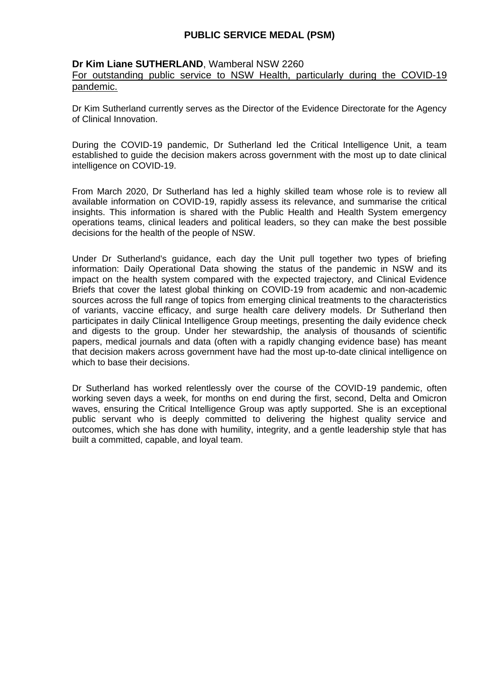#### **Dr Kim Liane SUTHERLAND**, Wamberal NSW 2260

### For outstanding public service to NSW Health, particularly during the COVID-19 pandemic.

Dr Kim Sutherland currently serves as the Director of the Evidence Directorate for the Agency of Clinical Innovation.

During the COVID-19 pandemic, Dr Sutherland led the Critical Intelligence Unit, a team established to guide the decision makers across government with the most up to date clinical intelligence on COVID-19.

From March 2020, Dr Sutherland has led a highly skilled team whose role is to review all available information on COVID-19, rapidly assess its relevance, and summarise the critical insights. This information is shared with the Public Health and Health System emergency operations teams, clinical leaders and political leaders, so they can make the best possible decisions for the health of the people of NSW.

Under Dr Sutherland's guidance, each day the Unit pull together two types of briefing information: Daily Operational Data showing the status of the pandemic in NSW and its impact on the health system compared with the expected trajectory, and Clinical Evidence Briefs that cover the latest global thinking on COVID-19 from academic and non-academic sources across the full range of topics from emerging clinical treatments to the characteristics of variants, vaccine efficacy, and surge health care delivery models. Dr Sutherland then participates in daily Clinical Intelligence Group meetings, presenting the daily evidence check and digests to the group. Under her stewardship, the analysis of thousands of scientific papers, medical journals and data (often with a rapidly changing evidence base) has meant that decision makers across government have had the most up-to-date clinical intelligence on which to base their decisions.

Dr Sutherland has worked relentlessly over the course of the COVID-19 pandemic, often working seven days a week, for months on end during the first, second, Delta and Omicron waves, ensuring the Critical Intelligence Group was aptly supported. She is an exceptional public servant who is deeply committed to delivering the highest quality service and outcomes, which she has done with humility, integrity, and a gentle leadership style that has built a committed, capable, and loyal team.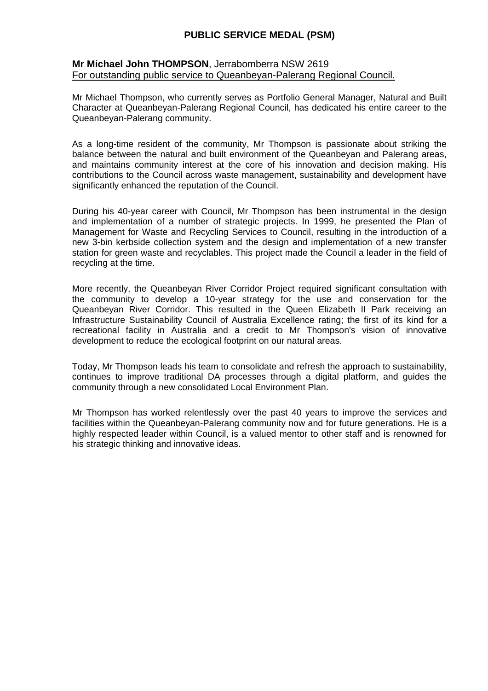#### **Mr Michael John THOMPSON**, Jerrabomberra NSW 2619 For outstanding public service to Queanbeyan-Palerang Regional Council.

Mr Michael Thompson, who currently serves as Portfolio General Manager, Natural and Built Character at Queanbeyan-Palerang Regional Council, has dedicated his entire career to the Queanbeyan-Palerang community.

As a long-time resident of the community, Mr Thompson is passionate about striking the balance between the natural and built environment of the Queanbeyan and Palerang areas, and maintains community interest at the core of his innovation and decision making. His contributions to the Council across waste management, sustainability and development have significantly enhanced the reputation of the Council.

During his 40-year career with Council, Mr Thompson has been instrumental in the design and implementation of a number of strategic projects. In 1999, he presented the Plan of Management for Waste and Recycling Services to Council, resulting in the introduction of a new 3-bin kerbside collection system and the design and implementation of a new transfer station for green waste and recyclables. This project made the Council a leader in the field of recycling at the time.

More recently, the Queanbeyan River Corridor Project required significant consultation with the community to develop a 10-year strategy for the use and conservation for the Queanbeyan River Corridor. This resulted in the Queen Elizabeth II Park receiving an Infrastructure Sustainability Council of Australia Excellence rating; the first of its kind for a recreational facility in Australia and a credit to Mr Thompson's vision of innovative development to reduce the ecological footprint on our natural areas.

Today, Mr Thompson leads his team to consolidate and refresh the approach to sustainability, continues to improve traditional DA processes through a digital platform, and guides the community through a new consolidated Local Environment Plan.

Mr Thompson has worked relentlessly over the past 40 years to improve the services and facilities within the Queanbeyan-Palerang community now and for future generations. He is a highly respected leader within Council, is a valued mentor to other staff and is renowned for his strategic thinking and innovative ideas.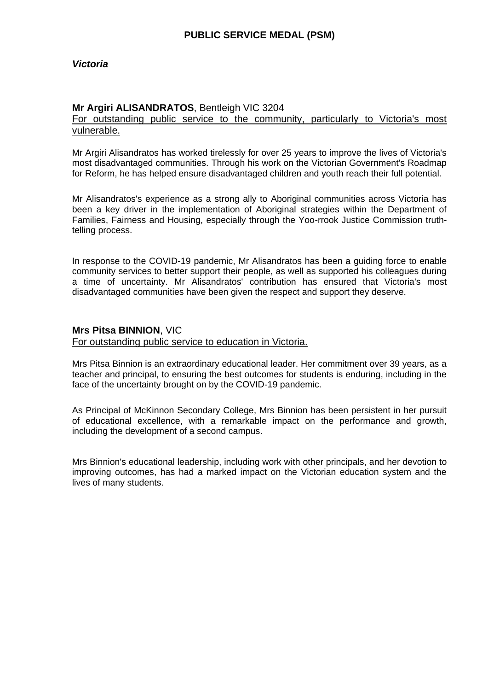### **Mr Argiri ALISANDRATOS**, Bentleigh VIC 3204

For outstanding public service to the community, particularly to Victoria's most vulnerable.

Mr Argiri Alisandratos has worked tirelessly for over 25 years to improve the lives of Victoria's most disadvantaged communities. Through his work on the Victorian Government's Roadmap for Reform, he has helped ensure disadvantaged children and youth reach their full potential.

Mr Alisandratos's experience as a strong ally to Aboriginal communities across Victoria has been a key driver in the implementation of Aboriginal strategies within the Department of Families, Fairness and Housing, especially through the Yoo-rrook Justice Commission truthtelling process.

In response to the COVID-19 pandemic, Mr Alisandratos has been a guiding force to enable community services to better support their people, as well as supported his colleagues during a time of uncertainty. Mr Alisandratos' contribution has ensured that Victoria's most disadvantaged communities have been given the respect and support they deserve.

#### **Mrs Pitsa BINNION**, VIC

For outstanding public service to education in Victoria.

Mrs Pitsa Binnion is an extraordinary educational leader. Her commitment over 39 years, as a teacher and principal, to ensuring the best outcomes for students is enduring, including in the face of the uncertainty brought on by the COVID-19 pandemic.

As Principal of McKinnon Secondary College, Mrs Binnion has been persistent in her pursuit of educational excellence, with a remarkable impact on the performance and growth, including the development of a second campus.

Mrs Binnion's educational leadership, including work with other principals, and her devotion to improving outcomes, has had a marked impact on the Victorian education system and the lives of many students.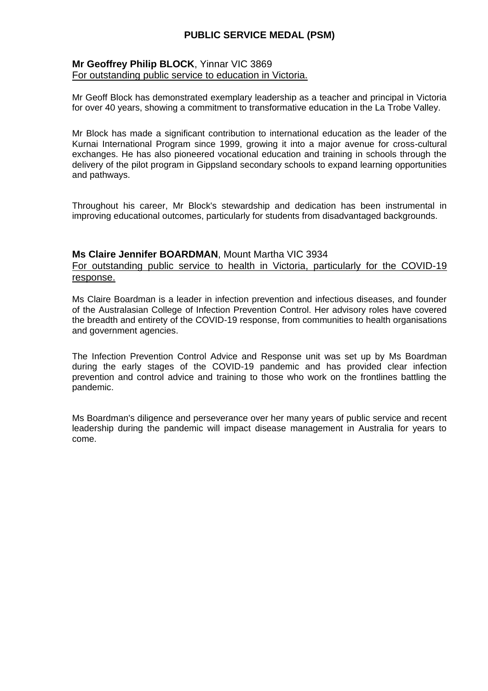### **Mr Geoffrey Philip BLOCK**, Yinnar VIC 3869 For outstanding public service to education in Victoria.

Mr Geoff Block has demonstrated exemplary leadership as a teacher and principal in Victoria for over 40 years, showing a commitment to transformative education in the La Trobe Valley.

Mr Block has made a significant contribution to international education as the leader of the Kurnai International Program since 1999, growing it into a major avenue for cross-cultural exchanges. He has also pioneered vocational education and training in schools through the delivery of the pilot program in Gippsland secondary schools to expand learning opportunities and pathways.

Throughout his career, Mr Block's stewardship and dedication has been instrumental in improving educational outcomes, particularly for students from disadvantaged backgrounds.

#### **Ms Claire Jennifer BOARDMAN**, Mount Martha VIC 3934

For outstanding public service to health in Victoria, particularly for the COVID-19 response.

Ms Claire Boardman is a leader in infection prevention and infectious diseases, and founder of the Australasian College of Infection Prevention Control. Her advisory roles have covered the breadth and entirety of the COVID-19 response, from communities to health organisations and government agencies.

The Infection Prevention Control Advice and Response unit was set up by Ms Boardman during the early stages of the COVID-19 pandemic and has provided clear infection prevention and control advice and training to those who work on the frontlines battling the pandemic.

Ms Boardman's diligence and perseverance over her many years of public service and recent leadership during the pandemic will impact disease management in Australia for years to come.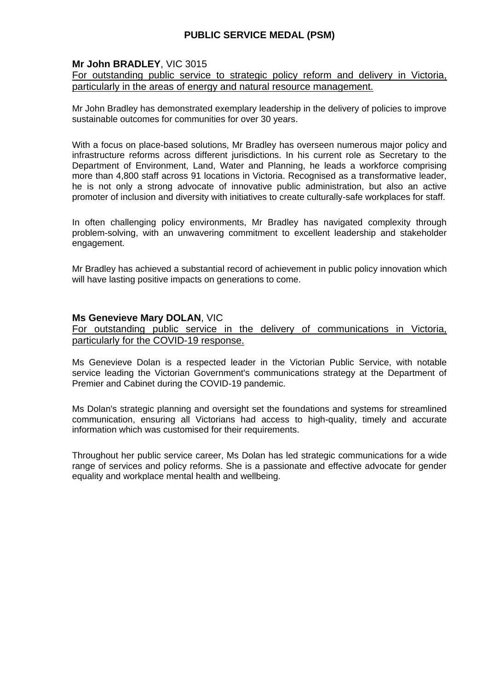## **Mr John BRADLEY**, VIC 3015

For outstanding public service to strategic policy reform and delivery in Victoria, particularly in the areas of energy and natural resource management.

Mr John Bradley has demonstrated exemplary leadership in the delivery of policies to improve sustainable outcomes for communities for over 30 years.

With a focus on place-based solutions, Mr Bradley has overseen numerous major policy and infrastructure reforms across different jurisdictions. In his current role as Secretary to the Department of Environment, Land, Water and Planning, he leads a workforce comprising more than 4,800 staff across 91 locations in Victoria. Recognised as a transformative leader, he is not only a strong advocate of innovative public administration, but also an active promoter of inclusion and diversity with initiatives to create culturally-safe workplaces for staff.

In often challenging policy environments, Mr Bradley has navigated complexity through problem-solving, with an unwavering commitment to excellent leadership and stakeholder engagement.

Mr Bradley has achieved a substantial record of achievement in public policy innovation which will have lasting positive impacts on generations to come.

#### **Ms Genevieve Mary DOLAN**, VIC

For outstanding public service in the delivery of communications in Victoria, particularly for the COVID-19 response.

Ms Genevieve Dolan is a respected leader in the Victorian Public Service, with notable service leading the Victorian Government's communications strategy at the Department of Premier and Cabinet during the COVID-19 pandemic.

Ms Dolan's strategic planning and oversight set the foundations and systems for streamlined communication, ensuring all Victorians had access to high-quality, timely and accurate information which was customised for their requirements.

Throughout her public service career, Ms Dolan has led strategic communications for a wide range of services and policy reforms. She is a passionate and effective advocate for gender equality and workplace mental health and wellbeing.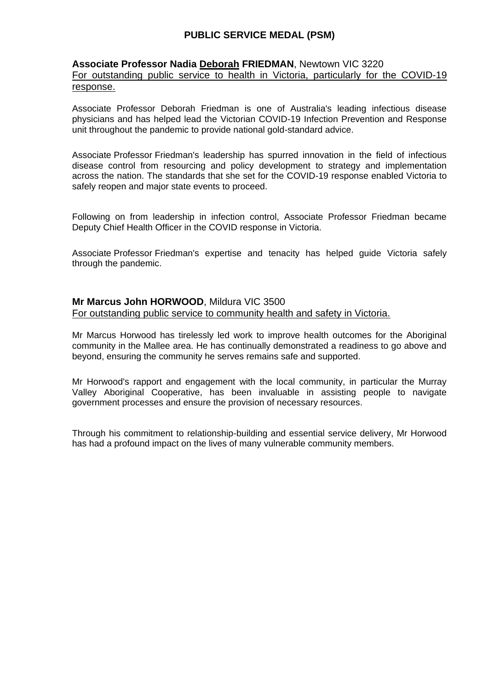### **Associate Professor Nadia Deborah FRIEDMAN**, Newtown VIC 3220

For outstanding public service to health in Victoria, particularly for the COVID-19 response.

Associate Professor Deborah Friedman is one of Australia's leading infectious disease physicians and has helped lead the Victorian COVID-19 Infection Prevention and Response unit throughout the pandemic to provide national gold-standard advice.

Associate Professor Friedman's leadership has spurred innovation in the field of infectious disease control from resourcing and policy development to strategy and implementation across the nation. The standards that she set for the COVID-19 response enabled Victoria to safely reopen and major state events to proceed.

Following on from leadership in infection control, Associate Professor Friedman became Deputy Chief Health Officer in the COVID response in Victoria.

Associate Professor Friedman's expertise and tenacity has helped guide Victoria safely through the pandemic.

## **Mr Marcus John HORWOOD**, Mildura VIC 3500

For outstanding public service to community health and safety in Victoria.

Mr Marcus Horwood has tirelessly led work to improve health outcomes for the Aboriginal community in the Mallee area. He has continually demonstrated a readiness to go above and beyond, ensuring the community he serves remains safe and supported.

Mr Horwood's rapport and engagement with the local community, in particular the Murray Valley Aboriginal Cooperative, has been invaluable in assisting people to navigate government processes and ensure the provision of necessary resources.

Through his commitment to relationship-building and essential service delivery, Mr Horwood has had a profound impact on the lives of many vulnerable community members.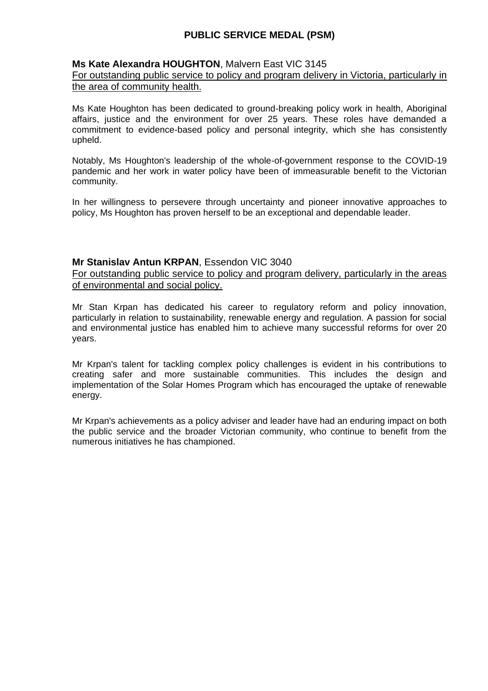### **Ms Kate Alexandra HOUGHTON**, Malvern East VIC 3145

#### For outstanding public service to policy and program delivery in Victoria, particularly in the area of community health.

Ms Kate Houghton has been dedicated to ground-breaking policy work in health, Aboriginal affairs, justice and the environment for over 25 years. These roles have demanded a commitment to evidence-based policy and personal integrity, which she has consistently upheld.

Notably, Ms Houghton's leadership of the whole-of-government response to the COVID-19 pandemic and her work in water policy have been of immeasurable benefit to the Victorian community.

In her willingness to persevere through uncertainty and pioneer innovative approaches to policy, Ms Houghton has proven herself to be an exceptional and dependable leader.

### **Mr Stanislav Antun KRPAN**, Essendon VIC 3040

For outstanding public service to policy and program delivery, particularly in the areas of environmental and social policy.

Mr Stan Krpan has dedicated his career to regulatory reform and policy innovation, particularly in relation to sustainability, renewable energy and regulation. A passion for social and environmental justice has enabled him to achieve many successful reforms for over 20 years.

Mr Krpan's talent for tackling complex policy challenges is evident in his contributions to creating safer and more sustainable communities. This includes the design and implementation of the Solar Homes Program which has encouraged the uptake of renewable energy.

Mr Krpan's achievements as a policy adviser and leader have had an enduring impact on both the public service and the broader Victorian community, who continue to benefit from the numerous initiatives he has championed.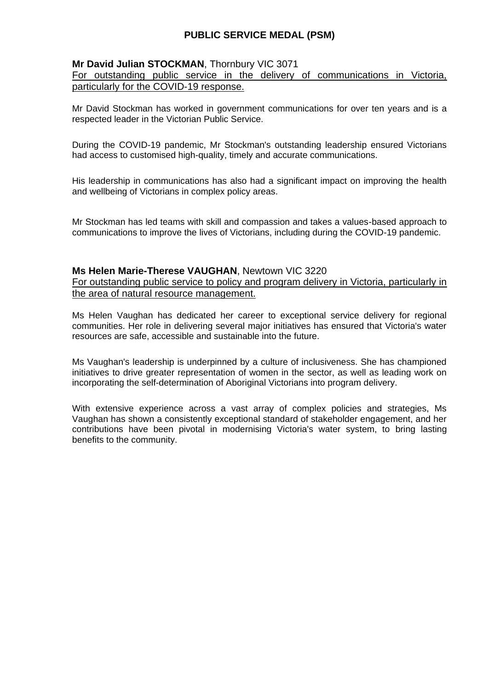### **Mr David Julian STOCKMAN**, Thornbury VIC 3071

For outstanding public service in the delivery of communications in Victoria, particularly for the COVID-19 response.

Mr David Stockman has worked in government communications for over ten years and is a respected leader in the Victorian Public Service.

During the COVID-19 pandemic, Mr Stockman's outstanding leadership ensured Victorians had access to customised high-quality, timely and accurate communications.

His leadership in communications has also had a significant impact on improving the health and wellbeing of Victorians in complex policy areas.

Mr Stockman has led teams with skill and compassion and takes a values-based approach to communications to improve the lives of Victorians, including during the COVID-19 pandemic.

#### **Ms Helen Marie-Therese VAUGHAN**, Newtown VIC 3220

For outstanding public service to policy and program delivery in Victoria, particularly in the area of natural resource management.

Ms Helen Vaughan has dedicated her career to exceptional service delivery for regional communities. Her role in delivering several major initiatives has ensured that Victoria's water resources are safe, accessible and sustainable into the future.

Ms Vaughan's leadership is underpinned by a culture of inclusiveness. She has championed initiatives to drive greater representation of women in the sector, as well as leading work on incorporating the self-determination of Aboriginal Victorians into program delivery.

With extensive experience across a vast array of complex policies and strategies, Ms Vaughan has shown a consistently exceptional standard of stakeholder engagement, and her contributions have been pivotal in modernising Victoria's water system, to bring lasting benefits to the community.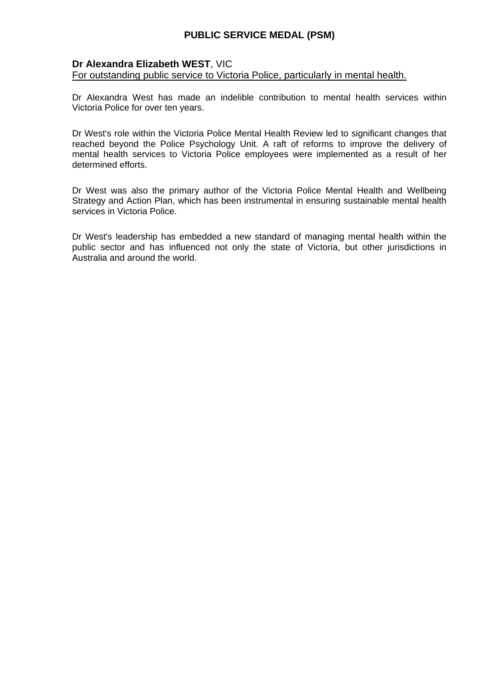### **Dr Alexandra Elizabeth WEST**, VIC

For outstanding public service to Victoria Police, particularly in mental health.

Dr Alexandra West has made an indelible contribution to mental health services within Victoria Police for over ten years.

Dr West's role within the Victoria Police Mental Health Review led to significant changes that reached beyond the Police Psychology Unit. A raft of reforms to improve the delivery of mental health services to Victoria Police employees were implemented as a result of her determined efforts.

Dr West was also the primary author of the Victoria Police Mental Health and Wellbeing Strategy and Action Plan, which has been instrumental in ensuring sustainable mental health services in Victoria Police.

Dr West's leadership has embedded a new standard of managing mental health within the public sector and has influenced not only the state of Victoria, but other jurisdictions in Australia and around the world.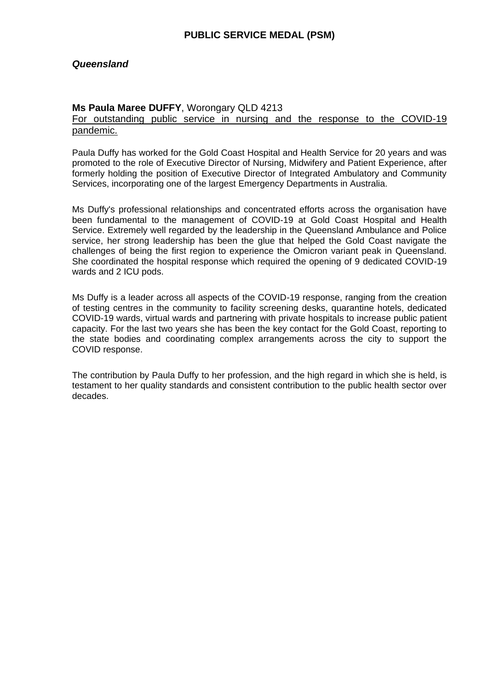### *Queensland*

#### **Ms Paula Maree DUFFY**, Worongary QLD 4213

For outstanding public service in nursing and the response to the COVID-19 pandemic.

Paula Duffy has worked for the Gold Coast Hospital and Health Service for 20 years and was promoted to the role of Executive Director of Nursing, Midwifery and Patient Experience, after formerly holding the position of Executive Director of Integrated Ambulatory and Community Services, incorporating one of the largest Emergency Departments in Australia.

Ms Duffy's professional relationships and concentrated efforts across the organisation have been fundamental to the management of COVID-19 at Gold Coast Hospital and Health Service. Extremely well regarded by the leadership in the Queensland Ambulance and Police service, her strong leadership has been the glue that helped the Gold Coast navigate the challenges of being the first region to experience the Omicron variant peak in Queensland. She coordinated the hospital response which required the opening of 9 dedicated COVID-19 wards and 2 ICU pods.

Ms Duffy is a leader across all aspects of the COVID-19 response, ranging from the creation of testing centres in the community to facility screening desks, quarantine hotels, dedicated COVID-19 wards, virtual wards and partnering with private hospitals to increase public patient capacity. For the last two years she has been the key contact for the Gold Coast, reporting to the state bodies and coordinating complex arrangements across the city to support the COVID response.

The contribution by Paula Duffy to her profession, and the high regard in which she is held, is testament to her quality standards and consistent contribution to the public health sector over decades.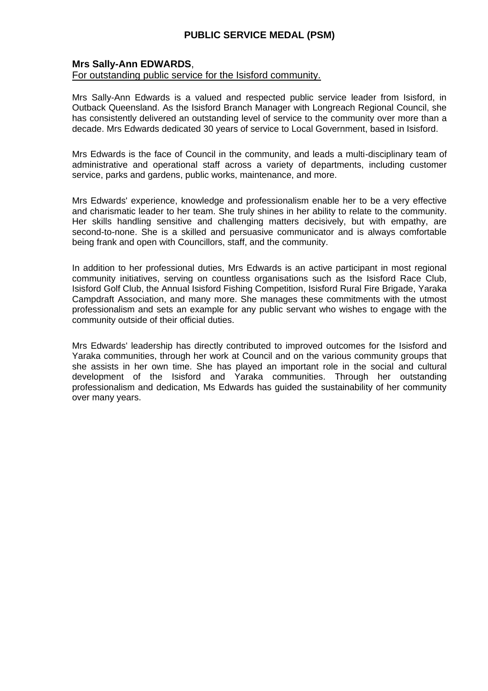#### **Mrs Sally-Ann EDWARDS**,

#### For outstanding public service for the Isisford community.

Mrs Sally-Ann Edwards is a valued and respected public service leader from Isisford, in Outback Queensland. As the Isisford Branch Manager with Longreach Regional Council, she has consistently delivered an outstanding level of service to the community over more than a decade. Mrs Edwards dedicated 30 years of service to Local Government, based in Isisford.

Mrs Edwards is the face of Council in the community, and leads a multi-disciplinary team of administrative and operational staff across a variety of departments, including customer service, parks and gardens, public works, maintenance, and more.

Mrs Edwards' experience, knowledge and professionalism enable her to be a very effective and charismatic leader to her team. She truly shines in her ability to relate to the community. Her skills handling sensitive and challenging matters decisively, but with empathy, are second-to-none. She is a skilled and persuasive communicator and is always comfortable being frank and open with Councillors, staff, and the community.

In addition to her professional duties, Mrs Edwards is an active participant in most regional community initiatives, serving on countless organisations such as the Isisford Race Club, Isisford Golf Club, the Annual Isisford Fishing Competition, Isisford Rural Fire Brigade, Yaraka Campdraft Association, and many more. She manages these commitments with the utmost professionalism and sets an example for any public servant who wishes to engage with the community outside of their official duties.

Mrs Edwards' leadership has directly contributed to improved outcomes for the Isisford and Yaraka communities, through her work at Council and on the various community groups that she assists in her own time. She has played an important role in the social and cultural development of the Isisford and Yaraka communities. Through her outstanding professionalism and dedication, Ms Edwards has guided the sustainability of her community over many years.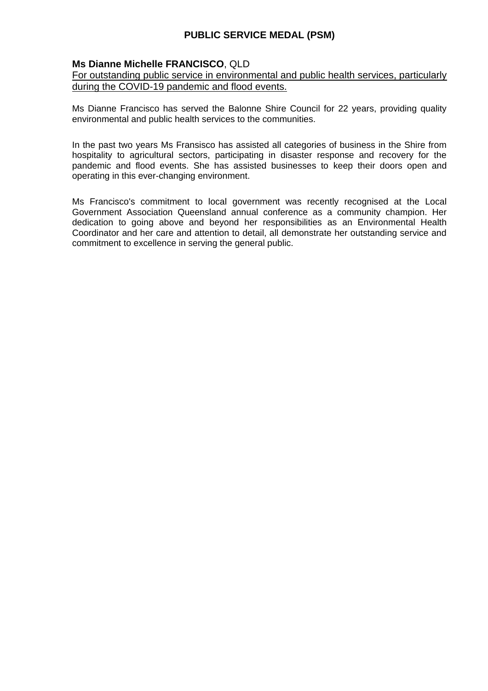## **Ms Dianne Michelle FRANCISCO**, QLD

### For outstanding public service in environmental and public health services, particularly during the COVID-19 pandemic and flood events.

Ms Dianne Francisco has served the Balonne Shire Council for 22 years, providing quality environmental and public health services to the communities.

In the past two years Ms Fransisco has assisted all categories of business in the Shire from hospitality to agricultural sectors, participating in disaster response and recovery for the pandemic and flood events. She has assisted businesses to keep their doors open and operating in this ever-changing environment.

Ms Francisco's commitment to local government was recently recognised at the Local Government Association Queensland annual conference as a community champion. Her dedication to going above and beyond her responsibilities as an Environmental Health Coordinator and her care and attention to detail, all demonstrate her outstanding service and commitment to excellence in serving the general public.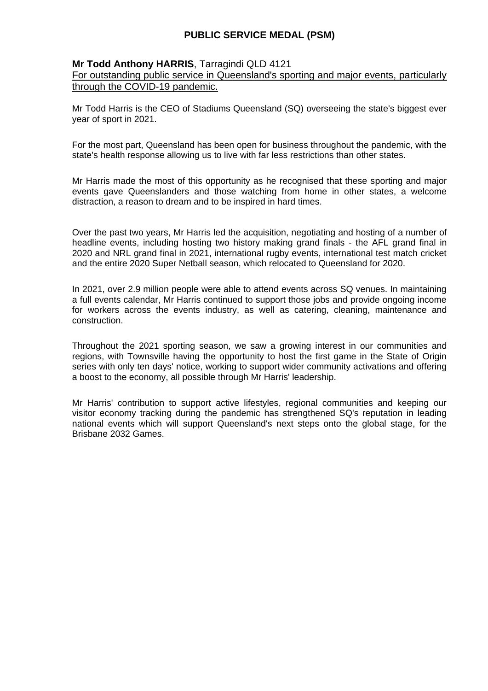### **Mr Todd Anthony HARRIS**, Tarragindi QLD 4121

For outstanding public service in Queensland's sporting and major events, particularly through the COVID-19 pandemic.

Mr Todd Harris is the CEO of Stadiums Queensland (SQ) overseeing the state's biggest ever year of sport in 2021.

For the most part, Queensland has been open for business throughout the pandemic, with the state's health response allowing us to live with far less restrictions than other states.

Mr Harris made the most of this opportunity as he recognised that these sporting and major events gave Queenslanders and those watching from home in other states, a welcome distraction, a reason to dream and to be inspired in hard times.

Over the past two years, Mr Harris led the acquisition, negotiating and hosting of a number of headline events, including hosting two history making grand finals - the AFL grand final in 2020 and NRL grand final in 2021, international rugby events, international test match cricket and the entire 2020 Super Netball season, which relocated to Queensland for 2020.

In 2021, over 2.9 million people were able to attend events across SQ venues. In maintaining a full events calendar, Mr Harris continued to support those jobs and provide ongoing income for workers across the events industry, as well as catering, cleaning, maintenance and construction.

Throughout the 2021 sporting season, we saw a growing interest in our communities and regions, with Townsville having the opportunity to host the first game in the State of Origin series with only ten days' notice, working to support wider community activations and offering a boost to the economy, all possible through Mr Harris' leadership.

Mr Harris' contribution to support active lifestyles, regional communities and keeping our visitor economy tracking during the pandemic has strengthened SQ's reputation in leading national events which will support Queensland's next steps onto the global stage, for the Brisbane 2032 Games.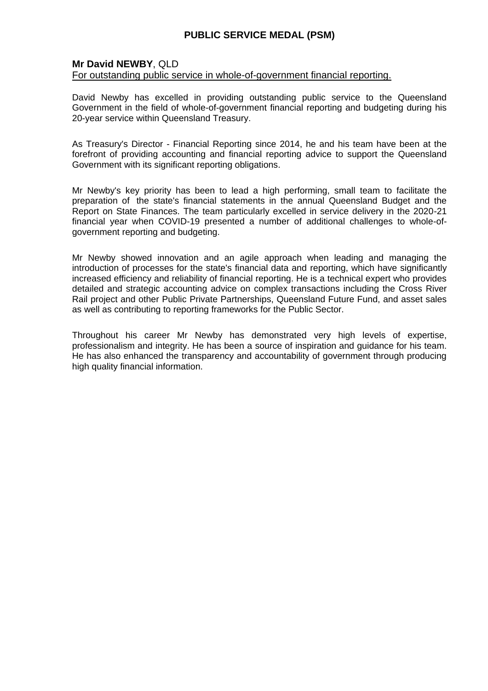### **Mr David NEWBY**, QLD

#### For outstanding public service in whole-of-government financial reporting.

David Newby has excelled in providing outstanding public service to the Queensland Government in the field of whole-of-government financial reporting and budgeting during his 20-year service within Queensland Treasury.

As Treasury's Director - Financial Reporting since 2014, he and his team have been at the forefront of providing accounting and financial reporting advice to support the Queensland Government with its significant reporting obligations.

Mr Newby's key priority has been to lead a high performing, small team to facilitate the preparation of the state's financial statements in the annual Queensland Budget and the Report on State Finances. The team particularly excelled in service delivery in the 2020-21 financial year when COVID-19 presented a number of additional challenges to whole-ofgovernment reporting and budgeting.

Mr Newby showed innovation and an agile approach when leading and managing the introduction of processes for the state's financial data and reporting, which have significantly increased efficiency and reliability of financial reporting. He is a technical expert who provides detailed and strategic accounting advice on complex transactions including the Cross River Rail project and other Public Private Partnerships, Queensland Future Fund, and asset sales as well as contributing to reporting frameworks for the Public Sector.

Throughout his career Mr Newby has demonstrated very high levels of expertise, professionalism and integrity. He has been a source of inspiration and guidance for his team. He has also enhanced the transparency and accountability of government through producing high quality financial information.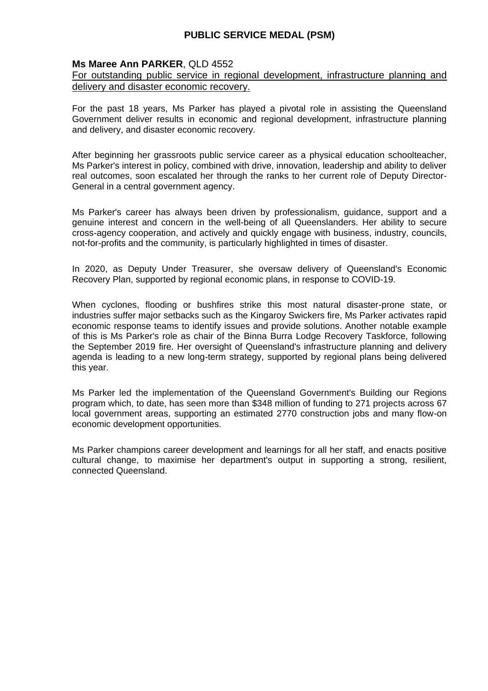### **Ms Maree Ann PARKER**, QLD 4552

#### For outstanding public service in regional development, infrastructure planning and delivery and disaster economic recovery.

For the past 18 years, Ms Parker has played a pivotal role in assisting the Queensland Government deliver results in economic and regional development, infrastructure planning and delivery, and disaster economic recovery.

After beginning her grassroots public service career as a physical education schoolteacher, Ms Parker's interest in policy, combined with drive, innovation, leadership and ability to deliver real outcomes, soon escalated her through the ranks to her current role of Deputy Director-General in a central government agency.

Ms Parker's career has always been driven by professionalism, guidance, support and a genuine interest and concern in the well-being of all Queenslanders. Her ability to secure cross-agency cooperation, and actively and quickly engage with business, industry, councils, not-for-profits and the community, is particularly highlighted in times of disaster.

In 2020, as Deputy Under Treasurer, she oversaw delivery of Queensland's Economic Recovery Plan, supported by regional economic plans, in response to COVID-19.

When cyclones, flooding or bushfires strike this most natural disaster-prone state, or industries suffer major setbacks such as the Kingaroy Swickers fire, Ms Parker activates rapid economic response teams to identify issues and provide solutions. Another notable example of this is Ms Parker's role as chair of the Binna Burra Lodge Recovery Taskforce, following the September 2019 fire. Her oversight of Queensland's infrastructure planning and delivery agenda is leading to a new long-term strategy, supported by regional plans being delivered this year.

Ms Parker led the implementation of the Queensland Government's Building our Regions program which, to date, has seen more than \$348 million of funding to 271 projects across 67 local government areas, supporting an estimated 2770 construction jobs and many flow-on economic development opportunities.

Ms Parker champions career development and learnings for all her staff, and enacts positive cultural change, to maximise her department's output in supporting a strong, resilient, connected Queensland.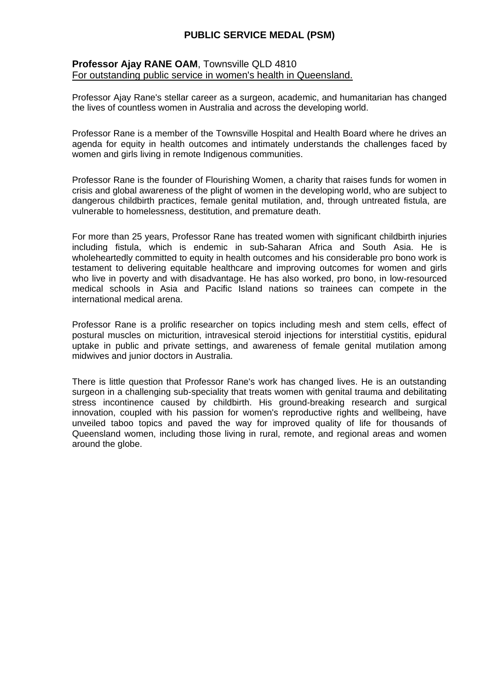#### **Professor Ajay RANE OAM**, Townsville QLD 4810 For outstanding public service in women's health in Queensland.

Professor Ajay Rane's stellar career as a surgeon, academic, and humanitarian has changed the lives of countless women in Australia and across the developing world.

Professor Rane is a member of the Townsville Hospital and Health Board where he drives an agenda for equity in health outcomes and intimately understands the challenges faced by women and girls living in remote Indigenous communities.

Professor Rane is the founder of Flourishing Women, a charity that raises funds for women in crisis and global awareness of the plight of women in the developing world, who are subject to dangerous childbirth practices, female genital mutilation, and, through untreated fistula, are vulnerable to homelessness, destitution, and premature death.

For more than 25 years, Professor Rane has treated women with significant childbirth injuries including fistula, which is endemic in sub-Saharan Africa and South Asia. He is wholeheartedly committed to equity in health outcomes and his considerable pro bono work is testament to delivering equitable healthcare and improving outcomes for women and girls who live in poverty and with disadvantage. He has also worked, pro bono, in low-resourced medical schools in Asia and Pacific Island nations so trainees can compete in the international medical arena.

Professor Rane is a prolific researcher on topics including mesh and stem cells, effect of postural muscles on micturition, intravesical steroid injections for interstitial cystitis, epidural uptake in public and private settings, and awareness of female genital mutilation among midwives and junior doctors in Australia.

There is little question that Professor Rane's work has changed lives. He is an outstanding surgeon in a challenging sub-speciality that treats women with genital trauma and debilitating stress incontinence caused by childbirth. His ground-breaking research and surgical innovation, coupled with his passion for women's reproductive rights and wellbeing, have unveiled taboo topics and paved the way for improved quality of life for thousands of Queensland women, including those living in rural, remote, and regional areas and women around the globe.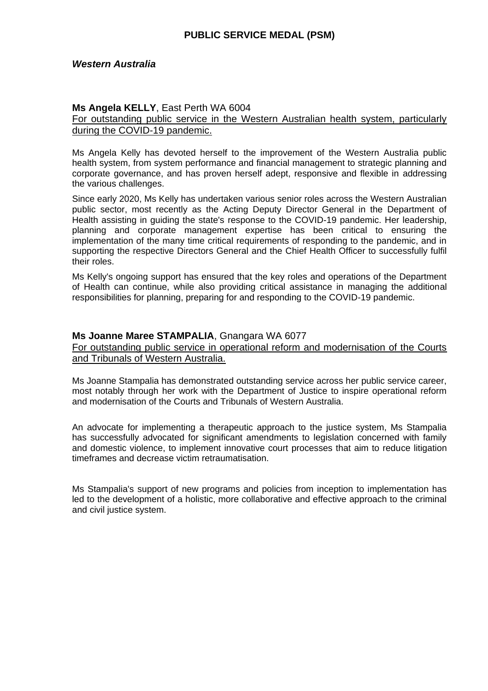### *Western Australia*

### **Ms Angela KELLY**, East Perth WA 6004

For outstanding public service in the Western Australian health system, particularly during the COVID-19 pandemic.

Ms Angela Kelly has devoted herself to the improvement of the Western Australia public health system, from system performance and financial management to strategic planning and corporate governance, and has proven herself adept, responsive and flexible in addressing the various challenges.

Since early 2020, Ms Kelly has undertaken various senior roles across the Western Australian public sector, most recently as the Acting Deputy Director General in the Department of Health assisting in guiding the state's response to the COVID-19 pandemic. Her leadership, planning and corporate management expertise has been critical to ensuring the implementation of the many time critical requirements of responding to the pandemic, and in supporting the respective Directors General and the Chief Health Officer to successfully fulfil their roles.

Ms Kelly's ongoing support has ensured that the key roles and operations of the Department of Health can continue, while also providing critical assistance in managing the additional responsibilities for planning, preparing for and responding to the COVID-19 pandemic.

### **Ms Joanne Maree STAMPALIA**, Gnangara WA 6077

For outstanding public service in operational reform and modernisation of the Courts and Tribunals of Western Australia.

Ms Joanne Stampalia has demonstrated outstanding service across her public service career, most notably through her work with the Department of Justice to inspire operational reform and modernisation of the Courts and Tribunals of Western Australia.

An advocate for implementing a therapeutic approach to the justice system, Ms Stampalia has successfully advocated for significant amendments to legislation concerned with family and domestic violence, to implement innovative court processes that aim to reduce litigation timeframes and decrease victim retraumatisation.

Ms Stampalia's support of new programs and policies from inception to implementation has led to the development of a holistic, more collaborative and effective approach to the criminal and civil justice system.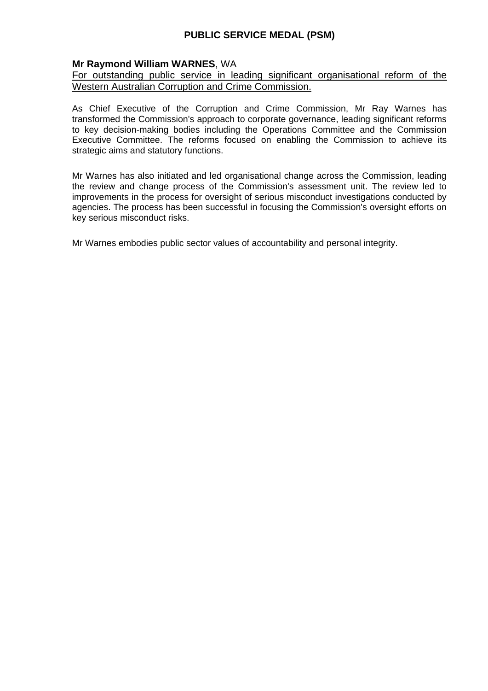## **Mr Raymond William WARNES**, WA

### For outstanding public service in leading significant organisational reform of the Western Australian Corruption and Crime Commission.

As Chief Executive of the Corruption and Crime Commission, Mr Ray Warnes has transformed the Commission's approach to corporate governance, leading significant reforms to key decision-making bodies including the Operations Committee and the Commission Executive Committee. The reforms focused on enabling the Commission to achieve its strategic aims and statutory functions.

Mr Warnes has also initiated and led organisational change across the Commission, leading the review and change process of the Commission's assessment unit. The review led to improvements in the process for oversight of serious misconduct investigations conducted by agencies. The process has been successful in focusing the Commission's oversight efforts on key serious misconduct risks.

Mr Warnes embodies public sector values of accountability and personal integrity.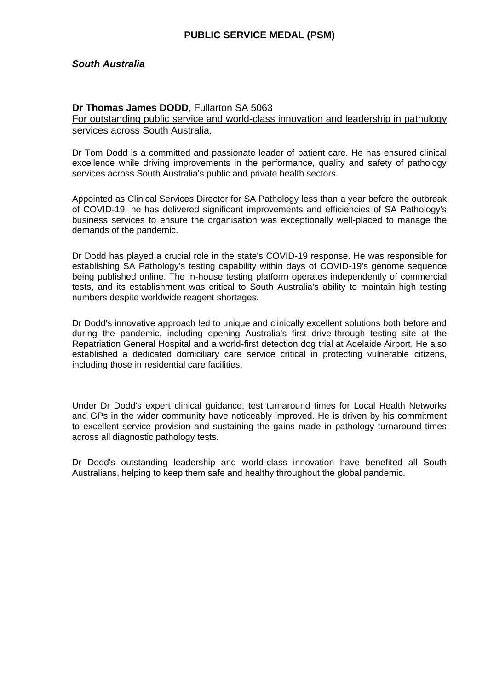## *South Australia*

#### **Dr Thomas James DODD**, Fullarton SA 5063

For outstanding public service and world-class innovation and leadership in pathology services across South Australia.

Dr Tom Dodd is a committed and passionate leader of patient care. He has ensured clinical excellence while driving improvements in the performance, quality and safety of pathology services across South Australia's public and private health sectors.

Appointed as Clinical Services Director for SA Pathology less than a year before the outbreak of COVID-19, he has delivered significant improvements and efficiencies of SA Pathology's business services to ensure the organisation was exceptionally well-placed to manage the demands of the pandemic.

Dr Dodd has played a crucial role in the state's COVID-19 response. He was responsible for establishing SA Pathology's testing capability within days of COVID-19's genome sequence being published online. The in-house testing platform operates independently of commercial tests, and its establishment was critical to South Australia's ability to maintain high testing numbers despite worldwide reagent shortages.

Dr Dodd's innovative approach led to unique and clinically excellent solutions both before and during the pandemic, including opening Australia's first drive-through testing site at the Repatriation General Hospital and a world-first detection dog trial at Adelaide Airport. He also established a dedicated domiciliary care service critical in protecting vulnerable citizens, including those in residential care facilities.

Under Dr Dodd's expert clinical guidance, test turnaround times for Local Health Networks and GPs in the wider community have noticeably improved. He is driven by his commitment to excellent service provision and sustaining the gains made in pathology turnaround times across all diagnostic pathology tests.

Dr Dodd's outstanding leadership and world-class innovation have benefited all South Australians, helping to keep them safe and healthy throughout the global pandemic.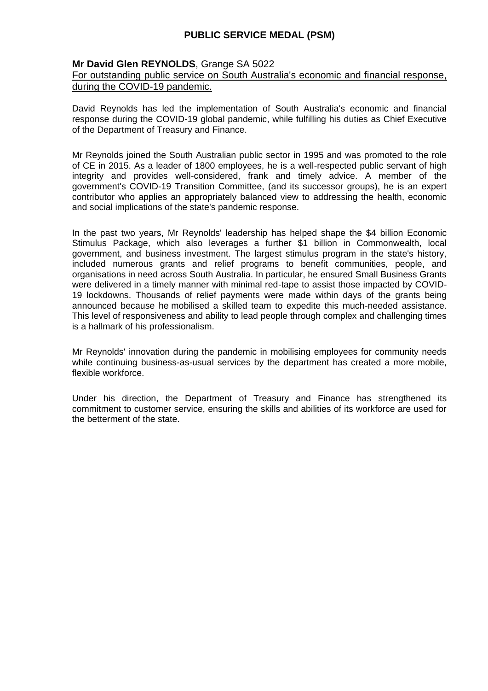### **Mr David Glen REYNOLDS**, Grange SA 5022

#### For outstanding public service on South Australia's economic and financial response, during the COVID-19 pandemic.

David Reynolds has led the implementation of South Australia's economic and financial response during the COVID-19 global pandemic, while fulfilling his duties as Chief Executive of the Department of Treasury and Finance.

Mr Reynolds joined the South Australian public sector in 1995 and was promoted to the role of CE in 2015. As a leader of 1800 employees, he is a well-respected public servant of high integrity and provides well-considered, frank and timely advice. A member of the government's COVID-19 Transition Committee, (and its successor groups), he is an expert contributor who applies an appropriately balanced view to addressing the health, economic and social implications of the state's pandemic response.

In the past two years, Mr Reynolds' leadership has helped shape the \$4 billion Economic Stimulus Package, which also leverages a further \$1 billion in Commonwealth, local government, and business investment. The largest stimulus program in the state's history, included numerous grants and relief programs to benefit communities, people, and organisations in need across South Australia. In particular, he ensured Small Business Grants were delivered in a timely manner with minimal red-tape to assist those impacted by COVID-19 lockdowns. Thousands of relief payments were made within days of the grants being announced because he mobilised a skilled team to expedite this much-needed assistance. This level of responsiveness and ability to lead people through complex and challenging times is a hallmark of his professionalism.

Mr Reynolds' innovation during the pandemic in mobilising employees for community needs while continuing business-as-usual services by the department has created a more mobile, flexible workforce.

Under his direction, the Department of Treasury and Finance has strengthened its commitment to customer service, ensuring the skills and abilities of its workforce are used for the betterment of the state.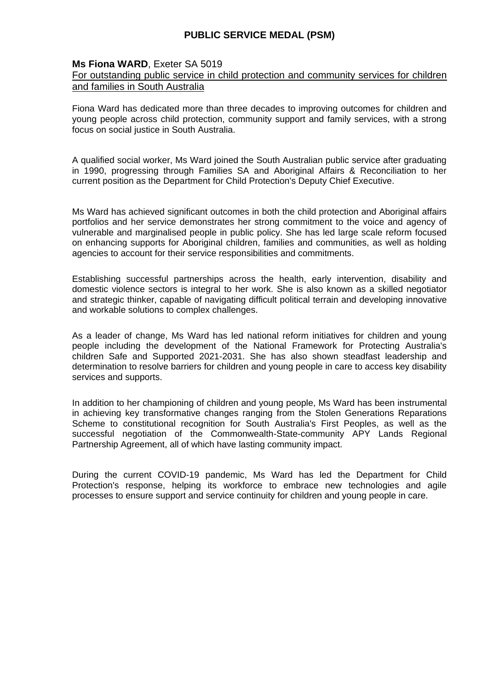### **Ms Fiona WARD**, Exeter SA 5019

### For outstanding public service in child protection and community services for children and families in South Australia

Fiona Ward has dedicated more than three decades to improving outcomes for children and young people across child protection, community support and family services, with a strong focus on social justice in South Australia.

A qualified social worker, Ms Ward joined the South Australian public service after graduating in 1990, progressing through Families SA and Aboriginal Affairs & Reconciliation to her current position as the Department for Child Protection's Deputy Chief Executive.

Ms Ward has achieved significant outcomes in both the child protection and Aboriginal affairs portfolios and her service demonstrates her strong commitment to the voice and agency of vulnerable and marginalised people in public policy. She has led large scale reform focused on enhancing supports for Aboriginal children, families and communities, as well as holding agencies to account for their service responsibilities and commitments.

Establishing successful partnerships across the health, early intervention, disability and domestic violence sectors is integral to her work. She is also known as a skilled negotiator and strategic thinker, capable of navigating difficult political terrain and developing innovative and workable solutions to complex challenges.

As a leader of change, Ms Ward has led national reform initiatives for children and young people including the development of the National Framework for Protecting Australia's children Safe and Supported 2021-2031. She has also shown steadfast leadership and determination to resolve barriers for children and young people in care to access key disability services and supports.

In addition to her championing of children and young people, Ms Ward has been instrumental in achieving key transformative changes ranging from the Stolen Generations Reparations Scheme to constitutional recognition for South Australia's First Peoples, as well as the successful negotiation of the Commonwealth-State-community APY Lands Regional Partnership Agreement, all of which have lasting community impact.

During the current COVID-19 pandemic, Ms Ward has led the Department for Child Protection's response, helping its workforce to embrace new technologies and agile processes to ensure support and service continuity for children and young people in care.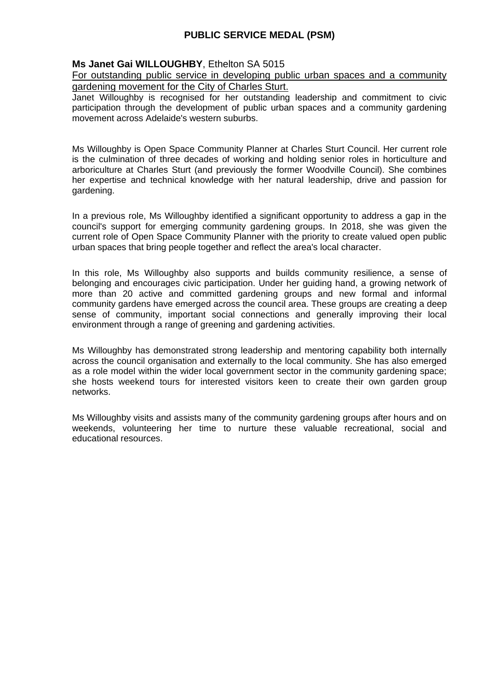## **Ms Janet Gai WILLOUGHBY**, Ethelton SA 5015

#### For outstanding public service in developing public urban spaces and a community gardening movement for the City of Charles Sturt.

Janet Willoughby is recognised for her outstanding leadership and commitment to civic participation through the development of public urban spaces and a community gardening movement across Adelaide's western suburbs.

Ms Willoughby is Open Space Community Planner at Charles Sturt Council. Her current role is the culmination of three decades of working and holding senior roles in horticulture and arboriculture at Charles Sturt (and previously the former Woodville Council). She combines her expertise and technical knowledge with her natural leadership, drive and passion for gardening.

In a previous role, Ms Willoughby identified a significant opportunity to address a gap in the council's support for emerging community gardening groups. In 2018, she was given the current role of Open Space Community Planner with the priority to create valued open public urban spaces that bring people together and reflect the area's local character.

In this role, Ms Willoughby also supports and builds community resilience, a sense of belonging and encourages civic participation. Under her guiding hand, a growing network of more than 20 active and committed gardening groups and new formal and informal community gardens have emerged across the council area. These groups are creating a deep sense of community, important social connections and generally improving their local environment through a range of greening and gardening activities.

Ms Willoughby has demonstrated strong leadership and mentoring capability both internally across the council organisation and externally to the local community. She has also emerged as a role model within the wider local government sector in the community gardening space; she hosts weekend tours for interested visitors keen to create their own garden group networks.

Ms Willoughby visits and assists many of the community gardening groups after hours and on weekends, volunteering her time to nurture these valuable recreational, social and educational resources.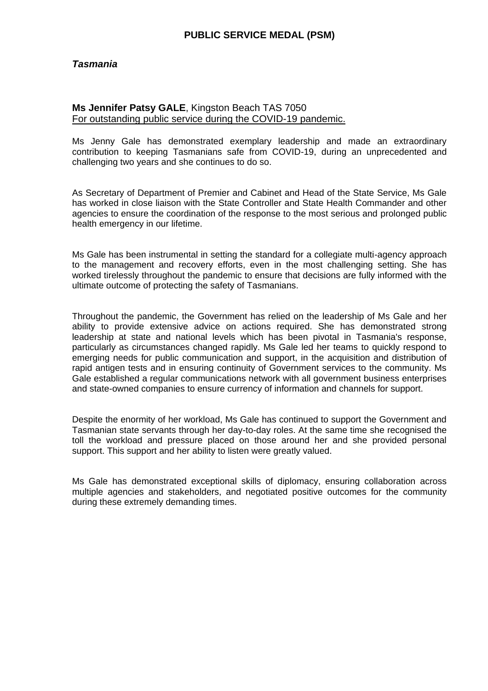### *Tasmania*

#### **Ms Jennifer Patsy GALE**, Kingston Beach TAS 7050 For outstanding public service during the COVID-19 pandemic.

Ms Jenny Gale has demonstrated exemplary leadership and made an extraordinary contribution to keeping Tasmanians safe from COVID-19, during an unprecedented and challenging two years and she continues to do so.

As Secretary of Department of Premier and Cabinet and Head of the State Service, Ms Gale has worked in close liaison with the State Controller and State Health Commander and other agencies to ensure the coordination of the response to the most serious and prolonged public health emergency in our lifetime.

Ms Gale has been instrumental in setting the standard for a collegiate multi-agency approach to the management and recovery efforts, even in the most challenging setting. She has worked tirelessly throughout the pandemic to ensure that decisions are fully informed with the ultimate outcome of protecting the safety of Tasmanians.

Throughout the pandemic, the Government has relied on the leadership of Ms Gale and her ability to provide extensive advice on actions required. She has demonstrated strong leadership at state and national levels which has been pivotal in Tasmania's response, particularly as circumstances changed rapidly. Ms Gale led her teams to quickly respond to emerging needs for public communication and support, in the acquisition and distribution of rapid antigen tests and in ensuring continuity of Government services to the community. Ms Gale established a regular communications network with all government business enterprises and state-owned companies to ensure currency of information and channels for support.

Despite the enormity of her workload, Ms Gale has continued to support the Government and Tasmanian state servants through her day-to-day roles. At the same time she recognised the toll the workload and pressure placed on those around her and she provided personal support. This support and her ability to listen were greatly valued.

Ms Gale has demonstrated exceptional skills of diplomacy, ensuring collaboration across multiple agencies and stakeholders, and negotiated positive outcomes for the community during these extremely demanding times.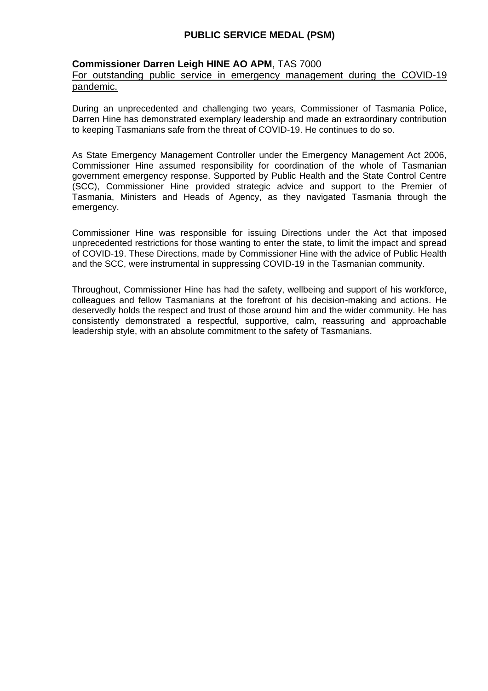### **Commissioner Darren Leigh HINE AO APM**, TAS 7000

#### For outstanding public service in emergency management during the COVID-19 pandemic.

During an unprecedented and challenging two years, Commissioner of Tasmania Police, Darren Hine has demonstrated exemplary leadership and made an extraordinary contribution to keeping Tasmanians safe from the threat of COVID-19. He continues to do so.

As State Emergency Management Controller under the Emergency Management Act 2006, Commissioner Hine assumed responsibility for coordination of the whole of Tasmanian government emergency response. Supported by Public Health and the State Control Centre (SCC), Commissioner Hine provided strategic advice and support to the Premier of Tasmania, Ministers and Heads of Agency, as they navigated Tasmania through the emergency.

Commissioner Hine was responsible for issuing Directions under the Act that imposed unprecedented restrictions for those wanting to enter the state, to limit the impact and spread of COVID-19. These Directions, made by Commissioner Hine with the advice of Public Health and the SCC, were instrumental in suppressing COVID-19 in the Tasmanian community.

Throughout, Commissioner Hine has had the safety, wellbeing and support of his workforce, colleagues and fellow Tasmanians at the forefront of his decision-making and actions. He deservedly holds the respect and trust of those around him and the wider community. He has consistently demonstrated a respectful, supportive, calm, reassuring and approachable leadership style, with an absolute commitment to the safety of Tasmanians.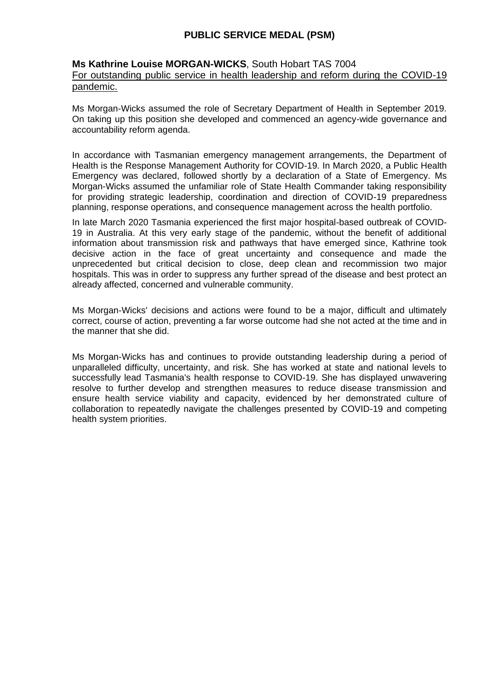### **Ms Kathrine Louise MORGAN-WICKS**, South Hobart TAS 7004 For outstanding public service in health leadership and reform during the COVID-19 pandemic.

Ms Morgan-Wicks assumed the role of Secretary Department of Health in September 2019. On taking up this position she developed and commenced an agency-wide governance and accountability reform agenda.

In accordance with Tasmanian emergency management arrangements, the Department of Health is the Response Management Authority for COVID-19. In March 2020, a Public Health Emergency was declared, followed shortly by a declaration of a State of Emergency. Ms Morgan-Wicks assumed the unfamiliar role of State Health Commander taking responsibility for providing strategic leadership, coordination and direction of COVID-19 preparedness planning, response operations, and consequence management across the health portfolio.

In late March 2020 Tasmania experienced the first major hospital-based outbreak of COVID-19 in Australia. At this very early stage of the pandemic, without the benefit of additional information about transmission risk and pathways that have emerged since, Kathrine took decisive action in the face of great uncertainty and consequence and made the unprecedented but critical decision to close, deep clean and recommission two major hospitals. This was in order to suppress any further spread of the disease and best protect an already affected, concerned and vulnerable community.

Ms Morgan-Wicks' decisions and actions were found to be a major, difficult and ultimately correct, course of action, preventing a far worse outcome had she not acted at the time and in the manner that she did.

Ms Morgan-Wicks has and continues to provide outstanding leadership during a period of unparalleled difficulty, uncertainty, and risk. She has worked at state and national levels to successfully lead Tasmania's health response to COVID-19. She has displayed unwavering resolve to further develop and strengthen measures to reduce disease transmission and ensure health service viability and capacity, evidenced by her demonstrated culture of collaboration to repeatedly navigate the challenges presented by COVID-19 and competing health system priorities.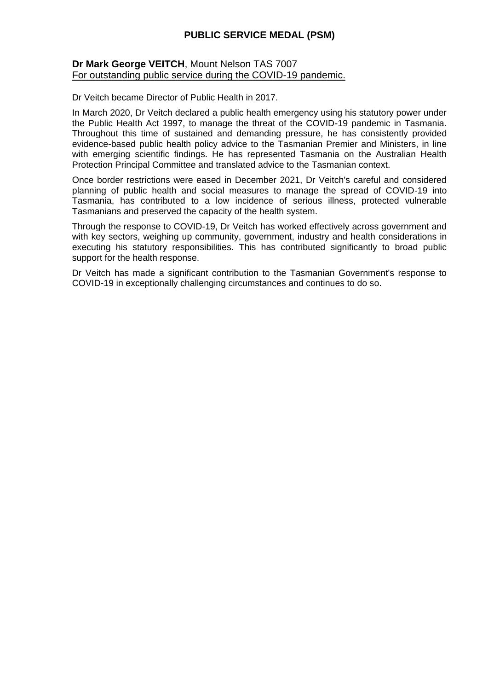### **Dr Mark George VEITCH**, Mount Nelson TAS 7007 For outstanding public service during the COVID-19 pandemic.

Dr Veitch became Director of Public Health in 2017.

In March 2020, Dr Veitch declared a public health emergency using his statutory power under the Public Health Act 1997, to manage the threat of the COVID-19 pandemic in Tasmania. Throughout this time of sustained and demanding pressure, he has consistently provided evidence-based public health policy advice to the Tasmanian Premier and Ministers, in line with emerging scientific findings. He has represented Tasmania on the Australian Health Protection Principal Committee and translated advice to the Tasmanian context.

Once border restrictions were eased in December 2021, Dr Veitch's careful and considered planning of public health and social measures to manage the spread of COVID-19 into Tasmania, has contributed to a low incidence of serious illness, protected vulnerable Tasmanians and preserved the capacity of the health system.

Through the response to COVID-19, Dr Veitch has worked effectively across government and with key sectors, weighing up community, government, industry and health considerations in executing his statutory responsibilities. This has contributed significantly to broad public support for the health response.

Dr Veitch has made a significant contribution to the Tasmanian Government's response to COVID-19 in exceptionally challenging circumstances and continues to do so.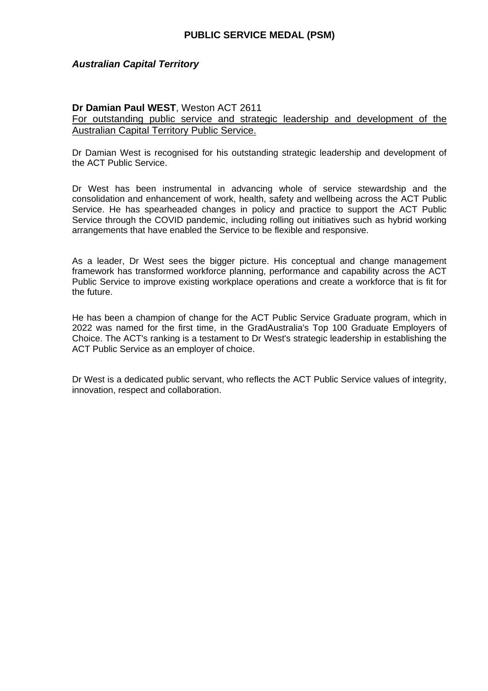### *Australian Capital Territory*

### **Dr Damian Paul WEST**, Weston ACT 2611

For outstanding public service and strategic leadership and development of the Australian Capital Territory Public Service.

Dr Damian West is recognised for his outstanding strategic leadership and development of the ACT Public Service.

Dr West has been instrumental in advancing whole of service stewardship and the consolidation and enhancement of work, health, safety and wellbeing across the ACT Public Service. He has spearheaded changes in policy and practice to support the ACT Public Service through the COVID pandemic, including rolling out initiatives such as hybrid working arrangements that have enabled the Service to be flexible and responsive.

As a leader, Dr West sees the bigger picture. His conceptual and change management framework has transformed workforce planning, performance and capability across the ACT Public Service to improve existing workplace operations and create a workforce that is fit for the future.

He has been a champion of change for the ACT Public Service Graduate program, which in 2022 was named for the first time, in the GradAustralia's Top 100 Graduate Employers of Choice. The ACT's ranking is a testament to Dr West's strategic leadership in establishing the ACT Public Service as an employer of choice.

Dr West is a dedicated public servant, who reflects the ACT Public Service values of integrity, innovation, respect and collaboration.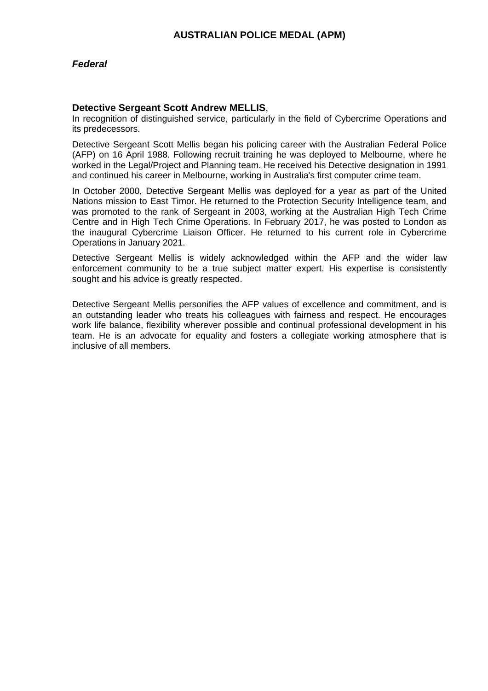### **Detective Sergeant Scott Andrew MELLIS**,

In recognition of distinguished service, particularly in the field of Cybercrime Operations and its predecessors.

Detective Sergeant Scott Mellis began his policing career with the Australian Federal Police (AFP) on 16 April 1988. Following recruit training he was deployed to Melbourne, where he worked in the Legal/Project and Planning team. He received his Detective designation in 1991 and continued his career in Melbourne, working in Australia's first computer crime team.

In October 2000, Detective Sergeant Mellis was deployed for a year as part of the United Nations mission to East Timor. He returned to the Protection Security Intelligence team, and was promoted to the rank of Sergeant in 2003, working at the Australian High Tech Crime Centre and in High Tech Crime Operations. In February 2017, he was posted to London as the inaugural Cybercrime Liaison Officer. He returned to his current role in Cybercrime Operations in January 2021.

Detective Sergeant Mellis is widely acknowledged within the AFP and the wider law enforcement community to be a true subject matter expert. His expertise is consistently sought and his advice is greatly respected.

Detective Sergeant Mellis personifies the AFP values of excellence and commitment, and is an outstanding leader who treats his colleagues with fairness and respect. He encourages work life balance, flexibility wherever possible and continual professional development in his team. He is an advocate for equality and fosters a collegiate working atmosphere that is inclusive of all members.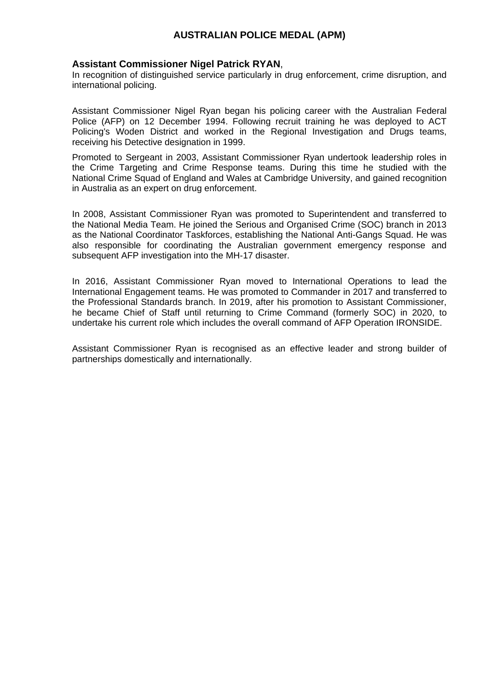### **Assistant Commissioner Nigel Patrick RYAN**,

In recognition of distinguished service particularly in drug enforcement, crime disruption, and international policing.

Assistant Commissioner Nigel Ryan began his policing career with the Australian Federal Police (AFP) on 12 December 1994. Following recruit training he was deployed to ACT Policing's Woden District and worked in the Regional Investigation and Drugs teams, receiving his Detective designation in 1999.

Promoted to Sergeant in 2003, Assistant Commissioner Ryan undertook leadership roles in the Crime Targeting and Crime Response teams. During this time he studied with the National Crime Squad of England and Wales at Cambridge University, and gained recognition in Australia as an expert on drug enforcement.

In 2008, Assistant Commissioner Ryan was promoted to Superintendent and transferred to the National Media Team. He joined the Serious and Organised Crime (SOC) branch in 2013 as the National Coordinator Taskforces, establishing the National Anti-Gangs Squad. He was also responsible for coordinating the Australian government emergency response and subsequent AFP investigation into the MH-17 disaster.

In 2016, Assistant Commissioner Ryan moved to International Operations to lead the International Engagement teams. He was promoted to Commander in 2017 and transferred to the Professional Standards branch. In 2019, after his promotion to Assistant Commissioner, he became Chief of Staff until returning to Crime Command (formerly SOC) in 2020, to undertake his current role which includes the overall command of AFP Operation IRONSIDE.

Assistant Commissioner Ryan is recognised as an effective leader and strong builder of partnerships domestically and internationally.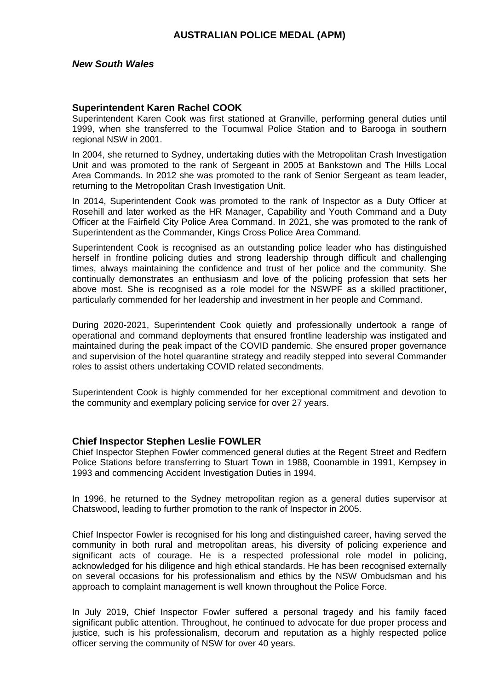#### **Superintendent Karen Rachel COOK**

Superintendent Karen Cook was first stationed at Granville, performing general duties until 1999, when she transferred to the Tocumwal Police Station and to Barooga in southern regional NSW in 2001.

In 2004, she returned to Sydney, undertaking duties with the Metropolitan Crash Investigation Unit and was promoted to the rank of Sergeant in 2005 at Bankstown and The Hills Local Area Commands. In 2012 she was promoted to the rank of Senior Sergeant as team leader, returning to the Metropolitan Crash Investigation Unit.

In 2014, Superintendent Cook was promoted to the rank of Inspector as a Duty Officer at Rosehill and later worked as the HR Manager, Capability and Youth Command and a Duty Officer at the Fairfield City Police Area Command. In 2021, she was promoted to the rank of Superintendent as the Commander, Kings Cross Police Area Command.

Superintendent Cook is recognised as an outstanding police leader who has distinguished herself in frontline policing duties and strong leadership through difficult and challenging times, always maintaining the confidence and trust of her police and the community. She continually demonstrates an enthusiasm and love of the policing profession that sets her above most. She is recognised as a role model for the NSWPF as a skilled practitioner, particularly commended for her leadership and investment in her people and Command.

During 2020-2021, Superintendent Cook quietly and professionally undertook a range of operational and command deployments that ensured frontline leadership was instigated and maintained during the peak impact of the COVID pandemic. She ensured proper governance and supervision of the hotel quarantine strategy and readily stepped into several Commander roles to assist others undertaking COVID related secondments.

Superintendent Cook is highly commended for her exceptional commitment and devotion to the community and exemplary policing service for over 27 years.

#### **Chief Inspector Stephen Leslie FOWLER**

Chief Inspector Stephen Fowler commenced general duties at the Regent Street and Redfern Police Stations before transferring to Stuart Town in 1988, Coonamble in 1991, Kempsey in 1993 and commencing Accident Investigation Duties in 1994.

In 1996, he returned to the Sydney metropolitan region as a general duties supervisor at Chatswood, leading to further promotion to the rank of Inspector in 2005.

Chief Inspector Fowler is recognised for his long and distinguished career, having served the community in both rural and metropolitan areas, his diversity of policing experience and significant acts of courage. He is a respected professional role model in policing, acknowledged for his diligence and high ethical standards. He has been recognised externally on several occasions for his professionalism and ethics by the NSW Ombudsman and his approach to complaint management is well known throughout the Police Force.

In July 2019, Chief Inspector Fowler suffered a personal tragedy and his family faced significant public attention. Throughout, he continued to advocate for due proper process and justice, such is his professionalism, decorum and reputation as a highly respected police officer serving the community of NSW for over 40 years.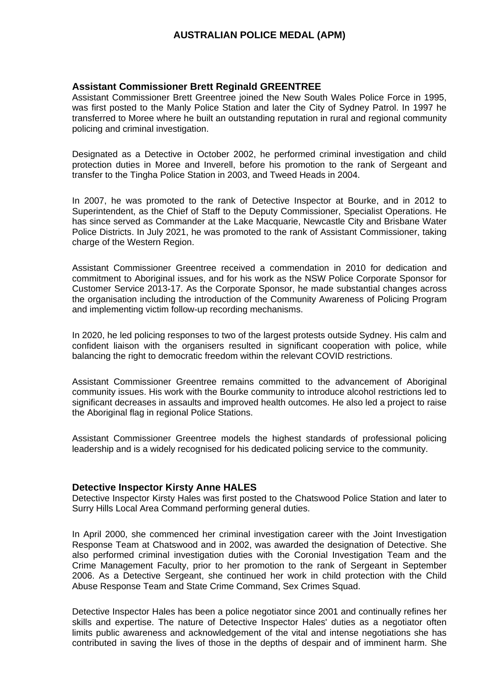#### **Assistant Commissioner Brett Reginald GREENTREE**

Assistant Commissioner Brett Greentree joined the New South Wales Police Force in 1995, was first posted to the Manly Police Station and later the City of Sydney Patrol. In 1997 he transferred to Moree where he built an outstanding reputation in rural and regional community policing and criminal investigation.

Designated as a Detective in October 2002, he performed criminal investigation and child protection duties in Moree and Inverell, before his promotion to the rank of Sergeant and transfer to the Tingha Police Station in 2003, and Tweed Heads in 2004.

In 2007, he was promoted to the rank of Detective Inspector at Bourke, and in 2012 to Superintendent, as the Chief of Staff to the Deputy Commissioner, Specialist Operations. He has since served as Commander at the Lake Macquarie, Newcastle City and Brisbane Water Police Districts. In July 2021, he was promoted to the rank of Assistant Commissioner, taking charge of the Western Region.

Assistant Commissioner Greentree received a commendation in 2010 for dedication and commitment to Aboriginal issues, and for his work as the NSW Police Corporate Sponsor for Customer Service 2013-17. As the Corporate Sponsor, he made substantial changes across the organisation including the introduction of the Community Awareness of Policing Program and implementing victim follow-up recording mechanisms.

In 2020, he led policing responses to two of the largest protests outside Sydney. His calm and confident liaison with the organisers resulted in significant cooperation with police, while balancing the right to democratic freedom within the relevant COVID restrictions.

Assistant Commissioner Greentree remains committed to the advancement of Aboriginal community issues. His work with the Bourke community to introduce alcohol restrictions led to significant decreases in assaults and improved health outcomes. He also led a project to raise the Aboriginal flag in regional Police Stations.

Assistant Commissioner Greentree models the highest standards of professional policing leadership and is a widely recognised for his dedicated policing service to the community.

#### **Detective Inspector Kirsty Anne HALES**

Detective Inspector Kirsty Hales was first posted to the Chatswood Police Station and later to Surry Hills Local Area Command performing general duties.

In April 2000, she commenced her criminal investigation career with the Joint Investigation Response Team at Chatswood and in 2002, was awarded the designation of Detective. She also performed criminal investigation duties with the Coronial Investigation Team and the Crime Management Faculty, prior to her promotion to the rank of Sergeant in September 2006. As a Detective Sergeant, she continued her work in child protection with the Child Abuse Response Team and State Crime Command, Sex Crimes Squad.

Detective Inspector Hales has been a police negotiator since 2001 and continually refines her skills and expertise. The nature of Detective Inspector Hales' duties as a negotiator often limits public awareness and acknowledgement of the vital and intense negotiations she has contributed in saving the lives of those in the depths of despair and of imminent harm. She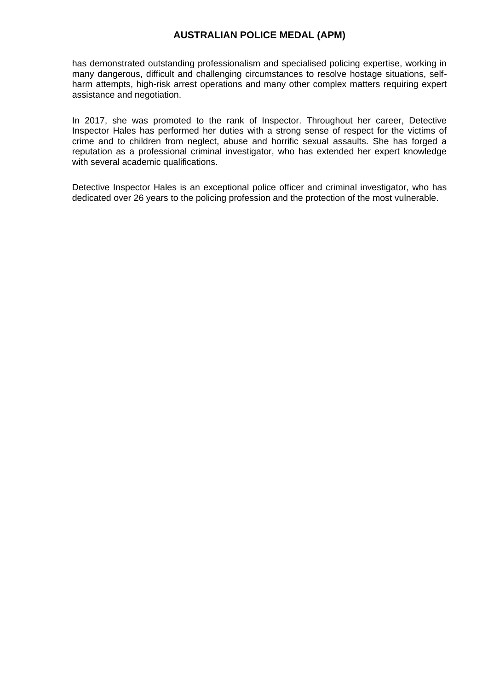has demonstrated outstanding professionalism and specialised policing expertise, working in many dangerous, difficult and challenging circumstances to resolve hostage situations, selfharm attempts, high-risk arrest operations and many other complex matters requiring expert assistance and negotiation.

In 2017, she was promoted to the rank of Inspector. Throughout her career, Detective Inspector Hales has performed her duties with a strong sense of respect for the victims of crime and to children from neglect, abuse and horrific sexual assaults. She has forged a reputation as a professional criminal investigator, who has extended her expert knowledge with several academic qualifications.

Detective Inspector Hales is an exceptional police officer and criminal investigator, who has dedicated over 26 years to the policing profession and the protection of the most vulnerable.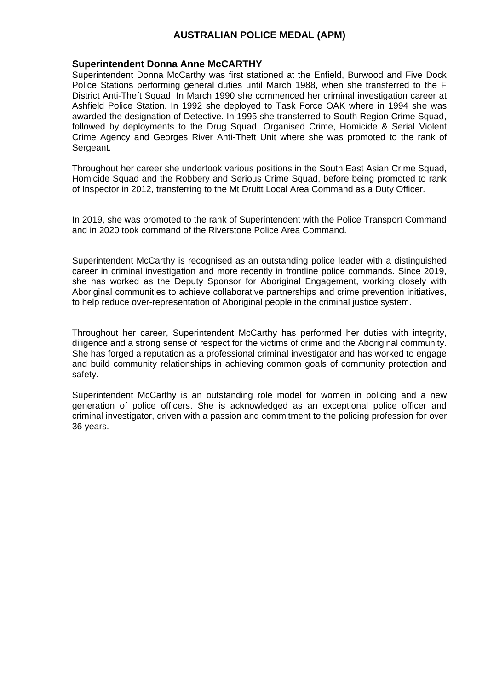#### **Superintendent Donna Anne McCARTHY**

Superintendent Donna McCarthy was first stationed at the Enfield, Burwood and Five Dock Police Stations performing general duties until March 1988, when she transferred to the F District Anti-Theft Squad. In March 1990 she commenced her criminal investigation career at Ashfield Police Station. In 1992 she deployed to Task Force OAK where in 1994 she was awarded the designation of Detective. In 1995 she transferred to South Region Crime Squad, followed by deployments to the Drug Squad, Organised Crime, Homicide & Serial Violent Crime Agency and Georges River Anti-Theft Unit where she was promoted to the rank of Sergeant.

Throughout her career she undertook various positions in the South East Asian Crime Squad, Homicide Squad and the Robbery and Serious Crime Squad, before being promoted to rank of Inspector in 2012, transferring to the Mt Druitt Local Area Command as a Duty Officer.

In 2019, she was promoted to the rank of Superintendent with the Police Transport Command and in 2020 took command of the Riverstone Police Area Command.

Superintendent McCarthy is recognised as an outstanding police leader with a distinguished career in criminal investigation and more recently in frontline police commands. Since 2019, she has worked as the Deputy Sponsor for Aboriginal Engagement, working closely with Aboriginal communities to achieve collaborative partnerships and crime prevention initiatives, to help reduce over-representation of Aboriginal people in the criminal justice system.

Throughout her career, Superintendent McCarthy has performed her duties with integrity, diligence and a strong sense of respect for the victims of crime and the Aboriginal community. She has forged a reputation as a professional criminal investigator and has worked to engage and build community relationships in achieving common goals of community protection and safety.

Superintendent McCarthy is an outstanding role model for women in policing and a new generation of police officers. She is acknowledged as an exceptional police officer and criminal investigator, driven with a passion and commitment to the policing profession for over 36 years.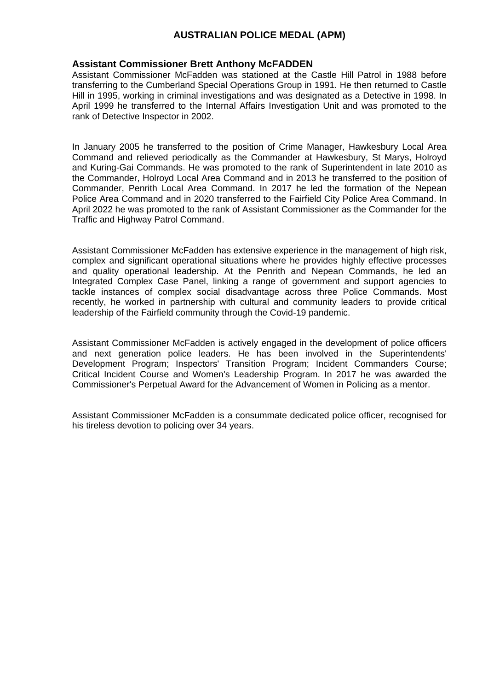#### **Assistant Commissioner Brett Anthony McFADDEN**

Assistant Commissioner McFadden was stationed at the Castle Hill Patrol in 1988 before transferring to the Cumberland Special Operations Group in 1991. He then returned to Castle Hill in 1995, working in criminal investigations and was designated as a Detective in 1998. In April 1999 he transferred to the Internal Affairs Investigation Unit and was promoted to the rank of Detective Inspector in 2002.

In January 2005 he transferred to the position of Crime Manager, Hawkesbury Local Area Command and relieved periodically as the Commander at Hawkesbury, St Marys, Holroyd and Kuring-Gai Commands. He was promoted to the rank of Superintendent in late 2010 as the Commander, Holroyd Local Area Command and in 2013 he transferred to the position of Commander, Penrith Local Area Command. In 2017 he led the formation of the Nepean Police Area Command and in 2020 transferred to the Fairfield City Police Area Command. In April 2022 he was promoted to the rank of Assistant Commissioner as the Commander for the Traffic and Highway Patrol Command.

Assistant Commissioner McFadden has extensive experience in the management of high risk, complex and significant operational situations where he provides highly effective processes and quality operational leadership. At the Penrith and Nepean Commands, he led an Integrated Complex Case Panel, linking a range of government and support agencies to tackle instances of complex social disadvantage across three Police Commands. Most recently, he worked in partnership with cultural and community leaders to provide critical leadership of the Fairfield community through the Covid-19 pandemic.

Assistant Commissioner McFadden is actively engaged in the development of police officers and next generation police leaders. He has been involved in the Superintendents' Development Program; Inspectors' Transition Program; Incident Commanders Course; Critical Incident Course and Women's Leadership Program. In 2017 he was awarded the Commissioner's Perpetual Award for the Advancement of Women in Policing as a mentor.

Assistant Commissioner McFadden is a consummate dedicated police officer, recognised for his tireless devotion to policing over 34 years.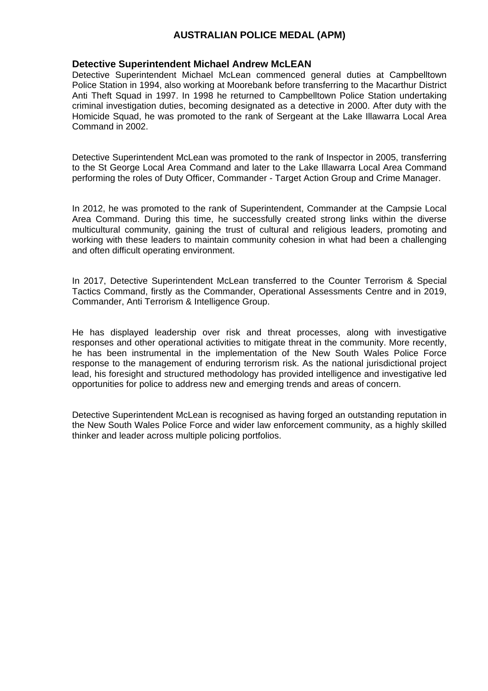#### **Detective Superintendent Michael Andrew McLEAN**

Detective Superintendent Michael McLean commenced general duties at Campbelltown Police Station in 1994, also working at Moorebank before transferring to the Macarthur District Anti Theft Squad in 1997. In 1998 he returned to Campbelltown Police Station undertaking criminal investigation duties, becoming designated as a detective in 2000. After duty with the Homicide Squad, he was promoted to the rank of Sergeant at the Lake Illawarra Local Area Command in 2002.

Detective Superintendent McLean was promoted to the rank of Inspector in 2005, transferring to the St George Local Area Command and later to the Lake Illawarra Local Area Command performing the roles of Duty Officer, Commander - Target Action Group and Crime Manager.

In 2012, he was promoted to the rank of Superintendent, Commander at the Campsie Local Area Command. During this time, he successfully created strong links within the diverse multicultural community, gaining the trust of cultural and religious leaders, promoting and working with these leaders to maintain community cohesion in what had been a challenging and often difficult operating environment.

In 2017, Detective Superintendent McLean transferred to the Counter Terrorism & Special Tactics Command, firstly as the Commander, Operational Assessments Centre and in 2019, Commander, Anti Terrorism & Intelligence Group.

He has displayed leadership over risk and threat processes, along with investigative responses and other operational activities to mitigate threat in the community. More recently, he has been instrumental in the implementation of the New South Wales Police Force response to the management of enduring terrorism risk. As the national jurisdictional project lead, his foresight and structured methodology has provided intelligence and investigative led opportunities for police to address new and emerging trends and areas of concern.

Detective Superintendent McLean is recognised as having forged an outstanding reputation in the New South Wales Police Force and wider law enforcement community, as a highly skilled thinker and leader across multiple policing portfolios.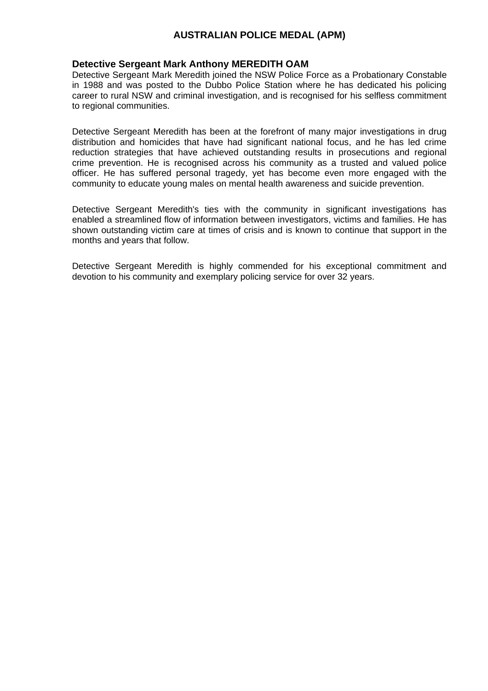### **Detective Sergeant Mark Anthony MEREDITH OAM**

Detective Sergeant Mark Meredith joined the NSW Police Force as a Probationary Constable in 1988 and was posted to the Dubbo Police Station where he has dedicated his policing career to rural NSW and criminal investigation, and is recognised for his selfless commitment to regional communities.

Detective Sergeant Meredith has been at the forefront of many major investigations in drug distribution and homicides that have had significant national focus, and he has led crime reduction strategies that have achieved outstanding results in prosecutions and regional crime prevention. He is recognised across his community as a trusted and valued police officer. He has suffered personal tragedy, yet has become even more engaged with the community to educate young males on mental health awareness and suicide prevention.

Detective Sergeant Meredith's ties with the community in significant investigations has enabled a streamlined flow of information between investigators, victims and families. He has shown outstanding victim care at times of crisis and is known to continue that support in the months and years that follow.

Detective Sergeant Meredith is highly commended for his exceptional commitment and devotion to his community and exemplary policing service for over 32 years.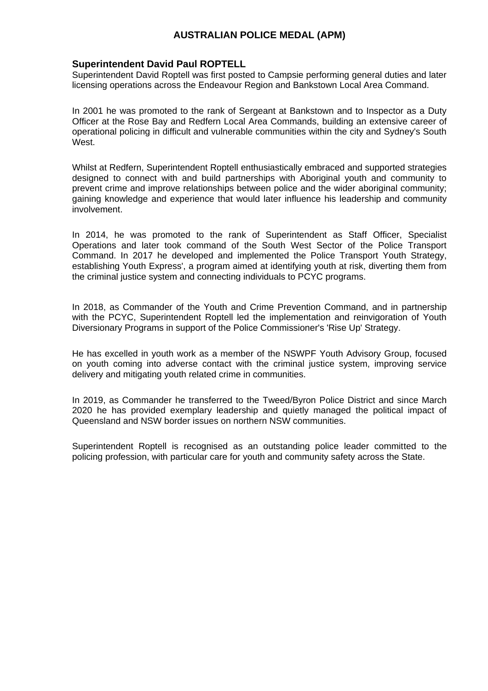### **Superintendent David Paul ROPTELL**

Superintendent David Roptell was first posted to Campsie performing general duties and later licensing operations across the Endeavour Region and Bankstown Local Area Command.

In 2001 he was promoted to the rank of Sergeant at Bankstown and to Inspector as a Duty Officer at the Rose Bay and Redfern Local Area Commands, building an extensive career of operational policing in difficult and vulnerable communities within the city and Sydney's South West.

Whilst at Redfern, Superintendent Roptell enthusiastically embraced and supported strategies designed to connect with and build partnerships with Aboriginal youth and community to prevent crime and improve relationships between police and the wider aboriginal community; gaining knowledge and experience that would later influence his leadership and community involvement.

In 2014, he was promoted to the rank of Superintendent as Staff Officer, Specialist Operations and later took command of the South West Sector of the Police Transport Command. In 2017 he developed and implemented the Police Transport Youth Strategy, establishing Youth Express', a program aimed at identifying youth at risk, diverting them from the criminal justice system and connecting individuals to PCYC programs.

In 2018, as Commander of the Youth and Crime Prevention Command, and in partnership with the PCYC, Superintendent Roptell led the implementation and reinvigoration of Youth Diversionary Programs in support of the Police Commissioner's 'Rise Up' Strategy.

He has excelled in youth work as a member of the NSWPF Youth Advisory Group, focused on youth coming into adverse contact with the criminal justice system, improving service delivery and mitigating youth related crime in communities.

In 2019, as Commander he transferred to the Tweed/Byron Police District and since March 2020 he has provided exemplary leadership and quietly managed the political impact of Queensland and NSW border issues on northern NSW communities.

Superintendent Roptell is recognised as an outstanding police leader committed to the policing profession, with particular care for youth and community safety across the State.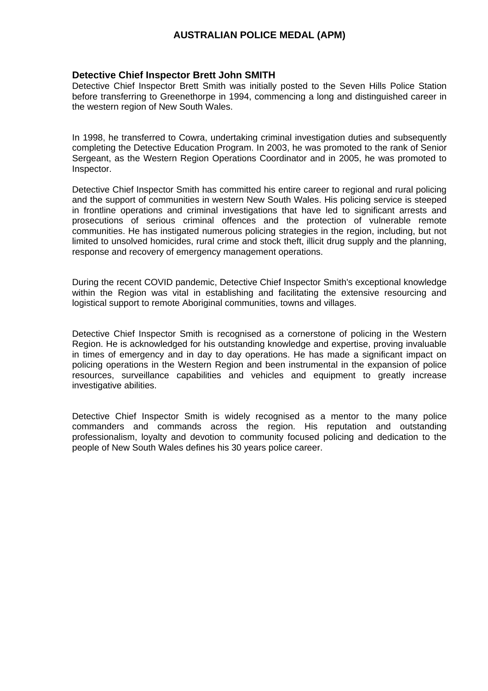#### **Detective Chief Inspector Brett John SMITH**

Detective Chief Inspector Brett Smith was initially posted to the Seven Hills Police Station before transferring to Greenethorpe in 1994, commencing a long and distinguished career in the western region of New South Wales.

In 1998, he transferred to Cowra, undertaking criminal investigation duties and subsequently completing the Detective Education Program. In 2003, he was promoted to the rank of Senior Sergeant, as the Western Region Operations Coordinator and in 2005, he was promoted to Inspector.

Detective Chief Inspector Smith has committed his entire career to regional and rural policing and the support of communities in western New South Wales. His policing service is steeped in frontline operations and criminal investigations that have led to significant arrests and prosecutions of serious criminal offences and the protection of vulnerable remote communities. He has instigated numerous policing strategies in the region, including, but not limited to unsolved homicides, rural crime and stock theft, illicit drug supply and the planning, response and recovery of emergency management operations.

During the recent COVID pandemic, Detective Chief Inspector Smith's exceptional knowledge within the Region was vital in establishing and facilitating the extensive resourcing and logistical support to remote Aboriginal communities, towns and villages.

Detective Chief Inspector Smith is recognised as a cornerstone of policing in the Western Region. He is acknowledged for his outstanding knowledge and expertise, proving invaluable in times of emergency and in day to day operations. He has made a significant impact on policing operations in the Western Region and been instrumental in the expansion of police resources, surveillance capabilities and vehicles and equipment to greatly increase investigative abilities.

Detective Chief Inspector Smith is widely recognised as a mentor to the many police commanders and commands across the region. His reputation and outstanding professionalism, loyalty and devotion to community focused policing and dedication to the people of New South Wales defines his 30 years police career.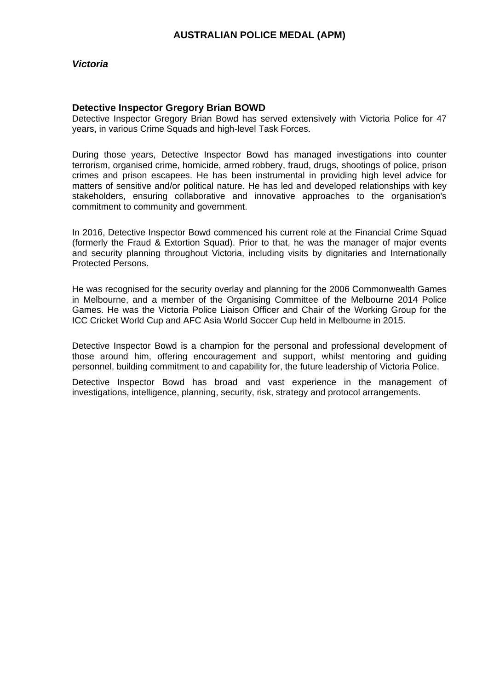### *Victoria*

### **Detective Inspector Gregory Brian BOWD**

Detective Inspector Gregory Brian Bowd has served extensively with Victoria Police for 47 years, in various Crime Squads and high-level Task Forces.

During those years, Detective Inspector Bowd has managed investigations into counter terrorism, organised crime, homicide, armed robbery, fraud, drugs, shootings of police, prison crimes and prison escapees. He has been instrumental in providing high level advice for matters of sensitive and/or political nature. He has led and developed relationships with key stakeholders, ensuring collaborative and innovative approaches to the organisation's commitment to community and government.

In 2016, Detective Inspector Bowd commenced his current role at the Financial Crime Squad (formerly the Fraud & Extortion Squad). Prior to that, he was the manager of major events and security planning throughout Victoria, including visits by dignitaries and Internationally Protected Persons.

He was recognised for the security overlay and planning for the 2006 Commonwealth Games in Melbourne, and a member of the Organising Committee of the Melbourne 2014 Police Games. He was the Victoria Police Liaison Officer and Chair of the Working Group for the ICC Cricket World Cup and AFC Asia World Soccer Cup held in Melbourne in 2015.

Detective Inspector Bowd is a champion for the personal and professional development of those around him, offering encouragement and support, whilst mentoring and guiding personnel, building commitment to and capability for, the future leadership of Victoria Police.

Detective Inspector Bowd has broad and vast experience in the management of investigations, intelligence, planning, security, risk, strategy and protocol arrangements.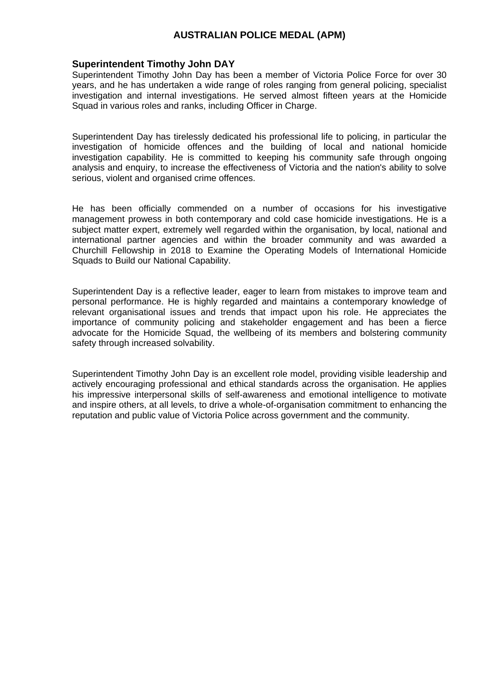#### **Superintendent Timothy John DAY**

Superintendent Timothy John Day has been a member of Victoria Police Force for over 30 years, and he has undertaken a wide range of roles ranging from general policing, specialist investigation and internal investigations. He served almost fifteen years at the Homicide Squad in various roles and ranks, including Officer in Charge.

Superintendent Day has tirelessly dedicated his professional life to policing, in particular the investigation of homicide offences and the building of local and national homicide investigation capability. He is committed to keeping his community safe through ongoing analysis and enquiry, to increase the effectiveness of Victoria and the nation's ability to solve serious, violent and organised crime offences.

He has been officially commended on a number of occasions for his investigative management prowess in both contemporary and cold case homicide investigations. He is a subject matter expert, extremely well regarded within the organisation, by local, national and international partner agencies and within the broader community and was awarded a Churchill Fellowship in 2018 to Examine the Operating Models of International Homicide Squads to Build our National Capability.

Superintendent Day is a reflective leader, eager to learn from mistakes to improve team and personal performance. He is highly regarded and maintains a contemporary knowledge of relevant organisational issues and trends that impact upon his role. He appreciates the importance of community policing and stakeholder engagement and has been a fierce advocate for the Homicide Squad, the wellbeing of its members and bolstering community safety through increased solvability.

Superintendent Timothy John Day is an excellent role model, providing visible leadership and actively encouraging professional and ethical standards across the organisation. He applies his impressive interpersonal skills of self-awareness and emotional intelligence to motivate and inspire others, at all levels, to drive a whole-of-organisation commitment to enhancing the reputation and public value of Victoria Police across government and the community.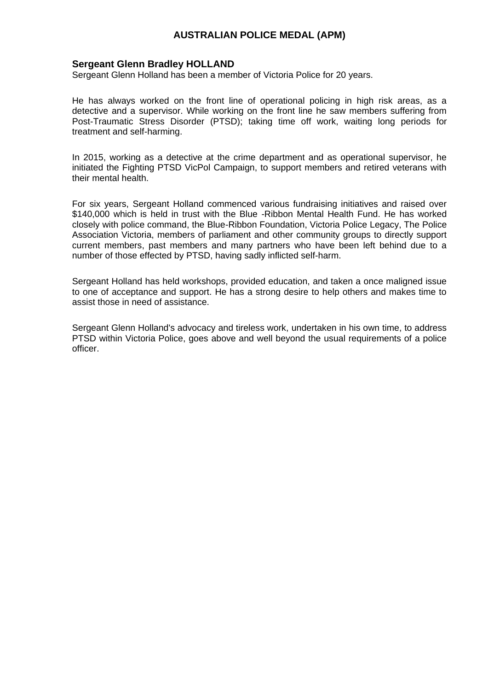#### **Sergeant Glenn Bradley HOLLAND**

Sergeant Glenn Holland has been a member of Victoria Police for 20 years.

He has always worked on the front line of operational policing in high risk areas, as a detective and a supervisor. While working on the front line he saw members suffering from Post-Traumatic Stress Disorder (PTSD); taking time off work, waiting long periods for treatment and self-harming.

In 2015, working as a detective at the crime department and as operational supervisor, he initiated the Fighting PTSD VicPol Campaign, to support members and retired veterans with their mental health.

For six years, Sergeant Holland commenced various fundraising initiatives and raised over \$140,000 which is held in trust with the Blue -Ribbon Mental Health Fund. He has worked closely with police command, the Blue-Ribbon Foundation, Victoria Police Legacy, The Police Association Victoria, members of parliament and other community groups to directly support current members, past members and many partners who have been left behind due to a number of those effected by PTSD, having sadly inflicted self-harm.

Sergeant Holland has held workshops, provided education, and taken a once maligned issue to one of acceptance and support. He has a strong desire to help others and makes time to assist those in need of assistance.

Sergeant Glenn Holland's advocacy and tireless work, undertaken in his own time, to address PTSD within Victoria Police, goes above and well beyond the usual requirements of a police officer.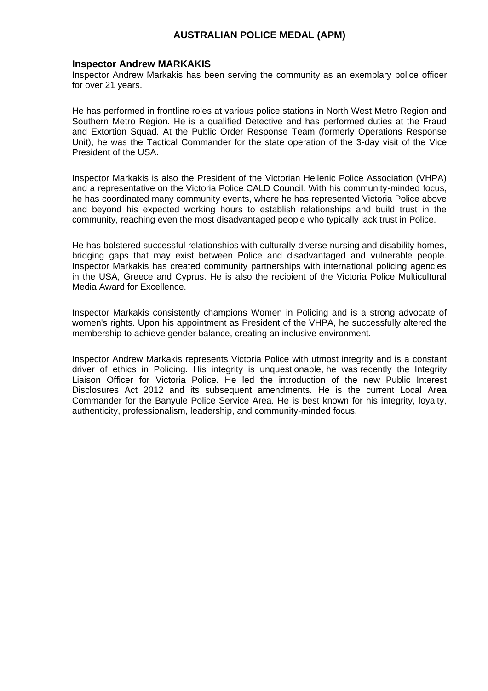#### **Inspector Andrew MARKAKIS**

Inspector Andrew Markakis has been serving the community as an exemplary police officer for over 21 years.

He has performed in frontline roles at various police stations in North West Metro Region and Southern Metro Region. He is a qualified Detective and has performed duties at the Fraud and Extortion Squad. At the Public Order Response Team (formerly Operations Response Unit), he was the Tactical Commander for the state operation of the 3-day visit of the Vice President of the USA.

Inspector Markakis is also the President of the Victorian Hellenic Police Association (VHPA) and a representative on the Victoria Police CALD Council. With his community-minded focus, he has coordinated many community events, where he has represented Victoria Police above and beyond his expected working hours to establish relationships and build trust in the community, reaching even the most disadvantaged people who typically lack trust in Police.

He has bolstered successful relationships with culturally diverse nursing and disability homes, bridging gaps that may exist between Police and disadvantaged and vulnerable people. Inspector Markakis has created community partnerships with international policing agencies in the USA, Greece and Cyprus. He is also the recipient of the Victoria Police Multicultural Media Award for Excellence.

Inspector Markakis consistently champions Women in Policing and is a strong advocate of women's rights. Upon his appointment as President of the VHPA, he successfully altered the membership to achieve gender balance, creating an inclusive environment.

Inspector Andrew Markakis represents Victoria Police with utmost integrity and is a constant driver of ethics in Policing. His integrity is unquestionable, he was recently the Integrity Liaison Officer for Victoria Police. He led the introduction of the new Public Interest Disclosures Act 2012 and its subsequent amendments. He is the current Local Area Commander for the Banyule Police Service Area. He is best known for his integrity, loyalty, authenticity, professionalism, leadership, and community-minded focus.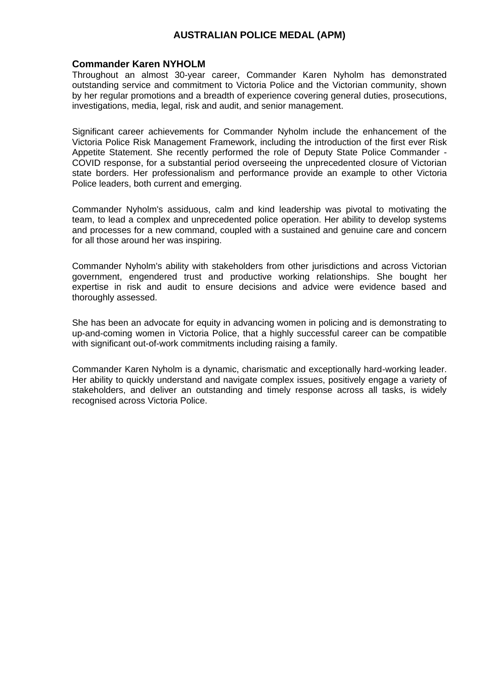#### **Commander Karen NYHOLM**

Throughout an almost 30-year career, Commander Karen Nyholm has demonstrated outstanding service and commitment to Victoria Police and the Victorian community, shown by her regular promotions and a breadth of experience covering general duties, prosecutions, investigations, media, legal, risk and audit, and senior management.

Significant career achievements for Commander Nyholm include the enhancement of the Victoria Police Risk Management Framework, including the introduction of the first ever Risk Appetite Statement. She recently performed the role of Deputy State Police Commander - COVID response, for a substantial period overseeing the unprecedented closure of Victorian state borders. Her professionalism and performance provide an example to other Victoria Police leaders, both current and emerging.

Commander Nyholm's assiduous, calm and kind leadership was pivotal to motivating the team, to lead a complex and unprecedented police operation. Her ability to develop systems and processes for a new command, coupled with a sustained and genuine care and concern for all those around her was inspiring.

Commander Nyholm's ability with stakeholders from other jurisdictions and across Victorian government, engendered trust and productive working relationships. She bought her expertise in risk and audit to ensure decisions and advice were evidence based and thoroughly assessed.

She has been an advocate for equity in advancing women in policing and is demonstrating to up-and-coming women in Victoria Police, that a highly successful career can be compatible with significant out-of-work commitments including raising a family.

Commander Karen Nyholm is a dynamic, charismatic and exceptionally hard-working leader. Her ability to quickly understand and navigate complex issues, positively engage a variety of stakeholders, and deliver an outstanding and timely response across all tasks, is widely recognised across Victoria Police.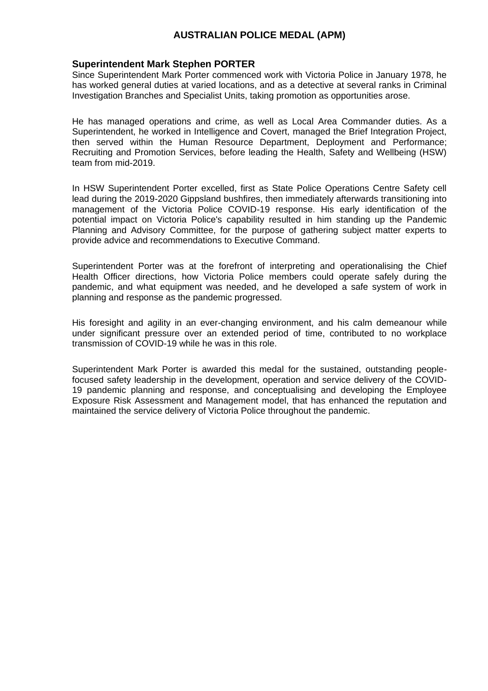#### **Superintendent Mark Stephen PORTER**

Since Superintendent Mark Porter commenced work with Victoria Police in January 1978, he has worked general duties at varied locations, and as a detective at several ranks in Criminal Investigation Branches and Specialist Units, taking promotion as opportunities arose.

He has managed operations and crime, as well as Local Area Commander duties. As a Superintendent, he worked in Intelligence and Covert, managed the Brief Integration Project, then served within the Human Resource Department, Deployment and Performance; Recruiting and Promotion Services, before leading the Health, Safety and Wellbeing (HSW) team from mid-2019.

In HSW Superintendent Porter excelled, first as State Police Operations Centre Safety cell lead during the 2019-2020 Gippsland bushfires, then immediately afterwards transitioning into management of the Victoria Police COVID-19 response. His early identification of the potential impact on Victoria Police's capability resulted in him standing up the Pandemic Planning and Advisory Committee, for the purpose of gathering subject matter experts to provide advice and recommendations to Executive Command.

Superintendent Porter was at the forefront of interpreting and operationalising the Chief Health Officer directions, how Victoria Police members could operate safely during the pandemic, and what equipment was needed, and he developed a safe system of work in planning and response as the pandemic progressed.

His foresight and agility in an ever-changing environment, and his calm demeanour while under significant pressure over an extended period of time, contributed to no workplace transmission of COVID-19 while he was in this role.

Superintendent Mark Porter is awarded this medal for the sustained, outstanding peoplefocused safety leadership in the development, operation and service delivery of the COVID-19 pandemic planning and response, and conceptualising and developing the Employee Exposure Risk Assessment and Management model, that has enhanced the reputation and maintained the service delivery of Victoria Police throughout the pandemic.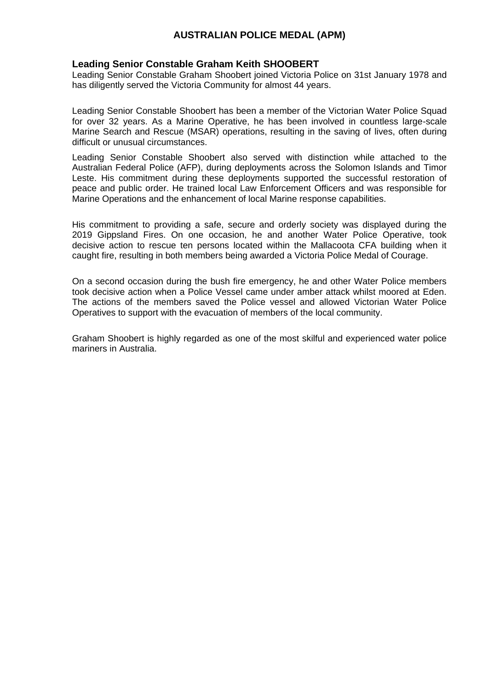## **Leading Senior Constable Graham Keith SHOOBERT**

Leading Senior Constable Graham Shoobert joined Victoria Police on 31st January 1978 and has diligently served the Victoria Community for almost 44 years.

Leading Senior Constable Shoobert has been a member of the Victorian Water Police Squad for over 32 years. As a Marine Operative, he has been involved in countless large-scale Marine Search and Rescue (MSAR) operations, resulting in the saving of lives, often during difficult or unusual circumstances.

Leading Senior Constable Shoobert also served with distinction while attached to the Australian Federal Police (AFP), during deployments across the Solomon Islands and Timor Leste. His commitment during these deployments supported the successful restoration of peace and public order. He trained local Law Enforcement Officers and was responsible for Marine Operations and the enhancement of local Marine response capabilities.

His commitment to providing a safe, secure and orderly society was displayed during the 2019 Gippsland Fires. On one occasion, he and another Water Police Operative, took decisive action to rescue ten persons located within the Mallacoota CFA building when it caught fire, resulting in both members being awarded a Victoria Police Medal of Courage.

On a second occasion during the bush fire emergency, he and other Water Police members took decisive action when a Police Vessel came under amber attack whilst moored at Eden. The actions of the members saved the Police vessel and allowed Victorian Water Police Operatives to support with the evacuation of members of the local community.

Graham Shoobert is highly regarded as one of the most skilful and experienced water police mariners in Australia.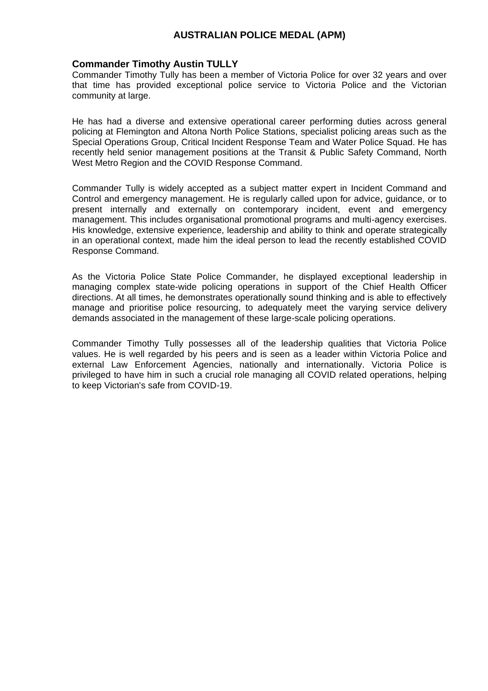#### **Commander Timothy Austin TULLY**

Commander Timothy Tully has been a member of Victoria Police for over 32 years and over that time has provided exceptional police service to Victoria Police and the Victorian community at large.

He has had a diverse and extensive operational career performing duties across general policing at Flemington and Altona North Police Stations, specialist policing areas such as the Special Operations Group, Critical Incident Response Team and Water Police Squad. He has recently held senior management positions at the Transit & Public Safety Command, North West Metro Region and the COVID Response Command.

Commander Tully is widely accepted as a subject matter expert in Incident Command and Control and emergency management. He is regularly called upon for advice, guidance, or to present internally and externally on contemporary incident, event and emergency management. This includes organisational promotional programs and multi-agency exercises. His knowledge, extensive experience, leadership and ability to think and operate strategically in an operational context, made him the ideal person to lead the recently established COVID Response Command.

As the Victoria Police State Police Commander, he displayed exceptional leadership in managing complex state-wide policing operations in support of the Chief Health Officer directions. At all times, he demonstrates operationally sound thinking and is able to effectively manage and prioritise police resourcing, to adequately meet the varying service delivery demands associated in the management of these large-scale policing operations.

Commander Timothy Tully possesses all of the leadership qualities that Victoria Police values. He is well regarded by his peers and is seen as a leader within Victoria Police and external Law Enforcement Agencies, nationally and internationally. Victoria Police is privileged to have him in such a crucial role managing all COVID related operations, helping to keep Victorian's safe from COVID-19.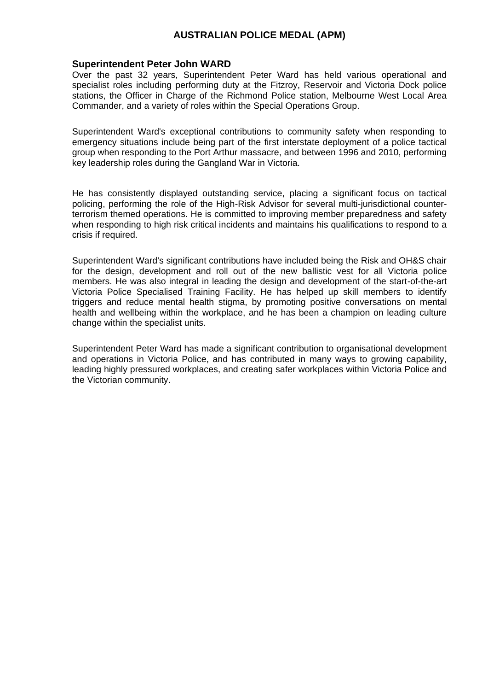#### **Superintendent Peter John WARD**

Over the past 32 years, Superintendent Peter Ward has held various operational and specialist roles including performing duty at the Fitzroy, Reservoir and Victoria Dock police stations, the Officer in Charge of the Richmond Police station, Melbourne West Local Area Commander, and a variety of roles within the Special Operations Group.

Superintendent Ward's exceptional contributions to community safety when responding to emergency situations include being part of the first interstate deployment of a police tactical group when responding to the Port Arthur massacre, and between 1996 and 2010, performing key leadership roles during the Gangland War in Victoria.

He has consistently displayed outstanding service, placing a significant focus on tactical policing, performing the role of the High-Risk Advisor for several multi-jurisdictional counterterrorism themed operations. He is committed to improving member preparedness and safety when responding to high risk critical incidents and maintains his qualifications to respond to a crisis if required.

Superintendent Ward's significant contributions have included being the Risk and OH&S chair for the design, development and roll out of the new ballistic vest for all Victoria police members. He was also integral in leading the design and development of the start-of-the-art Victoria Police Specialised Training Facility. He has helped up skill members to identify triggers and reduce mental health stigma, by promoting positive conversations on mental health and wellbeing within the workplace, and he has been a champion on leading culture change within the specialist units.

Superintendent Peter Ward has made a significant contribution to organisational development and operations in Victoria Police, and has contributed in many ways to growing capability, leading highly pressured workplaces, and creating safer workplaces within Victoria Police and the Victorian community.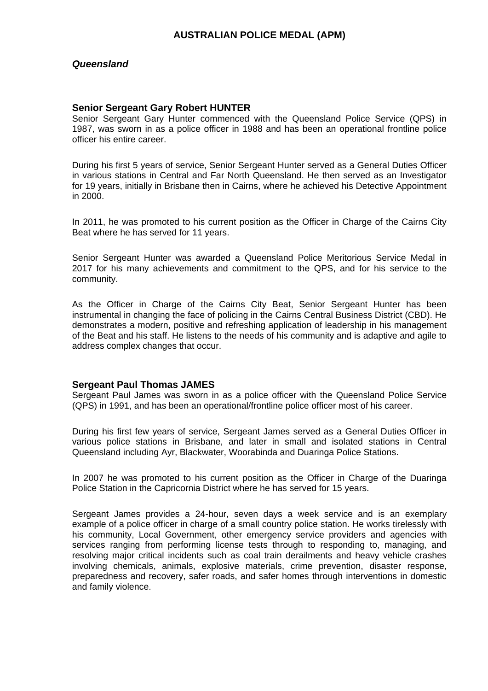### *Queensland*

#### **Senior Sergeant Gary Robert HUNTER**

Senior Sergeant Gary Hunter commenced with the Queensland Police Service (QPS) in 1987, was sworn in as a police officer in 1988 and has been an operational frontline police officer his entire career.

During his first 5 years of service, Senior Sergeant Hunter served as a General Duties Officer in various stations in Central and Far North Queensland. He then served as an Investigator for 19 years, initially in Brisbane then in Cairns, where he achieved his Detective Appointment in 2000.

In 2011, he was promoted to his current position as the Officer in Charge of the Cairns City Beat where he has served for 11 years.

Senior Sergeant Hunter was awarded a Queensland Police Meritorious Service Medal in 2017 for his many achievements and commitment to the QPS, and for his service to the community.

As the Officer in Charge of the Cairns City Beat, Senior Sergeant Hunter has been instrumental in changing the face of policing in the Cairns Central Business District (CBD). He demonstrates a modern, positive and refreshing application of leadership in his management of the Beat and his staff. He listens to the needs of his community and is adaptive and agile to address complex changes that occur.

#### **Sergeant Paul Thomas JAMES**

Sergeant Paul James was sworn in as a police officer with the Queensland Police Service (QPS) in 1991, and has been an operational/frontline police officer most of his career.

During his first few years of service, Sergeant James served as a General Duties Officer in various police stations in Brisbane, and later in small and isolated stations in Central Queensland including Ayr, Blackwater, Woorabinda and Duaringa Police Stations.

In 2007 he was promoted to his current position as the Officer in Charge of the Duaringa Police Station in the Capricornia District where he has served for 15 years.

Sergeant James provides a 24-hour, seven days a week service and is an exemplary example of a police officer in charge of a small country police station. He works tirelessly with his community, Local Government, other emergency service providers and agencies with services ranging from performing license tests through to responding to, managing, and resolving major critical incidents such as coal train derailments and heavy vehicle crashes involving chemicals, animals, explosive materials, crime prevention, disaster response, preparedness and recovery, safer roads, and safer homes through interventions in domestic and family violence.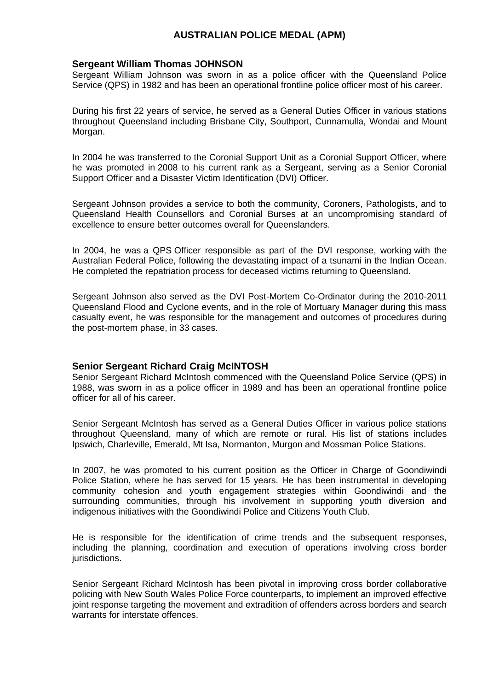#### **Sergeant William Thomas JOHNSON**

Sergeant William Johnson was sworn in as a police officer with the Queensland Police Service (QPS) in 1982 and has been an operational frontline police officer most of his career.

During his first 22 years of service, he served as a General Duties Officer in various stations throughout Queensland including Brisbane City, Southport, Cunnamulla, Wondai and Mount Morgan.

In 2004 he was transferred to the Coronial Support Unit as a Coronial Support Officer, where he was promoted in 2008 to his current rank as a Sergeant, serving as a Senior Coronial Support Officer and a Disaster Victim Identification (DVI) Officer.

Sergeant Johnson provides a service to both the community, Coroners, Pathologists, and to Queensland Health Counsellors and Coronial Burses at an uncompromising standard of excellence to ensure better outcomes overall for Queenslanders.

In 2004, he was a QPS Officer responsible as part of the DVI response, working with the Australian Federal Police, following the devastating impact of a tsunami in the Indian Ocean. He completed the repatriation process for deceased victims returning to Queensland.

Sergeant Johnson also served as the DVI Post-Mortem Co-Ordinator during the 2010-2011 Queensland Flood and Cyclone events, and in the role of Mortuary Manager during this mass casualty event, he was responsible for the management and outcomes of procedures during the post-mortem phase, in 33 cases.

#### **Senior Sergeant Richard Craig McINTOSH**

Senior Sergeant Richard McIntosh commenced with the Queensland Police Service (QPS) in 1988, was sworn in as a police officer in 1989 and has been an operational frontline police officer for all of his career.

Senior Sergeant McIntosh has served as a General Duties Officer in various police stations throughout Queensland, many of which are remote or rural. His list of stations includes Ipswich, Charleville, Emerald, Mt Isa, Normanton, Murgon and Mossman Police Stations.

In 2007, he was promoted to his current position as the Officer in Charge of Goondiwindi Police Station, where he has served for 15 years. He has been instrumental in developing community cohesion and youth engagement strategies within Goondiwindi and the surrounding communities, through his involvement in supporting youth diversion and indigenous initiatives with the Goondiwindi Police and Citizens Youth Club.

He is responsible for the identification of crime trends and the subsequent responses, including the planning, coordination and execution of operations involving cross border jurisdictions.

Senior Sergeant Richard McIntosh has been pivotal in improving cross border collaborative policing with New South Wales Police Force counterparts, to implement an improved effective joint response targeting the movement and extradition of offenders across borders and search warrants for interstate offences.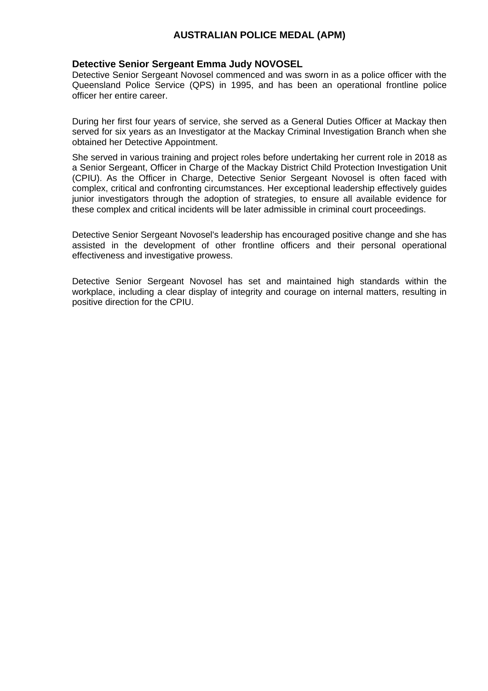#### **Detective Senior Sergeant Emma Judy NOVOSEL**

Detective Senior Sergeant Novosel commenced and was sworn in as a police officer with the Queensland Police Service (QPS) in 1995, and has been an operational frontline police officer her entire career.

During her first four years of service, she served as a General Duties Officer at Mackay then served for six years as an Investigator at the Mackay Criminal Investigation Branch when she obtained her Detective Appointment.

She served in various training and project roles before undertaking her current role in 2018 as a Senior Sergeant, Officer in Charge of the Mackay District Child Protection Investigation Unit (CPIU). As the Officer in Charge, Detective Senior Sergeant Novosel is often faced with complex, critical and confronting circumstances. Her exceptional leadership effectively guides junior investigators through the adoption of strategies, to ensure all available evidence for these complex and critical incidents will be later admissible in criminal court proceedings.

Detective Senior Sergeant Novosel's leadership has encouraged positive change and she has assisted in the development of other frontline officers and their personal operational effectiveness and investigative prowess.

Detective Senior Sergeant Novosel has set and maintained high standards within the workplace, including a clear display of integrity and courage on internal matters, resulting in positive direction for the CPIU.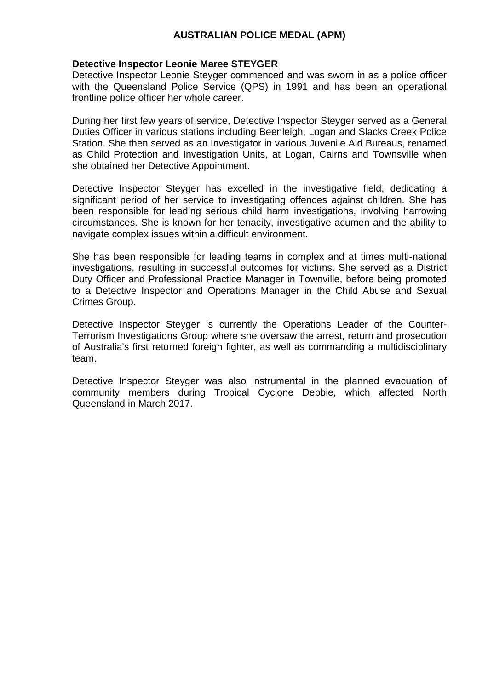## **Detective Inspector Leonie Maree STEYGER**

Detective Inspector Leonie Steyger commenced and was sworn in as a police officer with the Queensland Police Service (QPS) in 1991 and has been an operational frontline police officer her whole career.

During her first few years of service, Detective Inspector Steyger served as a General Duties Officer in various stations including Beenleigh, Logan and Slacks Creek Police Station. She then served as an Investigator in various Juvenile Aid Bureaus, renamed as Child Protection and Investigation Units, at Logan, Cairns and Townsville when she obtained her Detective Appointment.

Detective Inspector Steyger has excelled in the investigative field, dedicating a significant period of her service to investigating offences against children. She has been responsible for leading serious child harm investigations, involving harrowing circumstances. She is known for her tenacity, investigative acumen and the ability to navigate complex issues within a difficult environment.

She has been responsible for leading teams in complex and at times multi-national investigations, resulting in successful outcomes for victims. She served as a District Duty Officer and Professional Practice Manager in Townville, before being promoted to a Detective Inspector and Operations Manager in the Child Abuse and Sexual Crimes Group.

Detective Inspector Steyger is currently the Operations Leader of the Counter-Terrorism Investigations Group where she oversaw the arrest, return and prosecution of Australia's first returned foreign fighter, as well as commanding a multidisciplinary team.

Detective Inspector Steyger was also instrumental in the planned evacuation of community members during Tropical Cyclone Debbie, which affected North Queensland in March 2017.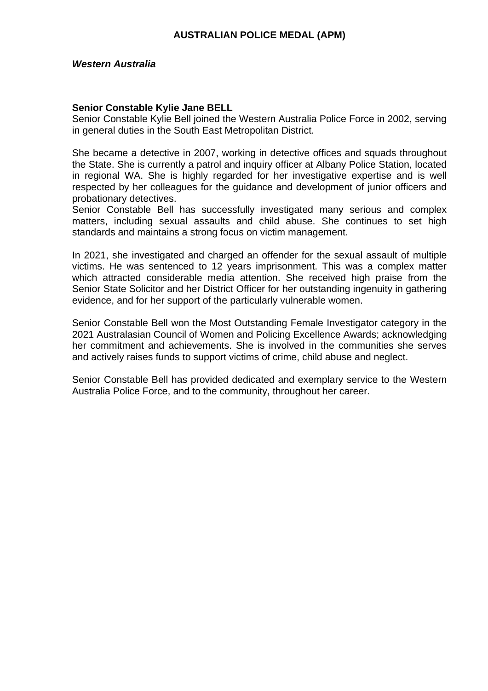## **Senior Constable Kylie Jane BELL**

Senior Constable Kylie Bell joined the Western Australia Police Force in 2002, serving in general duties in the South East Metropolitan District.

She became a detective in 2007, working in detective offices and squads throughout the State. She is currently a patrol and inquiry officer at Albany Police Station, located in regional WA. She is highly regarded for her investigative expertise and is well respected by her colleagues for the guidance and development of junior officers and probationary detectives.

Senior Constable Bell has successfully investigated many serious and complex matters, including sexual assaults and child abuse. She continues to set high standards and maintains a strong focus on victim management.

In 2021, she investigated and charged an offender for the sexual assault of multiple victims. He was sentenced to 12 years imprisonment. This was a complex matter which attracted considerable media attention. She received high praise from the Senior State Solicitor and her District Officer for her outstanding ingenuity in gathering evidence, and for her support of the particularly vulnerable women.

Senior Constable Bell won the Most Outstanding Female Investigator category in the 2021 Australasian Council of Women and Policing Excellence Awards; acknowledging her commitment and achievements. She is involved in the communities she serves and actively raises funds to support victims of crime, child abuse and neglect.

Senior Constable Bell has provided dedicated and exemplary service to the Western Australia Police Force, and to the community, throughout her career.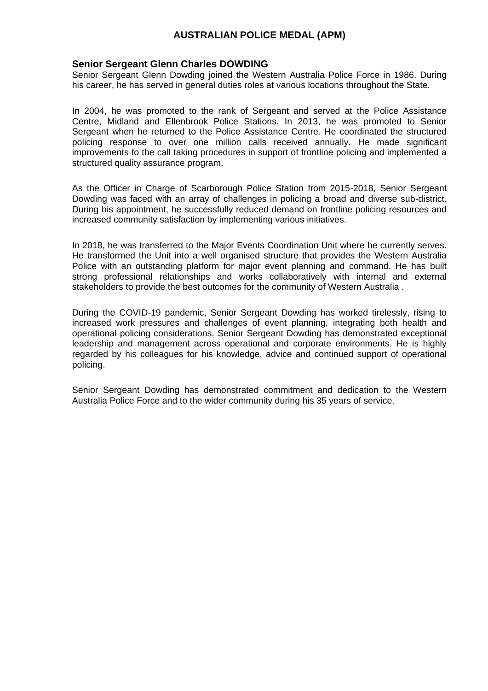### **Senior Sergeant Glenn Charles DOWDING**

Senior Sergeant Glenn Dowding joined the Western Australia Police Force in 1986. During his career, he has served in general duties roles at various locations throughout the State.

In 2004, he was promoted to the rank of Sergeant and served at the Police Assistance Centre, Midland and Ellenbrook Police Stations. In 2013, he was promoted to Senior Sergeant when he returned to the Police Assistance Centre. He coordinated the structured policing response to over one million calls received annually. He made significant improvements to the call taking procedures in support of frontline policing and implemented a structured quality assurance program.

As the Officer in Charge of Scarborough Police Station from 2015-2018, Senior Sergeant Dowding was faced with an array of challenges in policing a broad and diverse sub-district. During his appointment, he successfully reduced demand on frontline policing resources and increased community satisfaction by implementing various initiatives.

In 2018, he was transferred to the Major Events Coordination Unit where he currently serves. He transformed the Unit into a well organised structure that provides the Western Australia Police with an outstanding platform for major event planning and command. He has built strong professional relationships and works collaboratively with internal and external stakeholders to provide the best outcomes for the community of Western Australia .

During the COVID-19 pandemic, Senior Sergeant Dowding has worked tirelessly, rising to increased work pressures and challenges of event planning, integrating both health and operational policing considerations. Senior Sergeant Dowding has demonstrated exceptional leadership and management across operational and corporate environments. He is highly regarded by his colleagues for his knowledge, advice and continued support of operational policing.

Senior Sergeant Dowding has demonstrated commitment and dedication to the Western Australia Police Force and to the wider community during his 35 years of service.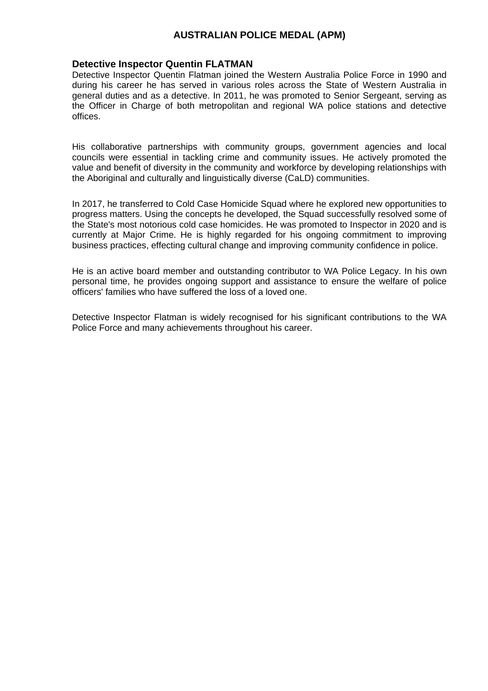#### **Detective Inspector Quentin FLATMAN**

Detective Inspector Quentin Flatman joined the Western Australia Police Force in 1990 and during his career he has served in various roles across the State of Western Australia in general duties and as a detective. In 2011, he was promoted to Senior Sergeant, serving as the Officer in Charge of both metropolitan and regional WA police stations and detective offices.

His collaborative partnerships with community groups, government agencies and local councils were essential in tackling crime and community issues. He actively promoted the value and benefit of diversity in the community and workforce by developing relationships with the Aboriginal and culturally and linguistically diverse (CaLD) communities.

In 2017, he transferred to Cold Case Homicide Squad where he explored new opportunities to progress matters. Using the concepts he developed, the Squad successfully resolved some of the State's most notorious cold case homicides. He was promoted to Inspector in 2020 and is currently at Major Crime. He is highly regarded for his ongoing commitment to improving business practices, effecting cultural change and improving community confidence in police.

He is an active board member and outstanding contributor to WA Police Legacy. In his own personal time, he provides ongoing support and assistance to ensure the welfare of police officers' families who have suffered the loss of a loved one.

Detective Inspector Flatman is widely recognised for his significant contributions to the WA Police Force and many achievements throughout his career.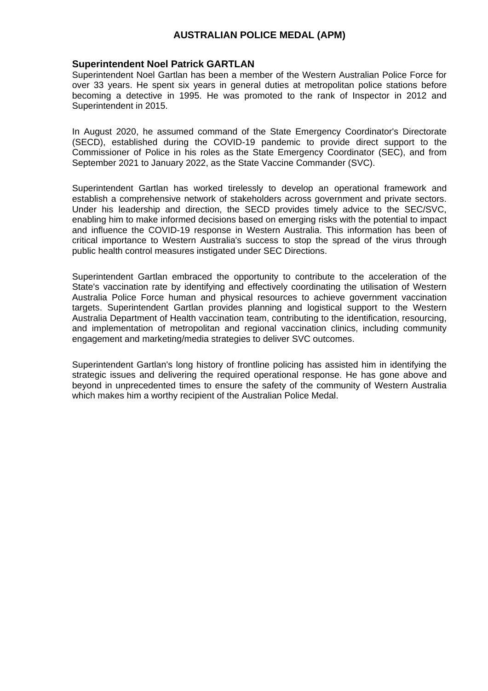#### **Superintendent Noel Patrick GARTLAN**

Superintendent Noel Gartlan has been a member of the Western Australian Police Force for over 33 years. He spent six years in general duties at metropolitan police stations before becoming a detective in 1995. He was promoted to the rank of Inspector in 2012 and Superintendent in 2015.

In August 2020, he assumed command of the State Emergency Coordinator's Directorate (SECD), established during the COVID-19 pandemic to provide direct support to the Commissioner of Police in his roles as the State Emergency Coordinator (SEC), and from September 2021 to January 2022, as the State Vaccine Commander (SVC).

Superintendent Gartlan has worked tirelessly to develop an operational framework and establish a comprehensive network of stakeholders across government and private sectors. Under his leadership and direction, the SECD provides timely advice to the SEC/SVC, enabling him to make informed decisions based on emerging risks with the potential to impact and influence the COVID-19 response in Western Australia. This information has been of critical importance to Western Australia's success to stop the spread of the virus through public health control measures instigated under SEC Directions.

Superintendent Gartlan embraced the opportunity to contribute to the acceleration of the State's vaccination rate by identifying and effectively coordinating the utilisation of Western Australia Police Force human and physical resources to achieve government vaccination targets. Superintendent Gartlan provides planning and logistical support to the Western Australia Department of Health vaccination team, contributing to the identification, resourcing, and implementation of metropolitan and regional vaccination clinics, including community engagement and marketing/media strategies to deliver SVC outcomes.

Superintendent Gartlan's long history of frontline policing has assisted him in identifying the strategic issues and delivering the required operational response. He has gone above and beyond in unprecedented times to ensure the safety of the community of Western Australia which makes him a worthy recipient of the Australian Police Medal.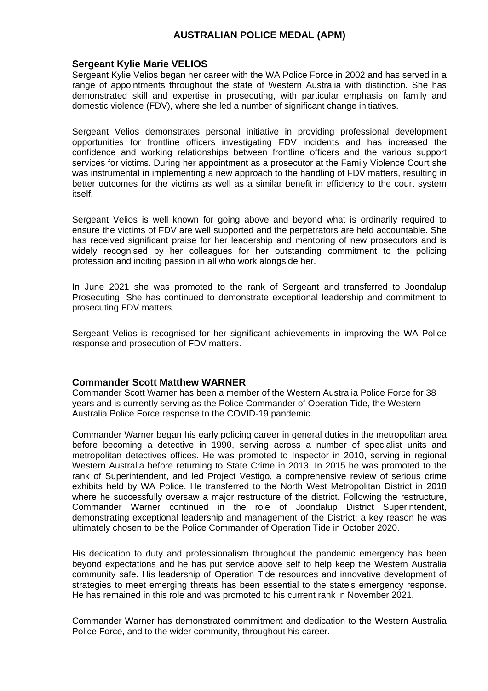#### **Sergeant Kylie Marie VELIOS**

Sergeant Kylie Velios began her career with the WA Police Force in 2002 and has served in a range of appointments throughout the state of Western Australia with distinction. She has demonstrated skill and expertise in prosecuting, with particular emphasis on family and domestic violence (FDV), where she led a number of significant change initiatives.

Sergeant Velios demonstrates personal initiative in providing professional development opportunities for frontline officers investigating FDV incidents and has increased the confidence and working relationships between frontline officers and the various support services for victims. During her appointment as a prosecutor at the Family Violence Court she was instrumental in implementing a new approach to the handling of FDV matters, resulting in better outcomes for the victims as well as a similar benefit in efficiency to the court system itself.

Sergeant Velios is well known for going above and beyond what is ordinarily required to ensure the victims of FDV are well supported and the perpetrators are held accountable. She has received significant praise for her leadership and mentoring of new prosecutors and is widely recognised by her colleagues for her outstanding commitment to the policing profession and inciting passion in all who work alongside her.

In June 2021 she was promoted to the rank of Sergeant and transferred to Joondalup Prosecuting. She has continued to demonstrate exceptional leadership and commitment to prosecuting FDV matters.

Sergeant Velios is recognised for her significant achievements in improving the WA Police response and prosecution of FDV matters.

#### **Commander Scott Matthew WARNER**

Commander Scott Warner has been a member of the Western Australia Police Force for 38 years and is currently serving as the Police Commander of Operation Tide, the Western Australia Police Force response to the COVID-19 pandemic.

Commander Warner began his early policing career in general duties in the metropolitan area before becoming a detective in 1990, serving across a number of specialist units and metropolitan detectives offices. He was promoted to Inspector in 2010, serving in regional Western Australia before returning to State Crime in 2013. In 2015 he was promoted to the rank of Superintendent, and led Project Vestigo, a comprehensive review of serious crime exhibits held by WA Police. He transferred to the North West Metropolitan District in 2018 where he successfully oversaw a major restructure of the district. Following the restructure, Commander Warner continued in the role of Joondalup District Superintendent, demonstrating exceptional leadership and management of the District; a key reason he was ultimately chosen to be the Police Commander of Operation Tide in October 2020.

His dedication to duty and professionalism throughout the pandemic emergency has been beyond expectations and he has put service above self to help keep the Western Australia community safe. His leadership of Operation Tide resources and innovative development of strategies to meet emerging threats has been essential to the state's emergency response. He has remained in this role and was promoted to his current rank in November 2021.

Commander Warner has demonstrated commitment and dedication to the Western Australia Police Force, and to the wider community, throughout his career.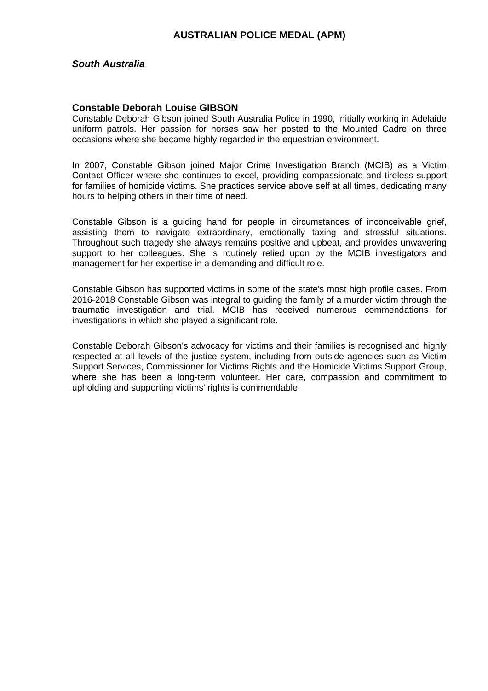### *South Australia*

### **Constable Deborah Louise GIBSON**

Constable Deborah Gibson joined South Australia Police in 1990, initially working in Adelaide uniform patrols. Her passion for horses saw her posted to the Mounted Cadre on three occasions where she became highly regarded in the equestrian environment.

In 2007, Constable Gibson joined Major Crime Investigation Branch (MCIB) as a Victim Contact Officer where she continues to excel, providing compassionate and tireless support for families of homicide victims. She practices service above self at all times, dedicating many hours to helping others in their time of need.

Constable Gibson is a guiding hand for people in circumstances of inconceivable grief, assisting them to navigate extraordinary, emotionally taxing and stressful situations. Throughout such tragedy she always remains positive and upbeat, and provides unwavering support to her colleagues. She is routinely relied upon by the MCIB investigators and management for her expertise in a demanding and difficult role.

Constable Gibson has supported victims in some of the state's most high profile cases. From 2016-2018 Constable Gibson was integral to guiding the family of a murder victim through the traumatic investigation and trial. MCIB has received numerous commendations for investigations in which she played a significant role.

Constable Deborah Gibson's advocacy for victims and their families is recognised and highly respected at all levels of the justice system, including from outside agencies such as Victim Support Services, Commissioner for Victims Rights and the Homicide Victims Support Group, where she has been a long-term volunteer. Her care, compassion and commitment to upholding and supporting victims' rights is commendable.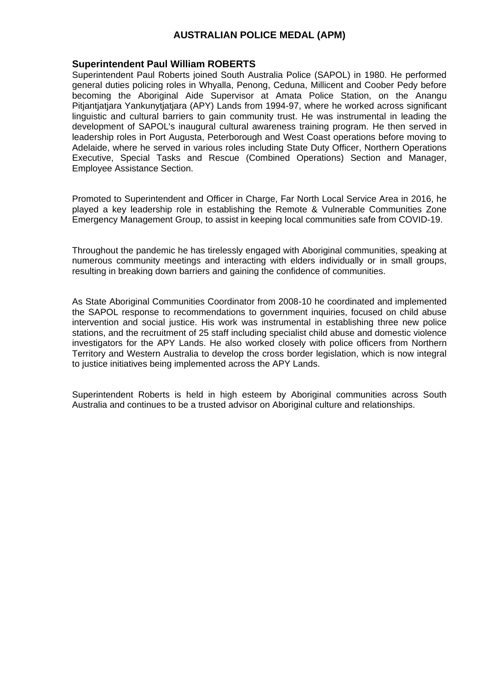#### **Superintendent Paul William ROBERTS**

Superintendent Paul Roberts joined South Australia Police (SAPOL) in 1980. He performed general duties policing roles in Whyalla, Penong, Ceduna, Millicent and Coober Pedy before becoming the Aboriginal Aide Supervisor at Amata Police Station, on the Anangu Pitiantiatiara Yankunytiatiara (APY) Lands from 1994-97, where he worked across significant linguistic and cultural barriers to gain community trust. He was instrumental in leading the development of SAPOL's inaugural cultural awareness training program. He then served in leadership roles in Port Augusta, Peterborough and West Coast operations before moving to Adelaide, where he served in various roles including State Duty Officer, Northern Operations Executive, Special Tasks and Rescue (Combined Operations) Section and Manager, Employee Assistance Section.

Promoted to Superintendent and Officer in Charge, Far North Local Service Area in 2016, he played a key leadership role in establishing the Remote & Vulnerable Communities Zone Emergency Management Group, to assist in keeping local communities safe from COVID-19.

Throughout the pandemic he has tirelessly engaged with Aboriginal communities, speaking at numerous community meetings and interacting with elders individually or in small groups, resulting in breaking down barriers and gaining the confidence of communities.

As State Aboriginal Communities Coordinator from 2008-10 he coordinated and implemented the SAPOL response to recommendations to government inquiries, focused on child abuse intervention and social justice. His work was instrumental in establishing three new police stations, and the recruitment of 25 staff including specialist child abuse and domestic violence investigators for the APY Lands. He also worked closely with police officers from Northern Territory and Western Australia to develop the cross border legislation, which is now integral to justice initiatives being implemented across the APY Lands.

Superintendent Roberts is held in high esteem by Aboriginal communities across South Australia and continues to be a trusted advisor on Aboriginal culture and relationships.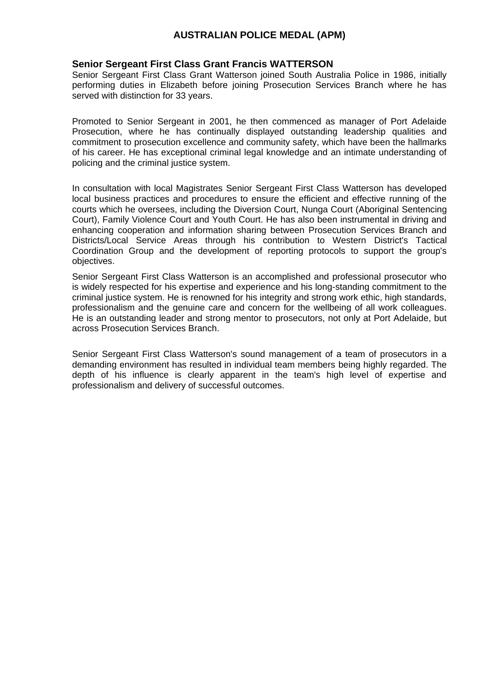## **Senior Sergeant First Class Grant Francis WATTERSON**

Senior Sergeant First Class Grant Watterson joined South Australia Police in 1986, initially performing duties in Elizabeth before joining Prosecution Services Branch where he has served with distinction for 33 years.

Promoted to Senior Sergeant in 2001, he then commenced as manager of Port Adelaide Prosecution, where he has continually displayed outstanding leadership qualities and commitment to prosecution excellence and community safety, which have been the hallmarks of his career. He has exceptional criminal legal knowledge and an intimate understanding of policing and the criminal justice system.

In consultation with local Magistrates Senior Sergeant First Class Watterson has developed local business practices and procedures to ensure the efficient and effective running of the courts which he oversees, including the Diversion Court, Nunga Court (Aboriginal Sentencing Court), Family Violence Court and Youth Court. He has also been instrumental in driving and enhancing cooperation and information sharing between Prosecution Services Branch and Districts/Local Service Areas through his contribution to Western District's Tactical Coordination Group and the development of reporting protocols to support the group's objectives.

Senior Sergeant First Class Watterson is an accomplished and professional prosecutor who is widely respected for his expertise and experience and his long-standing commitment to the criminal justice system. He is renowned for his integrity and strong work ethic, high standards, professionalism and the genuine care and concern for the wellbeing of all work colleagues. He is an outstanding leader and strong mentor to prosecutors, not only at Port Adelaide, but across Prosecution Services Branch.

Senior Sergeant First Class Watterson's sound management of a team of prosecutors in a demanding environment has resulted in individual team members being highly regarded. The depth of his influence is clearly apparent in the team's high level of expertise and professionalism and delivery of successful outcomes.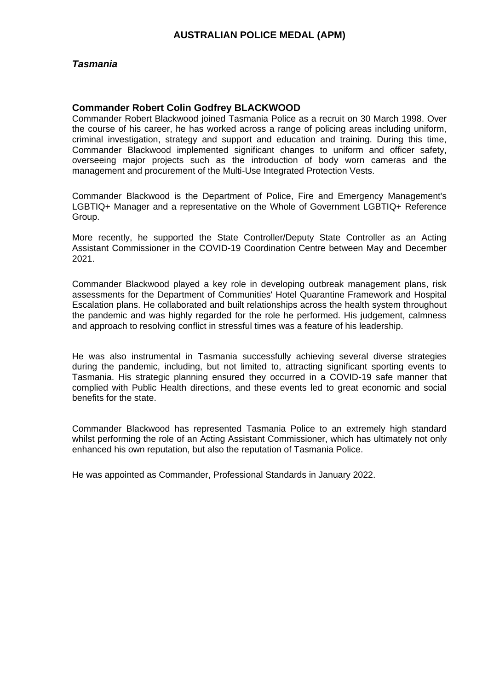### *Tasmania*

### **Commander Robert Colin Godfrey BLACKWOOD**

Commander Robert Blackwood joined Tasmania Police as a recruit on 30 March 1998. Over the course of his career, he has worked across a range of policing areas including uniform, criminal investigation, strategy and support and education and training. During this time, Commander Blackwood implemented significant changes to uniform and officer safety, overseeing major projects such as the introduction of body worn cameras and the management and procurement of the Multi-Use Integrated Protection Vests.

Commander Blackwood is the Department of Police, Fire and Emergency Management's LGBTIQ+ Manager and a representative on the Whole of Government LGBTIQ+ Reference Group.

More recently, he supported the State Controller/Deputy State Controller as an Acting Assistant Commissioner in the COVID-19 Coordination Centre between May and December 2021.

Commander Blackwood played a key role in developing outbreak management plans, risk assessments for the Department of Communities' Hotel Quarantine Framework and Hospital Escalation plans. He collaborated and built relationships across the health system throughout the pandemic and was highly regarded for the role he performed. His judgement, calmness and approach to resolving conflict in stressful times was a feature of his leadership.

He was also instrumental in Tasmania successfully achieving several diverse strategies during the pandemic, including, but not limited to, attracting significant sporting events to Tasmania. His strategic planning ensured they occurred in a COVID-19 safe manner that complied with Public Health directions, and these events led to great economic and social benefits for the state.

Commander Blackwood has represented Tasmania Police to an extremely high standard whilst performing the role of an Acting Assistant Commissioner, which has ultimately not only enhanced his own reputation, but also the reputation of Tasmania Police.

He was appointed as Commander, Professional Standards in January 2022.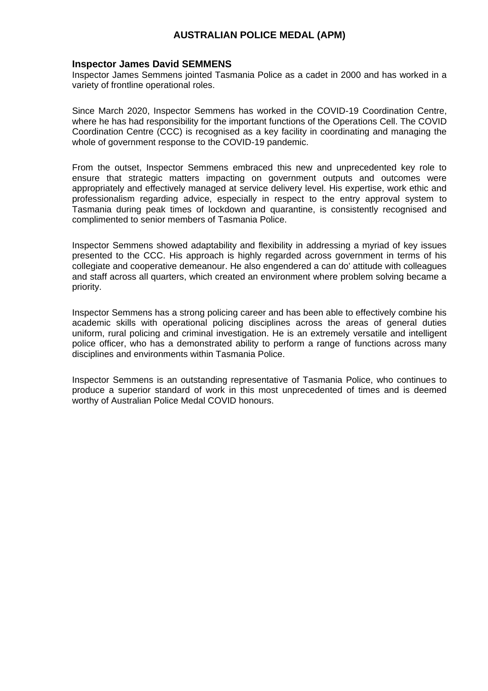#### **Inspector James David SEMMENS**

Inspector James Semmens jointed Tasmania Police as a cadet in 2000 and has worked in a variety of frontline operational roles.

Since March 2020, Inspector Semmens has worked in the COVID-19 Coordination Centre, where he has had responsibility for the important functions of the Operations Cell. The COVID Coordination Centre (CCC) is recognised as a key facility in coordinating and managing the whole of government response to the COVID-19 pandemic.

From the outset, Inspector Semmens embraced this new and unprecedented key role to ensure that strategic matters impacting on government outputs and outcomes were appropriately and effectively managed at service delivery level. His expertise, work ethic and professionalism regarding advice, especially in respect to the entry approval system to Tasmania during peak times of lockdown and quarantine, is consistently recognised and complimented to senior members of Tasmania Police.

Inspector Semmens showed adaptability and flexibility in addressing a myriad of key issues presented to the CCC. His approach is highly regarded across government in terms of his collegiate and cooperative demeanour. He also engendered a can do' attitude with colleagues and staff across all quarters, which created an environment where problem solving became a priority.

Inspector Semmens has a strong policing career and has been able to effectively combine his academic skills with operational policing disciplines across the areas of general duties uniform, rural policing and criminal investigation. He is an extremely versatile and intelligent police officer, who has a demonstrated ability to perform a range of functions across many disciplines and environments within Tasmania Police.

Inspector Semmens is an outstanding representative of Tasmania Police, who continues to produce a superior standard of work in this most unprecedented of times and is deemed worthy of Australian Police Medal COVID honours.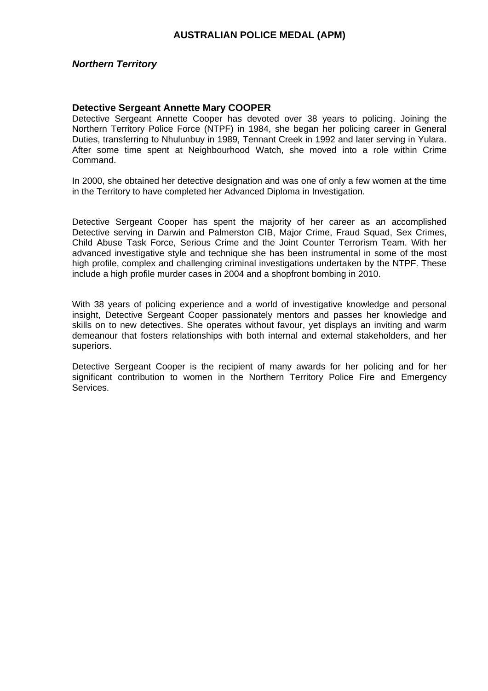#### *Northern Territory*

#### **Detective Sergeant Annette Mary COOPER**

Detective Sergeant Annette Cooper has devoted over 38 years to policing. Joining the Northern Territory Police Force (NTPF) in 1984, she began her policing career in General Duties, transferring to Nhulunbuy in 1989, Tennant Creek in 1992 and later serving in Yulara. After some time spent at Neighbourhood Watch, she moved into a role within Crime Command.

In 2000, she obtained her detective designation and was one of only a few women at the time in the Territory to have completed her Advanced Diploma in Investigation.

Detective Sergeant Cooper has spent the majority of her career as an accomplished Detective serving in Darwin and Palmerston CIB, Major Crime, Fraud Squad, Sex Crimes, Child Abuse Task Force, Serious Crime and the Joint Counter Terrorism Team. With her advanced investigative style and technique she has been instrumental in some of the most high profile, complex and challenging criminal investigations undertaken by the NTPF. These include a high profile murder cases in 2004 and a shopfront bombing in 2010.

With 38 years of policing experience and a world of investigative knowledge and personal insight, Detective Sergeant Cooper passionately mentors and passes her knowledge and skills on to new detectives. She operates without favour, yet displays an inviting and warm demeanour that fosters relationships with both internal and external stakeholders, and her superiors.

Detective Sergeant Cooper is the recipient of many awards for her policing and for her significant contribution to women in the Northern Territory Police Fire and Emergency Services.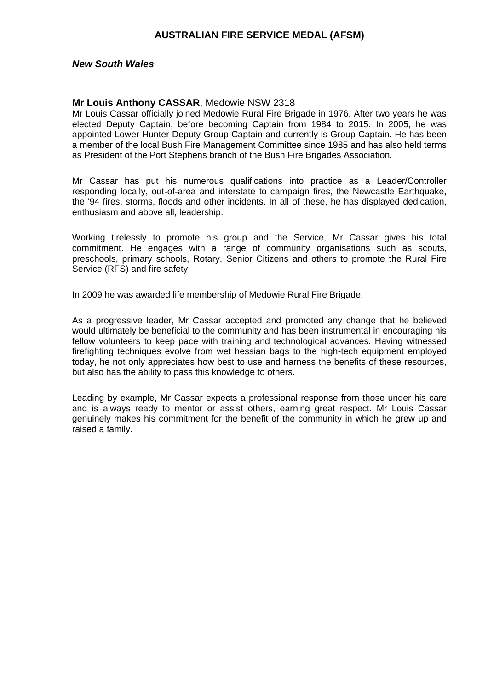#### *New South Wales*

#### **Mr Louis Anthony CASSAR**, Medowie NSW 2318

Mr Louis Cassar officially joined Medowie Rural Fire Brigade in 1976. After two years he was elected Deputy Captain, before becoming Captain from 1984 to 2015. In 2005, he was appointed Lower Hunter Deputy Group Captain and currently is Group Captain. He has been a member of the local Bush Fire Management Committee since 1985 and has also held terms as President of the Port Stephens branch of the Bush Fire Brigades Association.

Mr Cassar has put his numerous qualifications into practice as a Leader/Controller responding locally, out-of-area and interstate to campaign fires, the Newcastle Earthquake, the '94 fires, storms, floods and other incidents. In all of these, he has displayed dedication, enthusiasm and above all, leadership.

Working tirelessly to promote his group and the Service, Mr Cassar gives his total commitment. He engages with a range of community organisations such as scouts, preschools, primary schools, Rotary, Senior Citizens and others to promote the Rural Fire Service (RFS) and fire safety.

In 2009 he was awarded life membership of Medowie Rural Fire Brigade.

As a progressive leader, Mr Cassar accepted and promoted any change that he believed would ultimately be beneficial to the community and has been instrumental in encouraging his fellow volunteers to keep pace with training and technological advances. Having witnessed firefighting techniques evolve from wet hessian bags to the high-tech equipment employed today, he not only appreciates how best to use and harness the benefits of these resources, but also has the ability to pass this knowledge to others.

Leading by example, Mr Cassar expects a professional response from those under his care and is always ready to mentor or assist others, earning great respect. Mr Louis Cassar genuinely makes his commitment for the benefit of the community in which he grew up and raised a family.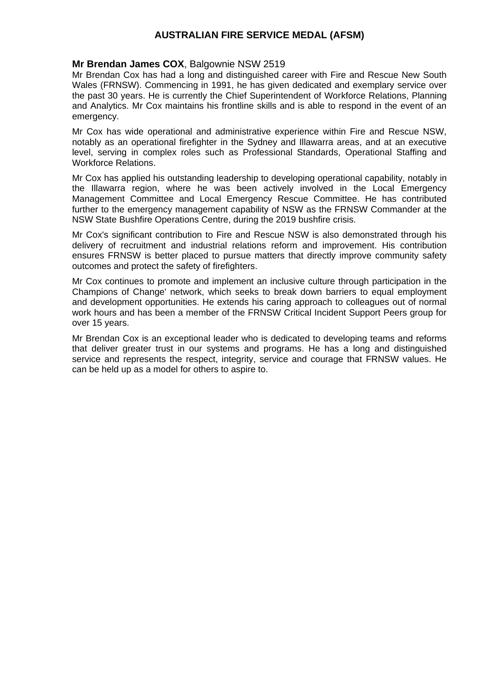### **Mr Brendan James COX**, Balgownie NSW 2519

Mr Brendan Cox has had a long and distinguished career with Fire and Rescue New South Wales (FRNSW). Commencing in 1991, he has given dedicated and exemplary service over the past 30 years. He is currently the Chief Superintendent of Workforce Relations, Planning and Analytics. Mr Cox maintains his frontline skills and is able to respond in the event of an emergency.

Mr Cox has wide operational and administrative experience within Fire and Rescue NSW, notably as an operational firefighter in the Sydney and Illawarra areas, and at an executive level, serving in complex roles such as Professional Standards, Operational Staffing and Workforce Relations.

Mr Cox has applied his outstanding leadership to developing operational capability, notably in the Illawarra region, where he was been actively involved in the Local Emergency Management Committee and Local Emergency Rescue Committee. He has contributed further to the emergency management capability of NSW as the FRNSW Commander at the NSW State Bushfire Operations Centre, during the 2019 bushfire crisis.

Mr Cox's significant contribution to Fire and Rescue NSW is also demonstrated through his delivery of recruitment and industrial relations reform and improvement. His contribution ensures FRNSW is better placed to pursue matters that directly improve community safety outcomes and protect the safety of firefighters.

Mr Cox continues to promote and implement an inclusive culture through participation in the Champions of Change' network, which seeks to break down barriers to equal employment and development opportunities. He extends his caring approach to colleagues out of normal work hours and has been a member of the FRNSW Critical Incident Support Peers group for over 15 years.

Mr Brendan Cox is an exceptional leader who is dedicated to developing teams and reforms that deliver greater trust in our systems and programs. He has a long and distinguished service and represents the respect, integrity, service and courage that FRNSW values. He can be held up as a model for others to aspire to.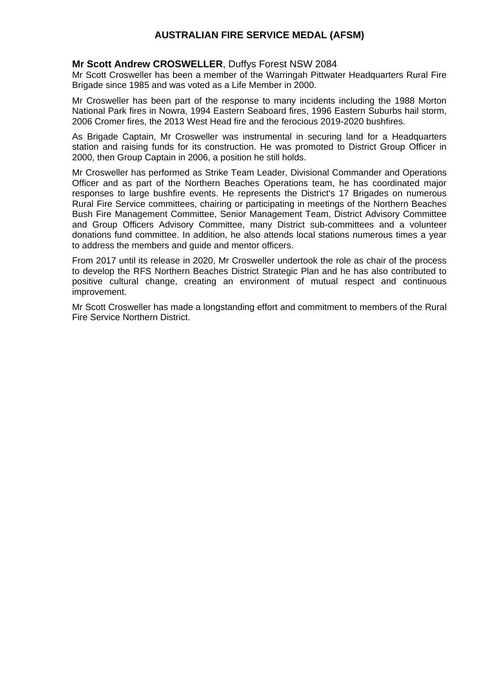### **Mr Scott Andrew CROSWELLER**, Duffys Forest NSW 2084

Mr Scott Crosweller has been a member of the Warringah Pittwater Headquarters Rural Fire Brigade since 1985 and was voted as a Life Member in 2000.

Mr Crosweller has been part of the response to many incidents including the 1988 Morton National Park fires in Nowra, 1994 Eastern Seaboard fires, 1996 Eastern Suburbs hail storm, 2006 Cromer fires, the 2013 West Head fire and the ferocious 2019-2020 bushfires.

As Brigade Captain, Mr Crosweller was instrumental in securing land for a Headquarters station and raising funds for its construction. He was promoted to District Group Officer in 2000, then Group Captain in 2006, a position he still holds.

Mr Crosweller has performed as Strike Team Leader, Divisional Commander and Operations Officer and as part of the Northern Beaches Operations team, he has coordinated major responses to large bushfire events. He represents the District's 17 Brigades on numerous Rural Fire Service committees, chairing or participating in meetings of the Northern Beaches Bush Fire Management Committee, Senior Management Team, District Advisory Committee and Group Officers Advisory Committee, many District sub-committees and a volunteer donations fund committee. In addition, he also attends local stations numerous times a year to address the members and guide and mentor officers.

From 2017 until its release in 2020, Mr Crosweller undertook the role as chair of the process to develop the RFS Northern Beaches District Strategic Plan and he has also contributed to positive cultural change, creating an environment of mutual respect and continuous improvement.

Mr Scott Crosweller has made a longstanding effort and commitment to members of the Rural Fire Service Northern District.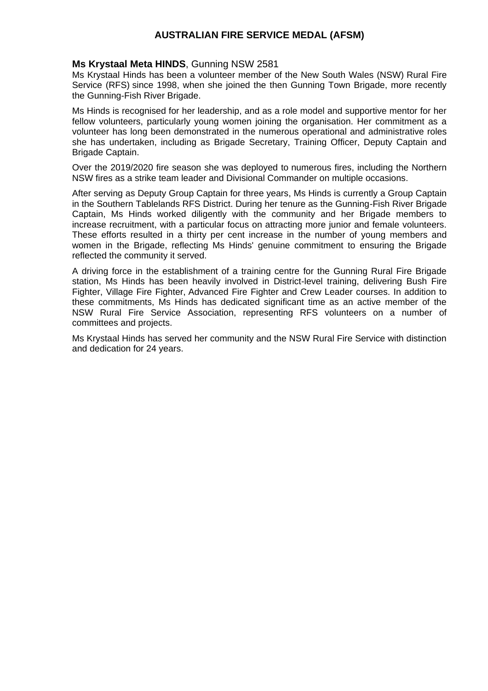## **Ms Krystaal Meta HINDS**, Gunning NSW 2581

Ms Krystaal Hinds has been a volunteer member of the New South Wales (NSW) Rural Fire Service (RFS) since 1998, when she joined the then Gunning Town Brigade, more recently the Gunning-Fish River Brigade.

Ms Hinds is recognised for her leadership, and as a role model and supportive mentor for her fellow volunteers, particularly young women joining the organisation. Her commitment as a volunteer has long been demonstrated in the numerous operational and administrative roles she has undertaken, including as Brigade Secretary, Training Officer, Deputy Captain and Brigade Captain.

Over the 2019/2020 fire season she was deployed to numerous fires, including the Northern NSW fires as a strike team leader and Divisional Commander on multiple occasions.

After serving as Deputy Group Captain for three years, Ms Hinds is currently a Group Captain in the Southern Tablelands RFS District. During her tenure as the Gunning-Fish River Brigade Captain, Ms Hinds worked diligently with the community and her Brigade members to increase recruitment, with a particular focus on attracting more junior and female volunteers. These efforts resulted in a thirty per cent increase in the number of young members and women in the Brigade, reflecting Ms Hinds' genuine commitment to ensuring the Brigade reflected the community it served.

A driving force in the establishment of a training centre for the Gunning Rural Fire Brigade station, Ms Hinds has been heavily involved in District-level training, delivering Bush Fire Fighter, Village Fire Fighter, Advanced Fire Fighter and Crew Leader courses. In addition to these commitments, Ms Hinds has dedicated significant time as an active member of the NSW Rural Fire Service Association, representing RFS volunteers on a number of committees and projects.

Ms Krystaal Hinds has served her community and the NSW Rural Fire Service with distinction and dedication for 24 years.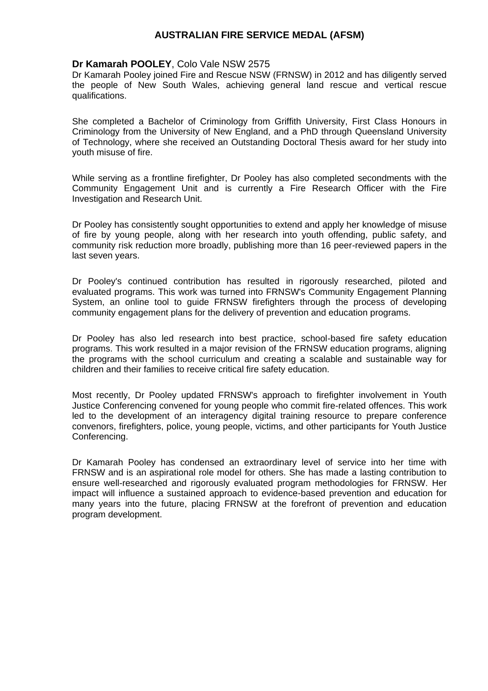### **Dr Kamarah POOLEY**, Colo Vale NSW 2575

Dr Kamarah Pooley joined Fire and Rescue NSW (FRNSW) in 2012 and has diligently served the people of New South Wales, achieving general land rescue and vertical rescue qualifications.

She completed a Bachelor of Criminology from Griffith University, First Class Honours in Criminology from the University of New England, and a PhD through Queensland University of Technology, where she received an Outstanding Doctoral Thesis award for her study into youth misuse of fire.

While serving as a frontline firefighter, Dr Pooley has also completed secondments with the Community Engagement Unit and is currently a Fire Research Officer with the Fire Investigation and Research Unit.

Dr Pooley has consistently sought opportunities to extend and apply her knowledge of misuse of fire by young people, along with her research into youth offending, public safety, and community risk reduction more broadly, publishing more than 16 peer-reviewed papers in the last seven years.

Dr Pooley's continued contribution has resulted in rigorously researched, piloted and evaluated programs. This work was turned into FRNSW's Community Engagement Planning System, an online tool to guide FRNSW firefighters through the process of developing community engagement plans for the delivery of prevention and education programs.

Dr Pooley has also led research into best practice, school-based fire safety education programs. This work resulted in a major revision of the FRNSW education programs, aligning the programs with the school curriculum and creating a scalable and sustainable way for children and their families to receive critical fire safety education.

Most recently, Dr Pooley updated FRNSW's approach to firefighter involvement in Youth Justice Conferencing convened for young people who commit fire-related offences. This work led to the development of an interagency digital training resource to prepare conference convenors, firefighters, police, young people, victims, and other participants for Youth Justice Conferencing.

Dr Kamarah Pooley has condensed an extraordinary level of service into her time with FRNSW and is an aspirational role model for others. She has made a lasting contribution to ensure well-researched and rigorously evaluated program methodologies for FRNSW. Her impact will influence a sustained approach to evidence-based prevention and education for many years into the future, placing FRNSW at the forefront of prevention and education program development.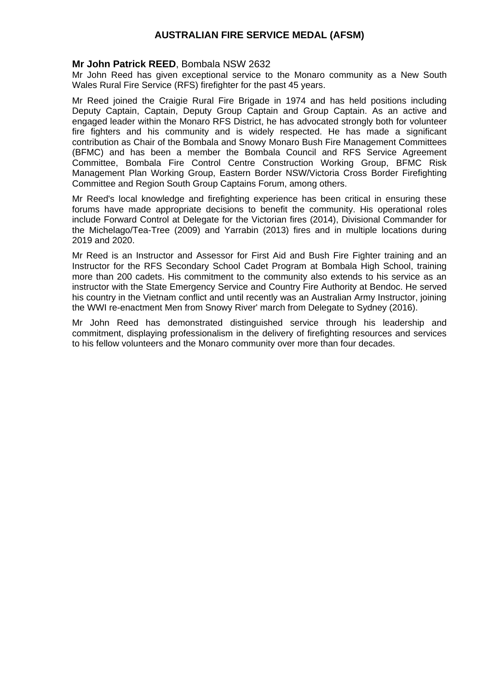### **Mr John Patrick REED**, Bombala NSW 2632

Mr John Reed has given exceptional service to the Monaro community as a New South Wales Rural Fire Service (RFS) firefighter for the past 45 years.

Mr Reed joined the Craigie Rural Fire Brigade in 1974 and has held positions including Deputy Captain, Captain, Deputy Group Captain and Group Captain. As an active and engaged leader within the Monaro RFS District, he has advocated strongly both for volunteer fire fighters and his community and is widely respected. He has made a significant contribution as Chair of the Bombala and Snowy Monaro Bush Fire Management Committees (BFMC) and has been a member the Bombala Council and RFS Service Agreement Committee, Bombala Fire Control Centre Construction Working Group, BFMC Risk Management Plan Working Group, Eastern Border NSW/Victoria Cross Border Firefighting Committee and Region South Group Captains Forum, among others.

Mr Reed's local knowledge and firefighting experience has been critical in ensuring these forums have made appropriate decisions to benefit the community. His operational roles include Forward Control at Delegate for the Victorian fires (2014), Divisional Commander for the Michelago/Tea-Tree (2009) and Yarrabin (2013) fires and in multiple locations during 2019 and 2020.

Mr Reed is an Instructor and Assessor for First Aid and Bush Fire Fighter training and an Instructor for the RFS Secondary School Cadet Program at Bombala High School, training more than 200 cadets. His commitment to the community also extends to his service as an instructor with the State Emergency Service and Country Fire Authority at Bendoc. He served his country in the Vietnam conflict and until recently was an Australian Army Instructor, joining the WWI re-enactment Men from Snowy River' march from Delegate to Sydney (2016).

Mr John Reed has demonstrated distinguished service through his leadership and commitment, displaying professionalism in the delivery of firefighting resources and services to his fellow volunteers and the Monaro community over more than four decades.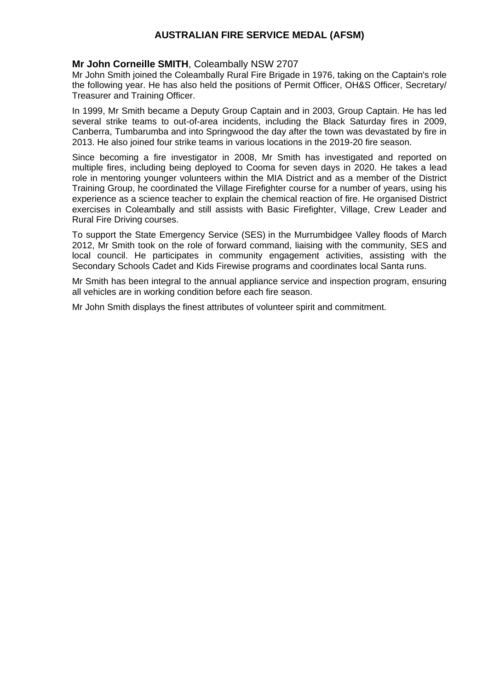## **Mr John Corneille SMITH**, Coleambally NSW 2707

Mr John Smith joined the Coleambally Rural Fire Brigade in 1976, taking on the Captain's role the following year. He has also held the positions of Permit Officer, OH&S Officer, Secretary/ Treasurer and Training Officer.

In 1999, Mr Smith became a Deputy Group Captain and in 2003, Group Captain. He has led several strike teams to out-of-area incidents, including the Black Saturday fires in 2009, Canberra, Tumbarumba and into Springwood the day after the town was devastated by fire in 2013. He also joined four strike teams in various locations in the 2019-20 fire season.

Since becoming a fire investigator in 2008, Mr Smith has investigated and reported on multiple fires, including being deployed to Cooma for seven days in 2020. He takes a lead role in mentoring younger volunteers within the MIA District and as a member of the District Training Group, he coordinated the Village Firefighter course for a number of years, using his experience as a science teacher to explain the chemical reaction of fire. He organised District exercises in Coleambally and still assists with Basic Firefighter, Village, Crew Leader and Rural Fire Driving courses.

To support the State Emergency Service (SES) in the Murrumbidgee Valley floods of March 2012, Mr Smith took on the role of forward command, liaising with the community, SES and local council. He participates in community engagement activities, assisting with the Secondary Schools Cadet and Kids Firewise programs and coordinates local Santa runs.

Mr Smith has been integral to the annual appliance service and inspection program, ensuring all vehicles are in working condition before each fire season.

Mr John Smith displays the finest attributes of volunteer spirit and commitment.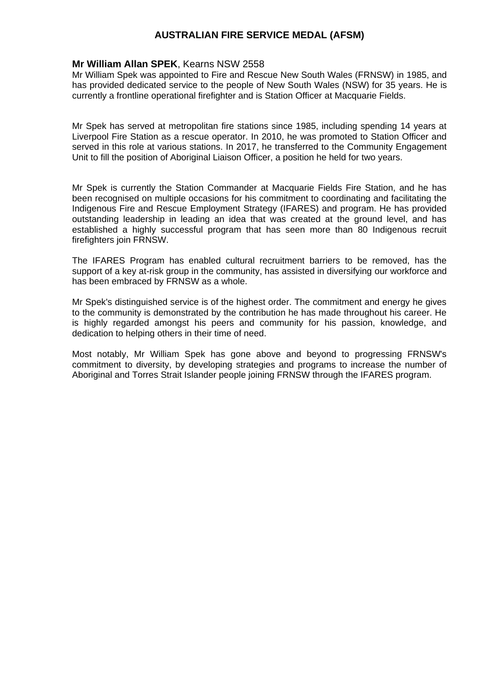## **Mr William Allan SPEK**, Kearns NSW 2558

Mr William Spek was appointed to Fire and Rescue New South Wales (FRNSW) in 1985, and has provided dedicated service to the people of New South Wales (NSW) for 35 years. He is currently a frontline operational firefighter and is Station Officer at Macquarie Fields.

Mr Spek has served at metropolitan fire stations since 1985, including spending 14 years at Liverpool Fire Station as a rescue operator. In 2010, he was promoted to Station Officer and served in this role at various stations. In 2017, he transferred to the Community Engagement Unit to fill the position of Aboriginal Liaison Officer, a position he held for two years.

Mr Spek is currently the Station Commander at Macquarie Fields Fire Station, and he has been recognised on multiple occasions for his commitment to coordinating and facilitating the Indigenous Fire and Rescue Employment Strategy (IFARES) and program. He has provided outstanding leadership in leading an idea that was created at the ground level, and has established a highly successful program that has seen more than 80 Indigenous recruit firefighters join FRNSW.

The IFARES Program has enabled cultural recruitment barriers to be removed, has the support of a key at-risk group in the community, has assisted in diversifying our workforce and has been embraced by FRNSW as a whole.

Mr Spek's distinguished service is of the highest order. The commitment and energy he gives to the community is demonstrated by the contribution he has made throughout his career. He is highly regarded amongst his peers and community for his passion, knowledge, and dedication to helping others in their time of need.

Most notably, Mr William Spek has gone above and beyond to progressing FRNSW's commitment to diversity, by developing strategies and programs to increase the number of Aboriginal and Torres Strait Islander people joining FRNSW through the IFARES program.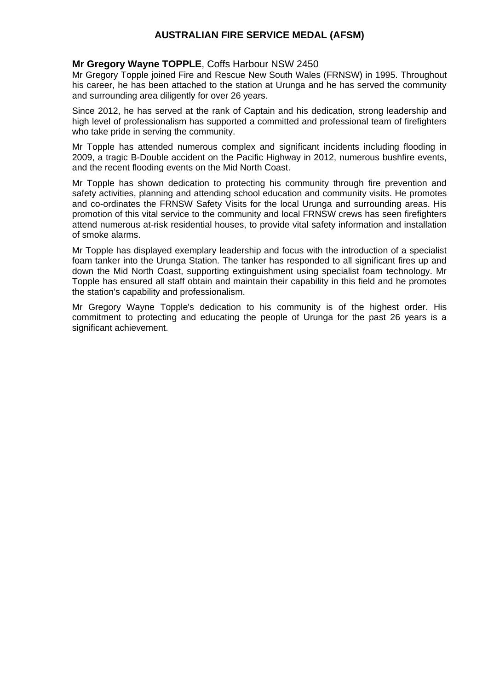### **Mr Gregory Wayne TOPPLE**, Coffs Harbour NSW 2450

Mr Gregory Topple joined Fire and Rescue New South Wales (FRNSW) in 1995. Throughout his career, he has been attached to the station at Urunga and he has served the community and surrounding area diligently for over 26 years.

Since 2012, he has served at the rank of Captain and his dedication, strong leadership and high level of professionalism has supported a committed and professional team of firefighters who take pride in serving the community.

Mr Topple has attended numerous complex and significant incidents including flooding in 2009, a tragic B-Double accident on the Pacific Highway in 2012, numerous bushfire events, and the recent flooding events on the Mid North Coast.

Mr Topple has shown dedication to protecting his community through fire prevention and safety activities, planning and attending school education and community visits. He promotes and co-ordinates the FRNSW Safety Visits for the local Urunga and surrounding areas. His promotion of this vital service to the community and local FRNSW crews has seen firefighters attend numerous at-risk residential houses, to provide vital safety information and installation of smoke alarms.

Mr Topple has displayed exemplary leadership and focus with the introduction of a specialist foam tanker into the Urunga Station. The tanker has responded to all significant fires up and down the Mid North Coast, supporting extinguishment using specialist foam technology. Mr Topple has ensured all staff obtain and maintain their capability in this field and he promotes the station's capability and professionalism.

Mr Gregory Wayne Topple's dedication to his community is of the highest order. His commitment to protecting and educating the people of Urunga for the past 26 years is a significant achievement.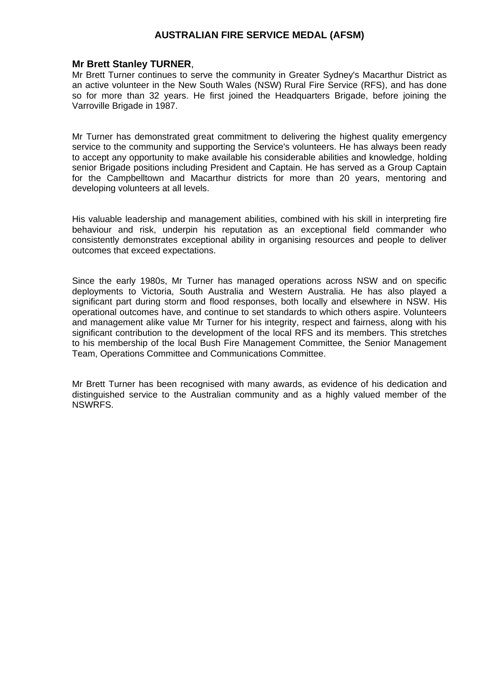#### **Mr Brett Stanley TURNER**,

Mr Brett Turner continues to serve the community in Greater Sydney's Macarthur District as an active volunteer in the New South Wales (NSW) Rural Fire Service (RFS), and has done so for more than 32 years. He first joined the Headquarters Brigade, before joining the Varroville Brigade in 1987.

Mr Turner has demonstrated great commitment to delivering the highest quality emergency service to the community and supporting the Service's volunteers. He has always been ready to accept any opportunity to make available his considerable abilities and knowledge, holding senior Brigade positions including President and Captain. He has served as a Group Captain for the Campbelltown and Macarthur districts for more than 20 years, mentoring and developing volunteers at all levels.

His valuable leadership and management abilities, combined with his skill in interpreting fire behaviour and risk, underpin his reputation as an exceptional field commander who consistently demonstrates exceptional ability in organising resources and people to deliver outcomes that exceed expectations.

Since the early 1980s, Mr Turner has managed operations across NSW and on specific deployments to Victoria, South Australia and Western Australia. He has also played a significant part during storm and flood responses, both locally and elsewhere in NSW. His operational outcomes have, and continue to set standards to which others aspire. Volunteers and management alike value Mr Turner for his integrity, respect and fairness, along with his significant contribution to the development of the local RFS and its members. This stretches to his membership of the local Bush Fire Management Committee, the Senior Management Team, Operations Committee and Communications Committee.

Mr Brett Turner has been recognised with many awards, as evidence of his dedication and distinguished service to the Australian community and as a highly valued member of the NSWRFS.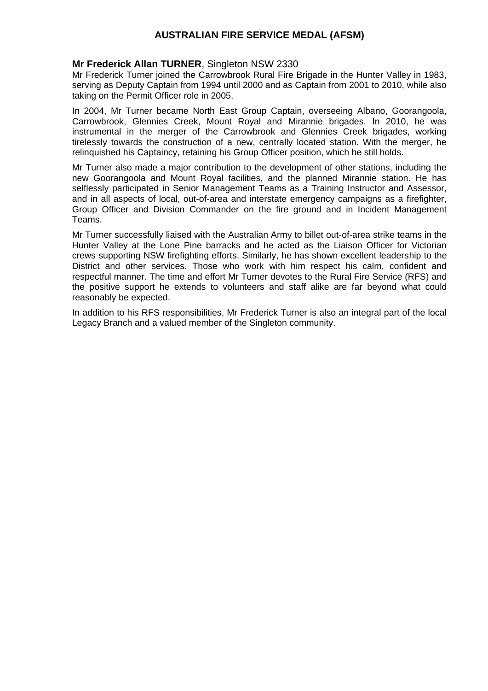### **Mr Frederick Allan TURNER**, Singleton NSW 2330

Mr Frederick Turner joined the Carrowbrook Rural Fire Brigade in the Hunter Valley in 1983, serving as Deputy Captain from 1994 until 2000 and as Captain from 2001 to 2010, while also taking on the Permit Officer role in 2005.

In 2004, Mr Turner became North East Group Captain, overseeing Albano, Goorangoola, Carrowbrook, Glennies Creek, Mount Royal and Mirannie brigades. In 2010, he was instrumental in the merger of the Carrowbrook and Glennies Creek brigades, working tirelessly towards the construction of a new, centrally located station. With the merger, he relinquished his Captaincy, retaining his Group Officer position, which he still holds.

Mr Turner also made a major contribution to the development of other stations, including the new Goorangoola and Mount Royal facilities, and the planned Mirannie station. He has selflessly participated in Senior Management Teams as a Training Instructor and Assessor, and in all aspects of local, out-of-area and interstate emergency campaigns as a firefighter, Group Officer and Division Commander on the fire ground and in Incident Management Teams.

Mr Turner successfully liaised with the Australian Army to billet out-of-area strike teams in the Hunter Valley at the Lone Pine barracks and he acted as the Liaison Officer for Victorian crews supporting NSW firefighting efforts. Similarly, he has shown excellent leadership to the District and other services. Those who work with him respect his calm, confident and respectful manner. The time and effort Mr Turner devotes to the Rural Fire Service (RFS) and the positive support he extends to volunteers and staff alike are far beyond what could reasonably be expected.

In addition to his RFS responsibilities, Mr Frederick Turner is also an integral part of the local Legacy Branch and a valued member of the Singleton community.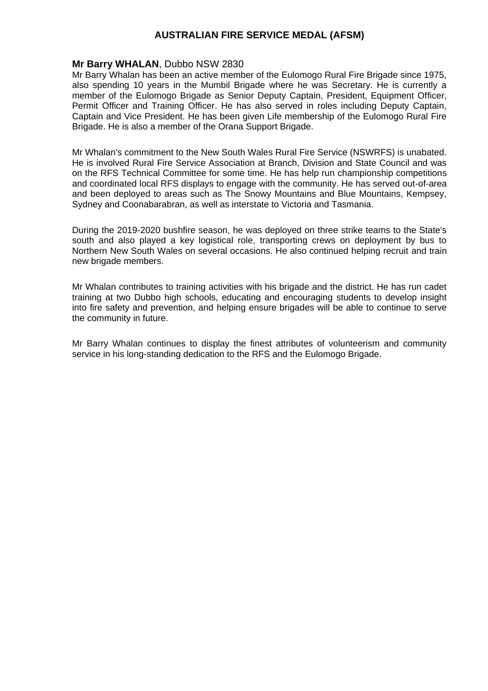### **Mr Barry WHALAN**, Dubbo NSW 2830

Mr Barry Whalan has been an active member of the Eulomogo Rural Fire Brigade since 1975, also spending 10 years in the Mumbil Brigade where he was Secretary. He is currently a member of the Eulomogo Brigade as Senior Deputy Captain, President, Equipment Officer, Permit Officer and Training Officer. He has also served in roles including Deputy Captain, Captain and Vice President. He has been given Life membership of the Eulomogo Rural Fire Brigade. He is also a member of the Orana Support Brigade.

Mr Whalan's commitment to the New South Wales Rural Fire Service (NSWRFS) is unabated. He is involved Rural Fire Service Association at Branch, Division and State Council and was on the RFS Technical Committee for some time. He has help run championship competitions and coordinated local RFS displays to engage with the community. He has served out-of-area and been deployed to areas such as The Snowy Mountains and Blue Mountains, Kempsey, Sydney and Coonabarabran, as well as interstate to Victoria and Tasmania.

During the 2019-2020 bushfire season, he was deployed on three strike teams to the State's south and also played a key logistical role, transporting crews on deployment by bus to Northern New South Wales on several occasions. He also continued helping recruit and train new brigade members.

Mr Whalan contributes to training activities with his brigade and the district. He has run cadet training at two Dubbo high schools, educating and encouraging students to develop insight into fire safety and prevention, and helping ensure brigades will be able to continue to serve the community in future.

Mr Barry Whalan continues to display the finest attributes of volunteerism and community service in his long-standing dedication to the RFS and the Eulomogo Brigade.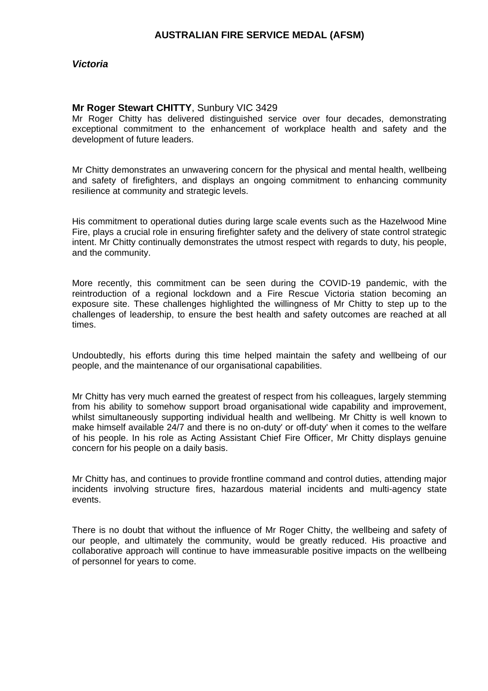*Victoria*

#### **Mr Roger Stewart CHITTY**, Sunbury VIC 3429

Mr Roger Chitty has delivered distinguished service over four decades, demonstrating exceptional commitment to the enhancement of workplace health and safety and the development of future leaders.

Mr Chitty demonstrates an unwavering concern for the physical and mental health, wellbeing and safety of firefighters, and displays an ongoing commitment to enhancing community resilience at community and strategic levels.

His commitment to operational duties during large scale events such as the Hazelwood Mine Fire, plays a crucial role in ensuring firefighter safety and the delivery of state control strategic intent. Mr Chitty continually demonstrates the utmost respect with regards to duty, his people, and the community.

More recently, this commitment can be seen during the COVID-19 pandemic, with the reintroduction of a regional lockdown and a Fire Rescue Victoria station becoming an exposure site. These challenges highlighted the willingness of Mr Chitty to step up to the challenges of leadership, to ensure the best health and safety outcomes are reached at all times.

Undoubtedly, his efforts during this time helped maintain the safety and wellbeing of our people, and the maintenance of our organisational capabilities.

Mr Chitty has very much earned the greatest of respect from his colleagues, largely stemming from his ability to somehow support broad organisational wide capability and improvement, whilst simultaneously supporting individual health and wellbeing. Mr Chitty is well known to make himself available 24/7 and there is no on-duty' or off-duty' when it comes to the welfare of his people. In his role as Acting Assistant Chief Fire Officer, Mr Chitty displays genuine concern for his people on a daily basis.

Mr Chitty has, and continues to provide frontline command and control duties, attending major incidents involving structure fires, hazardous material incidents and multi-agency state events.

There is no doubt that without the influence of Mr Roger Chitty, the wellbeing and safety of our people, and ultimately the community, would be greatly reduced. His proactive and collaborative approach will continue to have immeasurable positive impacts on the wellbeing of personnel for years to come.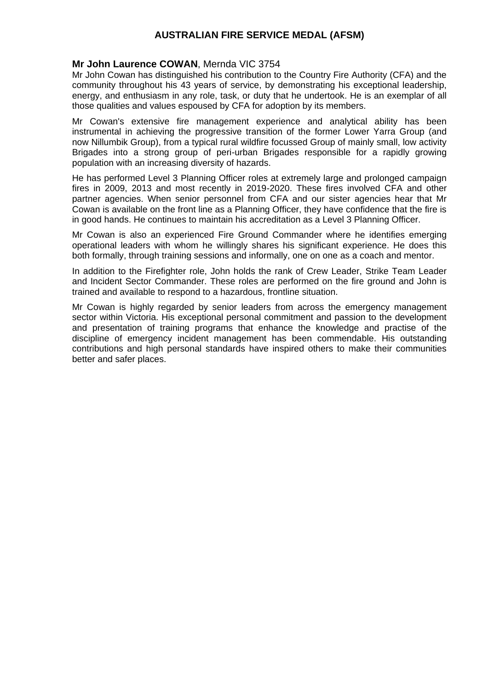### **Mr John Laurence COWAN**, Mernda VIC 3754

Mr John Cowan has distinguished his contribution to the Country Fire Authority (CFA) and the community throughout his 43 years of service, by demonstrating his exceptional leadership, energy, and enthusiasm in any role, task, or duty that he undertook. He is an exemplar of all those qualities and values espoused by CFA for adoption by its members.

Mr Cowan's extensive fire management experience and analytical ability has been instrumental in achieving the progressive transition of the former Lower Yarra Group (and now Nillumbik Group), from a typical rural wildfire focussed Group of mainly small, low activity Brigades into a strong group of peri-urban Brigades responsible for a rapidly growing population with an increasing diversity of hazards.

He has performed Level 3 Planning Officer roles at extremely large and prolonged campaign fires in 2009, 2013 and most recently in 2019-2020. These fires involved CFA and other partner agencies. When senior personnel from CFA and our sister agencies hear that Mr Cowan is available on the front line as a Planning Officer, they have confidence that the fire is in good hands. He continues to maintain his accreditation as a Level 3 Planning Officer.

Mr Cowan is also an experienced Fire Ground Commander where he identifies emerging operational leaders with whom he willingly shares his significant experience. He does this both formally, through training sessions and informally, one on one as a coach and mentor.

In addition to the Firefighter role, John holds the rank of Crew Leader, Strike Team Leader and Incident Sector Commander. These roles are performed on the fire ground and John is trained and available to respond to a hazardous, frontline situation.

Mr Cowan is highly regarded by senior leaders from across the emergency management sector within Victoria. His exceptional personal commitment and passion to the development and presentation of training programs that enhance the knowledge and practise of the discipline of emergency incident management has been commendable. His outstanding contributions and high personal standards have inspired others to make their communities better and safer places.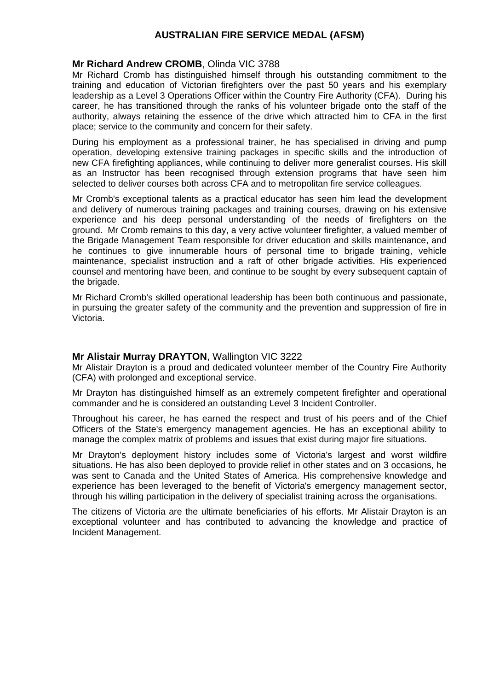### **Mr Richard Andrew CROMB**, Olinda VIC 3788

Mr Richard Cromb has distinguished himself through his outstanding commitment to the training and education of Victorian firefighters over the past 50 years and his exemplary leadership as a Level 3 Operations Officer within the Country Fire Authority (CFA). During his career, he has transitioned through the ranks of his volunteer brigade onto the staff of the authority, always retaining the essence of the drive which attracted him to CFA in the first place; service to the community and concern for their safety.

During his employment as a professional trainer, he has specialised in driving and pump operation, developing extensive training packages in specific skills and the introduction of new CFA firefighting appliances, while continuing to deliver more generalist courses. His skill as an Instructor has been recognised through extension programs that have seen him selected to deliver courses both across CFA and to metropolitan fire service colleagues.

Mr Cromb's exceptional talents as a practical educator has seen him lead the development and delivery of numerous training packages and training courses, drawing on his extensive experience and his deep personal understanding of the needs of firefighters on the ground. Mr Cromb remains to this day, a very active volunteer firefighter, a valued member of the Brigade Management Team responsible for driver education and skills maintenance, and he continues to give innumerable hours of personal time to brigade training, vehicle maintenance, specialist instruction and a raft of other brigade activities. His experienced counsel and mentoring have been, and continue to be sought by every subsequent captain of the brigade.

Mr Richard Cromb's skilled operational leadership has been both continuous and passionate, in pursuing the greater safety of the community and the prevention and suppression of fire in Victoria.

#### **Mr Alistair Murray DRAYTON**, Wallington VIC 3222

Mr Alistair Drayton is a proud and dedicated volunteer member of the Country Fire Authority (CFA) with prolonged and exceptional service.

Mr Drayton has distinguished himself as an extremely competent firefighter and operational commander and he is considered an outstanding Level 3 Incident Controller.

Throughout his career, he has earned the respect and trust of his peers and of the Chief Officers of the State's emergency management agencies. He has an exceptional ability to manage the complex matrix of problems and issues that exist during major fire situations.

Mr Drayton's deployment history includes some of Victoria's largest and worst wildfire situations. He has also been deployed to provide relief in other states and on 3 occasions, he was sent to Canada and the United States of America. His comprehensive knowledge and experience has been leveraged to the benefit of Victoria's emergency management sector, through his willing participation in the delivery of specialist training across the organisations.

The citizens of Victoria are the ultimate beneficiaries of his efforts. Mr Alistair Drayton is an exceptional volunteer and has contributed to advancing the knowledge and practice of Incident Management.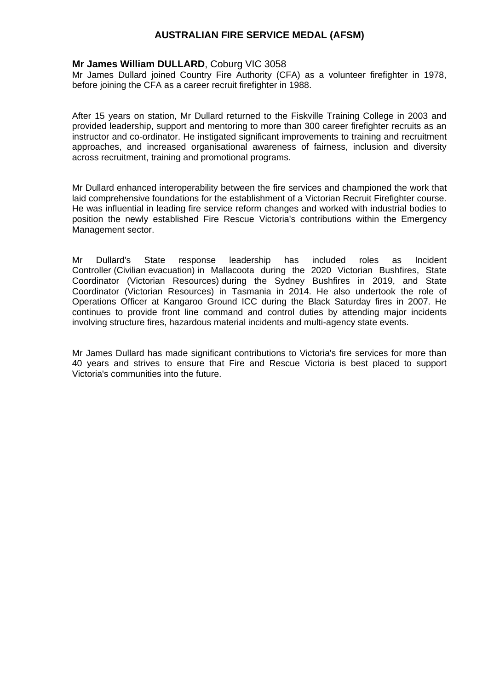## **Mr James William DULLARD**, Coburg VIC 3058

Mr James Dullard joined Country Fire Authority (CFA) as a volunteer firefighter in 1978, before joining the CFA as a career recruit firefighter in 1988.

After 15 years on station, Mr Dullard returned to the Fiskville Training College in 2003 and provided leadership, support and mentoring to more than 300 career firefighter recruits as an instructor and co-ordinator. He instigated significant improvements to training and recruitment approaches, and increased organisational awareness of fairness, inclusion and diversity across recruitment, training and promotional programs.

Mr Dullard enhanced interoperability between the fire services and championed the work that laid comprehensive foundations for the establishment of a Victorian Recruit Firefighter course. He was influential in leading fire service reform changes and worked with industrial bodies to position the newly established Fire Rescue Victoria's contributions within the Emergency Management sector.

Mr Dullard's State response leadership has included roles as Incident Controller (Civilian evacuation) in Mallacoota during the 2020 Victorian Bushfires, State Coordinator (Victorian Resources) during the Sydney Bushfires in 2019, and State Coordinator (Victorian Resources) in Tasmania in 2014. He also undertook the role of Operations Officer at Kangaroo Ground ICC during the Black Saturday fires in 2007. He continues to provide front line command and control duties by attending major incidents involving structure fires, hazardous material incidents and multi-agency state events.

Mr James Dullard has made significant contributions to Victoria's fire services for more than 40 years and strives to ensure that Fire and Rescue Victoria is best placed to support Victoria's communities into the future.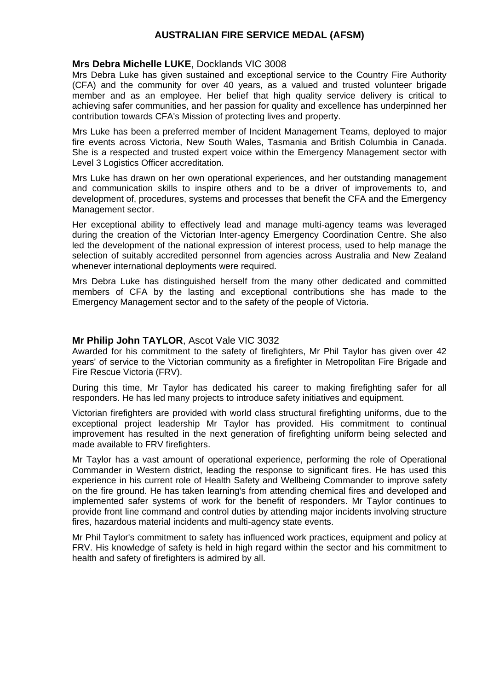### **Mrs Debra Michelle LUKE**, Docklands VIC 3008

Mrs Debra Luke has given sustained and exceptional service to the Country Fire Authority (CFA) and the community for over 40 years, as a valued and trusted volunteer brigade member and as an employee. Her belief that high quality service delivery is critical to achieving safer communities, and her passion for quality and excellence has underpinned her contribution towards CFA's Mission of protecting lives and property.

Mrs Luke has been a preferred member of Incident Management Teams, deployed to major fire events across Victoria, New South Wales, Tasmania and British Columbia in Canada. She is a respected and trusted expert voice within the Emergency Management sector with Level 3 Logistics Officer accreditation.

Mrs Luke has drawn on her own operational experiences, and her outstanding management and communication skills to inspire others and to be a driver of improvements to, and development of, procedures, systems and processes that benefit the CFA and the Emergency Management sector.

Her exceptional ability to effectively lead and manage multi-agency teams was leveraged during the creation of the Victorian Inter-agency Emergency Coordination Centre. She also led the development of the national expression of interest process, used to help manage the selection of suitably accredited personnel from agencies across Australia and New Zealand whenever international deployments were required.

Mrs Debra Luke has distinguished herself from the many other dedicated and committed members of CFA by the lasting and exceptional contributions she has made to the Emergency Management sector and to the safety of the people of Victoria.

#### **Mr Philip John TAYLOR**, Ascot Vale VIC 3032

Awarded for his commitment to the safety of firefighters, Mr Phil Taylor has given over 42 years' of service to the Victorian community as a firefighter in Metropolitan Fire Brigade and Fire Rescue Victoria (FRV).

During this time, Mr Taylor has dedicated his career to making firefighting safer for all responders. He has led many projects to introduce safety initiatives and equipment.

Victorian firefighters are provided with world class structural firefighting uniforms, due to the exceptional project leadership Mr Taylor has provided. His commitment to continual improvement has resulted in the next generation of firefighting uniform being selected and made available to FRV firefighters.

Mr Taylor has a vast amount of operational experience, performing the role of Operational Commander in Western district, leading the response to significant fires. He has used this experience in his current role of Health Safety and Wellbeing Commander to improve safety on the fire ground. He has taken learning's from attending chemical fires and developed and implemented safer systems of work for the benefit of responders. Mr Taylor continues to provide front line command and control duties by attending major incidents involving structure fires, hazardous material incidents and multi-agency state events.

Mr Phil Taylor's commitment to safety has influenced work practices, equipment and policy at FRV. His knowledge of safety is held in high regard within the sector and his commitment to health and safety of firefighters is admired by all.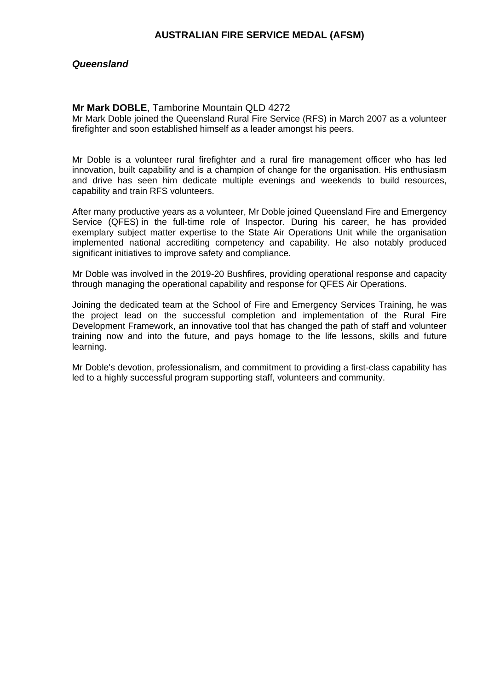### *Queensland*

#### **Mr Mark DOBLE**, Tamborine Mountain QLD 4272

Mr Mark Doble joined the Queensland Rural Fire Service (RFS) in March 2007 as a volunteer firefighter and soon established himself as a leader amongst his peers.

Mr Doble is a volunteer rural firefighter and a rural fire management officer who has led innovation, built capability and is a champion of change for the organisation. His enthusiasm and drive has seen him dedicate multiple evenings and weekends to build resources, capability and train RFS volunteers.

After many productive years as a volunteer, Mr Doble joined Queensland Fire and Emergency Service (QFES) in the full-time role of Inspector. During his career, he has provided exemplary subject matter expertise to the State Air Operations Unit while the organisation implemented national accrediting competency and capability. He also notably produced significant initiatives to improve safety and compliance.

Mr Doble was involved in the 2019-20 Bushfires, providing operational response and capacity through managing the operational capability and response for QFES Air Operations.

Joining the dedicated team at the School of Fire and Emergency Services Training, he was the project lead on the successful completion and implementation of the Rural Fire Development Framework, an innovative tool that has changed the path of staff and volunteer training now and into the future, and pays homage to the life lessons, skills and future learning.

Mr Doble's devotion, professionalism, and commitment to providing a first-class capability has led to a highly successful program supporting staff, volunteers and community.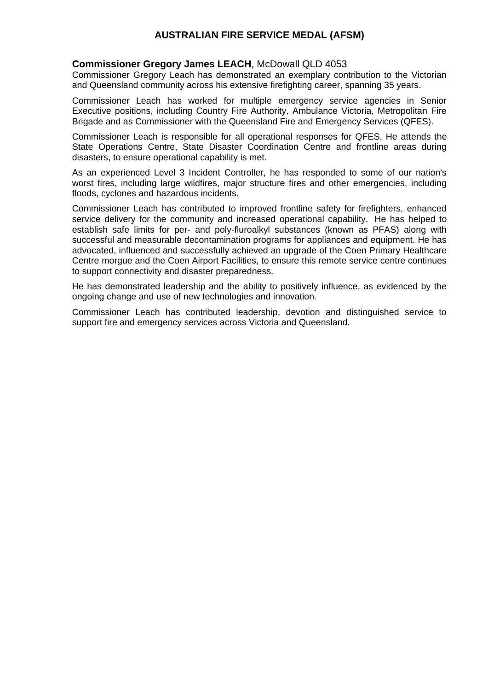## **Commissioner Gregory James LEACH**, McDowall QLD 4053

Commissioner Gregory Leach has demonstrated an exemplary contribution to the Victorian and Queensland community across his extensive firefighting career, spanning 35 years.

Commissioner Leach has worked for multiple emergency service agencies in Senior Executive positions, including Country Fire Authority, Ambulance Victoria, Metropolitan Fire Brigade and as Commissioner with the Queensland Fire and Emergency Services (QFES).

Commissioner Leach is responsible for all operational responses for QFES. He attends the State Operations Centre, State Disaster Coordination Centre and frontline areas during disasters, to ensure operational capability is met.

As an experienced Level 3 Incident Controller, he has responded to some of our nation's worst fires, including large wildfires, major structure fires and other emergencies, including floods, cyclones and hazardous incidents.

Commissioner Leach has contributed to improved frontline safety for firefighters, enhanced service delivery for the community and increased operational capability. He has helped to establish safe limits for per- and poly-fluroalkyl substances (known as PFAS) along with successful and measurable decontamination programs for appliances and equipment. He has advocated, influenced and successfully achieved an upgrade of the Coen Primary Healthcare Centre morgue and the Coen Airport Facilities, to ensure this remote service centre continues to support connectivity and disaster preparedness.

He has demonstrated leadership and the ability to positively influence, as evidenced by the ongoing change and use of new technologies and innovation.

Commissioner Leach has contributed leadership, devotion and distinguished service to support fire and emergency services across Victoria and Queensland.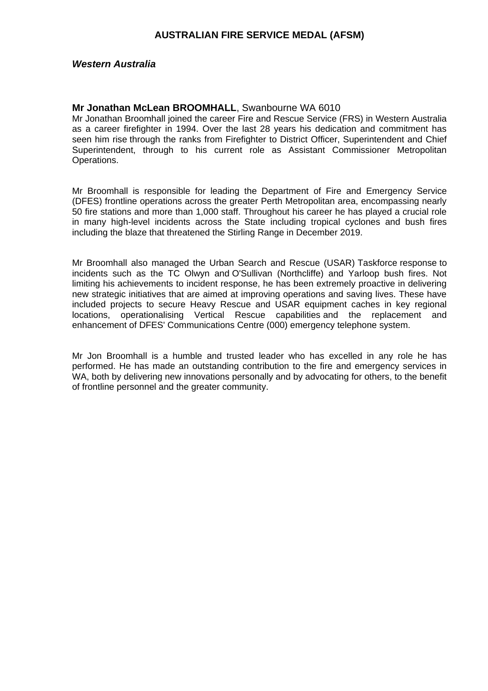#### *Western Australia*

#### **Mr Jonathan McLean BROOMHALL**, Swanbourne WA 6010

Mr Jonathan Broomhall joined the career Fire and Rescue Service (FRS) in Western Australia as a career firefighter in 1994. Over the last 28 years his dedication and commitment has seen him rise through the ranks from Firefighter to District Officer, Superintendent and Chief Superintendent, through to his current role as Assistant Commissioner Metropolitan Operations.

Mr Broomhall is responsible for leading the Department of Fire and Emergency Service (DFES) frontline operations across the greater Perth Metropolitan area, encompassing nearly 50 fire stations and more than 1,000 staff. Throughout his career he has played a crucial role in many high-level incidents across the State including tropical cyclones and bush fires including the blaze that threatened the Stirling Range in December 2019.

Mr Broomhall also managed the Urban Search and Rescue (USAR) Taskforce response to incidents such as the TC Olwyn and O'Sullivan (Northcliffe) and Yarloop bush fires. Not limiting his achievements to incident response, he has been extremely proactive in delivering new strategic initiatives that are aimed at improving operations and saving lives. These have included projects to secure Heavy Rescue and USAR equipment caches in key regional locations, operationalising Vertical Rescue capabilities and the replacement and enhancement of DFES' Communications Centre (000) emergency telephone system.

Mr Jon Broomhall is a humble and trusted leader who has excelled in any role he has performed. He has made an outstanding contribution to the fire and emergency services in WA, both by delivering new innovations personally and by advocating for others, to the benefit of frontline personnel and the greater community.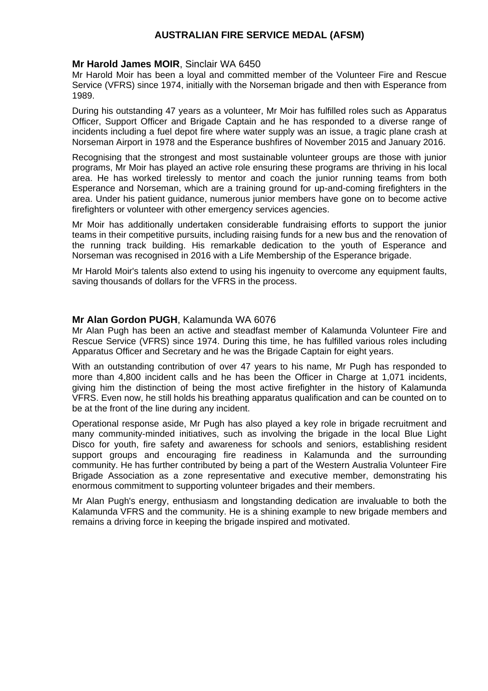#### **Mr Harold James MOIR**, Sinclair WA 6450

Mr Harold Moir has been a loyal and committed member of the Volunteer Fire and Rescue Service (VFRS) since 1974, initially with the Norseman brigade and then with Esperance from 1989.

During his outstanding 47 years as a volunteer, Mr Moir has fulfilled roles such as Apparatus Officer, Support Officer and Brigade Captain and he has responded to a diverse range of incidents including a fuel depot fire where water supply was an issue, a tragic plane crash at Norseman Airport in 1978 and the Esperance bushfires of November 2015 and January 2016.

Recognising that the strongest and most sustainable volunteer groups are those with junior programs, Mr Moir has played an active role ensuring these programs are thriving in his local area. He has worked tirelessly to mentor and coach the junior running teams from both Esperance and Norseman, which are a training ground for up-and-coming firefighters in the area. Under his patient guidance, numerous junior members have gone on to become active firefighters or volunteer with other emergency services agencies.

Mr Moir has additionally undertaken considerable fundraising efforts to support the junior teams in their competitive pursuits, including raising funds for a new bus and the renovation of the running track building. His remarkable dedication to the youth of Esperance and Norseman was recognised in 2016 with a Life Membership of the Esperance brigade.

Mr Harold Moir's talents also extend to using his ingenuity to overcome any equipment faults, saving thousands of dollars for the VFRS in the process.

#### **Mr Alan Gordon PUGH**, Kalamunda WA 6076

Mr Alan Pugh has been an active and steadfast member of Kalamunda Volunteer Fire and Rescue Service (VFRS) since 1974. During this time, he has fulfilled various roles including Apparatus Officer and Secretary and he was the Brigade Captain for eight years.

With an outstanding contribution of over 47 years to his name, Mr Pugh has responded to more than 4,800 incident calls and he has been the Officer in Charge at 1,071 incidents, giving him the distinction of being the most active firefighter in the history of Kalamunda VFRS. Even now, he still holds his breathing apparatus qualification and can be counted on to be at the front of the line during any incident.

Operational response aside, Mr Pugh has also played a key role in brigade recruitment and many community-minded initiatives, such as involving the brigade in the local Blue Light Disco for youth, fire safety and awareness for schools and seniors, establishing resident support groups and encouraging fire readiness in Kalamunda and the surrounding community. He has further contributed by being a part of the Western Australia Volunteer Fire Brigade Association as a zone representative and executive member, demonstrating his enormous commitment to supporting volunteer brigades and their members.

Mr Alan Pugh's energy, enthusiasm and longstanding dedication are invaluable to both the Kalamunda VFRS and the community. He is a shining example to new brigade members and remains a driving force in keeping the brigade inspired and motivated.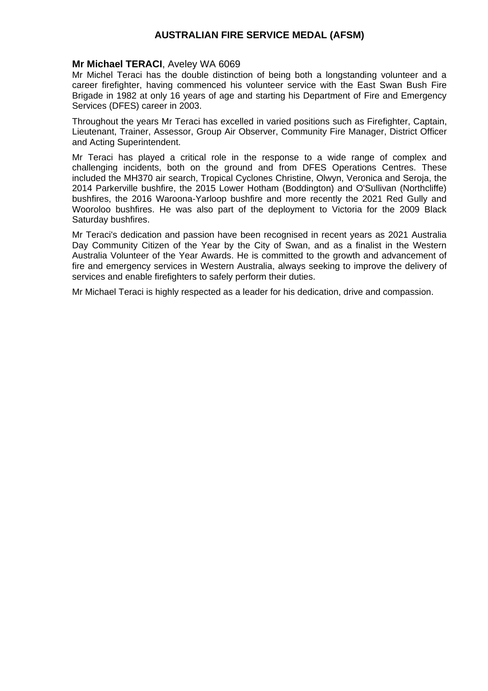#### **Mr Michael TERACI**, Aveley WA 6069

Mr Michel Teraci has the double distinction of being both a longstanding volunteer and a career firefighter, having commenced his volunteer service with the East Swan Bush Fire Brigade in 1982 at only 16 years of age and starting his Department of Fire and Emergency Services (DFES) career in 2003.

Throughout the years Mr Teraci has excelled in varied positions such as Firefighter, Captain, Lieutenant, Trainer, Assessor, Group Air Observer, Community Fire Manager, District Officer and Acting Superintendent.

Mr Teraci has played a critical role in the response to a wide range of complex and challenging incidents, both on the ground and from DFES Operations Centres. These included the MH370 air search, Tropical Cyclones Christine, Olwyn, Veronica and Seroja, the 2014 Parkerville bushfire, the 2015 Lower Hotham (Boddington) and O'Sullivan (Northcliffe) bushfires, the 2016 Waroona-Yarloop bushfire and more recently the 2021 Red Gully and Wooroloo bushfires. He was also part of the deployment to Victoria for the 2009 Black Saturday bushfires.

Mr Teraci's dedication and passion have been recognised in recent years as 2021 Australia Day Community Citizen of the Year by the City of Swan, and as a finalist in the Western Australia Volunteer of the Year Awards. He is committed to the growth and advancement of fire and emergency services in Western Australia, always seeking to improve the delivery of services and enable firefighters to safely perform their duties.

Mr Michael Teraci is highly respected as a leader for his dedication, drive and compassion.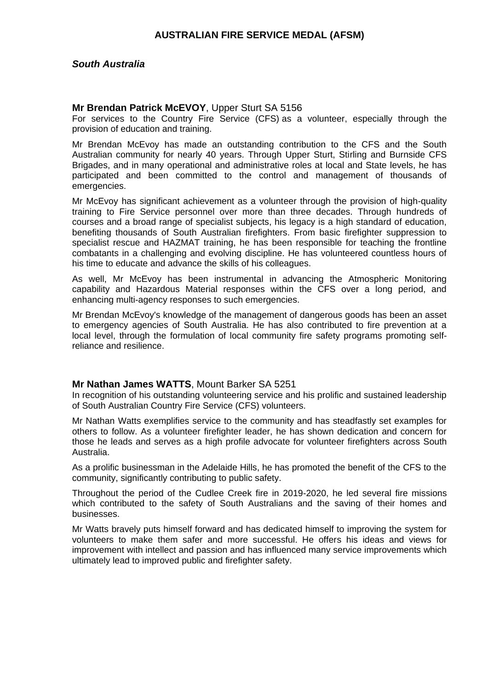#### *South Australia*

#### **Mr Brendan Patrick McEVOY**, Upper Sturt SA 5156

For services to the Country Fire Service (CFS) as a volunteer, especially through the provision of education and training.

Mr Brendan McEvoy has made an outstanding contribution to the CFS and the South Australian community for nearly 40 years. Through Upper Sturt, Stirling and Burnside CFS Brigades, and in many operational and administrative roles at local and State levels, he has participated and been committed to the control and management of thousands of emergencies.

Mr McEvoy has significant achievement as a volunteer through the provision of high-quality training to Fire Service personnel over more than three decades. Through hundreds of courses and a broad range of specialist subjects, his legacy is a high standard of education, benefiting thousands of South Australian firefighters. From basic firefighter suppression to specialist rescue and HAZMAT training, he has been responsible for teaching the frontline combatants in a challenging and evolving discipline. He has volunteered countless hours of his time to educate and advance the skills of his colleagues.

As well, Mr McEvoy has been instrumental in advancing the Atmospheric Monitoring capability and Hazardous Material responses within the CFS over a long period, and enhancing multi-agency responses to such emergencies.

Mr Brendan McEvoy's knowledge of the management of dangerous goods has been an asset to emergency agencies of South Australia. He has also contributed to fire prevention at a local level, through the formulation of local community fire safety programs promoting selfreliance and resilience.

#### **Mr Nathan James WATTS**, Mount Barker SA 5251

In recognition of his outstanding volunteering service and his prolific and sustained leadership of South Australian Country Fire Service (CFS) volunteers.

Mr Nathan Watts exemplifies service to the community and has steadfastly set examples for others to follow. As a volunteer firefighter leader, he has shown dedication and concern for those he leads and serves as a high profile advocate for volunteer firefighters across South Australia.

As a prolific businessman in the Adelaide Hills, he has promoted the benefit of the CFS to the community, significantly contributing to public safety.

Throughout the period of the Cudlee Creek fire in 2019-2020, he led several fire missions which contributed to the safety of South Australians and the saving of their homes and businesses.

Mr Watts bravely puts himself forward and has dedicated himself to improving the system for volunteers to make them safer and more successful. He offers his ideas and views for improvement with intellect and passion and has influenced many service improvements which ultimately lead to improved public and firefighter safety.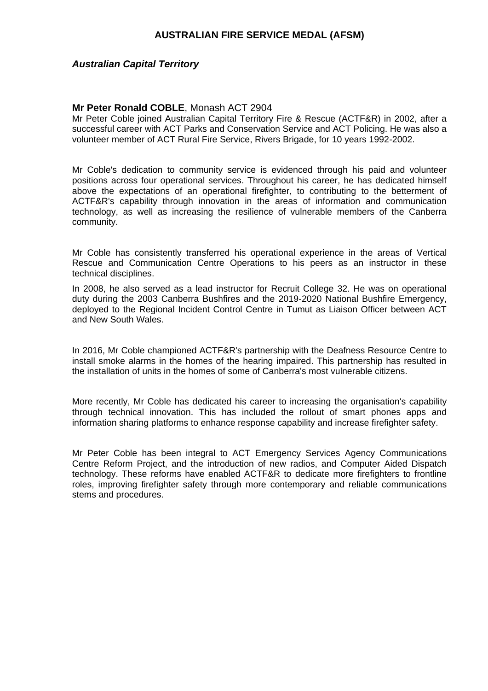#### *Australian Capital Territory*

#### **Mr Peter Ronald COBLE**, Monash ACT 2904

Mr Peter Coble joined Australian Capital Territory Fire & Rescue (ACTF&R) in 2002, after a successful career with ACT Parks and Conservation Service and ACT Policing. He was also a volunteer member of ACT Rural Fire Service, Rivers Brigade, for 10 years 1992-2002.

Mr Coble's dedication to community service is evidenced through his paid and volunteer positions across four operational services. Throughout his career, he has dedicated himself above the expectations of an operational firefighter, to contributing to the betterment of ACTF&R's capability through innovation in the areas of information and communication technology, as well as increasing the resilience of vulnerable members of the Canberra community.

Mr Coble has consistently transferred his operational experience in the areas of Vertical Rescue and Communication Centre Operations to his peers as an instructor in these technical disciplines.

In 2008, he also served as a lead instructor for Recruit College 32. He was on operational duty during the 2003 Canberra Bushfires and the 2019-2020 National Bushfire Emergency, deployed to the Regional Incident Control Centre in Tumut as Liaison Officer between ACT and New South Wales.

In 2016, Mr Coble championed ACTF&R's partnership with the Deafness Resource Centre to install smoke alarms in the homes of the hearing impaired. This partnership has resulted in the installation of units in the homes of some of Canberra's most vulnerable citizens.

More recently, Mr Coble has dedicated his career to increasing the organisation's capability through technical innovation. This has included the rollout of smart phones apps and information sharing platforms to enhance response capability and increase firefighter safety.

Mr Peter Coble has been integral to ACT Emergency Services Agency Communications Centre Reform Project, and the introduction of new radios, and Computer Aided Dispatch technology. These reforms have enabled ACTF&R to dedicate more firefighters to frontline roles, improving firefighter safety through more contemporary and reliable communications stems and procedures.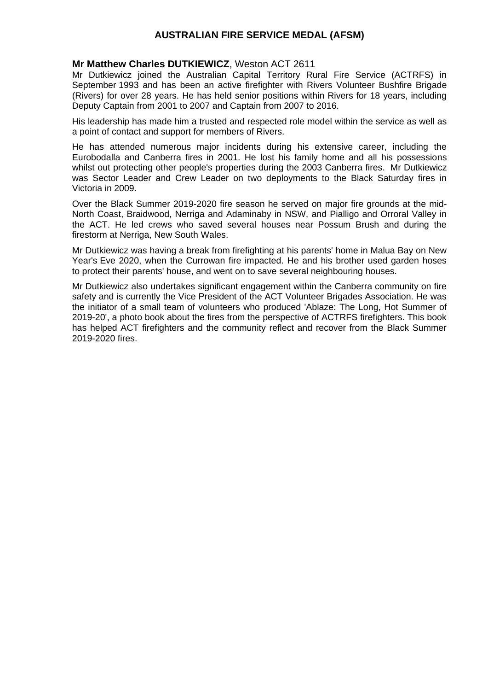### **Mr Matthew Charles DUTKIEWICZ**, Weston ACT 2611

Mr Dutkiewicz joined the Australian Capital Territory Rural Fire Service (ACTRFS) in September 1993 and has been an active firefighter with Rivers Volunteer Bushfire Brigade (Rivers) for over 28 years. He has held senior positions within Rivers for 18 years, including Deputy Captain from 2001 to 2007 and Captain from 2007 to 2016.

His leadership has made him a trusted and respected role model within the service as well as a point of contact and support for members of Rivers.

He has attended numerous major incidents during his extensive career, including the Eurobodalla and Canberra fires in 2001. He lost his family home and all his possessions whilst out protecting other people's properties during the 2003 Canberra fires. Mr Dutkiewicz was Sector Leader and Crew Leader on two deployments to the Black Saturday fires in Victoria in 2009.

Over the Black Summer 2019-2020 fire season he served on major fire grounds at the mid-North Coast, Braidwood, Nerriga and Adaminaby in NSW, and Pialligo and Orroral Valley in the ACT. He led crews who saved several houses near Possum Brush and during the firestorm at Nerriga, New South Wales.

Mr Dutkiewicz was having a break from firefighting at his parents' home in Malua Bay on New Year's Eve 2020, when the Currowan fire impacted. He and his brother used garden hoses to protect their parents' house, and went on to save several neighbouring houses.

Mr Dutkiewicz also undertakes significant engagement within the Canberra community on fire safety and is currently the Vice President of the ACT Volunteer Brigades Association. He was the initiator of a small team of volunteers who produced 'Ablaze: The Long, Hot Summer of 2019-20', a photo book about the fires from the perspective of ACTRFS firefighters. This book has helped ACT firefighters and the community reflect and recover from the Black Summer 2019-2020 fires.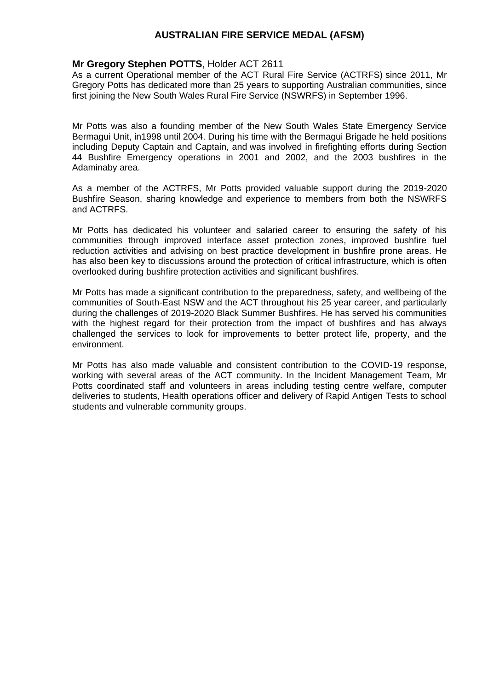### **Mr Gregory Stephen POTTS**, Holder ACT 2611

As a current Operational member of the ACT Rural Fire Service (ACTRFS) since 2011, Mr Gregory Potts has dedicated more than 25 years to supporting Australian communities, since first joining the New South Wales Rural Fire Service (NSWRFS) in September 1996.

Mr Potts was also a founding member of the New South Wales State Emergency Service Bermagui Unit, in1998 until 2004. During his time with the Bermagui Brigade he held positions including Deputy Captain and Captain, and was involved in firefighting efforts during Section 44 Bushfire Emergency operations in 2001 and 2002, and the 2003 bushfires in the Adaminaby area.

As a member of the ACTRFS, Mr Potts provided valuable support during the 2019-2020 Bushfire Season, sharing knowledge and experience to members from both the NSWRFS and ACTRFS.

Mr Potts has dedicated his volunteer and salaried career to ensuring the safety of his communities through improved interface asset protection zones, improved bushfire fuel reduction activities and advising on best practice development in bushfire prone areas. He has also been key to discussions around the protection of critical infrastructure, which is often overlooked during bushfire protection activities and significant bushfires.

Mr Potts has made a significant contribution to the preparedness, safety, and wellbeing of the communities of South-East NSW and the ACT throughout his 25 year career, and particularly during the challenges of 2019-2020 Black Summer Bushfires. He has served his communities with the highest regard for their protection from the impact of bushfires and has always challenged the services to look for improvements to better protect life, property, and the environment.

Mr Potts has also made valuable and consistent contribution to the COVID-19 response, working with several areas of the ACT community. In the Incident Management Team, Mr Potts coordinated staff and volunteers in areas including testing centre welfare, computer deliveries to students, Health operations officer and delivery of Rapid Antigen Tests to school students and vulnerable community groups.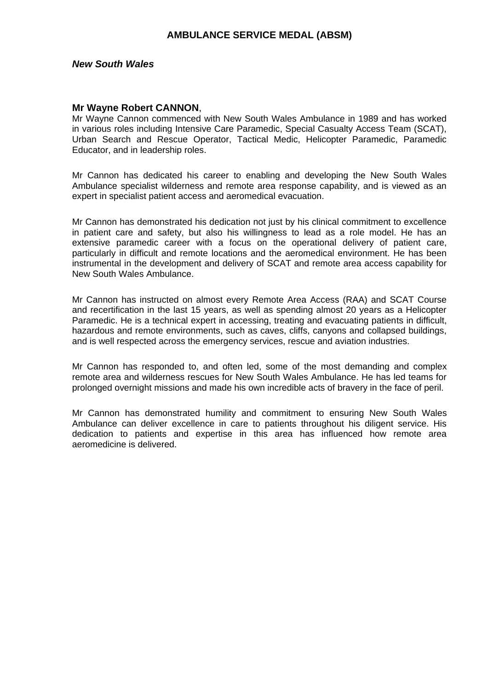#### *New South Wales*

#### **Mr Wayne Robert CANNON**,

Mr Wayne Cannon commenced with New South Wales Ambulance in 1989 and has worked in various roles including Intensive Care Paramedic, Special Casualty Access Team (SCAT), Urban Search and Rescue Operator, Tactical Medic, Helicopter Paramedic, Paramedic Educator, and in leadership roles.

Mr Cannon has dedicated his career to enabling and developing the New South Wales Ambulance specialist wilderness and remote area response capability, and is viewed as an expert in specialist patient access and aeromedical evacuation.

Mr Cannon has demonstrated his dedication not just by his clinical commitment to excellence in patient care and safety, but also his willingness to lead as a role model. He has an extensive paramedic career with a focus on the operational delivery of patient care, particularly in difficult and remote locations and the aeromedical environment. He has been instrumental in the development and delivery of SCAT and remote area access capability for New South Wales Ambulance.

Mr Cannon has instructed on almost every Remote Area Access (RAA) and SCAT Course and recertification in the last 15 years, as well as spending almost 20 years as a Helicopter Paramedic. He is a technical expert in accessing, treating and evacuating patients in difficult, hazardous and remote environments, such as caves, cliffs, canyons and collapsed buildings, and is well respected across the emergency services, rescue and aviation industries.

Mr Cannon has responded to, and often led, some of the most demanding and complex remote area and wilderness rescues for New South Wales Ambulance. He has led teams for prolonged overnight missions and made his own incredible acts of bravery in the face of peril.

Mr Cannon has demonstrated humility and commitment to ensuring New South Wales Ambulance can deliver excellence in care to patients throughout his diligent service. His dedication to patients and expertise in this area has influenced how remote area aeromedicine is delivered.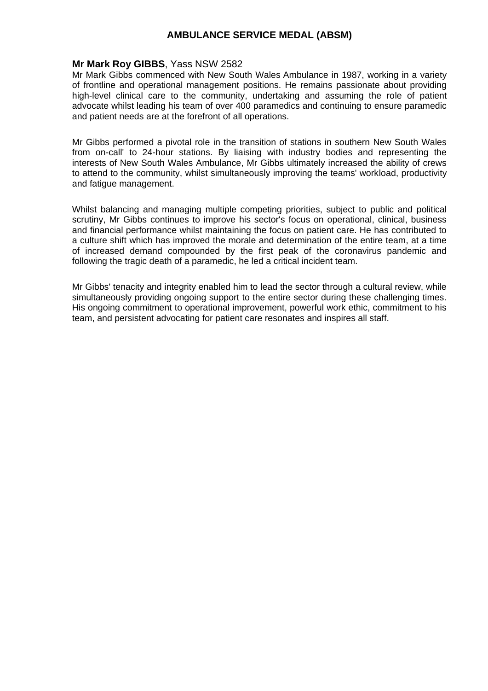### **Mr Mark Roy GIBBS**, Yass NSW 2582

Mr Mark Gibbs commenced with New South Wales Ambulance in 1987, working in a variety of frontline and operational management positions. He remains passionate about providing high-level clinical care to the community, undertaking and assuming the role of patient advocate whilst leading his team of over 400 paramedics and continuing to ensure paramedic and patient needs are at the forefront of all operations.

Mr Gibbs performed a pivotal role in the transition of stations in southern New South Wales from on-call' to 24-hour stations. By liaising with industry bodies and representing the interests of New South Wales Ambulance, Mr Gibbs ultimately increased the ability of crews to attend to the community, whilst simultaneously improving the teams' workload, productivity and fatigue management.

Whilst balancing and managing multiple competing priorities, subject to public and political scrutiny, Mr Gibbs continues to improve his sector's focus on operational, clinical, business and financial performance whilst maintaining the focus on patient care. He has contributed to a culture shift which has improved the morale and determination of the entire team, at a time of increased demand compounded by the first peak of the coronavirus pandemic and following the tragic death of a paramedic, he led a critical incident team.

Mr Gibbs' tenacity and integrity enabled him to lead the sector through a cultural review, while simultaneously providing ongoing support to the entire sector during these challenging times. His ongoing commitment to operational improvement, powerful work ethic, commitment to his team, and persistent advocating for patient care resonates and inspires all staff.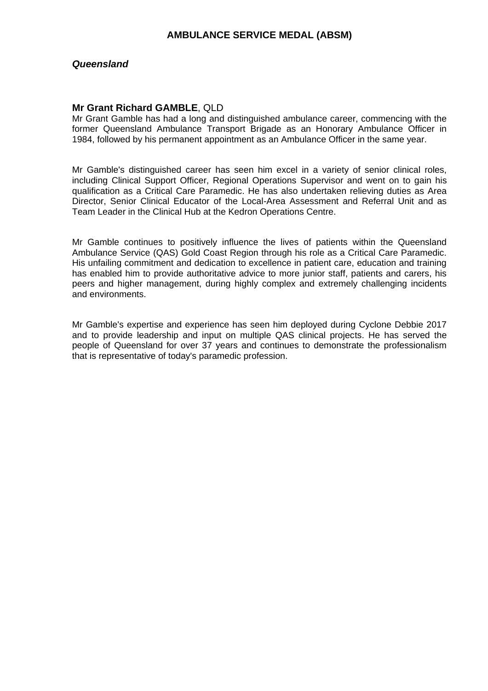#### *Queensland*

#### **Mr Grant Richard GAMBLE**, QLD

Mr Grant Gamble has had a long and distinguished ambulance career, commencing with the former Queensland Ambulance Transport Brigade as an Honorary Ambulance Officer in 1984, followed by his permanent appointment as an Ambulance Officer in the same year.

Mr Gamble's distinguished career has seen him excel in a variety of senior clinical roles, including Clinical Support Officer, Regional Operations Supervisor and went on to gain his qualification as a Critical Care Paramedic. He has also undertaken relieving duties as Area Director, Senior Clinical Educator of the Local-Area Assessment and Referral Unit and as Team Leader in the Clinical Hub at the Kedron Operations Centre.

Mr Gamble continues to positively influence the lives of patients within the Queensland Ambulance Service (QAS) Gold Coast Region through his role as a Critical Care Paramedic. His unfailing commitment and dedication to excellence in patient care, education and training has enabled him to provide authoritative advice to more junior staff, patients and carers, his peers and higher management, during highly complex and extremely challenging incidents and environments.

Mr Gamble's expertise and experience has seen him deployed during Cyclone Debbie 2017 and to provide leadership and input on multiple QAS clinical projects. He has served the people of Queensland for over 37 years and continues to demonstrate the professionalism that is representative of today's paramedic profession.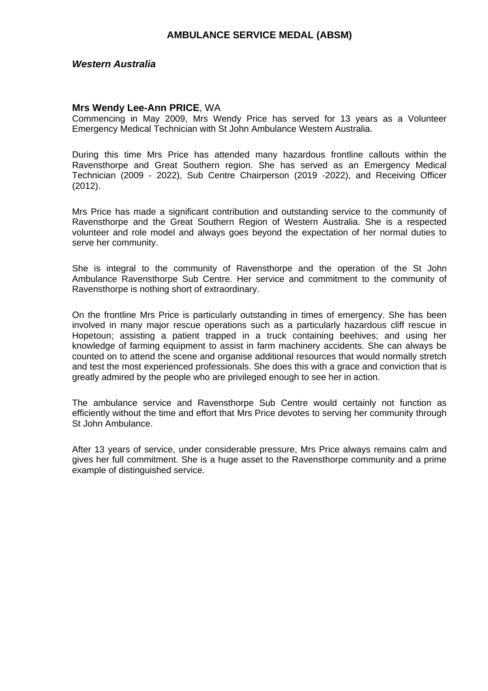#### *Western Australia*

#### **Mrs Wendy Lee-Ann PRICE**, WA

Commencing in May 2009, Mrs Wendy Price has served for 13 years as a Volunteer Emergency Medical Technician with St John Ambulance Western Australia.

During this time Mrs Price has attended many hazardous frontline callouts within the Ravensthorpe and Great Southern region. She has served as an Emergency Medical Technician (2009 - 2022), Sub Centre Chairperson (2019 -2022), and Receiving Officer (2012).

Mrs Price has made a significant contribution and outstanding service to the community of Ravensthorpe and the Great Southern Region of Western Australia. She is a respected volunteer and role model and always goes beyond the expectation of her normal duties to serve her community.

She is integral to the community of Ravensthorpe and the operation of the St John Ambulance Ravensthorpe Sub Centre. Her service and commitment to the community of Ravensthorpe is nothing short of extraordinary.

On the frontline Mrs Price is particularly outstanding in times of emergency. She has been involved in many major rescue operations such as a particularly hazardous cliff rescue in Hopetoun; assisting a patient trapped in a truck containing beehives; and using her knowledge of farming equipment to assist in farm machinery accidents. She can always be counted on to attend the scene and organise additional resources that would normally stretch and test the most experienced professionals. She does this with a grace and conviction that is greatly admired by the people who are privileged enough to see her in action.

The ambulance service and Ravensthorpe Sub Centre would certainly not function as efficiently without the time and effort that Mrs Price devotes to serving her community through St John Ambulance.

After 13 years of service, under considerable pressure, Mrs Price always remains calm and gives her full commitment. She is a huge asset to the Ravensthorpe community and a prime example of distinguished service.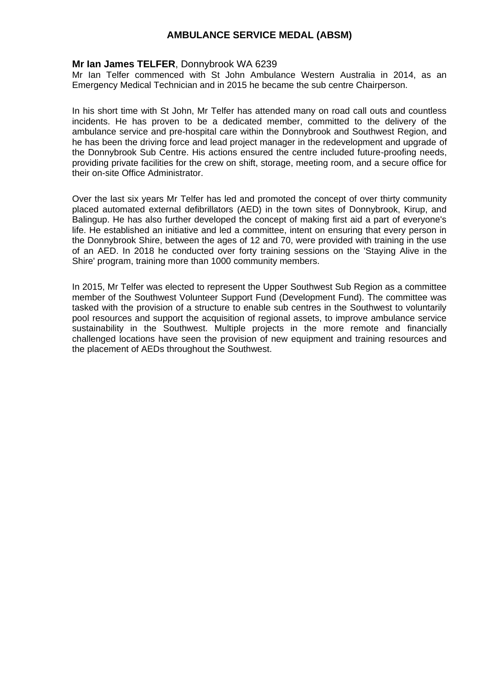### **Mr Ian James TELFER**, Donnybrook WA 6239

Mr Ian Telfer commenced with St John Ambulance Western Australia in 2014, as an Emergency Medical Technician and in 2015 he became the sub centre Chairperson.

In his short time with St John, Mr Telfer has attended many on road call outs and countless incidents. He has proven to be a dedicated member, committed to the delivery of the ambulance service and pre-hospital care within the Donnybrook and Southwest Region, and he has been the driving force and lead project manager in the redevelopment and upgrade of the Donnybrook Sub Centre. His actions ensured the centre included future-proofing needs, providing private facilities for the crew on shift, storage, meeting room, and a secure office for their on-site Office Administrator.

Over the last six years Mr Telfer has led and promoted the concept of over thirty community placed automated external defibrillators (AED) in the town sites of Donnybrook, Kirup, and Balingup. He has also further developed the concept of making first aid a part of everyone's life. He established an initiative and led a committee, intent on ensuring that every person in the Donnybrook Shire, between the ages of 12 and 70, were provided with training in the use of an AED. In 2018 he conducted over forty training sessions on the 'Staying Alive in the Shire' program, training more than 1000 community members.

In 2015, Mr Telfer was elected to represent the Upper Southwest Sub Region as a committee member of the Southwest Volunteer Support Fund (Development Fund). The committee was tasked with the provision of a structure to enable sub centres in the Southwest to voluntarily pool resources and support the acquisition of regional assets, to improve ambulance service sustainability in the Southwest. Multiple projects in the more remote and financially challenged locations have seen the provision of new equipment and training resources and the placement of AEDs throughout the Southwest.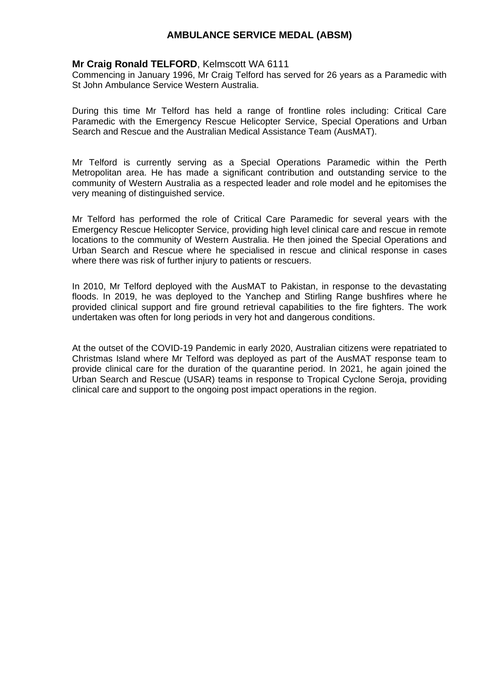### **Mr Craig Ronald TELFORD**, Kelmscott WA 6111

Commencing in January 1996, Mr Craig Telford has served for 26 years as a Paramedic with St John Ambulance Service Western Australia.

During this time Mr Telford has held a range of frontline roles including: Critical Care Paramedic with the Emergency Rescue Helicopter Service, Special Operations and Urban Search and Rescue and the Australian Medical Assistance Team (AusMAT).

Mr Telford is currently serving as a Special Operations Paramedic within the Perth Metropolitan area. He has made a significant contribution and outstanding service to the community of Western Australia as a respected leader and role model and he epitomises the very meaning of distinguished service.

Mr Telford has performed the role of Critical Care Paramedic for several years with the Emergency Rescue Helicopter Service, providing high level clinical care and rescue in remote locations to the community of Western Australia. He then joined the Special Operations and Urban Search and Rescue where he specialised in rescue and clinical response in cases where there was risk of further injury to patients or rescuers.

In 2010, Mr Telford deployed with the AusMAT to Pakistan, in response to the devastating floods. In 2019, he was deployed to the Yanchep and Stirling Range bushfires where he provided clinical support and fire ground retrieval capabilities to the fire fighters. The work undertaken was often for long periods in very hot and dangerous conditions.

At the outset of the COVID-19 Pandemic in early 2020, Australian citizens were repatriated to Christmas Island where Mr Telford was deployed as part of the AusMAT response team to provide clinical care for the duration of the quarantine period. In 2021, he again joined the Urban Search and Rescue (USAR) teams in response to Tropical Cyclone Seroja, providing clinical care and support to the ongoing post impact operations in the region.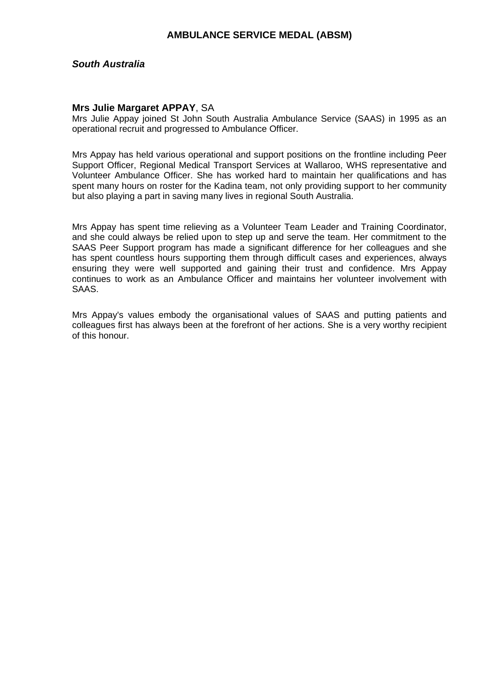### *South Australia*

#### **Mrs Julie Margaret APPAY**, SA

Mrs Julie Appay joined St John South Australia Ambulance Service (SAAS) in 1995 as an operational recruit and progressed to Ambulance Officer.

Mrs Appay has held various operational and support positions on the frontline including Peer Support Officer, Regional Medical Transport Services at Wallaroo, WHS representative and Volunteer Ambulance Officer. She has worked hard to maintain her qualifications and has spent many hours on roster for the Kadina team, not only providing support to her community but also playing a part in saving many lives in regional South Australia.

Mrs Appay has spent time relieving as a Volunteer Team Leader and Training Coordinator, and she could always be relied upon to step up and serve the team. Her commitment to the SAAS Peer Support program has made a significant difference for her colleagues and she has spent countless hours supporting them through difficult cases and experiences, always ensuring they were well supported and gaining their trust and confidence. Mrs Appay continues to work as an Ambulance Officer and maintains her volunteer involvement with SAAS.

Mrs Appay's values embody the organisational values of SAAS and putting patients and colleagues first has always been at the forefront of her actions. She is a very worthy recipient of this honour.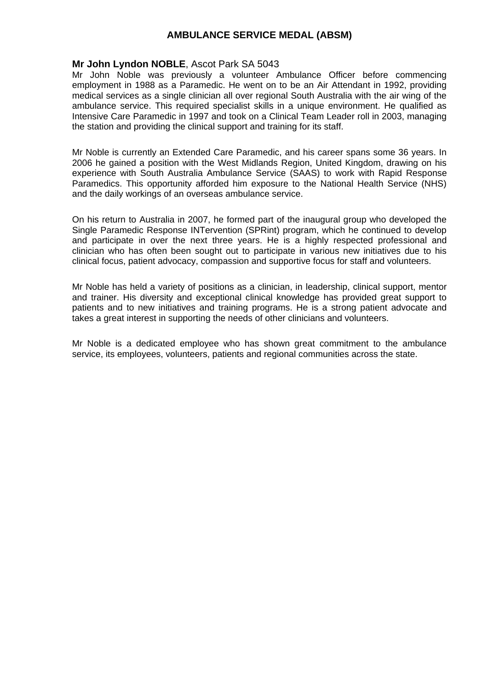### **Mr John Lyndon NOBLE**, Ascot Park SA 5043

Mr John Noble was previously a volunteer Ambulance Officer before commencing employment in 1988 as a Paramedic. He went on to be an Air Attendant in 1992, providing medical services as a single clinician all over regional South Australia with the air wing of the ambulance service. This required specialist skills in a unique environment. He qualified as Intensive Care Paramedic in 1997 and took on a Clinical Team Leader roll in 2003, managing the station and providing the clinical support and training for its staff.

Mr Noble is currently an Extended Care Paramedic, and his career spans some 36 years. In 2006 he gained a position with the West Midlands Region, United Kingdom, drawing on his experience with South Australia Ambulance Service (SAAS) to work with Rapid Response Paramedics. This opportunity afforded him exposure to the National Health Service (NHS) and the daily workings of an overseas ambulance service.

On his return to Australia in 2007, he formed part of the inaugural group who developed the Single Paramedic Response INTervention (SPRint) program, which he continued to develop and participate in over the next three years. He is a highly respected professional and clinician who has often been sought out to participate in various new initiatives due to his clinical focus, patient advocacy, compassion and supportive focus for staff and volunteers.

Mr Noble has held a variety of positions as a clinician, in leadership, clinical support, mentor and trainer. His diversity and exceptional clinical knowledge has provided great support to patients and to new initiatives and training programs. He is a strong patient advocate and takes a great interest in supporting the needs of other clinicians and volunteers.

Mr Noble is a dedicated employee who has shown great commitment to the ambulance service, its employees, volunteers, patients and regional communities across the state.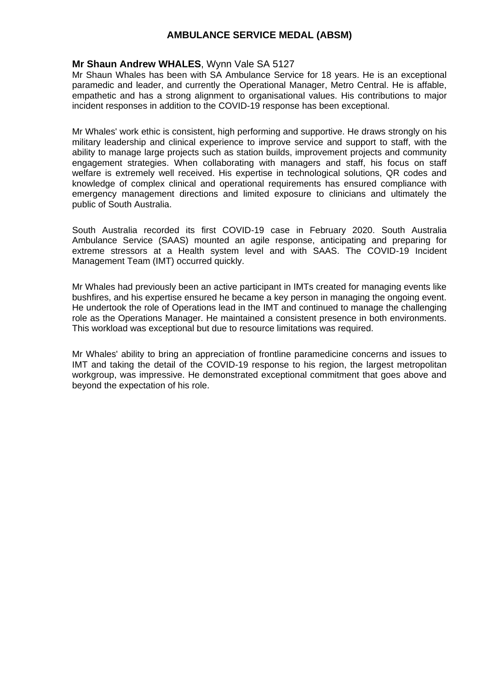### **Mr Shaun Andrew WHALES**, Wynn Vale SA 5127

Mr Shaun Whales has been with SA Ambulance Service for 18 years. He is an exceptional paramedic and leader, and currently the Operational Manager, Metro Central. He is affable, empathetic and has a strong alignment to organisational values. His contributions to major incident responses in addition to the COVID-19 response has been exceptional.

Mr Whales' work ethic is consistent, high performing and supportive. He draws strongly on his military leadership and clinical experience to improve service and support to staff, with the ability to manage large projects such as station builds, improvement projects and community engagement strategies. When collaborating with managers and staff, his focus on staff welfare is extremely well received. His expertise in technological solutions, QR codes and knowledge of complex clinical and operational requirements has ensured compliance with emergency management directions and limited exposure to clinicians and ultimately the public of South Australia.

South Australia recorded its first COVID-19 case in February 2020. South Australia Ambulance Service (SAAS) mounted an agile response, anticipating and preparing for extreme stressors at a Health system level and with SAAS. The COVID-19 Incident Management Team (IMT) occurred quickly.

Mr Whales had previously been an active participant in IMTs created for managing events like bushfires, and his expertise ensured he became a key person in managing the ongoing event. He undertook the role of Operations lead in the IMT and continued to manage the challenging role as the Operations Manager. He maintained a consistent presence in both environments. This workload was exceptional but due to resource limitations was required.

Mr Whales' ability to bring an appreciation of frontline paramedicine concerns and issues to IMT and taking the detail of the COVID-19 response to his region, the largest metropolitan workgroup, was impressive. He demonstrated exceptional commitment that goes above and beyond the expectation of his role.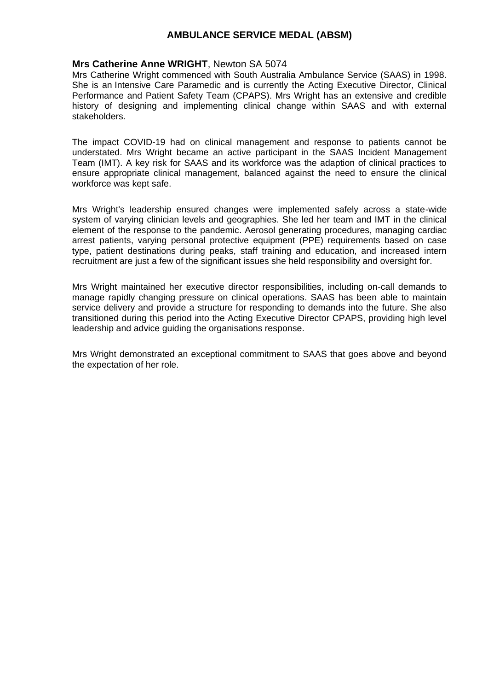#### **Mrs Catherine Anne WRIGHT**, Newton SA 5074

Mrs Catherine Wright commenced with South Australia Ambulance Service (SAAS) in 1998. She is an Intensive Care Paramedic and is currently the Acting Executive Director, Clinical Performance and Patient Safety Team (CPAPS). Mrs Wright has an extensive and credible history of designing and implementing clinical change within SAAS and with external stakeholders.

The impact COVID-19 had on clinical management and response to patients cannot be understated. Mrs Wright became an active participant in the SAAS Incident Management Team (IMT). A key risk for SAAS and its workforce was the adaption of clinical practices to ensure appropriate clinical management, balanced against the need to ensure the clinical workforce was kept safe.

Mrs Wright's leadership ensured changes were implemented safely across a state-wide system of varying clinician levels and geographies. She led her team and IMT in the clinical element of the response to the pandemic. Aerosol generating procedures, managing cardiac arrest patients, varying personal protective equipment (PPE) requirements based on case type, patient destinations during peaks, staff training and education, and increased intern recruitment are just a few of the significant issues she held responsibility and oversight for.

Mrs Wright maintained her executive director responsibilities, including on-call demands to manage rapidly changing pressure on clinical operations. SAAS has been able to maintain service delivery and provide a structure for responding to demands into the future. She also transitioned during this period into the Acting Executive Director CPAPS, providing high level leadership and advice guiding the organisations response.

Mrs Wright demonstrated an exceptional commitment to SAAS that goes above and beyond the expectation of her role.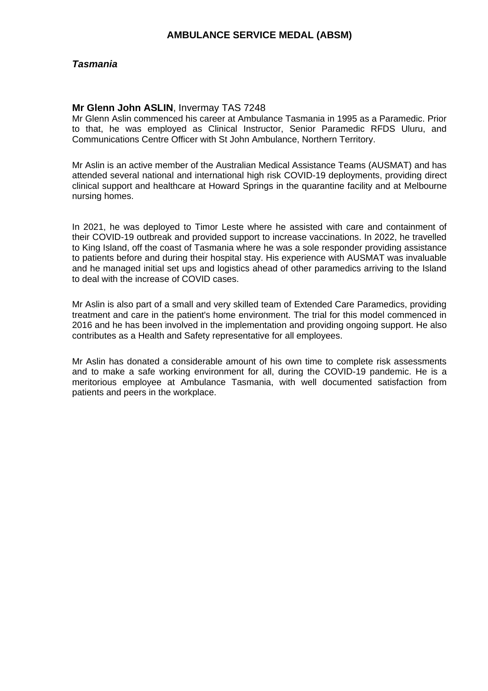### *Tasmania*

### **Mr Glenn John ASLIN**, Invermay TAS 7248

Mr Glenn Aslin commenced his career at Ambulance Tasmania in 1995 as a Paramedic. Prior to that, he was employed as Clinical Instructor, Senior Paramedic RFDS Uluru, and Communications Centre Officer with St John Ambulance, Northern Territory.

Mr Aslin is an active member of the Australian Medical Assistance Teams (AUSMAT) and has attended several national and international high risk COVID-19 deployments, providing direct clinical support and healthcare at Howard Springs in the quarantine facility and at Melbourne nursing homes.

In 2021, he was deployed to Timor Leste where he assisted with care and containment of their COVID-19 outbreak and provided support to increase vaccinations. In 2022, he travelled to King Island, off the coast of Tasmania where he was a sole responder providing assistance to patients before and during their hospital stay. His experience with AUSMAT was invaluable and he managed initial set ups and logistics ahead of other paramedics arriving to the Island to deal with the increase of COVID cases.

Mr Aslin is also part of a small and very skilled team of Extended Care Paramedics, providing treatment and care in the patient's home environment. The trial for this model commenced in 2016 and he has been involved in the implementation and providing ongoing support. He also contributes as a Health and Safety representative for all employees.

Mr Aslin has donated a considerable amount of his own time to complete risk assessments and to make a safe working environment for all, during the COVID-19 pandemic. He is a meritorious employee at Ambulance Tasmania, with well documented satisfaction from patients and peers in the workplace.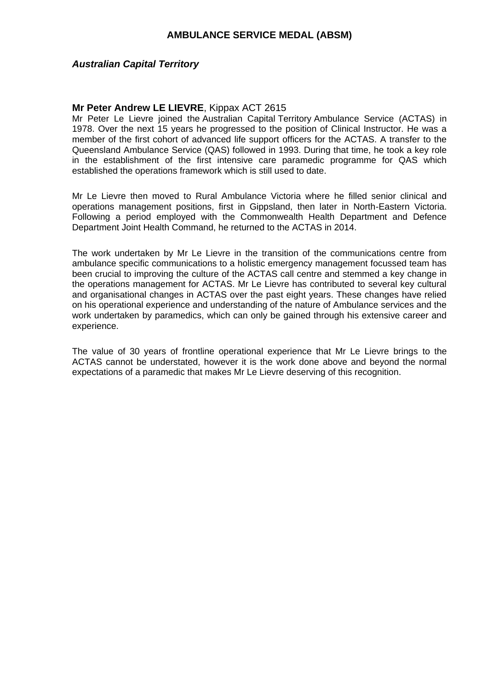### *Australian Capital Territory*

### **Mr Peter Andrew LE LIEVRE**, Kippax ACT 2615

Mr Peter Le Lievre joined the Australian Capital Territory Ambulance Service (ACTAS) in 1978. Over the next 15 years he progressed to the position of Clinical Instructor. He was a member of the first cohort of advanced life support officers for the ACTAS. A transfer to the Queensland Ambulance Service (QAS) followed in 1993. During that time, he took a key role in the establishment of the first intensive care paramedic programme for QAS which established the operations framework which is still used to date.

Mr Le Lievre then moved to Rural Ambulance Victoria where he filled senior clinical and operations management positions, first in Gippsland, then later in North-Eastern Victoria. Following a period employed with the Commonwealth Health Department and Defence Department Joint Health Command, he returned to the ACTAS in 2014.

The work undertaken by Mr Le Lievre in the transition of the communications centre from ambulance specific communications to a holistic emergency management focussed team has been crucial to improving the culture of the ACTAS call centre and stemmed a key change in the operations management for ACTAS. Mr Le Lievre has contributed to several key cultural and organisational changes in ACTAS over the past eight years. These changes have relied on his operational experience and understanding of the nature of Ambulance services and the work undertaken by paramedics, which can only be gained through his extensive career and experience.

The value of 30 years of frontline operational experience that Mr Le Lievre brings to the ACTAS cannot be understated, however it is the work done above and beyond the normal expectations of a paramedic that makes Mr Le Lievre deserving of this recognition.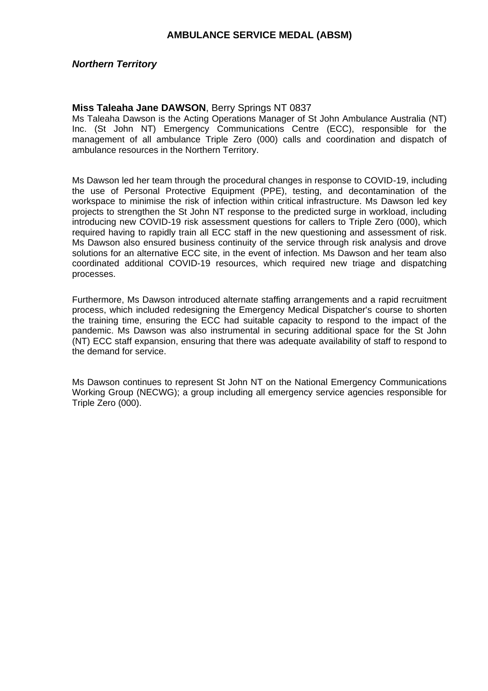### *Northern Territory*

### **Miss Taleaha Jane DAWSON**, Berry Springs NT 0837

Ms Taleaha Dawson is the Acting Operations Manager of St John Ambulance Australia (NT) Inc. (St John NT) Emergency Communications Centre (ECC), responsible for the management of all ambulance Triple Zero (000) calls and coordination and dispatch of ambulance resources in the Northern Territory.

Ms Dawson led her team through the procedural changes in response to COVID-19, including the use of Personal Protective Equipment (PPE), testing, and decontamination of the workspace to minimise the risk of infection within critical infrastructure. Ms Dawson led key projects to strengthen the St John NT response to the predicted surge in workload, including introducing new COVID-19 risk assessment questions for callers to Triple Zero (000), which required having to rapidly train all ECC staff in the new questioning and assessment of risk. Ms Dawson also ensured business continuity of the service through risk analysis and drove solutions for an alternative ECC site, in the event of infection. Ms Dawson and her team also coordinated additional COVID-19 resources, which required new triage and dispatching processes.

Furthermore, Ms Dawson introduced alternate staffing arrangements and a rapid recruitment process, which included redesigning the Emergency Medical Dispatcher's course to shorten the training time, ensuring the ECC had suitable capacity to respond to the impact of the pandemic. Ms Dawson was also instrumental in securing additional space for the St John (NT) ECC staff expansion, ensuring that there was adequate availability of staff to respond to the demand for service.

Ms Dawson continues to represent St John NT on the National Emergency Communications Working Group (NECWG); a group including all emergency service agencies responsible for Triple Zero (000).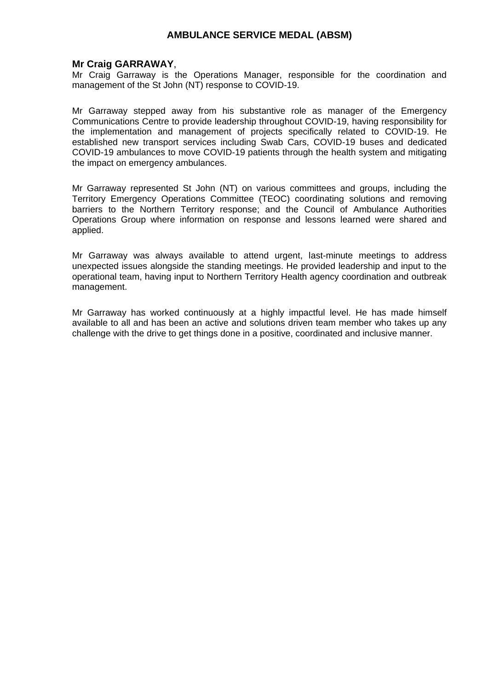### **Mr Craig GARRAWAY**,

Mr Craig Garraway is the Operations Manager, responsible for the coordination and management of the St John (NT) response to COVID-19.

Mr Garraway stepped away from his substantive role as manager of the Emergency Communications Centre to provide leadership throughout COVID-19, having responsibility for the implementation and management of projects specifically related to COVID-19. He established new transport services including Swab Cars, COVID-19 buses and dedicated COVID-19 ambulances to move COVID-19 patients through the health system and mitigating the impact on emergency ambulances.

Mr Garraway represented St John (NT) on various committees and groups, including the Territory Emergency Operations Committee (TEOC) coordinating solutions and removing barriers to the Northern Territory response; and the Council of Ambulance Authorities Operations Group where information on response and lessons learned were shared and applied.

Mr Garraway was always available to attend urgent, last-minute meetings to address unexpected issues alongside the standing meetings. He provided leadership and input to the operational team, having input to Northern Territory Health agency coordination and outbreak management.

Mr Garraway has worked continuously at a highly impactful level. He has made himself available to all and has been an active and solutions driven team member who takes up any challenge with the drive to get things done in a positive, coordinated and inclusive manner.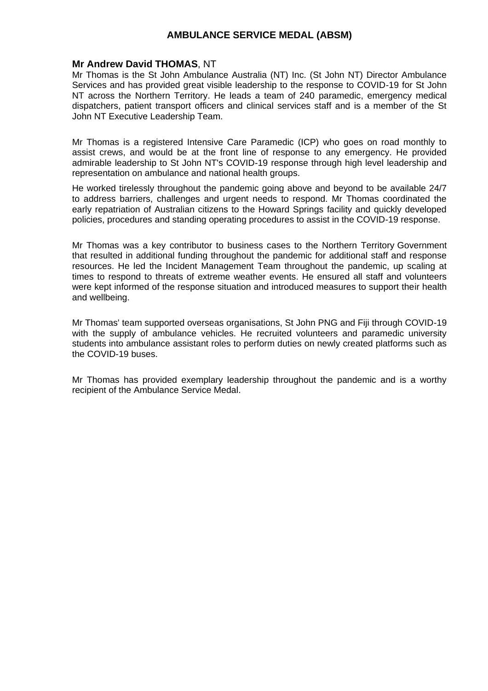### **Mr Andrew David THOMAS**, NT

Mr Thomas is the St John Ambulance Australia (NT) Inc. (St John NT) Director Ambulance Services and has provided great visible leadership to the response to COVID-19 for St John NT across the Northern Territory. He leads a team of 240 paramedic, emergency medical dispatchers, patient transport officers and clinical services staff and is a member of the St John NT Executive Leadership Team.

Mr Thomas is a registered Intensive Care Paramedic (ICP) who goes on road monthly to assist crews, and would be at the front line of response to any emergency. He provided admirable leadership to St John NT's COVID-19 response through high level leadership and representation on ambulance and national health groups.

He worked tirelessly throughout the pandemic going above and beyond to be available 24/7 to address barriers, challenges and urgent needs to respond. Mr Thomas coordinated the early repatriation of Australian citizens to the Howard Springs facility and quickly developed policies, procedures and standing operating procedures to assist in the COVID-19 response.

Mr Thomas was a key contributor to business cases to the Northern Territory Government that resulted in additional funding throughout the pandemic for additional staff and response resources. He led the Incident Management Team throughout the pandemic, up scaling at times to respond to threats of extreme weather events. He ensured all staff and volunteers were kept informed of the response situation and introduced measures to support their health and wellbeing.

Mr Thomas' team supported overseas organisations, St John PNG and Fiji through COVID-19 with the supply of ambulance vehicles. He recruited volunteers and paramedic university students into ambulance assistant roles to perform duties on newly created platforms such as the COVID-19 buses.

Mr Thomas has provided exemplary leadership throughout the pandemic and is a worthy recipient of the Ambulance Service Medal.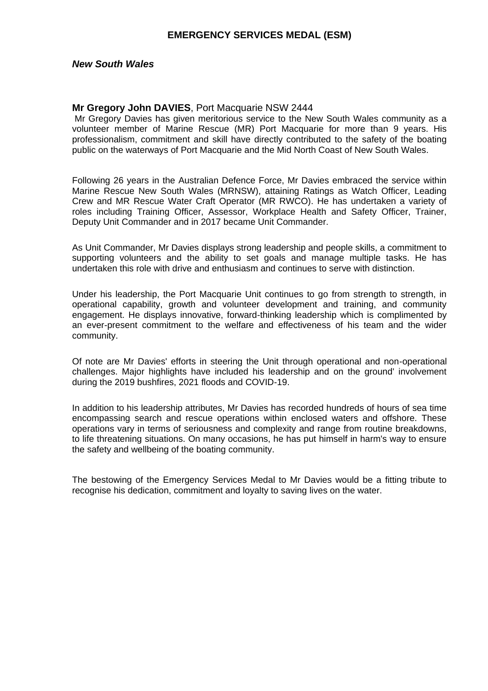### **EMERGENCY SERVICES MEDAL (ESM)**

#### *New South Wales*

#### **Mr Gregory John DAVIES**, Port Macquarie NSW 2444

Mr Gregory Davies has given meritorious service to the New South Wales community as a volunteer member of Marine Rescue (MR) Port Macquarie for more than 9 years. His professionalism, commitment and skill have directly contributed to the safety of the boating public on the waterways of Port Macquarie and the Mid North Coast of New South Wales.

Following 26 years in the Australian Defence Force, Mr Davies embraced the service within Marine Rescue New South Wales (MRNSW), attaining Ratings as Watch Officer, Leading Crew and MR Rescue Water Craft Operator (MR RWCO). He has undertaken a variety of roles including Training Officer, Assessor, Workplace Health and Safety Officer, Trainer, Deputy Unit Commander and in 2017 became Unit Commander.

As Unit Commander, Mr Davies displays strong leadership and people skills, a commitment to supporting volunteers and the ability to set goals and manage multiple tasks. He has undertaken this role with drive and enthusiasm and continues to serve with distinction.

Under his leadership, the Port Macquarie Unit continues to go from strength to strength, in operational capability, growth and volunteer development and training, and community engagement. He displays innovative, forward-thinking leadership which is complimented by an ever-present commitment to the welfare and effectiveness of his team and the wider community.

Of note are Mr Davies' efforts in steering the Unit through operational and non-operational challenges. Major highlights have included his leadership and on the ground' involvement during the 2019 bushfires, 2021 floods and COVID-19.

In addition to his leadership attributes, Mr Davies has recorded hundreds of hours of sea time encompassing search and rescue operations within enclosed waters and offshore. These operations vary in terms of seriousness and complexity and range from routine breakdowns, to life threatening situations. On many occasions, he has put himself in harm's way to ensure the safety and wellbeing of the boating community.

The bestowing of the Emergency Services Medal to Mr Davies would be a fitting tribute to recognise his dedication, commitment and loyalty to saving lives on the water.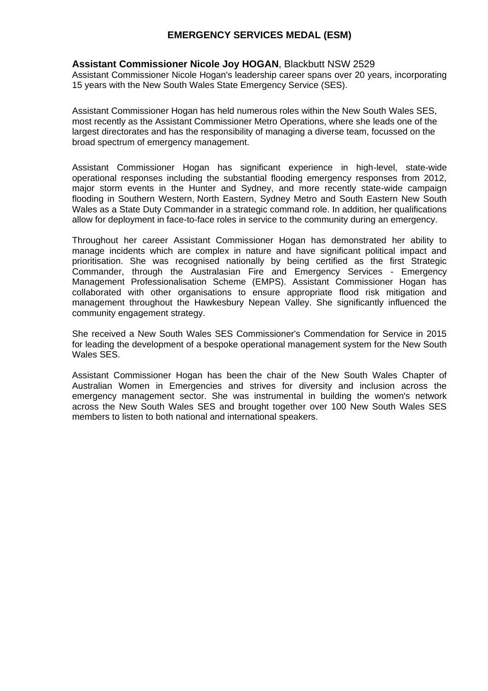# **EMERGENCY SERVICES MEDAL (ESM)**

### **Assistant Commissioner Nicole Joy HOGAN**, Blackbutt NSW 2529

Assistant Commissioner Nicole Hogan's leadership career spans over 20 years, incorporating 15 years with the New South Wales State Emergency Service (SES).

Assistant Commissioner Hogan has held numerous roles within the New South Wales SES, most recently as the Assistant Commissioner Metro Operations, where she leads one of the largest directorates and has the responsibility of managing a diverse team, focussed on the broad spectrum of emergency management.

Assistant Commissioner Hogan has significant experience in high-level, state-wide operational responses including the substantial flooding emergency responses from 2012, major storm events in the Hunter and Sydney, and more recently state-wide campaign flooding in Southern Western, North Eastern, Sydney Metro and South Eastern New South Wales as a State Duty Commander in a strategic command role. In addition, her qualifications allow for deployment in face-to-face roles in service to the community during an emergency.

Throughout her career Assistant Commissioner Hogan has demonstrated her ability to manage incidents which are complex in nature and have significant political impact and prioritisation. She was recognised nationally by being certified as the first Strategic Commander, through the Australasian Fire and Emergency Services - Emergency Management Professionalisation Scheme (EMPS). Assistant Commissioner Hogan has collaborated with other organisations to ensure appropriate flood risk mitigation and management throughout the Hawkesbury Nepean Valley. She significantly influenced the community engagement strategy.

She received a New South Wales SES Commissioner's Commendation for Service in 2015 for leading the development of a bespoke operational management system for the New South Wales SES.

Assistant Commissioner Hogan has been the chair of the New South Wales Chapter of Australian Women in Emergencies and strives for diversity and inclusion across the emergency management sector. She was instrumental in building the women's network across the New South Wales SES and brought together over 100 New South Wales SES members to listen to both national and international speakers.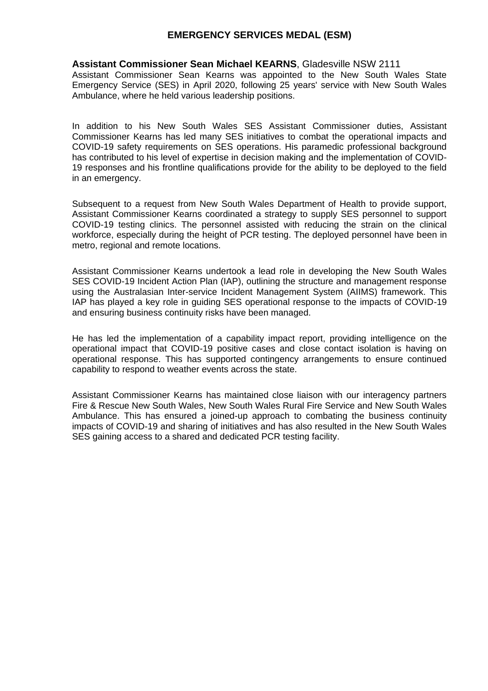### **EMERGENCY SERVICES MEDAL (ESM)**

#### **Assistant Commissioner Sean Michael KEARNS**, Gladesville NSW 2111

Assistant Commissioner Sean Kearns was appointed to the New South Wales State Emergency Service (SES) in April 2020, following 25 years' service with New South Wales Ambulance, where he held various leadership positions.

In addition to his New South Wales SES Assistant Commissioner duties, Assistant Commissioner Kearns has led many SES initiatives to combat the operational impacts and COVID-19 safety requirements on SES operations. His paramedic professional background has contributed to his level of expertise in decision making and the implementation of COVID-19 responses and his frontline qualifications provide for the ability to be deployed to the field in an emergency.

Subsequent to a request from New South Wales Department of Health to provide support, Assistant Commissioner Kearns coordinated a strategy to supply SES personnel to support COVID-19 testing clinics. The personnel assisted with reducing the strain on the clinical workforce, especially during the height of PCR testing. The deployed personnel have been in metro, regional and remote locations.

Assistant Commissioner Kearns undertook a lead role in developing the New South Wales SES COVID-19 Incident Action Plan (IAP), outlining the structure and management response using the Australasian Inter-service Incident Management System (AIIMS) framework. This IAP has played a key role in guiding SES operational response to the impacts of COVID-19 and ensuring business continuity risks have been managed.

He has led the implementation of a capability impact report, providing intelligence on the operational impact that COVID-19 positive cases and close contact isolation is having on operational response. This has supported contingency arrangements to ensure continued capability to respond to weather events across the state.

Assistant Commissioner Kearns has maintained close liaison with our interagency partners Fire & Rescue New South Wales, New South Wales Rural Fire Service and New South Wales Ambulance. This has ensured a joined-up approach to combating the business continuity impacts of COVID-19 and sharing of initiatives and has also resulted in the New South Wales SES gaining access to a shared and dedicated PCR testing facility.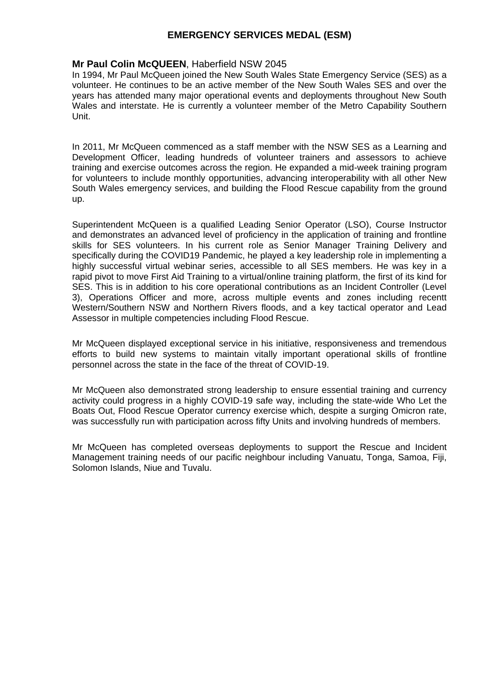## **Mr Paul Colin McQUEEN**, Haberfield NSW 2045

In 1994, Mr Paul McQueen joined the New South Wales State Emergency Service (SES) as a volunteer. He continues to be an active member of the New South Wales SES and over the years has attended many major operational events and deployments throughout New South Wales and interstate. He is currently a volunteer member of the Metro Capability Southern Unit.

In 2011, Mr McQueen commenced as a staff member with the NSW SES as a Learning and Development Officer, leading hundreds of volunteer trainers and assessors to achieve training and exercise outcomes across the region. He expanded a mid-week training program for volunteers to include monthly opportunities, advancing interoperability with all other New South Wales emergency services, and building the Flood Rescue capability from the ground up.

Superintendent McQueen is a qualified Leading Senior Operator (LSO), Course Instructor and demonstrates an advanced level of proficiency in the application of training and frontline skills for SES volunteers. In his current role as Senior Manager Training Delivery and specifically during the COVID19 Pandemic, he played a key leadership role in implementing a highly successful virtual webinar series, accessible to all SES members. He was key in a rapid pivot to move First Aid Training to a virtual/online training platform, the first of its kind for SES. This is in addition to his core operational contributions as an Incident Controller (Level 3), Operations Officer and more, across multiple events and zones including recentt Western/Southern NSW and Northern Rivers floods, and a key tactical operator and Lead Assessor in multiple competencies including Flood Rescue.

Mr McQueen displayed exceptional service in his initiative, responsiveness and tremendous efforts to build new systems to maintain vitally important operational skills of frontline personnel across the state in the face of the threat of COVID-19.

Mr McQueen also demonstrated strong leadership to ensure essential training and currency activity could progress in a highly COVID-19 safe way, including the state-wide Who Let the Boats Out, Flood Rescue Operator currency exercise which, despite a surging Omicron rate, was successfully run with participation across fifty Units and involving hundreds of members.

Mr McQueen has completed overseas deployments to support the Rescue and Incident Management training needs of our pacific neighbour including Vanuatu, Tonga, Samoa, Fiji, Solomon Islands, Niue and Tuvalu.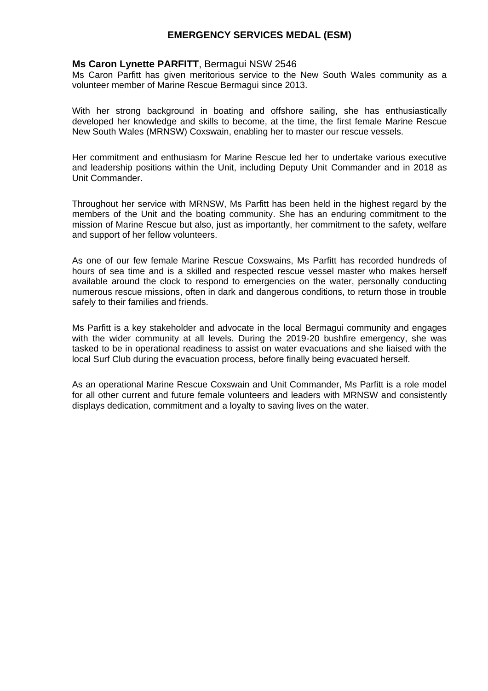### **Ms Caron Lynette PARFITT**, Bermagui NSW 2546

Ms Caron Parfitt has given meritorious service to the New South Wales community as a volunteer member of Marine Rescue Bermagui since 2013.

With her strong background in boating and offshore sailing, she has enthusiastically developed her knowledge and skills to become, at the time, the first female Marine Rescue New South Wales (MRNSW) Coxswain, enabling her to master our rescue vessels.

Her commitment and enthusiasm for Marine Rescue led her to undertake various executive and leadership positions within the Unit, including Deputy Unit Commander and in 2018 as Unit Commander.

Throughout her service with MRNSW, Ms Parfitt has been held in the highest regard by the members of the Unit and the boating community. She has an enduring commitment to the mission of Marine Rescue but also, just as importantly, her commitment to the safety, welfare and support of her fellow volunteers.

As one of our few female Marine Rescue Coxswains, Ms Parfitt has recorded hundreds of hours of sea time and is a skilled and respected rescue vessel master who makes herself available around the clock to respond to emergencies on the water, personally conducting numerous rescue missions, often in dark and dangerous conditions, to return those in trouble safely to their families and friends.

Ms Parfitt is a key stakeholder and advocate in the local Bermagui community and engages with the wider community at all levels. During the 2019-20 bushfire emergency, she was tasked to be in operational readiness to assist on water evacuations and she liaised with the local Surf Club during the evacuation process, before finally being evacuated herself.

As an operational Marine Rescue Coxswain and Unit Commander, Ms Parfitt is a role model for all other current and future female volunteers and leaders with MRNSW and consistently displays dedication, commitment and a loyalty to saving lives on the water.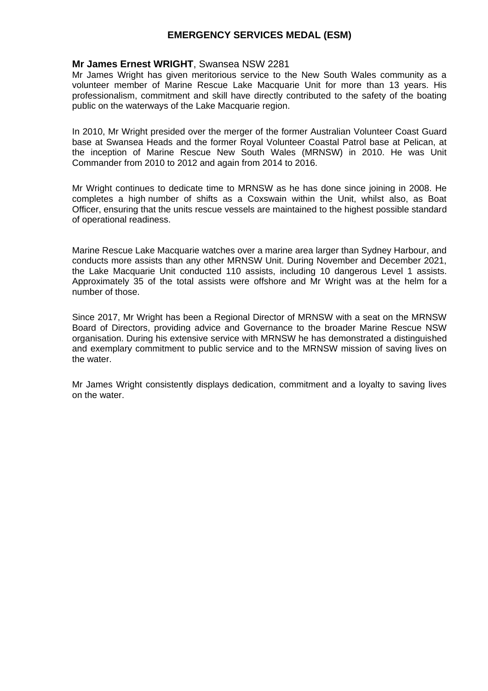### **Mr James Ernest WRIGHT**, Swansea NSW 2281

Mr James Wright has given meritorious service to the New South Wales community as a volunteer member of Marine Rescue Lake Macquarie Unit for more than 13 years. His professionalism, commitment and skill have directly contributed to the safety of the boating public on the waterways of the Lake Macquarie region.

In 2010, Mr Wright presided over the merger of the former Australian Volunteer Coast Guard base at Swansea Heads and the former Royal Volunteer Coastal Patrol base at Pelican, at the inception of Marine Rescue New South Wales (MRNSW) in 2010. He was Unit Commander from 2010 to 2012 and again from 2014 to 2016.

Mr Wright continues to dedicate time to MRNSW as he has done since joining in 2008. He completes a high number of shifts as a Coxswain within the Unit, whilst also, as Boat Officer, ensuring that the units rescue vessels are maintained to the highest possible standard of operational readiness.

Marine Rescue Lake Macquarie watches over a marine area larger than Sydney Harbour, and conducts more assists than any other MRNSW Unit. During November and December 2021, the Lake Macquarie Unit conducted 110 assists, including 10 dangerous Level 1 assists. Approximately 35 of the total assists were offshore and Mr Wright was at the helm for a number of those.

Since 2017, Mr Wright has been a Regional Director of MRNSW with a seat on the MRNSW Board of Directors, providing advice and Governance to the broader Marine Rescue NSW organisation. During his extensive service with MRNSW he has demonstrated a distinguished and exemplary commitment to public service and to the MRNSW mission of saving lives on the water.

Mr James Wright consistently displays dedication, commitment and a loyalty to saving lives on the water.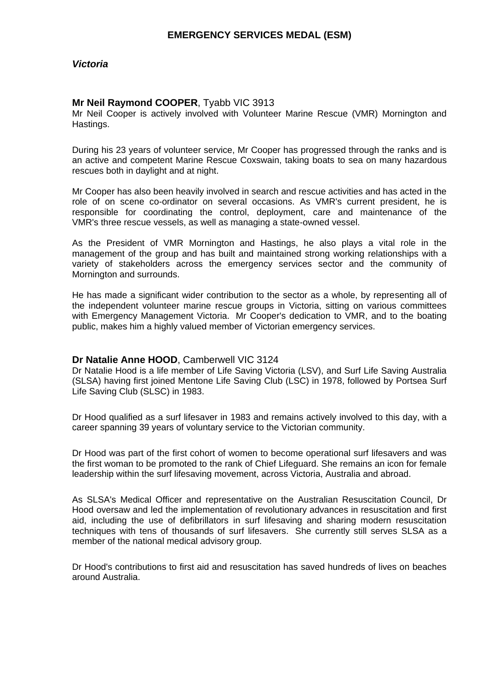# **Mr Neil Raymond COOPER**, Tyabb VIC 3913

Mr Neil Cooper is actively involved with Volunteer Marine Rescue (VMR) Mornington and Hastings.

During his 23 years of volunteer service, Mr Cooper has progressed through the ranks and is an active and competent Marine Rescue Coxswain, taking boats to sea on many hazardous rescues both in daylight and at night.

Mr Cooper has also been heavily involved in search and rescue activities and has acted in the role of on scene co-ordinator on several occasions. As VMR's current president, he is responsible for coordinating the control, deployment, care and maintenance of the VMR's three rescue vessels, as well as managing a state-owned vessel.

As the President of VMR Mornington and Hastings, he also plays a vital role in the management of the group and has built and maintained strong working relationships with a variety of stakeholders across the emergency services sector and the community of Mornington and surrounds.

He has made a significant wider contribution to the sector as a whole, by representing all of the independent volunteer marine rescue groups in Victoria, sitting on various committees with Emergency Management Victoria. Mr Cooper's dedication to VMR, and to the boating public, makes him a highly valued member of Victorian emergency services.

# **Dr Natalie Anne HOOD**, Camberwell VIC 3124

Dr Natalie Hood is a life member of Life Saving Victoria (LSV), and Surf Life Saving Australia (SLSA) having first joined Mentone Life Saving Club (LSC) in 1978, followed by Portsea Surf Life Saving Club (SLSC) in 1983.

Dr Hood qualified as a surf lifesaver in 1983 and remains actively involved to this day, with a career spanning 39 years of voluntary service to the Victorian community.

Dr Hood was part of the first cohort of women to become operational surf lifesavers and was the first woman to be promoted to the rank of Chief Lifeguard. She remains an icon for female leadership within the surf lifesaving movement, across Victoria, Australia and abroad.

As SLSA's Medical Officer and representative on the Australian Resuscitation Council, Dr Hood oversaw and led the implementation of revolutionary advances in resuscitation and first aid, including the use of defibrillators in surf lifesaving and sharing modern resuscitation techniques with tens of thousands of surf lifesavers. She currently still serves SLSA as a member of the national medical advisory group.

Dr Hood's contributions to first aid and resuscitation has saved hundreds of lives on beaches around Australia.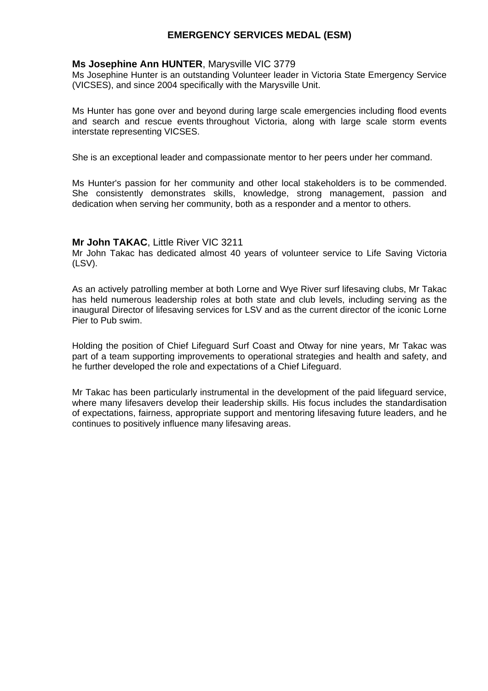## **Ms Josephine Ann HUNTER**, Marysville VIC 3779

Ms Josephine Hunter is an outstanding Volunteer leader in Victoria State Emergency Service (VICSES), and since 2004 specifically with the Marysville Unit.

Ms Hunter has gone over and beyond during large scale emergencies including flood events and search and rescue events throughout Victoria, along with large scale storm events interstate representing VICSES.

She is an exceptional leader and compassionate mentor to her peers under her command.

Ms Hunter's passion for her community and other local stakeholders is to be commended. She consistently demonstrates skills, knowledge, strong management, passion and dedication when serving her community, both as a responder and a mentor to others.

### **Mr John TAKAC**, Little River VIC 3211

Mr John Takac has dedicated almost 40 years of volunteer service to Life Saving Victoria (LSV).

As an actively patrolling member at both Lorne and Wye River surf lifesaving clubs, Mr Takac has held numerous leadership roles at both state and club levels, including serving as the inaugural Director of lifesaving services for LSV and as the current director of the iconic Lorne Pier to Pub swim.

Holding the position of Chief Lifeguard Surf Coast and Otway for nine years, Mr Takac was part of a team supporting improvements to operational strategies and health and safety, and he further developed the role and expectations of a Chief Lifeguard.

Mr Takac has been particularly instrumental in the development of the paid lifeguard service, where many lifesavers develop their leadership skills. His focus includes the standardisation of expectations, fairness, appropriate support and mentoring lifesaving future leaders, and he continues to positively influence many lifesaving areas.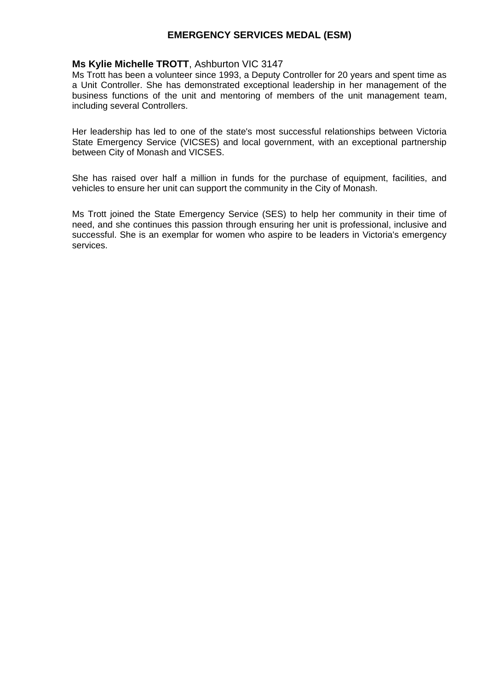### **Ms Kylie Michelle TROTT**, Ashburton VIC 3147

Ms Trott has been a volunteer since 1993, a Deputy Controller for 20 years and spent time as a Unit Controller. She has demonstrated exceptional leadership in her management of the business functions of the unit and mentoring of members of the unit management team, including several Controllers.

Her leadership has led to one of the state's most successful relationships between Victoria State Emergency Service (VICSES) and local government, with an exceptional partnership between City of Monash and VICSES.

She has raised over half a million in funds for the purchase of equipment, facilities, and vehicles to ensure her unit can support the community in the City of Monash.

Ms Trott joined the State Emergency Service (SES) to help her community in their time of need, and she continues this passion through ensuring her unit is professional, inclusive and successful. She is an exemplar for women who aspire to be leaders in Victoria's emergency services.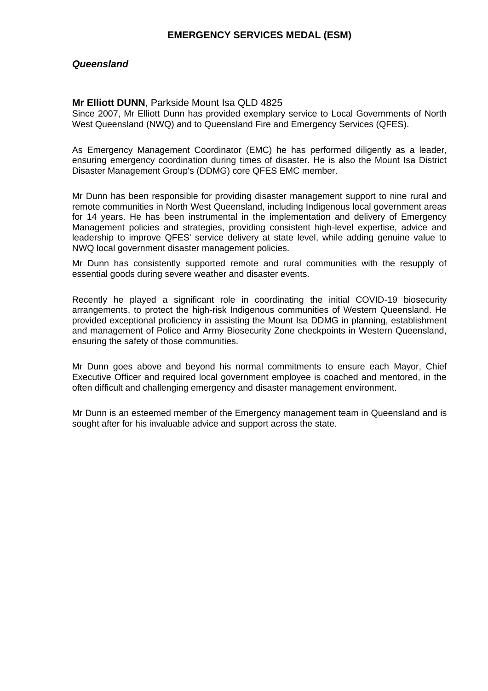### *Queensland*

#### **Mr Elliott DUNN**, Parkside Mount Isa QLD 4825

Since 2007, Mr Elliott Dunn has provided exemplary service to Local Governments of North West Queensland (NWQ) and to Queensland Fire and Emergency Services (QFES).

As Emergency Management Coordinator (EMC) he has performed diligently as a leader, ensuring emergency coordination during times of disaster. He is also the Mount Isa District Disaster Management Group's (DDMG) core QFES EMC member.

Mr Dunn has been responsible for providing disaster management support to nine rural and remote communities in North West Queensland, including Indigenous local government areas for 14 years. He has been instrumental in the implementation and delivery of Emergency Management policies and strategies, providing consistent high-level expertise, advice and leadership to improve QFES' service delivery at state level, while adding genuine value to NWQ local government disaster management policies.

Mr Dunn has consistently supported remote and rural communities with the resupply of essential goods during severe weather and disaster events.

Recently he played a significant role in coordinating the initial COVID-19 biosecurity arrangements, to protect the high-risk Indigenous communities of Western Queensland. He provided exceptional proficiency in assisting the Mount Isa DDMG in planning, establishment and management of Police and Army Biosecurity Zone checkpoints in Western Queensland, ensuring the safety of those communities.

Mr Dunn goes above and beyond his normal commitments to ensure each Mayor, Chief Executive Officer and required local government employee is coached and mentored, in the often difficult and challenging emergency and disaster management environment.

Mr Dunn is an esteemed member of the Emergency management team in Queensland and is sought after for his invaluable advice and support across the state.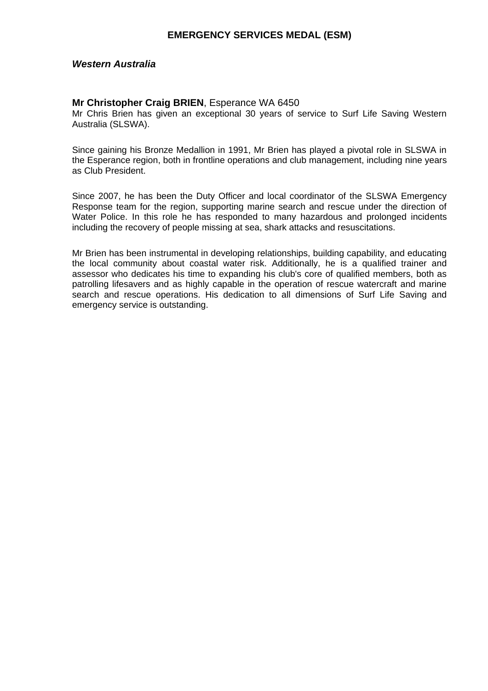### *Western Australia*

#### **Mr Christopher Craig BRIEN**, Esperance WA 6450

Mr Chris Brien has given an exceptional 30 years of service to Surf Life Saving Western Australia (SLSWA).

Since gaining his Bronze Medallion in 1991, Mr Brien has played a pivotal role in SLSWA in the Esperance region, both in frontline operations and club management, including nine years as Club President.

Since 2007, he has been the Duty Officer and local coordinator of the SLSWA Emergency Response team for the region, supporting marine search and rescue under the direction of Water Police. In this role he has responded to many hazardous and prolonged incidents including the recovery of people missing at sea, shark attacks and resuscitations.

Mr Brien has been instrumental in developing relationships, building capability, and educating the local community about coastal water risk. Additionally, he is a qualified trainer and assessor who dedicates his time to expanding his club's core of qualified members, both as patrolling lifesavers and as highly capable in the operation of rescue watercraft and marine search and rescue operations. His dedication to all dimensions of Surf Life Saving and emergency service is outstanding.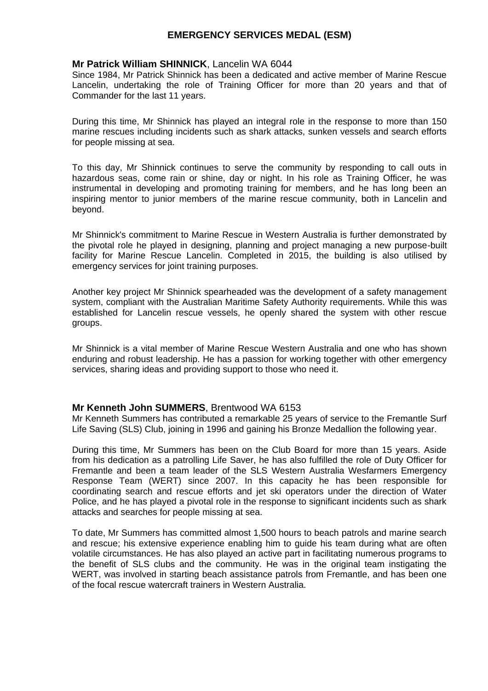### **Mr Patrick William SHINNICK**, Lancelin WA 6044

Since 1984, Mr Patrick Shinnick has been a dedicated and active member of Marine Rescue Lancelin, undertaking the role of Training Officer for more than 20 years and that of Commander for the last 11 years.

During this time, Mr Shinnick has played an integral role in the response to more than 150 marine rescues including incidents such as shark attacks, sunken vessels and search efforts for people missing at sea.

To this day, Mr Shinnick continues to serve the community by responding to call outs in hazardous seas, come rain or shine, day or night. In his role as Training Officer, he was instrumental in developing and promoting training for members, and he has long been an inspiring mentor to junior members of the marine rescue community, both in Lancelin and beyond.

Mr Shinnick's commitment to Marine Rescue in Western Australia is further demonstrated by the pivotal role he played in designing, planning and project managing a new purpose-built facility for Marine Rescue Lancelin. Completed in 2015, the building is also utilised by emergency services for joint training purposes.

Another key project Mr Shinnick spearheaded was the development of a safety management system, compliant with the Australian Maritime Safety Authority requirements. While this was established for Lancelin rescue vessels, he openly shared the system with other rescue groups.

Mr Shinnick is a vital member of Marine Rescue Western Australia and one who has shown enduring and robust leadership. He has a passion for working together with other emergency services, sharing ideas and providing support to those who need it.

### **Mr Kenneth John SUMMERS**, Brentwood WA 6153

Mr Kenneth Summers has contributed a remarkable 25 years of service to the Fremantle Surf Life Saving (SLS) Club, joining in 1996 and gaining his Bronze Medallion the following year.

During this time, Mr Summers has been on the Club Board for more than 15 years. Aside from his dedication as a patrolling Life Saver, he has also fulfilled the role of Duty Officer for Fremantle and been a team leader of the SLS Western Australia Wesfarmers Emergency Response Team (WERT) since 2007. In this capacity he has been responsible for coordinating search and rescue efforts and jet ski operators under the direction of Water Police, and he has played a pivotal role in the response to significant incidents such as shark attacks and searches for people missing at sea.

To date, Mr Summers has committed almost 1,500 hours to beach patrols and marine search and rescue; his extensive experience enabling him to guide his team during what are often volatile circumstances. He has also played an active part in facilitating numerous programs to the benefit of SLS clubs and the community. He was in the original team instigating the WERT, was involved in starting beach assistance patrols from Fremantle, and has been one of the focal rescue watercraft trainers in Western Australia.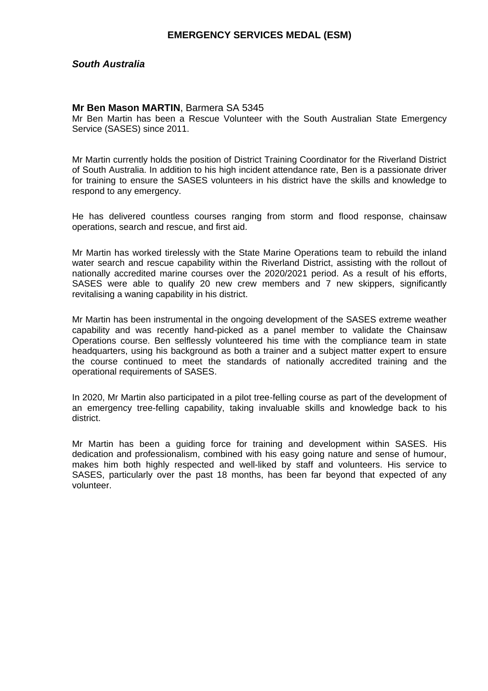### *South Australia*

### **Mr Ben Mason MARTIN**, Barmera SA 5345

Mr Ben Martin has been a Rescue Volunteer with the South Australian State Emergency Service (SASES) since 2011.

Mr Martin currently holds the position of District Training Coordinator for the Riverland District of South Australia. In addition to his high incident attendance rate, Ben is a passionate driver for training to ensure the SASES volunteers in his district have the skills and knowledge to respond to any emergency.

He has delivered countless courses ranging from storm and flood response, chainsaw operations, search and rescue, and first aid.

Mr Martin has worked tirelessly with the State Marine Operations team to rebuild the inland water search and rescue capability within the Riverland District, assisting with the rollout of nationally accredited marine courses over the 2020/2021 period. As a result of his efforts, SASES were able to qualify 20 new crew members and 7 new skippers, significantly revitalising a waning capability in his district.

Mr Martin has been instrumental in the ongoing development of the SASES extreme weather capability and was recently hand-picked as a panel member to validate the Chainsaw Operations course. Ben selflessly volunteered his time with the compliance team in state headquarters, using his background as both a trainer and a subject matter expert to ensure the course continued to meet the standards of nationally accredited training and the operational requirements of SASES.

In 2020, Mr Martin also participated in a pilot tree-felling course as part of the development of an emergency tree-felling capability, taking invaluable skills and knowledge back to his district.

Mr Martin has been a guiding force for training and development within SASES. His dedication and professionalism, combined with his easy going nature and sense of humour, makes him both highly respected and well-liked by staff and volunteers. His service to SASES, particularly over the past 18 months, has been far beyond that expected of any volunteer.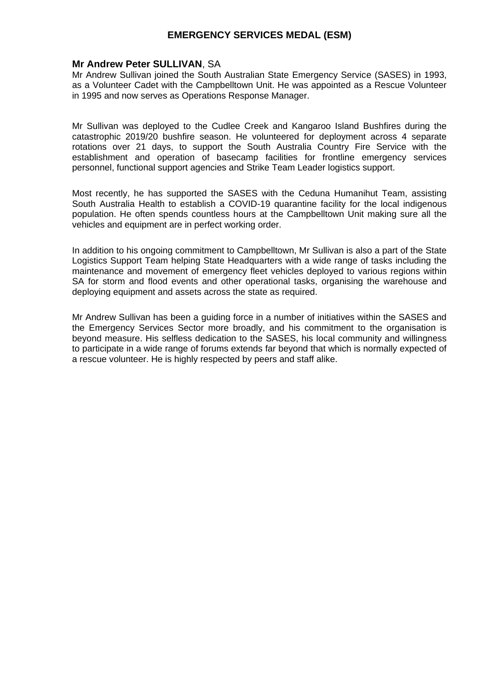#### **Mr Andrew Peter SULLIVAN**, SA

Mr Andrew Sullivan joined the South Australian State Emergency Service (SASES) in 1993, as a Volunteer Cadet with the Campbelltown Unit. He was appointed as a Rescue Volunteer in 1995 and now serves as Operations Response Manager.

Mr Sullivan was deployed to the Cudlee Creek and Kangaroo Island Bushfires during the catastrophic 2019/20 bushfire season. He volunteered for deployment across 4 separate rotations over 21 days, to support the South Australia Country Fire Service with the establishment and operation of basecamp facilities for frontline emergency services personnel, functional support agencies and Strike Team Leader logistics support.

Most recently, he has supported the SASES with the Ceduna Humanihut Team, assisting South Australia Health to establish a COVID-19 quarantine facility for the local indigenous population. He often spends countless hours at the Campbelltown Unit making sure all the vehicles and equipment are in perfect working order.

In addition to his ongoing commitment to Campbelltown, Mr Sullivan is also a part of the State Logistics Support Team helping State Headquarters with a wide range of tasks including the maintenance and movement of emergency fleet vehicles deployed to various regions within SA for storm and flood events and other operational tasks, organising the warehouse and deploying equipment and assets across the state as required.

Mr Andrew Sullivan has been a guiding force in a number of initiatives within the SASES and the Emergency Services Sector more broadly, and his commitment to the organisation is beyond measure. His selfless dedication to the SASES, his local community and willingness to participate in a wide range of forums extends far beyond that which is normally expected of a rescue volunteer. He is highly respected by peers and staff alike.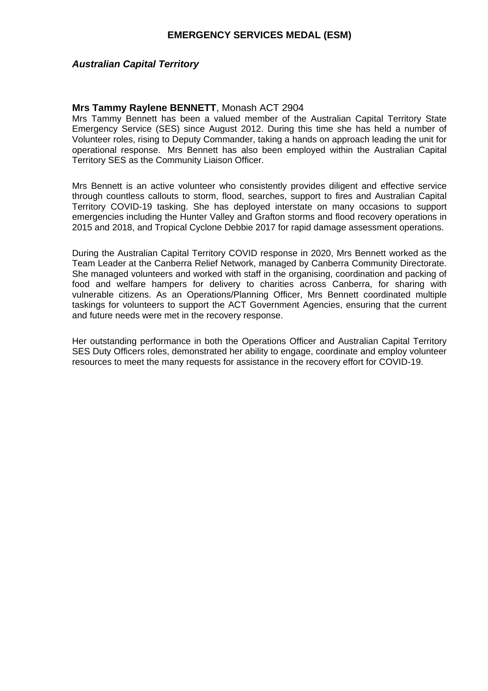### *Australian Capital Territory*

### **Mrs Tammy Raylene BENNETT**, Monash ACT 2904

Mrs Tammy Bennett has been a valued member of the Australian Capital Territory State Emergency Service (SES) since August 2012. During this time she has held a number of Volunteer roles, rising to Deputy Commander, taking a hands on approach leading the unit for operational response. Mrs Bennett has also been employed within the Australian Capital Territory SES as the Community Liaison Officer.

Mrs Bennett is an active volunteer who consistently provides diligent and effective service through countless callouts to storm, flood, searches, support to fires and Australian Capital Territory COVID-19 tasking. She has deployed interstate on many occasions to support emergencies including the Hunter Valley and Grafton storms and flood recovery operations in 2015 and 2018, and Tropical Cyclone Debbie 2017 for rapid damage assessment operations.

During the Australian Capital Territory COVID response in 2020, Mrs Bennett worked as the Team Leader at the Canberra Relief Network, managed by Canberra Community Directorate. She managed volunteers and worked with staff in the organising, coordination and packing of food and welfare hampers for delivery to charities across Canberra, for sharing with vulnerable citizens. As an Operations/Planning Officer, Mrs Bennett coordinated multiple taskings for volunteers to support the ACT Government Agencies, ensuring that the current and future needs were met in the recovery response.

Her outstanding performance in both the Operations Officer and Australian Capital Territory SES Duty Officers roles, demonstrated her ability to engage, coordinate and employ volunteer resources to meet the many requests for assistance in the recovery effort for COVID-19.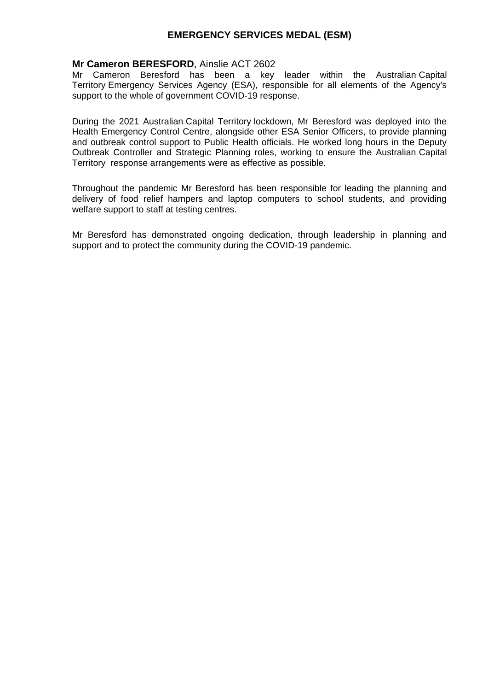### **Mr Cameron BERESFORD**, Ainslie ACT 2602

Mr Cameron Beresford has been a key leader within the Australian Capital Territory Emergency Services Agency (ESA), responsible for all elements of the Agency's support to the whole of government COVID-19 response.

During the 2021 Australian Capital Territory lockdown, Mr Beresford was deployed into the Health Emergency Control Centre, alongside other ESA Senior Officers, to provide planning and outbreak control support to Public Health officials. He worked long hours in the Deputy Outbreak Controller and Strategic Planning roles, working to ensure the Australian Capital Territory response arrangements were as effective as possible.

Throughout the pandemic Mr Beresford has been responsible for leading the planning and delivery of food relief hampers and laptop computers to school students, and providing welfare support to staff at testing centres.

Mr Beresford has demonstrated ongoing dedication, through leadership in planning and support and to protect the community during the COVID-19 pandemic.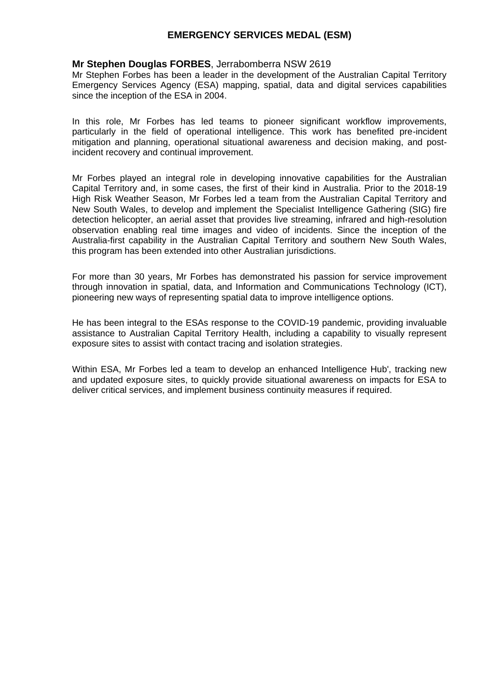### **Mr Stephen Douglas FORBES**, Jerrabomberra NSW 2619

Mr Stephen Forbes has been a leader in the development of the Australian Capital Territory Emergency Services Agency (ESA) mapping, spatial, data and digital services capabilities since the inception of the ESA in 2004.

In this role, Mr Forbes has led teams to pioneer significant workflow improvements, particularly in the field of operational intelligence. This work has benefited pre-incident mitigation and planning, operational situational awareness and decision making, and postincident recovery and continual improvement.

Mr Forbes played an integral role in developing innovative capabilities for the Australian Capital Territory and, in some cases, the first of their kind in Australia. Prior to the 2018-19 High Risk Weather Season, Mr Forbes led a team from the Australian Capital Territory and New South Wales, to develop and implement the Specialist Intelligence Gathering (SIG) fire detection helicopter, an aerial asset that provides live streaming, infrared and high-resolution observation enabling real time images and video of incidents. Since the inception of the Australia-first capability in the Australian Capital Territory and southern New South Wales, this program has been extended into other Australian jurisdictions.

For more than 30 years, Mr Forbes has demonstrated his passion for service improvement through innovation in spatial, data, and Information and Communications Technology (ICT), pioneering new ways of representing spatial data to improve intelligence options.

He has been integral to the ESAs response to the COVID-19 pandemic, providing invaluable assistance to Australian Capital Territory Health, including a capability to visually represent exposure sites to assist with contact tracing and isolation strategies.

Within ESA, Mr Forbes led a team to develop an enhanced Intelligence Hub', tracking new and updated exposure sites, to quickly provide situational awareness on impacts for ESA to deliver critical services, and implement business continuity measures if required.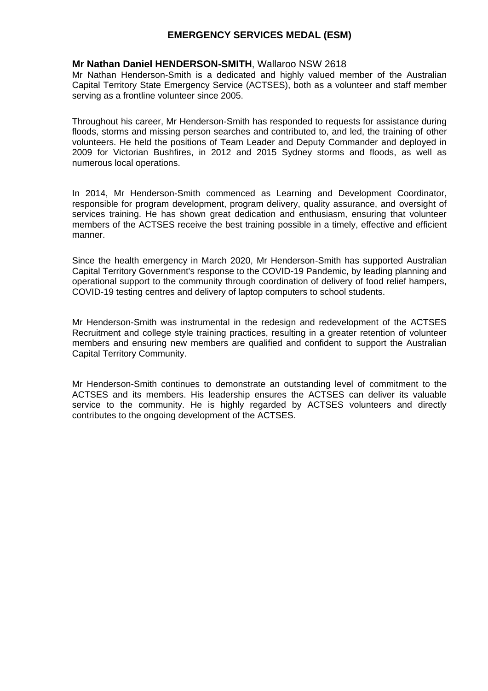### **Mr Nathan Daniel HENDERSON-SMITH**, Wallaroo NSW 2618

Mr Nathan Henderson-Smith is a dedicated and highly valued member of the Australian Capital Territory State Emergency Service (ACTSES), both as a volunteer and staff member serving as a frontline volunteer since 2005.

Throughout his career, Mr Henderson-Smith has responded to requests for assistance during floods, storms and missing person searches and contributed to, and led, the training of other volunteers. He held the positions of Team Leader and Deputy Commander and deployed in 2009 for Victorian Bushfires, in 2012 and 2015 Sydney storms and floods, as well as numerous local operations.

In 2014, Mr Henderson-Smith commenced as Learning and Development Coordinator, responsible for program development, program delivery, quality assurance, and oversight of services training. He has shown great dedication and enthusiasm, ensuring that volunteer members of the ACTSES receive the best training possible in a timely, effective and efficient manner.

Since the health emergency in March 2020, Mr Henderson-Smith has supported Australian Capital Territory Government's response to the COVID-19 Pandemic, by leading planning and operational support to the community through coordination of delivery of food relief hampers, COVID-19 testing centres and delivery of laptop computers to school students.

Mr Henderson-Smith was instrumental in the redesign and redevelopment of the ACTSES Recruitment and college style training practices, resulting in a greater retention of volunteer members and ensuring new members are qualified and confident to support the Australian Capital Territory Community.

Mr Henderson-Smith continues to demonstrate an outstanding level of commitment to the ACTSES and its members. His leadership ensures the ACTSES can deliver its valuable service to the community. He is highly regarded by ACTSES volunteers and directly contributes to the ongoing development of the ACTSES.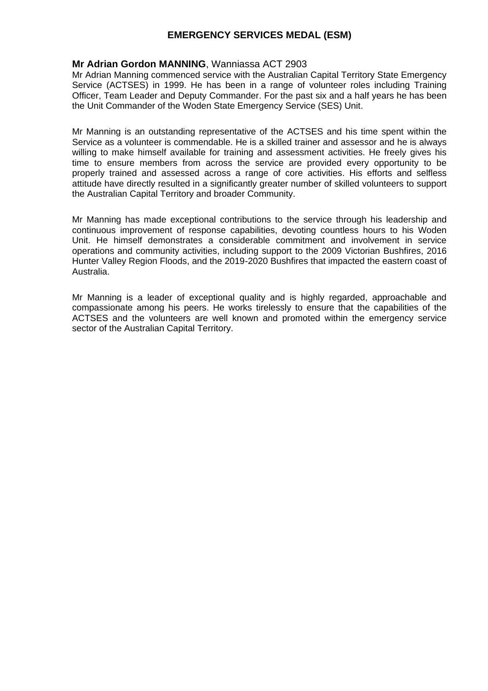## **Mr Adrian Gordon MANNING**, Wanniassa ACT 2903

Mr Adrian Manning commenced service with the Australian Capital Territory State Emergency Service (ACTSES) in 1999. He has been in a range of volunteer roles including Training Officer, Team Leader and Deputy Commander. For the past six and a half years he has been the Unit Commander of the Woden State Emergency Service (SES) Unit.

Mr Manning is an outstanding representative of the ACTSES and his time spent within the Service as a volunteer is commendable. He is a skilled trainer and assessor and he is always willing to make himself available for training and assessment activities. He freely gives his time to ensure members from across the service are provided every opportunity to be properly trained and assessed across a range of core activities. His efforts and selfless attitude have directly resulted in a significantly greater number of skilled volunteers to support the Australian Capital Territory and broader Community.

Mr Manning has made exceptional contributions to the service through his leadership and continuous improvement of response capabilities, devoting countless hours to his Woden Unit. He himself demonstrates a considerable commitment and involvement in service operations and community activities, including support to the 2009 Victorian Bushfires, 2016 Hunter Valley Region Floods, and the 2019-2020 Bushfires that impacted the eastern coast of Australia.

Mr Manning is a leader of exceptional quality and is highly regarded, approachable and compassionate among his peers. He works tirelessly to ensure that the capabilities of the ACTSES and the volunteers are well known and promoted within the emergency service sector of the Australian Capital Territory.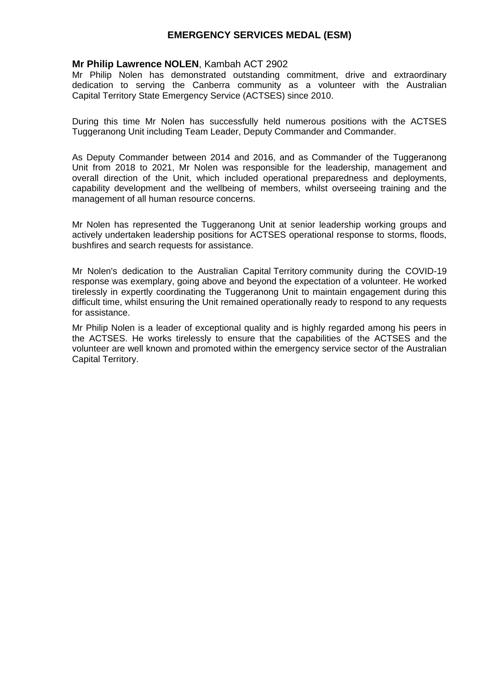### **Mr Philip Lawrence NOLEN**, Kambah ACT 2902

Mr Philip Nolen has demonstrated outstanding commitment, drive and extraordinary dedication to serving the Canberra community as a volunteer with the Australian Capital Territory State Emergency Service (ACTSES) since 2010.

During this time Mr Nolen has successfully held numerous positions with the ACTSES Tuggeranong Unit including Team Leader, Deputy Commander and Commander.

As Deputy Commander between 2014 and 2016, and as Commander of the Tuggeranong Unit from 2018 to 2021, Mr Nolen was responsible for the leadership, management and overall direction of the Unit, which included operational preparedness and deployments, capability development and the wellbeing of members, whilst overseeing training and the management of all human resource concerns.

Mr Nolen has represented the Tuggeranong Unit at senior leadership working groups and actively undertaken leadership positions for ACTSES operational response to storms, floods, bushfires and search requests for assistance.

Mr Nolen's dedication to the Australian Capital Territory community during the COVID-19 response was exemplary, going above and beyond the expectation of a volunteer. He worked tirelessly in expertly coordinating the Tuggeranong Unit to maintain engagement during this difficult time, whilst ensuring the Unit remained operationally ready to respond to any requests for assistance.

Mr Philip Nolen is a leader of exceptional quality and is highly regarded among his peers in the ACTSES. He works tirelessly to ensure that the capabilities of the ACTSES and the volunteer are well known and promoted within the emergency service sector of the Australian Capital Territory.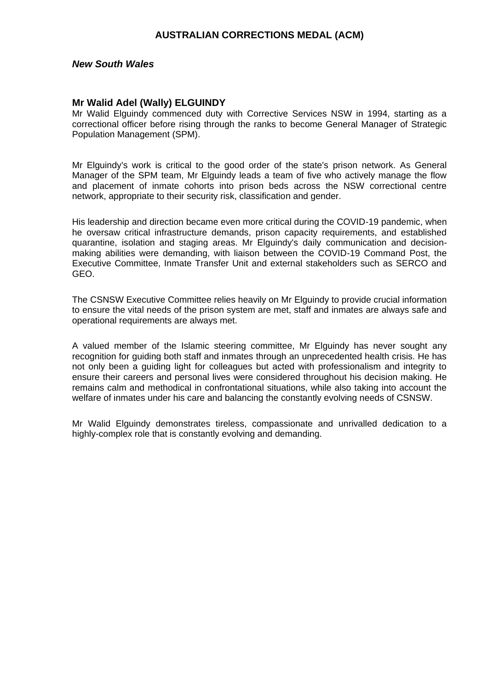#### *New South Wales*

#### **Mr Walid Adel (Wally) ELGUINDY**

Mr Walid Elguindy commenced duty with Corrective Services NSW in 1994, starting as a correctional officer before rising through the ranks to become General Manager of Strategic Population Management (SPM).

Mr Elguindy's work is critical to the good order of the state's prison network. As General Manager of the SPM team, Mr Elguindy leads a team of five who actively manage the flow and placement of inmate cohorts into prison beds across the NSW correctional centre network, appropriate to their security risk, classification and gender.

His leadership and direction became even more critical during the COVID-19 pandemic, when he oversaw critical infrastructure demands, prison capacity requirements, and established quarantine, isolation and staging areas. Mr Elguindy's daily communication and decisionmaking abilities were demanding, with liaison between the COVID-19 Command Post, the Executive Committee, Inmate Transfer Unit and external stakeholders such as SERCO and GEO.

The CSNSW Executive Committee relies heavily on Mr Elguindy to provide crucial information to ensure the vital needs of the prison system are met, staff and inmates are always safe and operational requirements are always met.

A valued member of the Islamic steering committee, Mr Elguindy has never sought any recognition for guiding both staff and inmates through an unprecedented health crisis. He has not only been a guiding light for colleagues but acted with professionalism and integrity to ensure their careers and personal lives were considered throughout his decision making. He remains calm and methodical in confrontational situations, while also taking into account the welfare of inmates under his care and balancing the constantly evolving needs of CSNSW.

Mr Walid Elguindy demonstrates tireless, compassionate and unrivalled dedication to a highly-complex role that is constantly evolving and demanding.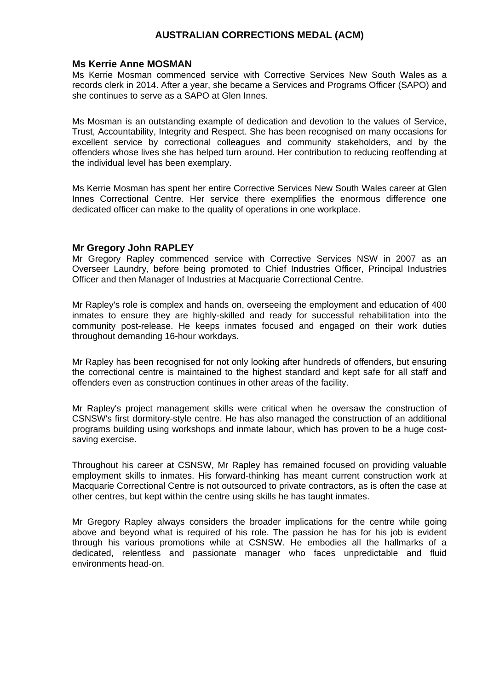#### **Ms Kerrie Anne MOSMAN**

Ms Kerrie Mosman commenced service with Corrective Services New South Wales as a records clerk in 2014. After a year, she became a Services and Programs Officer (SAPO) and she continues to serve as a SAPO at Glen Innes.

Ms Mosman is an outstanding example of dedication and devotion to the values of Service, Trust, Accountability, Integrity and Respect. She has been recognised on many occasions for excellent service by correctional colleagues and community stakeholders, and by the offenders whose lives she has helped turn around. Her contribution to reducing reoffending at the individual level has been exemplary.

Ms Kerrie Mosman has spent her entire Corrective Services New South Wales career at Glen Innes Correctional Centre. Her service there exemplifies the enormous difference one dedicated officer can make to the quality of operations in one workplace.

### **Mr Gregory John RAPLEY**

Mr Gregory Rapley commenced service with Corrective Services NSW in 2007 as an Overseer Laundry, before being promoted to Chief Industries Officer, Principal Industries Officer and then Manager of Industries at Macquarie Correctional Centre.

Mr Rapley's role is complex and hands on, overseeing the employment and education of 400 inmates to ensure they are highly-skilled and ready for successful rehabilitation into the community post-release. He keeps inmates focused and engaged on their work duties throughout demanding 16-hour workdays.

Mr Rapley has been recognised for not only looking after hundreds of offenders, but ensuring the correctional centre is maintained to the highest standard and kept safe for all staff and offenders even as construction continues in other areas of the facility.

Mr Rapley's project management skills were critical when he oversaw the construction of CSNSW's first dormitory-style centre. He has also managed the construction of an additional programs building using workshops and inmate labour, which has proven to be a huge costsaving exercise.

Throughout his career at CSNSW, Mr Rapley has remained focused on providing valuable employment skills to inmates. His forward-thinking has meant current construction work at Macquarie Correctional Centre is not outsourced to private contractors, as is often the case at other centres, but kept within the centre using skills he has taught inmates.

Mr Gregory Rapley always considers the broader implications for the centre while going above and beyond what is required of his role. The passion he has for his job is evident through his various promotions while at CSNSW. He embodies all the hallmarks of a dedicated, relentless and passionate manager who faces unpredictable and fluid environments head-on.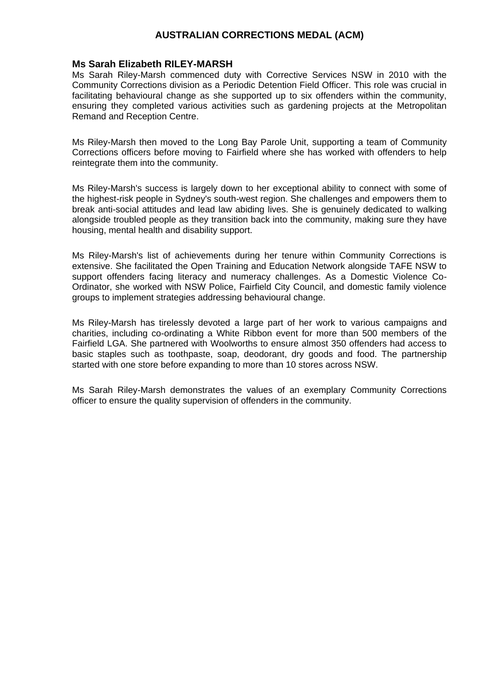#### **Ms Sarah Elizabeth RILEY-MARSH**

Ms Sarah Riley-Marsh commenced duty with Corrective Services NSW in 2010 with the Community Corrections division as a Periodic Detention Field Officer. This role was crucial in facilitating behavioural change as she supported up to six offenders within the community, ensuring they completed various activities such as gardening projects at the Metropolitan Remand and Reception Centre.

Ms Riley-Marsh then moved to the Long Bay Parole Unit, supporting a team of Community Corrections officers before moving to Fairfield where she has worked with offenders to help reintegrate them into the community.

Ms Riley-Marsh's success is largely down to her exceptional ability to connect with some of the highest-risk people in Sydney's south-west region. She challenges and empowers them to break anti-social attitudes and lead law abiding lives. She is genuinely dedicated to walking alongside troubled people as they transition back into the community, making sure they have housing, mental health and disability support.

Ms Riley-Marsh's list of achievements during her tenure within Community Corrections is extensive. She facilitated the Open Training and Education Network alongside TAFE NSW to support offenders facing literacy and numeracy challenges. As a Domestic Violence Co-Ordinator, she worked with NSW Police, Fairfield City Council, and domestic family violence groups to implement strategies addressing behavioural change.

Ms Riley-Marsh has tirelessly devoted a large part of her work to various campaigns and charities, including co-ordinating a White Ribbon event for more than 500 members of the Fairfield LGA. She partnered with Woolworths to ensure almost 350 offenders had access to basic staples such as toothpaste, soap, deodorant, dry goods and food. The partnership started with one store before expanding to more than 10 stores across NSW.

Ms Sarah Riley-Marsh demonstrates the values of an exemplary Community Corrections officer to ensure the quality supervision of offenders in the community.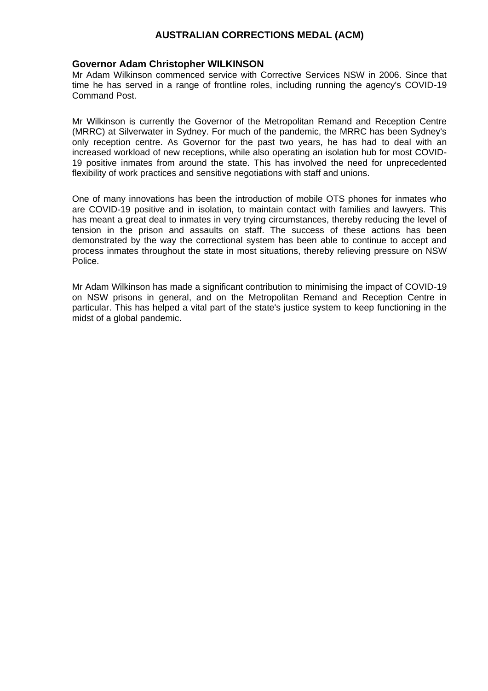#### **Governor Adam Christopher WILKINSON**

Mr Adam Wilkinson commenced service with Corrective Services NSW in 2006. Since that time he has served in a range of frontline roles, including running the agency's COVID-19 Command Post.

Mr Wilkinson is currently the Governor of the Metropolitan Remand and Reception Centre (MRRC) at Silverwater in Sydney. For much of the pandemic, the MRRC has been Sydney's only reception centre. As Governor for the past two years, he has had to deal with an increased workload of new receptions, while also operating an isolation hub for most COVID-19 positive inmates from around the state. This has involved the need for unprecedented flexibility of work practices and sensitive negotiations with staff and unions.

One of many innovations has been the introduction of mobile OTS phones for inmates who are COVID-19 positive and in isolation, to maintain contact with families and lawyers. This has meant a great deal to inmates in very trying circumstances, thereby reducing the level of tension in the prison and assaults on staff. The success of these actions has been demonstrated by the way the correctional system has been able to continue to accept and process inmates throughout the state in most situations, thereby relieving pressure on NSW Police.

Mr Adam Wilkinson has made a significant contribution to minimising the impact of COVID-19 on NSW prisons in general, and on the Metropolitan Remand and Reception Centre in particular. This has helped a vital part of the state's justice system to keep functioning in the midst of a global pandemic.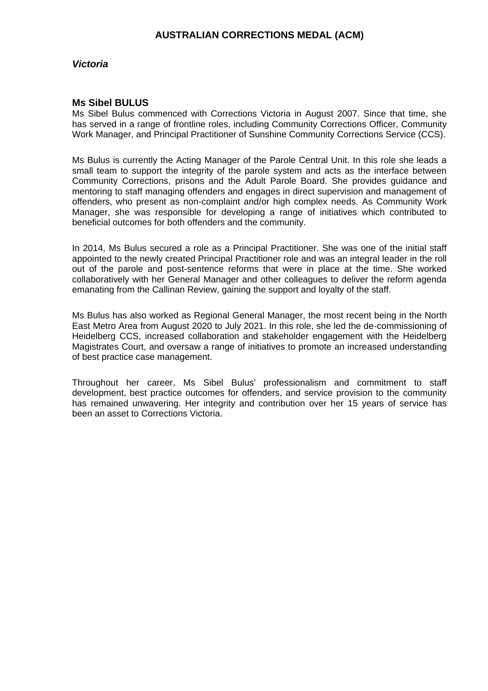### *Victoria*

#### **Ms Sibel BULUS**

Ms Sibel Bulus commenced with Corrections Victoria in August 2007. Since that time, she has served in a range of frontline roles, including Community Corrections Officer, Community Work Manager, and Principal Practitioner of Sunshine Community Corrections Service (CCS).

Ms Bulus is currently the Acting Manager of the Parole Central Unit. In this role she leads a small team to support the integrity of the parole system and acts as the interface between Community Corrections, prisons and the Adult Parole Board. She provides guidance and mentoring to staff managing offenders and engages in direct supervision and management of offenders, who present as non-complaint and/or high complex needs. As Community Work Manager, she was responsible for developing a range of initiatives which contributed to beneficial outcomes for both offenders and the community.

In 2014, Ms Bulus secured a role as a Principal Practitioner. She was one of the initial staff appointed to the newly created Principal Practitioner role and was an integral leader in the roll out of the parole and post-sentence reforms that were in place at the time. She worked collaboratively with her General Manager and other colleagues to deliver the reform agenda emanating from the Callinan Review, gaining the support and loyalty of the staff.

Ms Bulus has also worked as Regional General Manager, the most recent being in the North East Metro Area from August 2020 to July 2021. In this role, she led the de-commissioning of Heidelberg CCS, increased collaboration and stakeholder engagement with the Heidelberg Magistrates Court, and oversaw a range of initiatives to promote an increased understanding of best practice case management.

Throughout her career, Ms Sibel Bulus' professionalism and commitment to staff development, best practice outcomes for offenders, and service provision to the community has remained unwavering. Her integrity and contribution over her 15 years of service has been an asset to Corrections Victoria.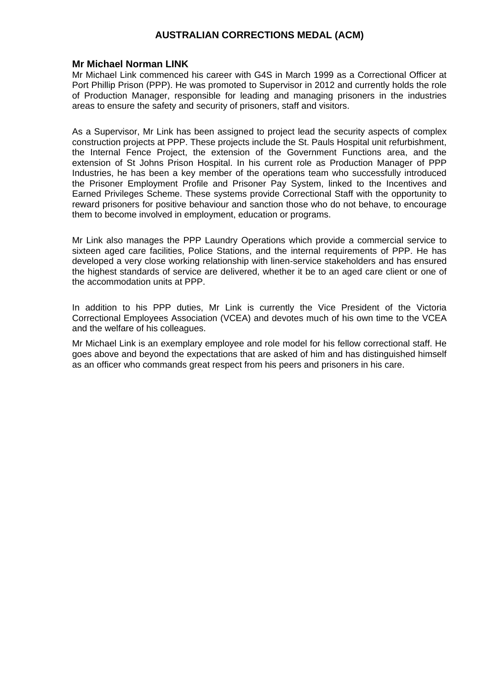### **Mr Michael Norman LINK**

Mr Michael Link commenced his career with G4S in March 1999 as a Correctional Officer at Port Phillip Prison (PPP). He was promoted to Supervisor in 2012 and currently holds the role of Production Manager, responsible for leading and managing prisoners in the industries areas to ensure the safety and security of prisoners, staff and visitors.

As a Supervisor, Mr Link has been assigned to project lead the security aspects of complex construction projects at PPP. These projects include the St. Pauls Hospital unit refurbishment, the Internal Fence Project, the extension of the Government Functions area, and the extension of St Johns Prison Hospital. In his current role as Production Manager of PPP Industries, he has been a key member of the operations team who successfully introduced the Prisoner Employment Profile and Prisoner Pay System, linked to the Incentives and Earned Privileges Scheme. These systems provide Correctional Staff with the opportunity to reward prisoners for positive behaviour and sanction those who do not behave, to encourage them to become involved in employment, education or programs.

Mr Link also manages the PPP Laundry Operations which provide a commercial service to sixteen aged care facilities, Police Stations, and the internal requirements of PPP. He has developed a very close working relationship with linen-service stakeholders and has ensured the highest standards of service are delivered, whether it be to an aged care client or one of the accommodation units at PPP.

In addition to his PPP duties, Mr Link is currently the Vice President of the Victoria Correctional Employees Association (VCEA) and devotes much of his own time to the VCEA and the welfare of his colleagues.

Mr Michael Link is an exemplary employee and role model for his fellow correctional staff. He goes above and beyond the expectations that are asked of him and has distinguished himself as an officer who commands great respect from his peers and prisoners in his care.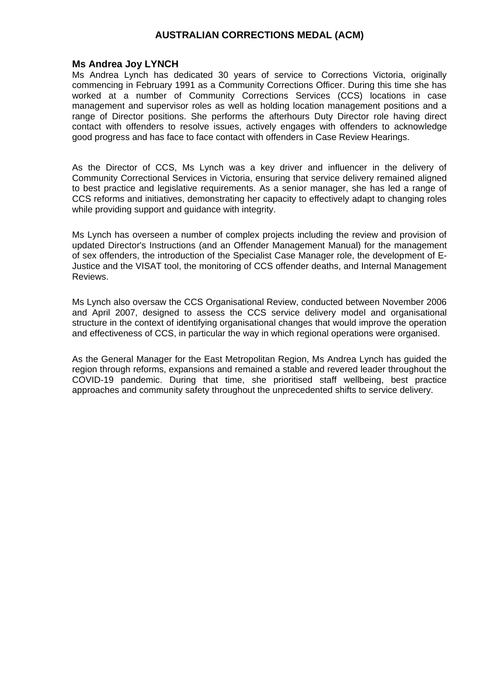#### **Ms Andrea Joy LYNCH**

Ms Andrea Lynch has dedicated 30 years of service to Corrections Victoria, originally commencing in February 1991 as a Community Corrections Officer. During this time she has worked at a number of Community Corrections Services (CCS) locations in case management and supervisor roles as well as holding location management positions and a range of Director positions. She performs the afterhours Duty Director role having direct contact with offenders to resolve issues, actively engages with offenders to acknowledge good progress and has face to face contact with offenders in Case Review Hearings.

As the Director of CCS, Ms Lynch was a key driver and influencer in the delivery of Community Correctional Services in Victoria, ensuring that service delivery remained aligned to best practice and legislative requirements. As a senior manager, she has led a range of CCS reforms and initiatives, demonstrating her capacity to effectively adapt to changing roles while providing support and guidance with integrity.

Ms Lynch has overseen a number of complex projects including the review and provision of updated Director's Instructions (and an Offender Management Manual) for the management of sex offenders, the introduction of the Specialist Case Manager role, the development of E-Justice and the VISAT tool, the monitoring of CCS offender deaths, and Internal Management Reviews.

Ms Lynch also oversaw the CCS Organisational Review, conducted between November 2006 and April 2007, designed to assess the CCS service delivery model and organisational structure in the context of identifying organisational changes that would improve the operation and effectiveness of CCS, in particular the way in which regional operations were organised.

As the General Manager for the East Metropolitan Region, Ms Andrea Lynch has guided the region through reforms, expansions and remained a stable and revered leader throughout the COVID-19 pandemic. During that time, she prioritised staff wellbeing, best practice approaches and community safety throughout the unprecedented shifts to service delivery.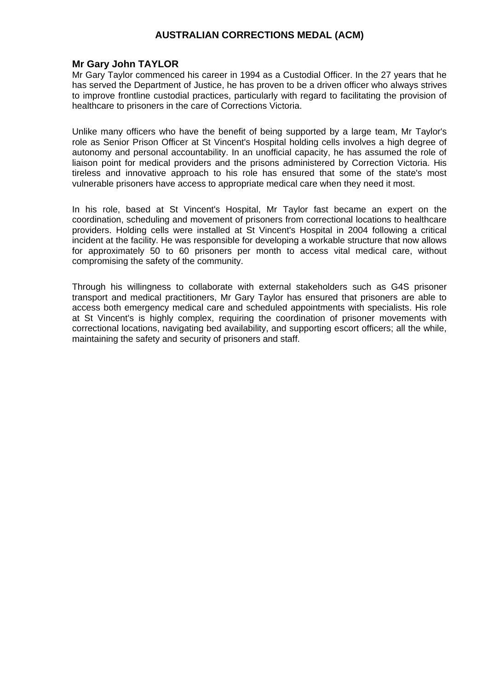### **Mr Gary John TAYLOR**

Mr Gary Taylor commenced his career in 1994 as a Custodial Officer. In the 27 years that he has served the Department of Justice, he has proven to be a driven officer who always strives to improve frontline custodial practices, particularly with regard to facilitating the provision of healthcare to prisoners in the care of Corrections Victoria.

Unlike many officers who have the benefit of being supported by a large team, Mr Taylor's role as Senior Prison Officer at St Vincent's Hospital holding cells involves a high degree of autonomy and personal accountability. In an unofficial capacity, he has assumed the role of liaison point for medical providers and the prisons administered by Correction Victoria. His tireless and innovative approach to his role has ensured that some of the state's most vulnerable prisoners have access to appropriate medical care when they need it most.

In his role, based at St Vincent's Hospital, Mr Taylor fast became an expert on the coordination, scheduling and movement of prisoners from correctional locations to healthcare providers. Holding cells were installed at St Vincent's Hospital in 2004 following a critical incident at the facility. He was responsible for developing a workable structure that now allows for approximately 50 to 60 prisoners per month to access vital medical care, without compromising the safety of the community.

Through his willingness to collaborate with external stakeholders such as G4S prisoner transport and medical practitioners, Mr Gary Taylor has ensured that prisoners are able to access both emergency medical care and scheduled appointments with specialists. His role at St Vincent's is highly complex, requiring the coordination of prisoner movements with correctional locations, navigating bed availability, and supporting escort officers; all the while, maintaining the safety and security of prisoners and staff.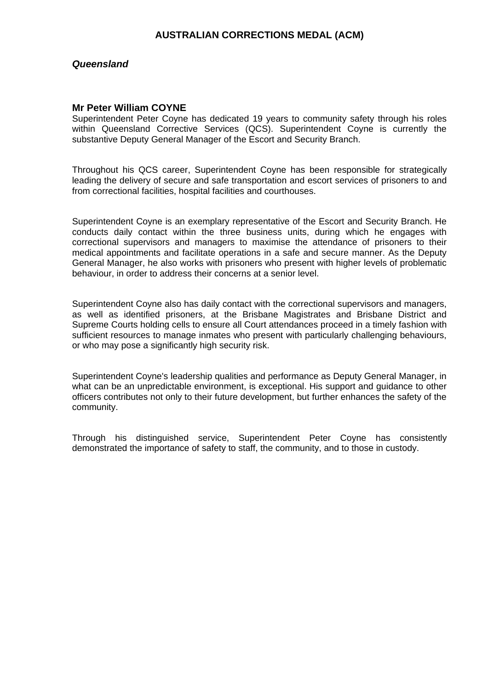### *Queensland*

#### **Mr Peter William COYNE**

Superintendent Peter Coyne has dedicated 19 years to community safety through his roles within Queensland Corrective Services (QCS). Superintendent Coyne is currently the substantive Deputy General Manager of the Escort and Security Branch.

Throughout his QCS career, Superintendent Coyne has been responsible for strategically leading the delivery of secure and safe transportation and escort services of prisoners to and from correctional facilities, hospital facilities and courthouses.

Superintendent Coyne is an exemplary representative of the Escort and Security Branch. He conducts daily contact within the three business units, during which he engages with correctional supervisors and managers to maximise the attendance of prisoners to their medical appointments and facilitate operations in a safe and secure manner. As the Deputy General Manager, he also works with prisoners who present with higher levels of problematic behaviour, in order to address their concerns at a senior level.

Superintendent Coyne also has daily contact with the correctional supervisors and managers, as well as identified prisoners, at the Brisbane Magistrates and Brisbane District and Supreme Courts holding cells to ensure all Court attendances proceed in a timely fashion with sufficient resources to manage inmates who present with particularly challenging behaviours, or who may pose a significantly high security risk.

Superintendent Coyne's leadership qualities and performance as Deputy General Manager, in what can be an unpredictable environment, is exceptional. His support and guidance to other officers contributes not only to their future development, but further enhances the safety of the community.

Through his distinguished service, Superintendent Peter Coyne has consistently demonstrated the importance of safety to staff, the community, and to those in custody.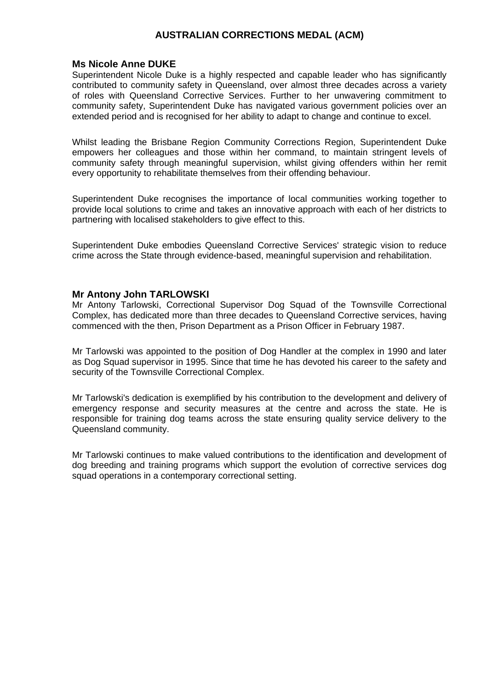### **Ms Nicole Anne DUKE**

Superintendent Nicole Duke is a highly respected and capable leader who has significantly contributed to community safety in Queensland, over almost three decades across a variety of roles with Queensland Corrective Services. Further to her unwavering commitment to community safety, Superintendent Duke has navigated various government policies over an extended period and is recognised for her ability to adapt to change and continue to excel.

Whilst leading the Brisbane Region Community Corrections Region, Superintendent Duke empowers her colleagues and those within her command, to maintain stringent levels of community safety through meaningful supervision, whilst giving offenders within her remit every opportunity to rehabilitate themselves from their offending behaviour.

Superintendent Duke recognises the importance of local communities working together to provide local solutions to crime and takes an innovative approach with each of her districts to partnering with localised stakeholders to give effect to this.

Superintendent Duke embodies Queensland Corrective Services' strategic vision to reduce crime across the State through evidence-based, meaningful supervision and rehabilitation.

### **Mr Antony John TARLOWSKI**

Mr Antony Tarlowski, Correctional Supervisor Dog Squad of the Townsville Correctional Complex, has dedicated more than three decades to Queensland Corrective services, having commenced with the then, Prison Department as a Prison Officer in February 1987.

Mr Tarlowski was appointed to the position of Dog Handler at the complex in 1990 and later as Dog Squad supervisor in 1995. Since that time he has devoted his career to the safety and security of the Townsville Correctional Complex.

Mr Tarlowski's dedication is exemplified by his contribution to the development and delivery of emergency response and security measures at the centre and across the state. He is responsible for training dog teams across the state ensuring quality service delivery to the Queensland community.

Mr Tarlowski continues to make valued contributions to the identification and development of dog breeding and training programs which support the evolution of corrective services dog squad operations in a contemporary correctional setting.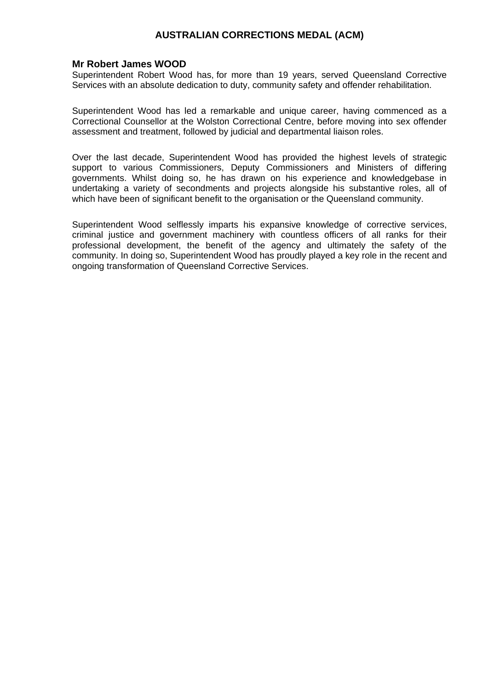### **Mr Robert James WOOD**

Superintendent Robert Wood has, for more than 19 years, served Queensland Corrective Services with an absolute dedication to duty, community safety and offender rehabilitation.

Superintendent Wood has led a remarkable and unique career, having commenced as a Correctional Counsellor at the Wolston Correctional Centre, before moving into sex offender assessment and treatment, followed by judicial and departmental liaison roles.

Over the last decade, Superintendent Wood has provided the highest levels of strategic support to various Commissioners, Deputy Commissioners and Ministers of differing governments. Whilst doing so, he has drawn on his experience and knowledgebase in undertaking a variety of secondments and projects alongside his substantive roles, all of which have been of significant benefit to the organisation or the Queensland community.

Superintendent Wood selflessly imparts his expansive knowledge of corrective services, criminal justice and government machinery with countless officers of all ranks for their professional development, the benefit of the agency and ultimately the safety of the community. In doing so, Superintendent Wood has proudly played a key role in the recent and ongoing transformation of Queensland Corrective Services.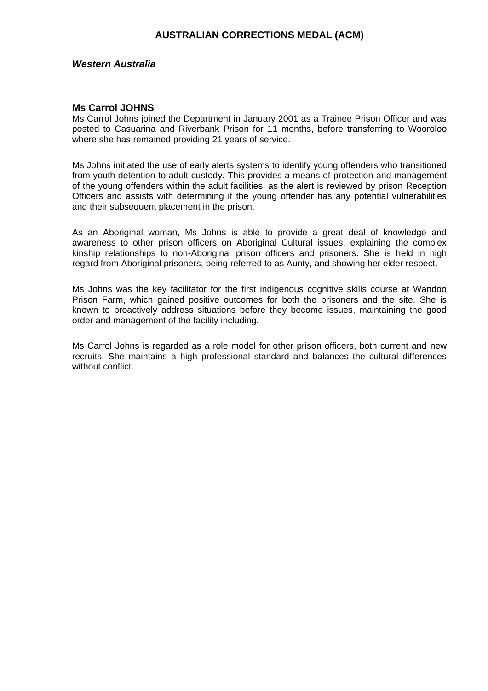### *Western Australia*

#### **Ms Carrol JOHNS**

Ms Carrol Johns joined the Department in January 2001 as a Trainee Prison Officer and was posted to Casuarina and Riverbank Prison for 11 months, before transferring to Wooroloo where she has remained providing 21 years of service.

Ms Johns initiated the use of early alerts systems to identify young offenders who transitioned from youth detention to adult custody. This provides a means of protection and management of the young offenders within the adult facilities, as the alert is reviewed by prison Reception Officers and assists with determining if the young offender has any potential vulnerabilities and their subsequent placement in the prison.

As an Aboriginal woman, Ms Johns is able to provide a great deal of knowledge and awareness to other prison officers on Aboriginal Cultural issues, explaining the complex kinship relationships to non-Aboriginal prison officers and prisoners. She is held in high regard from Aboriginal prisoners, being referred to as Aunty, and showing her elder respect.

Ms Johns was the key facilitator for the first indigenous cognitive skills course at Wandoo Prison Farm, which gained positive outcomes for both the prisoners and the site. She is known to proactively address situations before they become issues, maintaining the good order and management of the facility including.

Ms Carrol Johns is regarded as a role model for other prison officers, both current and new recruits. She maintains a high professional standard and balances the cultural differences without conflict.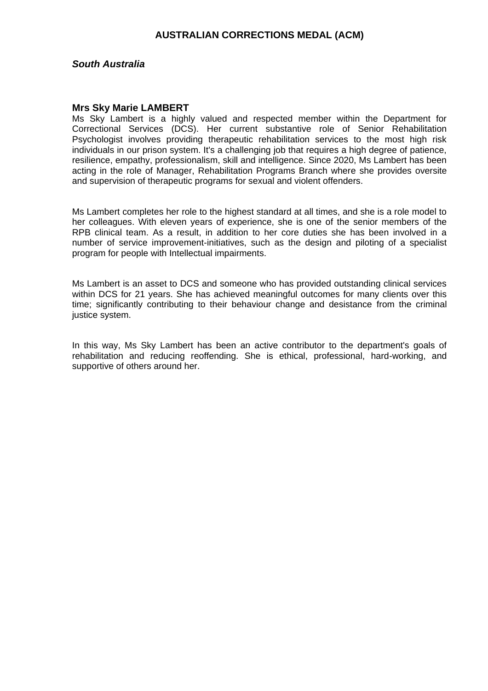### *South Australia*

#### **Mrs Sky Marie LAMBERT**

Ms Sky Lambert is a highly valued and respected member within the Department for Correctional Services (DCS). Her current substantive role of Senior Rehabilitation Psychologist involves providing therapeutic rehabilitation services to the most high risk individuals in our prison system. It's a challenging job that requires a high degree of patience, resilience, empathy, professionalism, skill and intelligence. Since 2020, Ms Lambert has been acting in the role of Manager, Rehabilitation Programs Branch where she provides oversite and supervision of therapeutic programs for sexual and violent offenders.

Ms Lambert completes her role to the highest standard at all times, and she is a role model to her colleagues. With eleven years of experience, she is one of the senior members of the RPB clinical team. As a result, in addition to her core duties she has been involved in a number of service improvement-initiatives, such as the design and piloting of a specialist program for people with Intellectual impairments.

Ms Lambert is an asset to DCS and someone who has provided outstanding clinical services within DCS for 21 years. She has achieved meaningful outcomes for many clients over this time; significantly contributing to their behaviour change and desistance from the criminal justice system.

In this way, Ms Sky Lambert has been an active contributor to the department's goals of rehabilitation and reducing reoffending. She is ethical, professional, hard-working, and supportive of others around her.